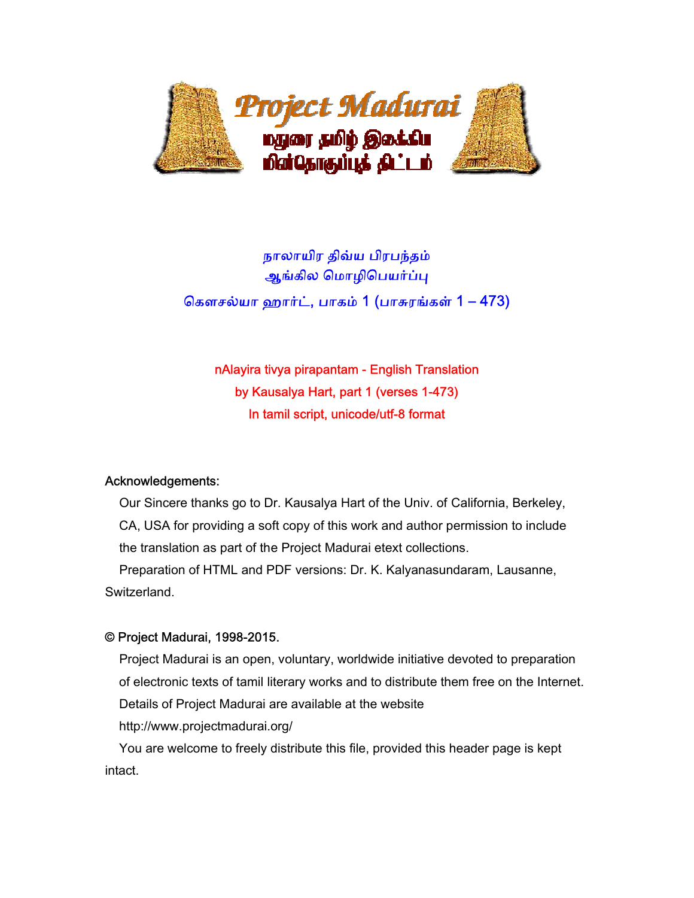

# நாலாயிர திவ்ய பிரபந்தம் ஆங்கில மொழிபெயர்ப்பு ெகௗசல்யா ஹார்ட், பாகம் 1 (பாசுரங்கள் 1 – 473)

nAlayira tivya pirapantam - English Translation by Kausalya Hart, part 1 (verses 1-473) In tamil script, unicode/utf-8 format

### Acknowledgements:

 Our Sincere thanks go to Dr. Kausalya Hart of the Univ. of California, Berkeley, CA, USA for providing a soft copy of this work and author permission to include the translation as part of the Project Madurai etext collections.

 Preparation of HTML and PDF versions: Dr. K. Kalyanasundaram, Lausanne, Switzerland.

### © Project Madurai, 1998-2015.

 Project Madurai is an open, voluntary, worldwide initiative devoted to preparation of electronic texts of tamil literary works and to distribute them free on the Internet. Details of Project Madurai are available at the website http://www.projectmadurai.org/

 You are welcome to freely distribute this file, provided this header page is kept intact.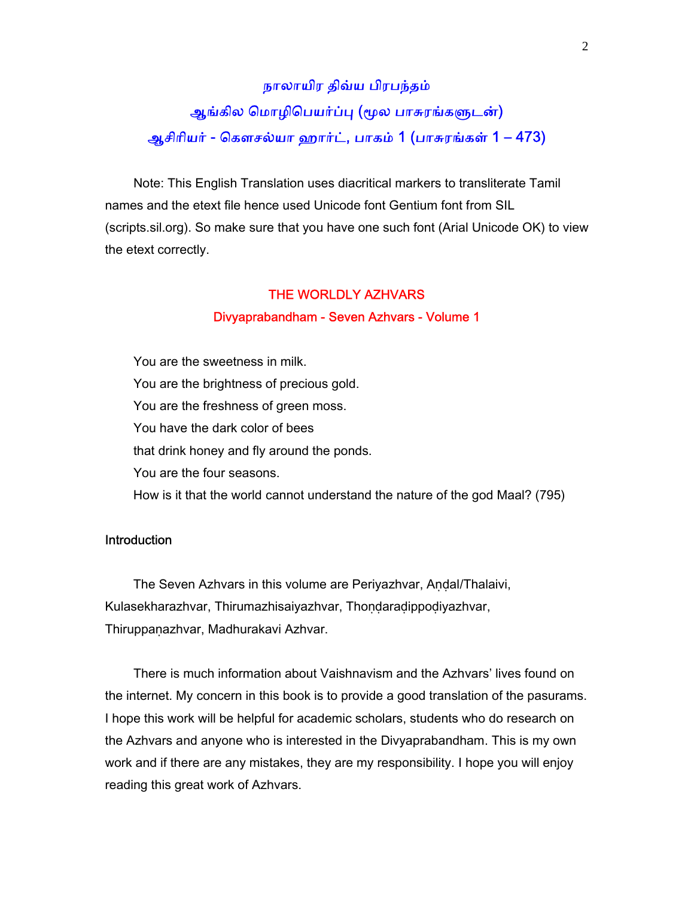# நாலாயிர திவ்ய பிரபந்தம் ஆங்கில மொழிபெயர்ப்பு (மூல பாசுரங்களுடன்) ஆசிாியர் - ெகௗசல்யா ஹார்ட், பாகம் 1 (பாசுரங்கள் 1 – 473)

 Note: This English Translation uses diacritical markers to transliterate Tamil names and the etext file hence used Unicode font Gentium font from SIL (scripts.sil.org). So make sure that you have one such font (Arial Unicode OK) to view the etext correctly.

#### THE WORLDLY AZHVARS

#### Divyaprabandham - Seven Azhvars - Volume 1

 You are the sweetness in milk. You are the brightness of precious gold. You are the freshness of green moss. You have the dark color of bees that drink honey and fly around the ponds. You are the four seasons. How is it that the world cannot understand the nature of the god Maal? (795)

#### **Introduction**

The Seven Azhvars in this volume are Periyazhvar, Andal/Thalaivi, Kulasekharazhvar, Thirumazhisaiyazhvar, Thondaradippodiyazhvar, Thiruppaṇazhvar, Madhurakavi Azhvar.

 There is much information about Vaishnavism and the Azhvars' lives found on the internet. My concern in this book is to provide a good translation of the pasurams. I hope this work will be helpful for academic scholars, students who do research on the Azhvars and anyone who is interested in the Divyaprabandham. This is my own work and if there are any mistakes, they are my responsibility. I hope you will enjoy reading this great work of Azhvars.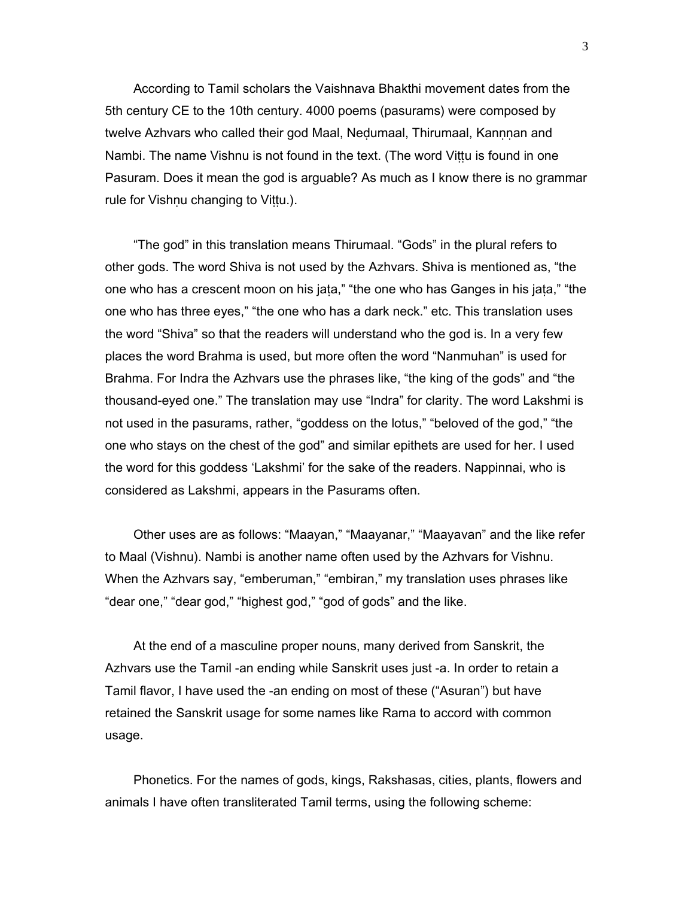According to Tamil scholars the Vaishnava Bhakthi movement dates from the 5th century CE to the 10th century. 4000 poems (pasurams) were composed by twelve Azhvars who called their god Maal, Nedumaal, Thirumaal, Kannnan and Nambi. The name Vishnu is not found in the text. (The word Viṭṭu is found in one Pasuram. Does it mean the god is arguable? As much as I know there is no grammar rule for Vishnu changing to Vittu.).

 "The god" in this translation means Thirumaal. "Gods" in the plural refers to other gods. The word Shiva is not used by the Azhvars. Shiva is mentioned as, "the one who has a crescent moon on his jaṭa," "the one who has Ganges in his jaṭa," "the one who has three eyes," "the one who has a dark neck." etc. This translation uses the word "Shiva" so that the readers will understand who the god is. In a very few places the word Brahma is used, but more often the word "Nanmuhan" is used for Brahma. For Indra the Azhvars use the phrases like, "the king of the gods" and "the thousand-eyed one." The translation may use "Indra" for clarity. The word Lakshmi is not used in the pasurams, rather, "goddess on the lotus," "beloved of the god," "the one who stays on the chest of the god" and similar epithets are used for her. I used the word for this goddess 'Lakshmi' for the sake of the readers. Nappinnai, who is considered as Lakshmi, appears in the Pasurams often.

 Other uses are as follows: "Maayan," "Maayanar," "Maayavan" and the like refer to Maal (Vishnu). Nambi is another name often used by the Azhvars for Vishnu. When the Azhvars say, "emberuman," "embiran," my translation uses phrases like "dear one," "dear god," "highest god," "god of gods" and the like.

 At the end of a masculine proper nouns, many derived from Sanskrit, the Azhvars use the Tamil -an ending while Sanskrit uses just -a. In order to retain a Tamil flavor, I have used the -an ending on most of these ("Asuran") but have retained the Sanskrit usage for some names like Rama to accord with common usage.

 Phonetics. For the names of gods, kings, Rakshasas, cities, plants, flowers and animals I have often transliterated Tamil terms, using the following scheme: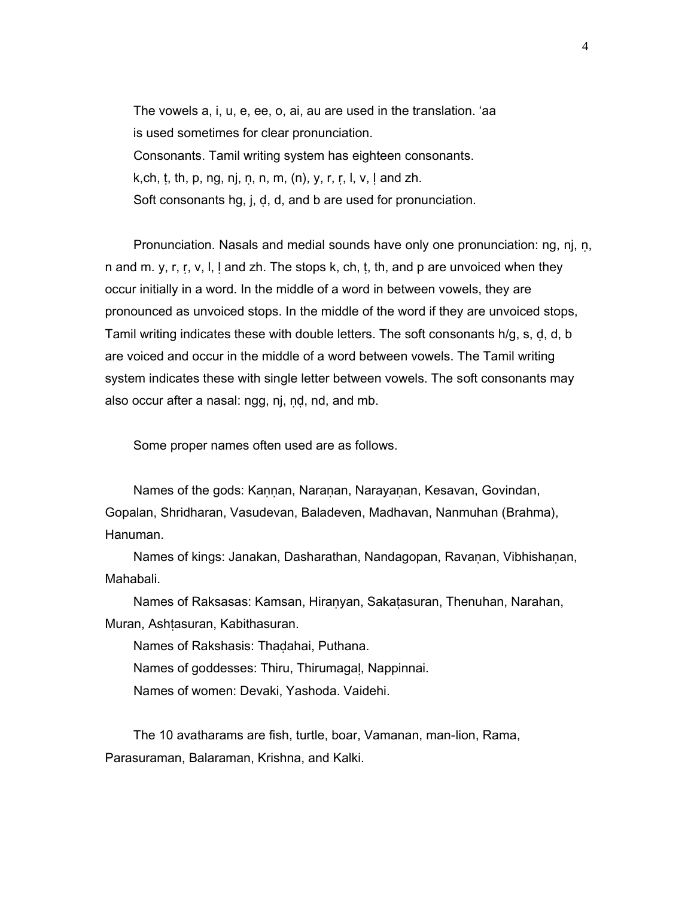The vowels a, i, u, e, ee, o, ai, au are used in the translation. 'aa is used sometimes for clear pronunciation. Consonants. Tamil writing system has eighteen consonants. k, ch, t, th, p, ng, nj, n, n, m,  $(n)$ , y, r, r, l, v, l and zh. Soft consonants hg, j, ḍ, d, and b are used for pronunciation.

 Pronunciation. Nasals and medial sounds have only one pronunciation: ng, nj, ṇ, n and m. y, r, r, v, l,  $l$  and zh. The stops k, ch, t, th, and p are unvoiced when they occur initially in a word. In the middle of a word in between vowels, they are pronounced as unvoiced stops. In the middle of the word if they are unvoiced stops, Tamil writing indicates these with double letters. The soft consonants h/g, s, ḍ, d, b are voiced and occur in the middle of a word between vowels. The Tamil writing system indicates these with single letter between vowels. The soft consonants may also occur after a nasal: ngg, nj, ṇḍ, nd, and mb.

Some proper names often used are as follows.

Names of the gods: Kannan, Naranan, Narayanan, Kesavan, Govindan, Gopalan, Shridharan, Vasudevan, Baladeven, Madhavan, Nanmuhan (Brahma), Hanuman.

Names of kings: Janakan, Dasharathan, Nandagopan, Ravanan, Vibhishanan, Mahabali.

 Names of Raksasas: Kamsan, Hiraṇyan, Sakaṭasuran, Thenuhan, Narahan, Muran, Ashṭasuran, Kabithasuran.

Names of Rakshasis: Thaḍahai, Puthana.

Names of goddesses: Thiru, Thirumagaḷ, Nappinnai.

Names of women: Devaki, Yashoda. Vaidehi.

 The 10 avatharams are fish, turtle, boar, Vamanan, man-lion, Rama, Parasuraman, Balaraman, Krishna, and Kalki.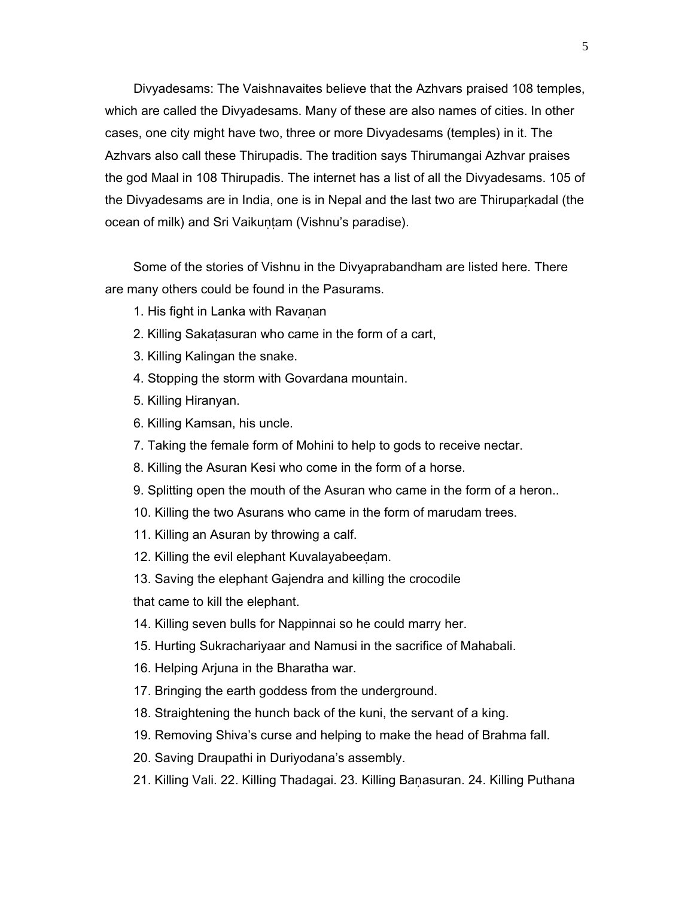Divyadesams: The Vaishnavaites believe that the Azhvars praised 108 temples, which are called the Divyadesams. Many of these are also names of cities. In other cases, one city might have two, three or more Divyadesams (temples) in it. The Azhvars also call these Thirupadis. The tradition says Thirumangai Azhvar praises the god Maal in 108 Thirupadis. The internet has a list of all the Divyadesams. 105 of the Divyadesams are in India, one is in Nepal and the last two are Thiruparkadal (the ocean of milk) and Sri Vaikuntam (Vishnu's paradise).

 Some of the stories of Vishnu in the Divyaprabandham are listed here. There are many others could be found in the Pasurams.

- 1. His fight in Lanka with Ravaṇan
- 2. Killing Sakaṭasuran who came in the form of a cart,
- 3. Killing Kalingan the snake.
- 4. Stopping the storm with Govardana mountain.
- 5. Killing Hiranyan.
- 6. Killing Kamsan, his uncle.
- 7. Taking the female form of Mohini to help to gods to receive nectar.
- 8. Killing the Asuran Kesi who come in the form of a horse.
- 9. Splitting open the mouth of the Asuran who came in the form of a heron..
- 10. Killing the two Asurans who came in the form of marudam trees.
- 11. Killing an Asuran by throwing a calf.
- 12. Killing the evil elephant Kuvalayabeeḍam.
- 13. Saving the elephant Gajendra and killing the crocodile

that came to kill the elephant.

- 14. Killing seven bulls for Nappinnai so he could marry her.
- 15. Hurting Sukrachariyaar and Namusi in the sacrifice of Mahabali.
- 16. Helping Arjuna in the Bharatha war.
- 17. Bringing the earth goddess from the underground.
- 18. Straightening the hunch back of the kuni, the servant of a king.
- 19. Removing Shiva's curse and helping to make the head of Brahma fall.
- 20. Saving Draupathi in Duriyodana's assembly.
- 21. Killing Vali. 22. Killing Thadagai. 23. Killing Baṇasuran. 24. Killing Puthana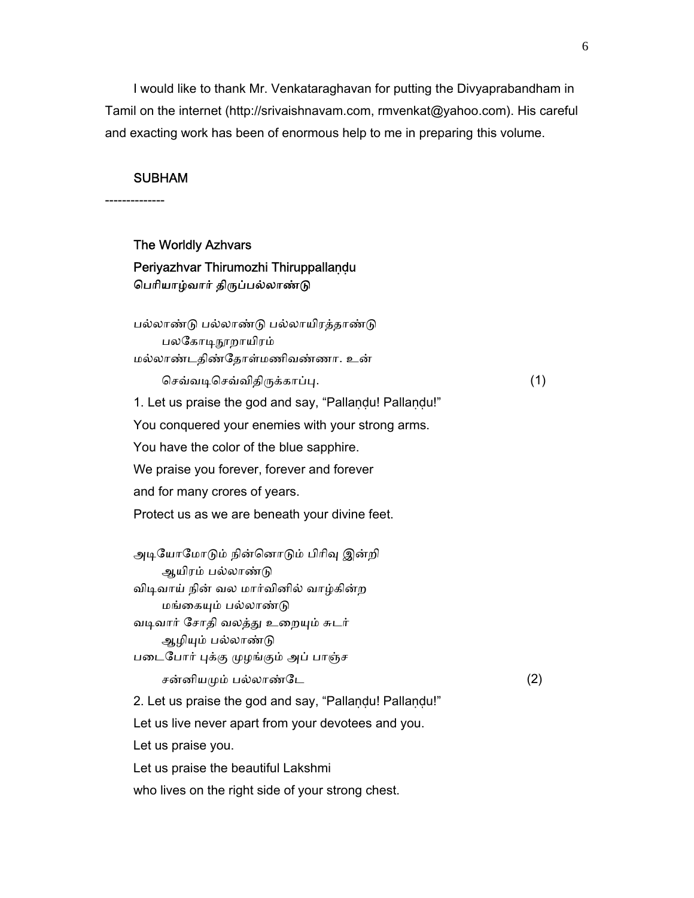I would like to thank Mr. Venkataraghavan for putting the Divyaprabandham in Tamil on the internet (http://srivaishnavam.com, rmvenkat@yahoo.com). His careful and exacting work has been of enormous help to me in preparing this volume.

#### SUBHAM

--------------

# The Worldly Azhvars Periyazhvar Thirumozhi Thiruppallaṇḍu பெரியாழ்வார் திருப்பல்லாண்டு பல்லாண்ᾌ பல்லாண்ᾌ பல்லாயிரத்தாண்ᾌ பலகோடிநூறாயிரம் மல்லாண்டதிண்ேதாள்மணிவண்ணா. உன் ெசவ்வᾊெசவ்விதிᾞக்காப்ᾗ. (1) 1. Let us praise the god and say, "Pallaṇḍu! Pallaṇḍu!" You conquered your enemies with your strong arms. You have the color of the blue sapphire. We praise you forever, forever and forever and for many crores of years. Protect us as we are beneath your divine feet. அடியோமோடும் நின்னொடும் பிரிவு இன்றி ஆயிரம் பல்லாண்ᾌ விடிவாய் நின் வல மார்வினில் வாழ்கின்ற மங்கையும் பல்லாண்டு வடிவார் சோதி வலத்து உறையும் சுடர் ஆழியும் பல்லாண்டு பைடேபார் ᾗக்கு ᾙழங்கும் அப் பாஞ்ச சன்னியமும் பல்லாண்டே $(2)$  2. Let us praise the god and say, "Pallaṇḍu! Pallaṇḍu!" Let us live never apart from your devotees and you. Let us praise you. Let us praise the beautiful Lakshmi

who lives on the right side of your strong chest.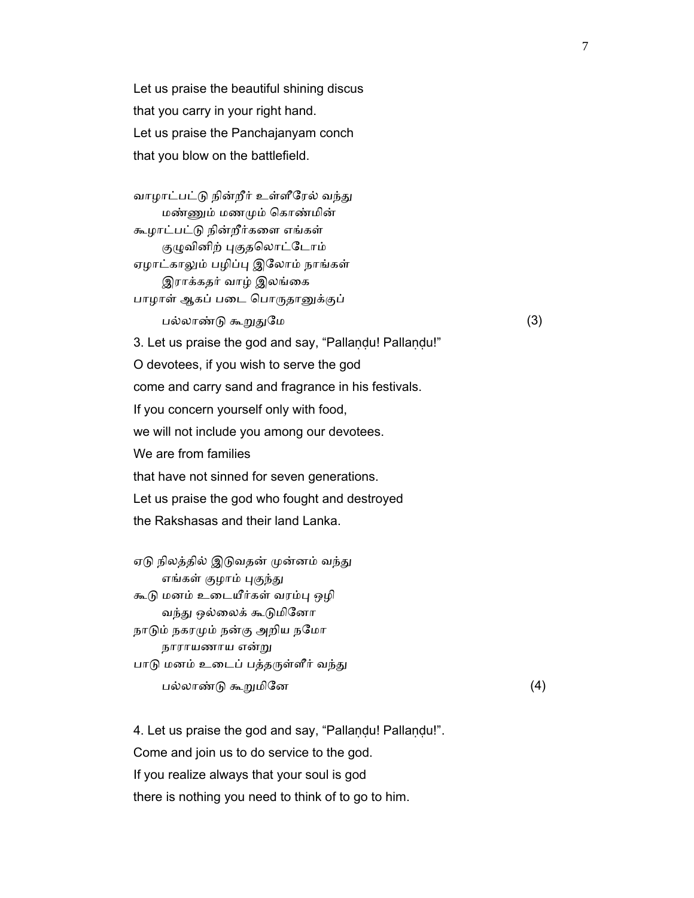Let us praise the beautiful shining discus that you carry in your right hand. Let us praise the Panchajanyam conch that you blow on the battlefield.

வாழாட்பட்டு நின்றீர் உள்ளீரேல் வந்து மண்ᾎம் மணᾙம் ெகாண்மின் கூழாட்பட்ᾌ நின்றீர்கைள எங்கள் குழுவினிற் புகுதலொட்டோம் ஏழாட்காலும் பழிப்பு இலோம் நாங்கள் இராக்கதர் வாழ் இலங்ைக பாழாள் ஆகப் படை பொருதானுக்குப் பல்லாண்ᾌ கூᾠᾐேம (3) 3. Let us praise the god and say, "Pallaṇḍu! Pallaṇḍu!" O devotees, if you wish to serve the god come and carry sand and fragrance in his festivals. If you concern yourself only with food, we will not include you among our devotees. We are from families that have not sinned for seven generations. Let us praise the god who fought and destroyed the Rakshasas and their land Lanka.

ஏடு நிலத்தில் இடுவதன் முன்னம் வந்து எங்கள் குழாம் புகுந்து கூடு மனம் உடையீர்கள் வரம்பு ஒழி வந்து ஒல்லைக் கூடுமினோ நாடும் நகரமும் நன்கு அறிய நமோ நாராயணாய என்ᾠ பாடு மனம் உடைப் பத்தருள்ளீர் வந்து பல்லாண்ᾌ கூᾠமிேன (4)

 4. Let us praise the god and say, "Pallaṇḍu! Pallaṇḍu!". Come and join us to do service to the god. If you realize always that your soul is god there is nothing you need to think of to go to him.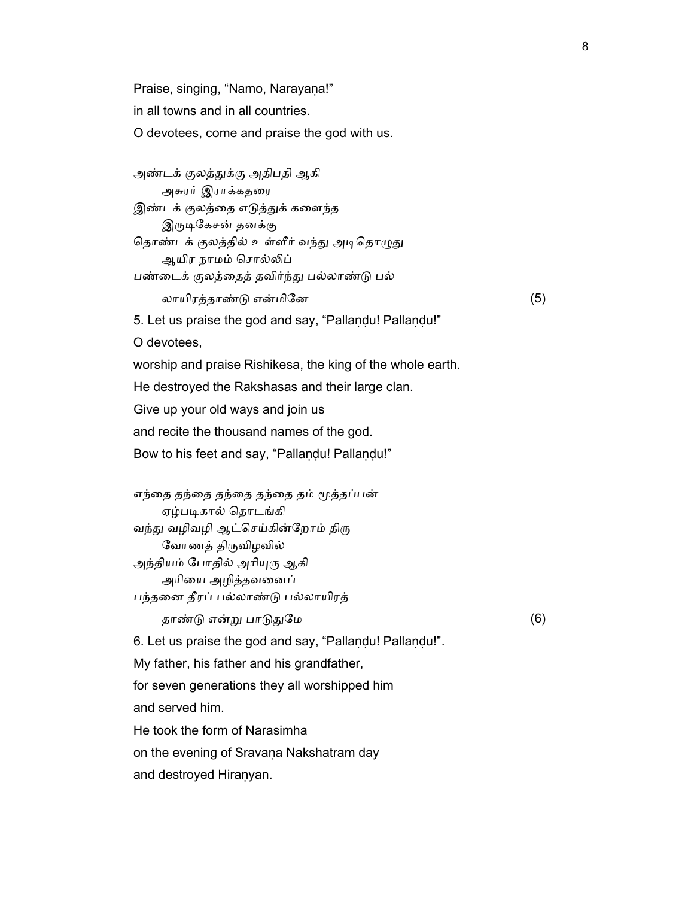Praise, singing, "Namo, Narayana!" in all towns and in all countries. O devotees, come and praise the god with us.

 அண்டக் குலத்ᾐக்கு அதிபதி ஆகி அசுரர் இராக்கதைர இண்டக் குலத்தை எடுத்துக் களைந்த இருடிகேசன் தனக்கு தொண்டக் குலத்தில் உள்ளீர் வந்து அடிதொழுது ஆயிர நாமம் சொல்லிப் பண்டைக் குலத்தைத் தவிர்ந்து பல்லாண்டு பல் லாயிரத்தாண்ᾌ என்மிேன (5) 5. Let us praise the god and say, "Pallaṇḍu! Pallaṇḍu!" O devotees, worship and praise Rishikesa, the king of the whole earth. He destroyed the Rakshasas and their large clan. Give up your old ways and join us and recite the thousand names of the god. Bow to his feet and say, "Pallaṇḍu! Pallaṇḍu!"

எந்தை தந்தை தந்தை தந்தை தம் மூத்தப்பன் ஏழ்படிகால் தொடங்கி வந்து வழிவழி ஆட்செய்கின்றோம் திரு ேவாணத் திᾞவிழவில் அந்தியம் போதில் அரியுரு ஆகி அாிைய அழித்தவைனப் பந்தைன தீரப் பல்லாண்ᾌ பல்லாயிரத்

தாண்ᾌ என்ᾠ பாᾌᾐேம (6)

6. Let us praise the god and say, "Pallaṇḍu! Pallaṇḍu!".

My father, his father and his grandfather,

for seven generations they all worshipped him

and served him.

He took the form of Narasimha

on the evening of Sravaṇa Nakshatram day

and destroyed Hiranyan.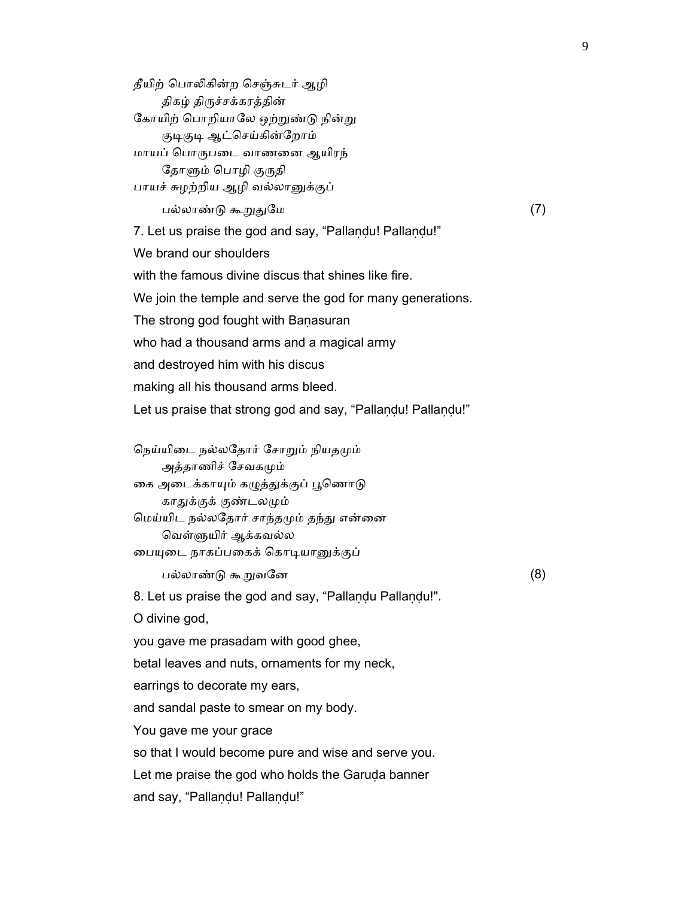தீயிற் பொலிகின்ற செஞ்சுடர் ஆழி திகழ் திᾞச்சக்கரத்தின் கோயிற் பொறியாலே ஒற்றுண்டு நின்று குடிகுடி ஆட்செய்கின்றோம் மாயப் ெபாᾞபைட வாணைன ஆயிரந் தோளும் பொழி குருதி பாயச் சுழற்றிய ஆழி வல்லானுக்குப் பல்லாண்ᾌ கூᾠᾐேம (7) 7. Let us praise the god and say, "Pallaṇḍu! Pallaṇḍu!" We brand our shoulders with the famous divine discus that shines like fire. We join the temple and serve the god for many generations. The strong god fought with Baṇasuran who had a thousand arms and a magical army and destroyed him with his discus making all his thousand arms bleed. Let us praise that strong god and say, "Pallaṇḍu! Pallaṇḍu!" நெய்யிடை நல்லதோர் சோறும் நியதமும் அத்தாணிச் சேவகமும் கை அடைக்காயும் கழுத்துக்குப் பூணொடு காதுக்குக் குண்டலமும் ெமய்யிட நல்லேதார் சாந்தᾙம் தந்ᾐ என்ைன வெள்ளுயிர் ஆக்கவல்ல பையுடை நாகப்பகைக் கொடியானுக்குப்  $\Box$ ல்லாண்டு கூறுவனே  $(8)$ 

8. Let us praise the god and say, "Pallaṇḍu Pallaṇḍu!".

O divine god,

you gave me prasadam with good ghee,

betal leaves and nuts, ornaments for my neck,

earrings to decorate my ears,

and sandal paste to smear on my body.

You gave me your grace

so that I would become pure and wise and serve you.

Let me praise the god who holds the Garuda banner

and say, "Pallaṇḍu! Pallaṇḍu!"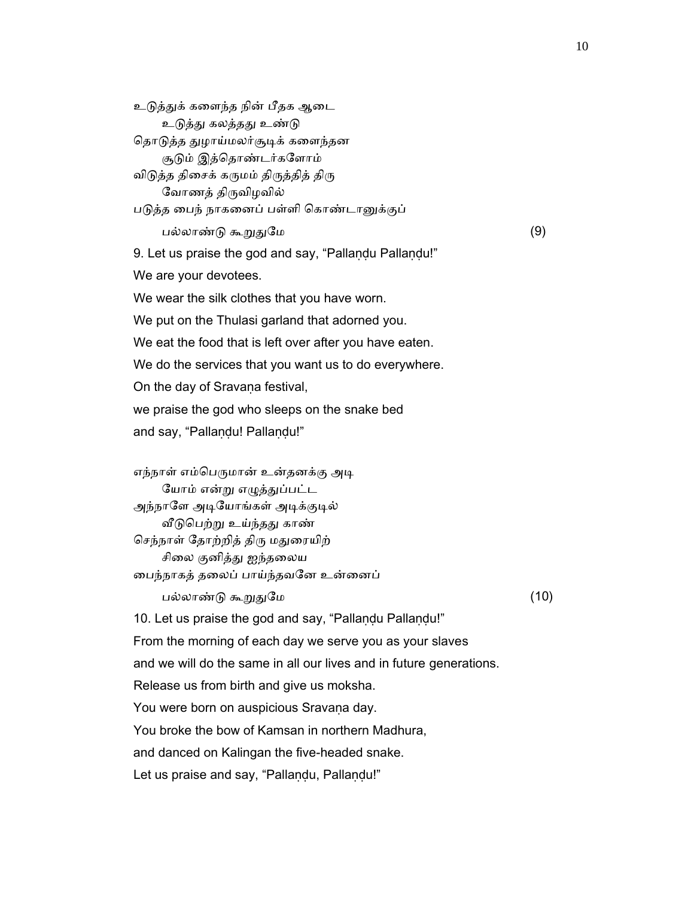உடுத்துக் களைந்த நின் பீதக ஆடை உடுத்து கலத்தது உண்டு தொடுத்த துழாய்மலர்சூடிக் களைந்தன சூᾌம் இத்ெதாண்டர்கேளாம் விடுத்த திசைக் கருமம் திருத்தித் திரு ேவாணத் திᾞவிழவில் படுத்த பைந் நாகனைப் பள்ளி கொண்டானுக்குப் பல்லாண்ᾌ கூᾠᾐேம (9) 9. Let us praise the god and say, "Pallaṇḍu Pallaṇḍu!" We are your devotees. We wear the silk clothes that you have worn. We put on the Thulasi garland that adorned you. We eat the food that is left over after you have eaten. We do the services that you want us to do everywhere. On the day of Sravana festival, we praise the god who sleeps on the snake bed and say, "Pallaṇḍu! Pallaṇḍu!" எந்நாள் எம்பெருமான் உன்தனக்கு அடி யோம் என்று எழுத்துப்பட்ட அந்நாளே அடியோங்கள் அடிக்குடில் வீடுபெற்று உய்ந்தது காண் செந்நாள் தோற்றித் திரு மதுரையிற் சிலை குனித்து ஐந்தலைய ைபந்நாகத் தைலப் பாய்ந்தவேன உன்ைனப் பல்லாண்ᾌ கூᾠᾐேம (10) 10. Let us praise the god and say, "Pallandu Pallandu!" From the morning of each day we serve you as your slaves and we will do the same in all our lives and in future generations. Release us from birth and give us moksha. You were born on auspicious Sravana day. You broke the bow of Kamsan in northern Madhura, and danced on Kalingan the five-headed snake. Let us praise and say, "Pallandu, Pallandu!"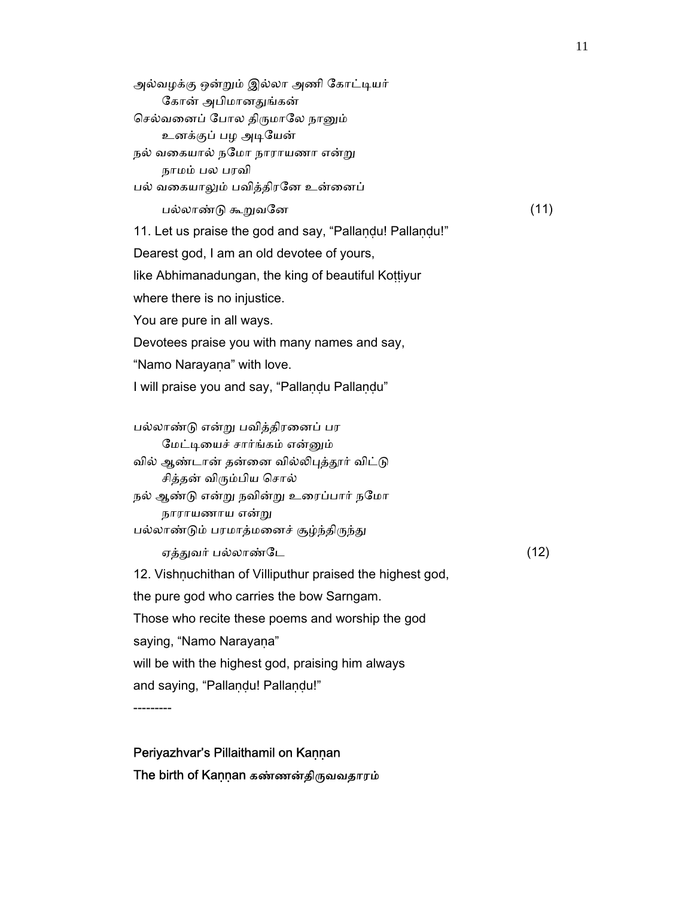அல்வழக்கு ஒன்றும் இல்லா அணி கோட்டியர் ேகான் அபிமானᾐங்கன் செல்வனைப் போல திருமாலே நானும் உனக்குப் பழ அடியேன் நல் வகையால் நமோ நாராயணா என்று நாமம் பல பரவி பல் வகையாலும் பவித்திரனே உன்னைப் பல்லாண்ᾌ கூᾠவேன (11) 11. Let us praise the god and say, "Pallaṇḍu! Pallaṇḍu!" Dearest god, I am an old devotee of yours, like Abhimanadungan, the king of beautiful Kottiyur where there is no injustice. You are pure in all ways. Devotees praise you with many names and say, "Namo Narayana" with love. I will praise you and say, "Pallandu Pallandu" பல்லாண்ᾌ என்ᾠ பவித்திரைனப் பர மேட்டியைச் சார்ங்கம் என்னும் வில் ஆண்டான் தன்னை வில்லிபுத்தூர் விட்டு சித்தன் விᾞம்பிய ெசால் நல் ஆண்டு என்று நவின்று உரைப்பார் நமோ நாராயணாய என்ᾠ பல்லாண்டும் பரமாத்மனைச் சூழ்ந்திருந்து  $\sigma$ த்துவர் பல்லாண்டே  $(12)$ 12. Vishnuchithan of Villiputhur praised the highest god, the pure god who carries the bow Sarngam. Those who recite these poems and worship the god saying, "Namo Narayana" will be with the highest god, praising him always

and saying, "Pallandu! Pallandu!"

---------

 Periyazhvar's Pillaithamil on Kaṇṇan The birth of Kaṇṇan கண்ணன்திருவவதாரம்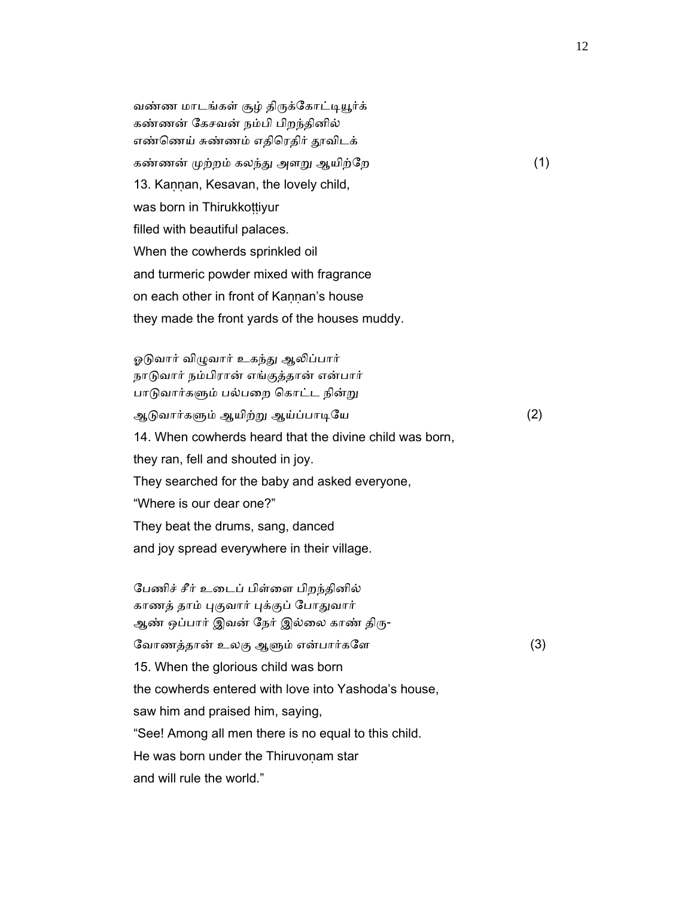வண்ண மாடங்கள் சூழ் திருக்கோட்டியூர்க் கண்ணன் ேகசவன் நம்பி பிறந்தினில் எண்ணெய் சுண்ணம் எதிரெதிர் தூவிடக் கண்ணன் முற்றம் கலந்து அளறு ஆயிற்றே (1) 13. Kannan, Kesavan, the lovely child, was born in Thirukkottiyur filled with beautiful palaces. When the cowherds sprinkled oil and turmeric powder mixed with fragrance on each other in front of Kannan's house they made the front yards of the houses muddy.

ஓடுவார் விழுவார் உகந்து ஆலிப்பார் நாடுவார் நம்பிரான் எங்குத்தான் என்பார் பாடுவார்களும் பல்பறை கொட்ட நின்று ஆᾌவார்கᾦம் ஆயிற்ᾠ ஆய்ப்பாᾊேய (2) 14. When cowherds heard that the divine child was born, they ran, fell and shouted in joy. They searched for the baby and asked everyone, "Where is our dear one?" They beat the drums, sang, danced and joy spread everywhere in their village.

 ேபணிச் சீர் உைடப் பிள்ைள பிறந்தினில் காணத் தாம் புகுவார் புக்குப் போதுவார் ஆண் ஒப்பார் இவன் நேர் இல்லை காண் திரு-ேவாணத்தான் உலகு ஆளும் என்பார்களே $(3)$  15. When the glorious child was born the cowherds entered with love into Yashoda's house, saw him and praised him, saying, "See! Among all men there is no equal to this child. He was born under the Thiruvonam star and will rule the world."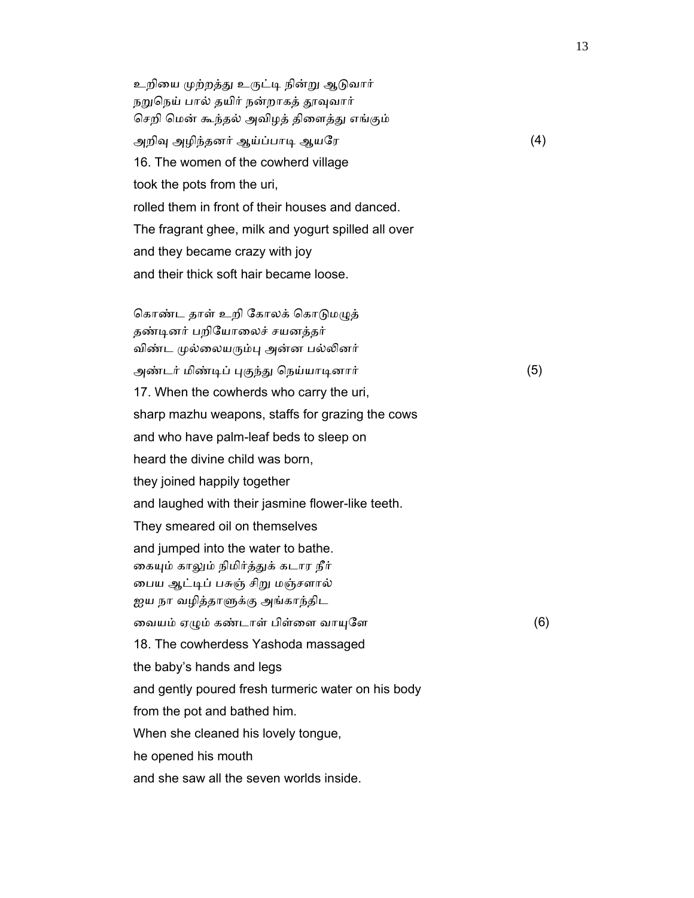உறியை முற்றத்து உருட்டி நின்று ஆடுவார் நறுநெய் பால் தயிர் நன்றாகத் தூவுவார் செறி மென் கூந்தல் அவிழத் திளைத்து எங்கும் அறிᾫ அழிந்தனர் ஆய்ப்பாᾊ ஆயேர (4) 16. The women of the cowherd village took the pots from the uri, rolled them in front of their houses and danced. The fragrant ghee, milk and yogurt spilled all over and they became crazy with joy and their thick soft hair became loose.

கொண்ட தாள் உறி கோலக் கொடுமழுத் தண்ᾊனர் பறிேயாைலச் சயனத்தர் விண்ட முல்லையரும்பு அன்ன பல்லினர் அண்டர் மிண்டிப் புகுந்து நெய்யாடினார் (5) 17. When the cowherds who carry the uri, sharp mazhu weapons, staffs for grazing the cows and who have palm-leaf beds to sleep on heard the divine child was born, they joined happily together and laughed with their jasmine flower-like teeth. They smeared oil on themselves and jumped into the water to bathe. கையும் காலும் நிமிர்த்துக் கடார நீர் ைபய ஆட்ᾊப் பசுஞ் சிᾠ மஞ்சளால் ஐய நா வழித்தாளுக்கு அங்காந்திட வையம் ஏழும் கண்டாள் பிள்ளை வாயுளே  $(6)$  18. The cowherdess Yashoda massaged the baby's hands and legs and gently poured fresh turmeric water on his body from the pot and bathed him. When she cleaned his lovely tongue, he opened his mouth and she saw all the seven worlds inside.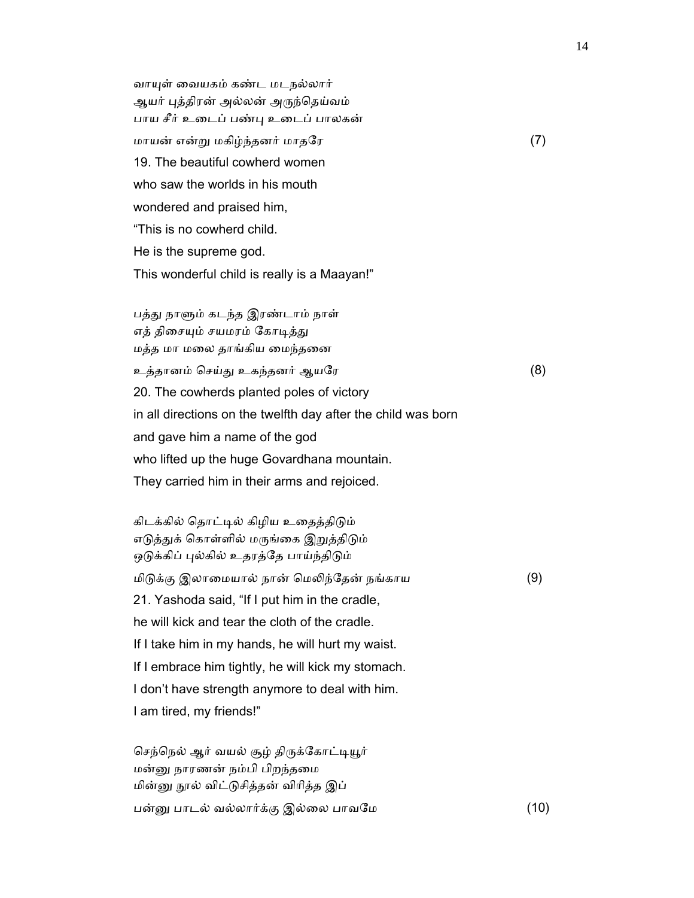வாயுள் வையகம் கண்ட மடநல்லார் ஆயர் புத்திரன் அல்லன் அருந்தெய்வம் பாய சீர் உைடப் பண்ᾗ உைடப் பாலகன் மாயன் என்ᾠ மகிழ்ந்தனர் மாதேர (7) 19. The beautiful cowherd women who saw the worlds in his mouth wondered and praised him, "This is no cowherd child. He is the supreme god. This wonderful child is really is a Maayan!"

பத்து நாளும் கடந்த இரண்டாம் நாள் எத் திசையும் சயமரம் கோடித்து மத்த மா மைல தாங்கிய ைமந்தைன

 உத்தானம் ெசய்ᾐ உகந்தனர் ஆயேர (8) 20. The cowherds planted poles of victory in all directions on the twelfth day after the child was born and gave him a name of the god who lifted up the huge Govardhana mountain. They carried him in their arms and rejoiced.

கிடக்கில் தொட்டில் கிழிய உதைத்திடும் எடுத்துக் கொள்ளில் மருங்கை இறுத்திடும் ஒடுக்கிப் புல்கில் உதரத்தே பாய்ந்திடும் மிடுக்கு இலாமையால் நான் மெலிந்தேன் நங்காய  $(9)$  21. Yashoda said, "If I put him in the cradle, he will kick and tear the cloth of the cradle. If I take him in my hands, he will hurt my waist. If I embrace him tightly, he will kick my stomach. I don't have strength anymore to deal with him. I am tired, my friends!"

செந்நெல் ஆர் வயல் சூழ் திருக்கோட்டியூர் மன்ᾔ நாரணன் நம்பி பிறந்தைம மின்னு நூல் விட்டுசித்தன் விரித்த இப் பன்னு பாடல் வல்லார்க்கு இல்லை பாவமே (10)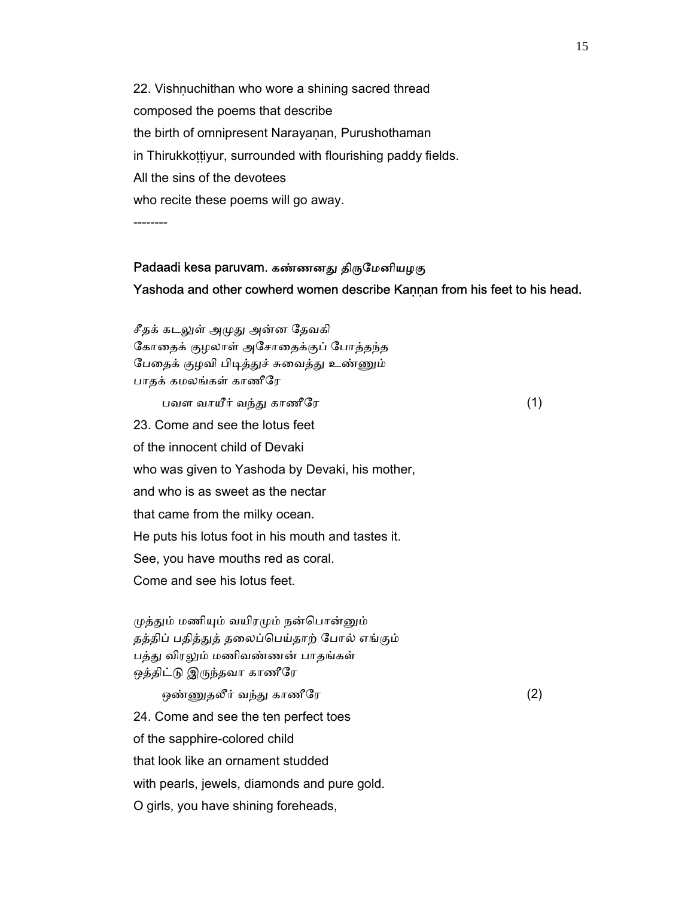22. Vishnuchithan who wore a shining sacred thread composed the poems that describe the birth of omnipresent Narayanan, Purushothaman in Thirukkoṭṭiyur, surrounded with flourishing paddy fields. All the sins of the devotees who recite these poems will go away. --------

## Padaadi kesa paruvam. கண்ணனது திருமேனியழகு Yashoda and other cowherd women describe Kannan from his feet to his head.

சீதக் கடலுள் அமுது அன்ன தேவகி ேகாைதக் குழலாள் அேசாைதக்குப் ேபாத்தந்த பேதைக் குழவி பிடித்துச் சுவைத்து உண்ணும் பாதக் கமலங்கள் காணீேர பவள வாயீர் வந்து காணீரே காண்டி (1) 23. Come and see the lotus feet of the innocent child of Devaki who was given to Yashoda by Devaki, his mother, and who is as sweet as the nectar that came from the milky ocean. He puts his lotus foot in his mouth and tastes it. See, you have mouths red as coral. Come and see his lotus feet.

முத்தும் மணியும் வயிரமும் நன்பொன்னும் தத்திப் பதித்துத் தலைப்பெய்தாற் போல் எங்கும் பத்து விரலும் மணிவண்ணன் பாதங்கள் ஒத்திட்டு இருந்தவா காணீரே

 ஒண்ᾎதலீர் வந்ᾐ காணீேர (2) 24. Come and see the ten perfect toes of the sapphire-colored child that look like an ornament studded with pearls, jewels, diamonds and pure gold. O girls, you have shining foreheads,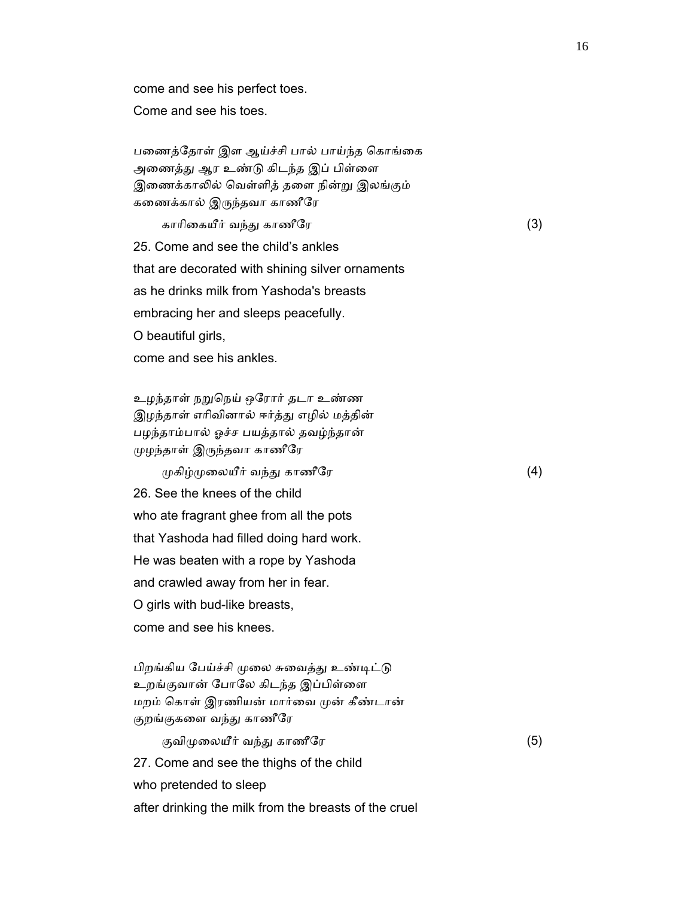come and see his perfect toes.

Come and see his toes.

பணைத்தோள் இள ஆய்ச்சி பால் பாய்ந்த கொங்கை அணைத்து ஆர உண்டு கிடந்த இப் பிள்ளை இணைக்காலில் வெள்ளித் தளை நின்று இலங்கும் கைணக்கால் இᾞந்தவா காணீேர

காரிகையீர் வந்து காணீரே கார் கார் கார் (3)

 25. Come and see the child's ankles that are decorated with shining silver ornaments

as he drinks milk from Yashoda's breasts

embracing her and sleeps peacefully.

O beautiful girls,

come and see his ankles.

 உழந்தாள் நᾠெநய் ஒேரார் தடா உண்ண இழந்தாள் எரிவினால் ஈர்த்து எழில் மத்தின் பழந்தாம்பால் ஓச்ச பயத்தால் தவழ்ந்தான் ᾙழந்தாள் இᾞந்தவா காணீேர

 $\mu$ கிழ் $\mu$ லையீர் வந்து காணீரே  $(4)$ 

 26. See the knees of the child who ate fragrant ghee from all the pots that Yashoda had filled doing hard work. He was beaten with a rope by Yashoda and crawled away from her in fear. O girls with bud-like breasts, come and see his knees.

பிறங்கிய பேய்ச்சி முலை சுவைத்து உண்டிட்டு உறங்குவான் போலே கிடந்த இப்பிள்ளை மறம் கொள் இரணியன் மார்வை முன் கீண்டான் குறங்குகளை வந்து காணீரே

குவிமுலையீர் வந்து காணீரே $(5)$  27. Come and see the thighs of the child who pretended to sleep after drinking the milk from the breasts of the cruel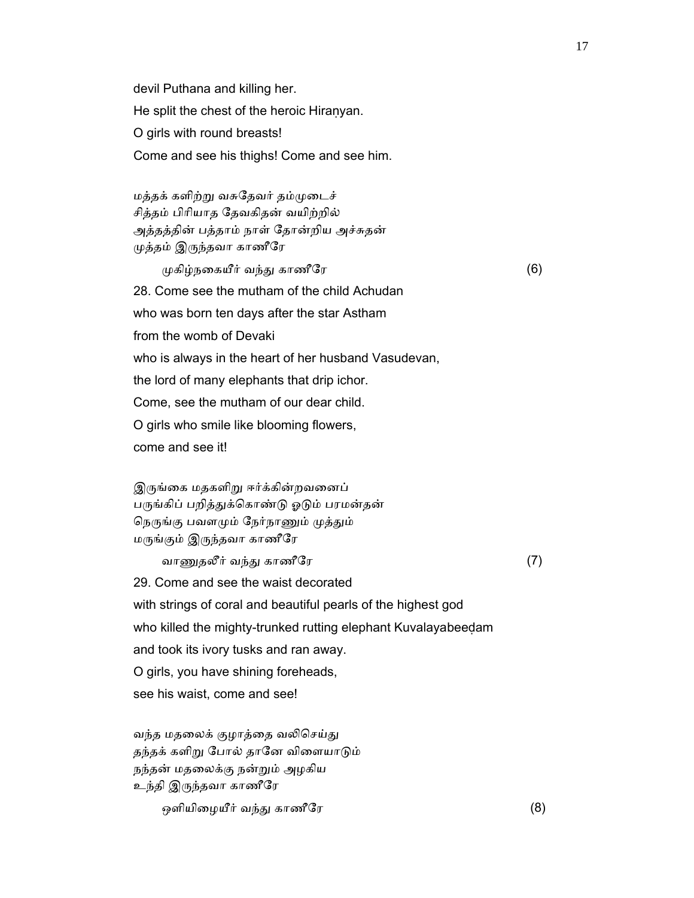devil Puthana and killing her. He split the chest of the heroic Hiraṇyan. O girls with round breasts! Come and see his thighs! Come and see him.

 மத்தக் களிற்ᾠ வசுேதவர் தம்ᾙைடச் சித்தம் பிாியாத ேதவகிதன் வயிற்றில் அத்தத்தின் பத்தாம் நாள் ேதான்றிய அச்சுதன் ᾙத்தம் இᾞந்தவா காணீேர

 $\mu$ கிழ்நகையீர் வந்து காணீரே காண்ட் $(6)$  28. Come see the mutham of the child Achudan who was born ten days after the star Astham from the womb of Devaki who is always in the heart of her husband Vasudevan, the lord of many elephants that drip ichor. Come, see the mutham of our dear child. O girls who smile like blooming flowers, come and see it!

இருங்கை மதகளிறு ஈர்க்கின்றவனைப் பருங்கிப் பறித்துக்கொண்டு ஓடும் பரமன்தன் நெருங்கு பவளமும் நேர்நாணும் முத்தும் மᾞங்கும் இᾞந்தவா காணீேர

வாணுதலீர் வந்து காணீரே  $(7)$  29. Come and see the waist decorated with strings of coral and beautiful pearls of the highest god who killed the mighty-trunked rutting elephant Kuvalayabeedam and took its ivory tusks and ran away. O girls, you have shining foreheads, see his waist, come and see!

வந்த மதலைக் குழாத்தை வலிசெய்து தந்தக் களிறு போல் தானே விளையாடும் நந்தன் மதைலக்கு நன்ᾠம் அழகிய உந்தி இᾞந்தவா காணீேர

ஒளியிைழயீர் வந்ᾐ காணீேர (8)

17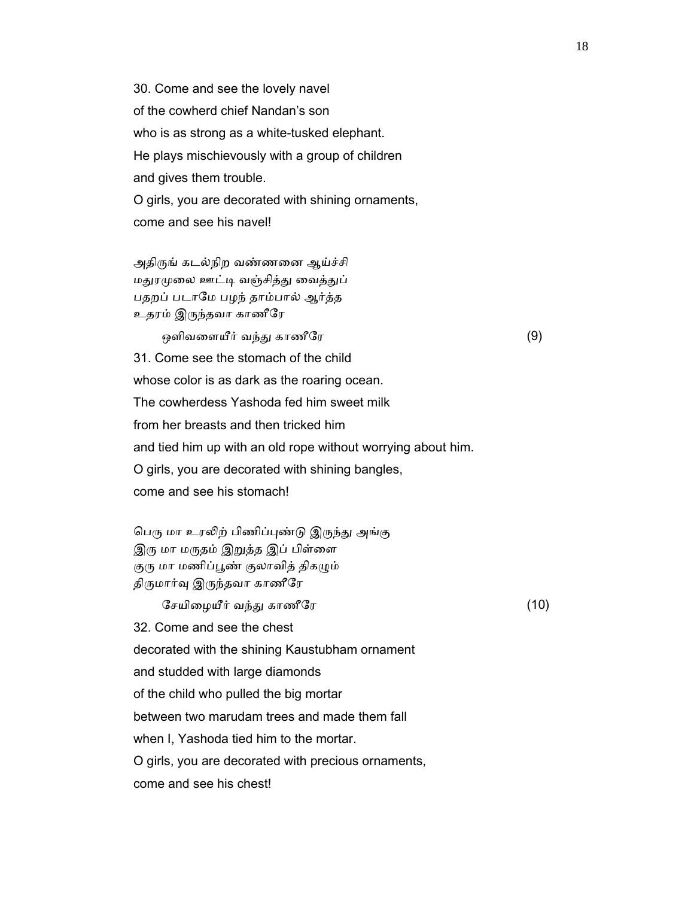30. Come and see the lovely navel of the cowherd chief Nandan's son who is as strong as a white-tusked elephant. He plays mischievously with a group of children and gives them trouble. O girls, you are decorated with shining ornaments, come and see his navel!

அதிருங் கடல்நிற வண்ணனை ஆய்ச்சி மதுரமுலை ஊட்டி வஞ்சித்து வைத்துப் பதறப் படாேம பழந் தாம்பால் ஆர்த்த உதரம் இᾞந்தவா காணீேர

ஒளிவளையீர் வந்து காணீரே $(9)$ 

 31. Come see the stomach of the child whose color is as dark as the roaring ocean. The cowherdess Yashoda fed him sweet milk from her breasts and then tricked him and tied him up with an old rope without worrying about him. O girls, you are decorated with shining bangles, come and see his stomach!

பெரு மா உரலிற் பிணிப்புண்டு இருந்து அங்கு இரு மா மருதம் இறுத்த இப் பிள்ளை குரு மா மணிப்பூண் குலாவித் திகழும் திருமார்வு இருந்தவா காணீரே

ேசயிழையீர் வந்து காணீரே காண்டி (10)

32. Come and see the chest

decorated with the shining Kaustubham ornament

and studded with large diamonds

of the child who pulled the big mortar

between two marudam trees and made them fall

when I, Yashoda tied him to the mortar.

O girls, you are decorated with precious ornaments,

come and see his chest!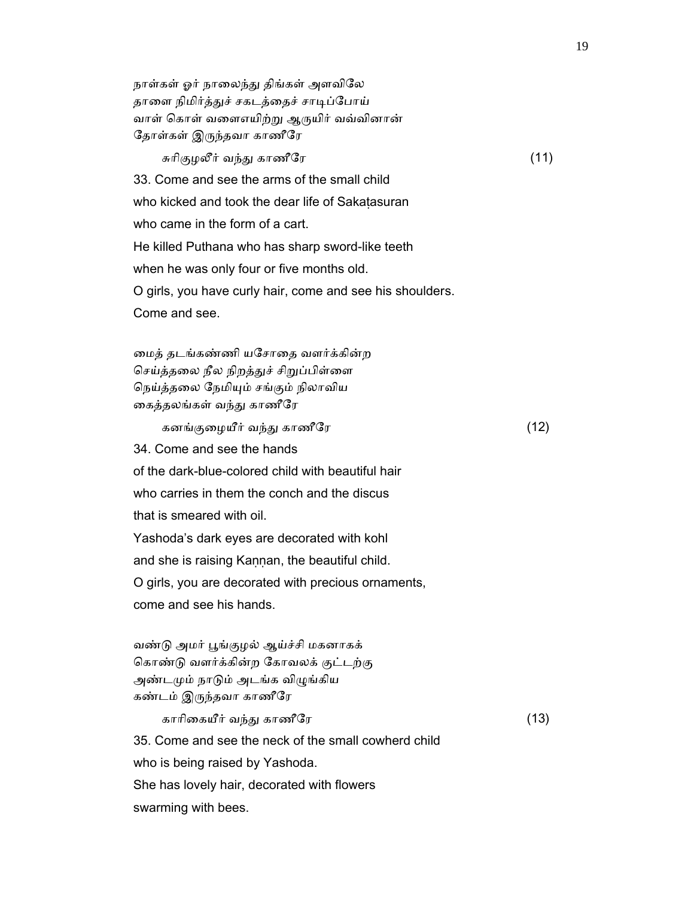நாள்கள் ஓர் நாலைந்து திங்கள் அளவிலே தாளை நிமிர்த்துச் சகடத்தைச் சாடிப்போய் வாள் கொள் வளைஎயிற்று ஆருயிர் வவ்வினான் ேதாள்கள் இᾞந்தவா காணீேர சுரிகுழலீர் வந்து காணீரே காண்டு (11)

 33. Come and see the arms of the small child who kicked and took the dear life of Sakatasuran who came in the form of a cart. He killed Puthana who has sharp sword-like teeth when he was only four or five months old. O girls, you have curly hair, come and see his shoulders. Come and see.

 ைமத் தடங்கண்ணி யேசாைத வளர்க்கின்ற செய்த்தலை நீல நிறத்துச் சிறுப்பிள்ளை நெய்த்தலை நேமியும் சங்கும் நிலாவிய ைகத்தலங்கள் வந்ᾐ காணீேர

கனங்குழையீர் வந்து காணீரே காண்டி (12)

34. Come and see the hands

of the dark-blue-colored child with beautiful hair

who carries in them the conch and the discus

that is smeared with oil.

Yashoda's dark eyes are decorated with kohl

and she is raising Kaṇṇan, the beautiful child.

O girls, you are decorated with precious ornaments,

come and see his hands.

 வண்ᾌ அமர் ᾘங்குழல் ஆய்ச்சி மகனாகக் ெகாண்ᾌ வளர்க்கின்ற ேகாவலக் குட்டற்கு அண்டᾙம் நாᾌம் அடங்க விᾨங்கிய கண்டம் இᾞந்தவா காணீேர

காாிைகயீர் வந்ᾐ காணீேர (13)

 35. Come and see the neck of the small cowherd child who is being raised by Yashoda.

She has lovely hair, decorated with flowers

swarming with bees.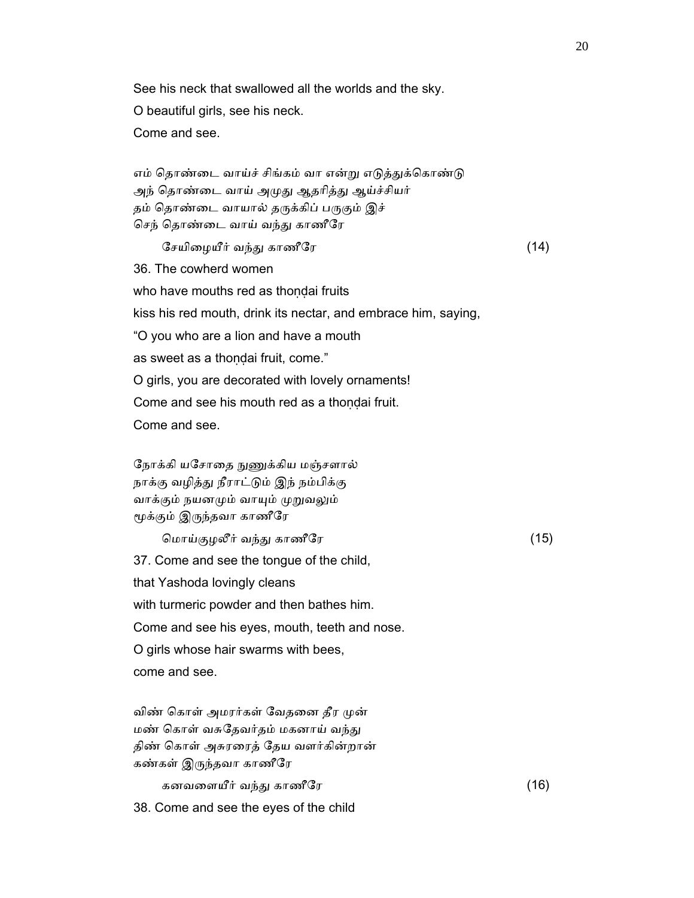See his neck that swallowed all the worlds and the sky. O beautiful girls, see his neck. Come and see.

எம் தொண்டை வாய்ச் சிங்கம் வா என்று எடுத்துக்கொண்டு அந் தொண்டை வாய் அமுது ஆதரித்து ஆய்ச்சியர் தம் தொண்டை வாயால் தருக்கிப் பருகும் இச் செந் தொண்டை வாய் வந்து காணீரே

ேசயிழையீர் வந்து காணீரே காண்டி (14)

 36. The cowherd women who have mouths red as thondai fruits kiss his red mouth, drink its nectar, and embrace him, saying, "O you who are a lion and have a mouth as sweet as a thondai fruit, come." O girls, you are decorated with lovely ornaments! Come and see his mouth red as a thondai fruit. Come and see.

நோக்கி யசோதை நுணுக்கிய மஞ்சளால் நாக்கு வழித்து நீராட்டும் இந் நம்பிக்கு வாக்கும் நயனமும் வாயும் முறுவலும் ᾚக்கும் இᾞந்தவா காணீேர

 ெமாய்குழலீர் வந்ᾐ காணீேர (15) 37. Come and see the tongue of the child, that Yashoda lovingly cleans with turmeric powder and then bathes him. Come and see his eyes, mouth, teeth and nose. O girls whose hair swarms with bees, come and see.

விண் கொள் அமரர்கள் வேதனை தீர முன் மண் கொள் வசுதேவர்தம் மகனாய் வந்து திண் ெகாள் அசுரைரத் ேதய வளர்கின்றான் கண்கள் இᾞந்தவா காணீேர

கனவளையீர் வந்து காணீரே காண்டி (16)

38. Come and see the eyes of the child

20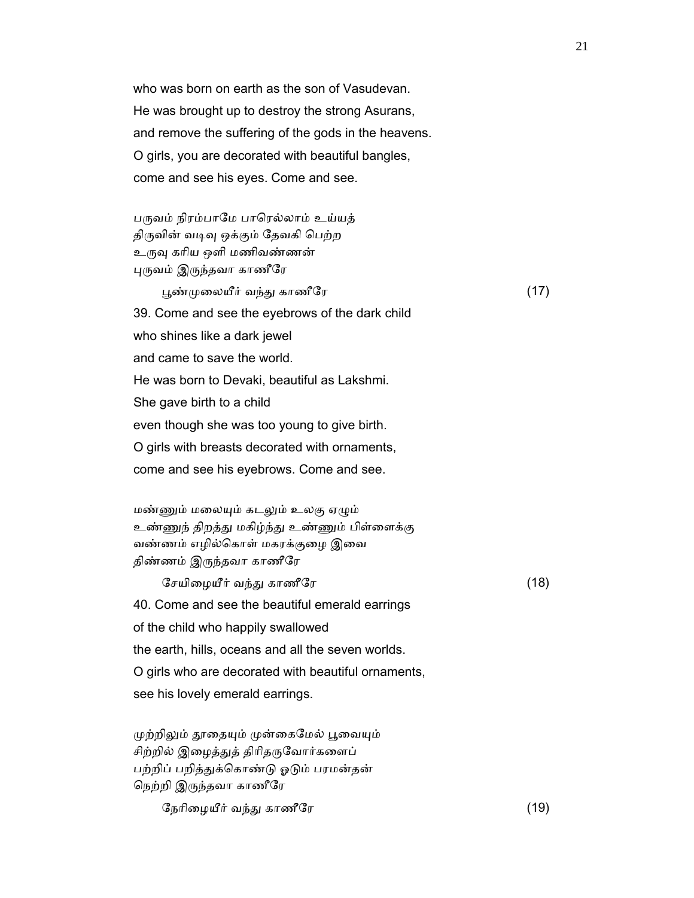who was born on earth as the son of Vasudevan. He was brought up to destroy the strong Asurans, and remove the suffering of the gods in the heavens. O girls, you are decorated with beautiful bangles, come and see his eyes. Come and see.

பருவம் நிரம்பாமே பாரெல்லாம் உய்யத் திருவின் வடிவு ஒக்கும் தேவகி பெற்ற உருவு கரிய ஒளி மணிவண்ணன் ᾗᾞவம் இᾞந்தவா காணீேர

 ᾘண்ᾙைலயீர் வந்ᾐ காணீேர (17) 39. Come and see the eyebrows of the dark child who shines like a dark jewel and came to save the world. He was born to Devaki, beautiful as Lakshmi. She gave birth to a child even though she was too young to give birth. O girls with breasts decorated with ornaments, come and see his eyebrows. Come and see.

மண்ணும் மலையும் கடலும் உலகு ஏழும் உண்ணுந் திறத்து மகிழ்ந்து உண்ணும் பிள்ளைக்கு வண்ணம் எழில்ெகாள் மகரக்குைழ இைவ திண்ணம் இᾞந்தவா காணீேர

ேசயிழையீர் வந்து காணீரே காண்டி (18) 40. Come and see the beautiful emerald earrings of the child who happily swallowed the earth, hills, oceans and all the seven worlds. O girls who are decorated with beautiful ornaments, see his lovely emerald earrings.

முற்றிலும் தூதையும் முன்கைமேல் பூவையும் சிற்றில் இழைத்துத் திரிதருவோர்களைப் பற்றிப் பறித்துக்கொண்டு ஓடும் பரமன்தன் ெநற்றி இᾞந்தவா காணீேர

ேநரிழையீர் வந்து காணீரே காண்டி (19)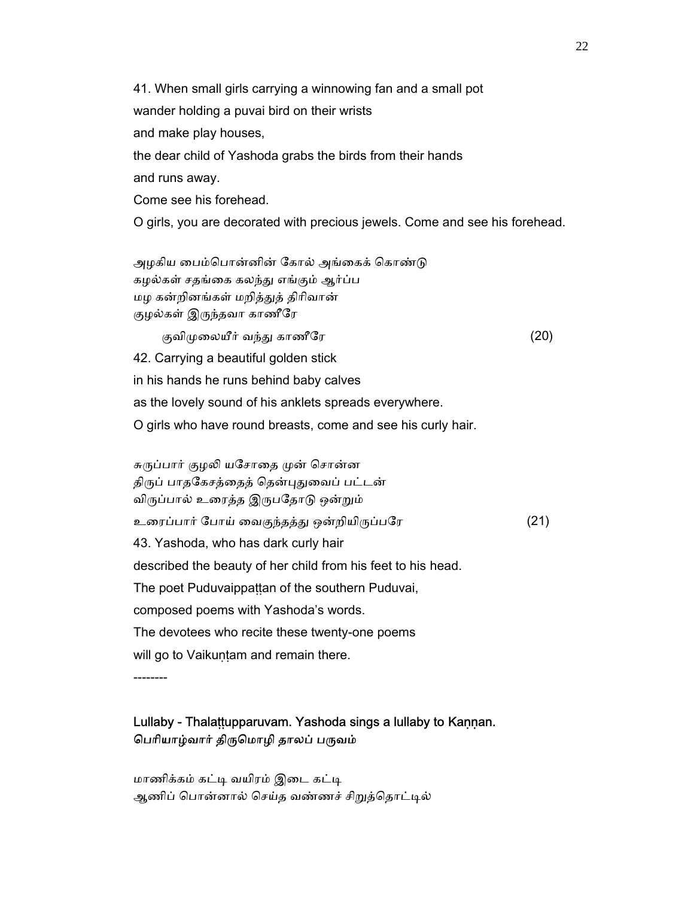41. When small girls carrying a winnowing fan and a small pot wander holding a puvai bird on their wrists and make play houses, the dear child of Yashoda grabs the birds from their hands and runs away. Come see his forehead. O girls, you are decorated with precious jewels. Come and see his forehead. அழகிய பைம்பொன்னின் கோல் அங்கைக் கொண்டு கழல்கள் சதங்கை கலந்து எங்கும் ஆர்ப்ப மழ கன்றினங்கள் மறித்ᾐத் திாிவான் குழல்கள் இᾞந்தவா காணீேர குவிமுலையீர் வந்து காணீரே $(20)$  42. Carrying a beautiful golden stick in his hands he runs behind baby calves as the lovely sound of his anklets spreads everywhere. O girls who have round breasts, come and see his curly hair. சுருப்பார் குழலி யசோதை முன் சொன்ன திருப் பாதகேசத்தைத் தென்புதுவைப் பட்டன் விருப்பால் உரைத்த இருபதோடு ஒன்றும்

உரைப்பார் போய் வைகுந்தத்து ஒன்றியிருப்பரே (21)

43. Yashoda, who has dark curly hair

described the beauty of her child from his feet to his head.

The poet Puduvaippattan of the southern Puduvai,

composed poems with Yashoda's words.

The devotees who recite these twenty-one poems

will go to Vaikuṇṭam and remain there.

--------

## Lullaby - Thalaṭṭupparuvam. Yashoda sings a lullaby to Kaṇṇan. பெரியாழ்வார் திருமொழி தாலப் பருவம்

```
மாணிக்கம் கட்டி வயிரம் இடை கட்டி
ஆணிப் பொன்னால் செய்த வண்ணச் சிறுத்தொட்டில்
```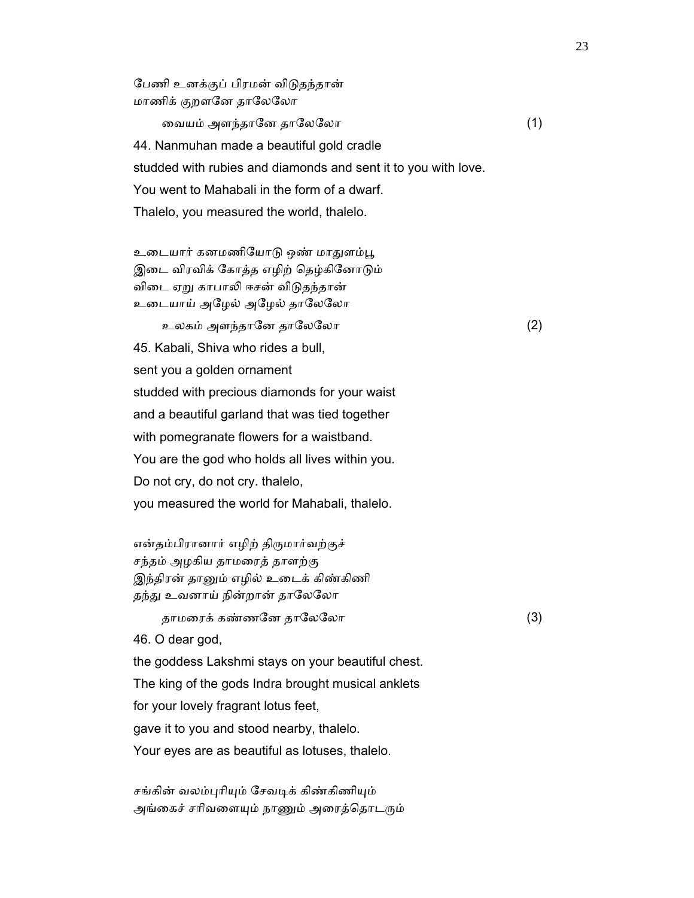மாணிக் குறளனே தாலேலோ ைவயம் அளந்தாேன தாேலேலா (1) 44. Nanmuhan made a beautiful gold cradle studded with rubies and diamonds and sent it to you with love. You went to Mahabali in the form of a dwarf. Thalelo, you measured the world, thalelo.

உடையார் கனமணியோடு ஒண் மாதுளம்பூ இடை விரவிக் கோத்த எழிற் தெழ்கினோடும் விடை ஏறு காபாலி ஈசன் விடுதந்தான் உடையாய் அழேல் அழேல் தாலேலோ

பேணி உனக்குப் பிரமன் விடுதந்தான்

உலகம் அளந்தானே தாலேலோ  $(2)$  45. Kabali, Shiva who rides a bull, sent you a golden ornament studded with precious diamonds for your waist and a beautiful garland that was tied together with pomegranate flowers for a waistband. You are the god who holds all lives within you. Do not cry, do not cry. thalelo, you measured the world for Mahabali, thalelo.

என்தம்பிரானார் எழிற் திருமார்வற்குச் சந்தம் அழகிய தாமைரத் தாளற்கு இந்திரன் தாᾔம் எழில் உைடக் கிண்கிணி தந்து உவனாய் நின்றான் தாலேலோ

தாமரைக் கண்ணனே தாலேலோ  $(3)$ 

46. O dear god,

the goddess Lakshmi stays on your beautiful chest.

The king of the gods Indra brought musical anklets

for your lovely fragrant lotus feet,

gave it to you and stood nearby, thalelo.

Your eyes are as beautiful as lotuses, thalelo.

சங்கின் வலம்புரியும் சேவடிக் கிண்கிணியும் அங்கைச் சரிவளையும் நாணும் அரைத்தொடரும்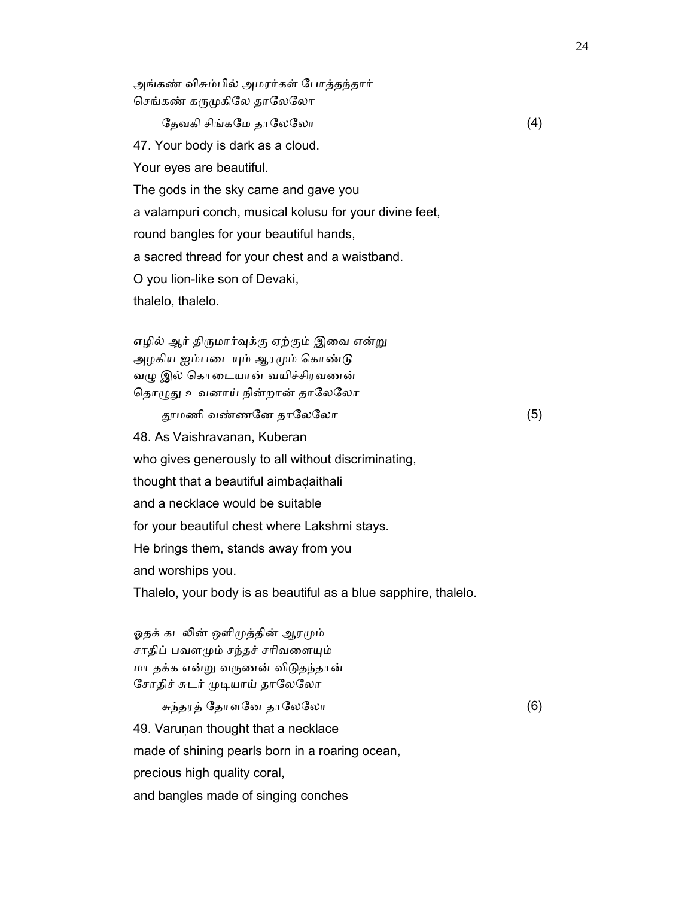அங்கண் விசும்பில் அமரர்கள் ேபாத்தந்தார் செங்கண் கருமுகிலே தாலேலோ

ேதவகி சிங்கமே தாலேலோ  $(4)$  47. Your body is dark as a cloud. Your eyes are beautiful. The gods in the sky came and gave you a valampuri conch, musical kolusu for your divine feet, round bangles for your beautiful hands, a sacred thread for your chest and a waistband. O you lion-like son of Devaki, thalelo, thalelo.

எழில் ஆர் திருமார்வுக்கு ஏற்கும் இவை என்று அழகிய ஐம்படையும் ஆரமும் கொண்டு வழு இல் கொடையான் வயிச்சிரவணன் தொழுது உவனாய் நின்றான் தாலேலோ

ᾑமணி வண்ணேன தாேலேலா (5)

 48. As Vaishravanan, Kuberan who gives generously to all without discriminating, thought that a beautiful aimbadaithali and a necklace would be suitable for your beautiful chest where Lakshmi stays. He brings them, stands away from you and worships you.

Thalelo, your body is as beautiful as a blue sapphire, thalelo.

ஓதக் கடலின் ஒளிமுத்தின் ஆரமும் சாதிப் பவளமும் சந்தச் சரிவளையும் மா தக்க என்ᾠ வᾞணன் விᾌதந்தான் சோதிச் சுடர் முடியாய் தாலேலோ

சுந்தரத் தோளனே தாலேலோ  $(6)$  49. Varuṇan thought that a necklace made of shining pearls born in a roaring ocean, precious high quality coral, and bangles made of singing conches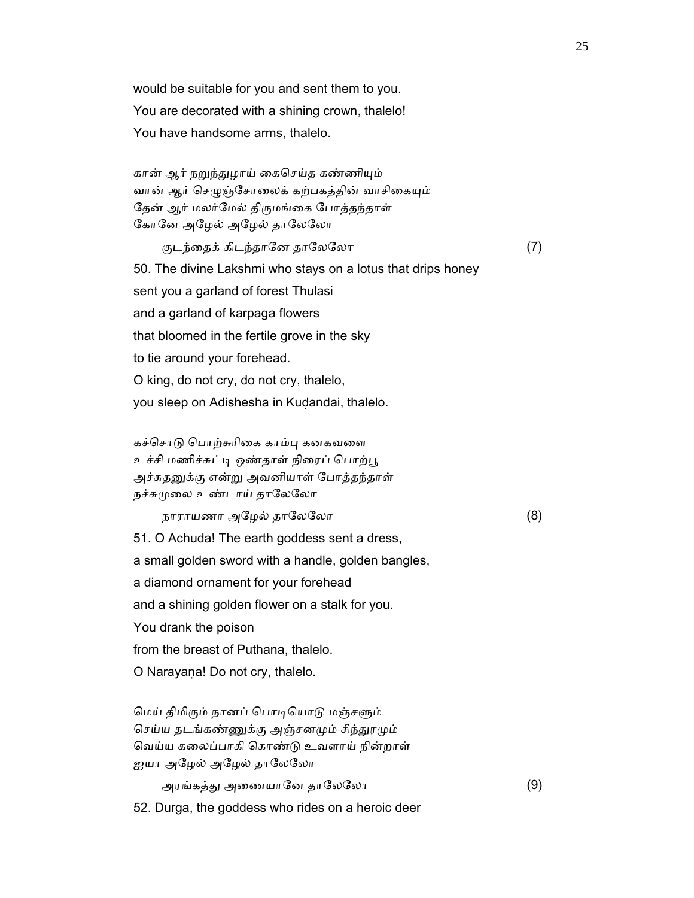would be suitable for you and sent them to you. You are decorated with a shining crown, thalelo! You have handsome arms, thalelo.

கான் ஆர் நறுந்துழாய் கைசெய்த கண்ணியும் வான் ஆர் செழுஞ்சோலைக் கற்பகத்தின் வாசிகையும் தேன் ஆர் மலர்மேல் திருமங்கை போத்தந்தாள் ேகாேன அேழல் அேழல் தாேலேலா

குடந்தைக் கிடந்தானே தாலேலோ (7) 50. The divine Lakshmi who stays on a lotus that drips honey sent you a garland of forest Thulasi and a garland of karpaga flowers that bloomed in the fertile grove in the sky to tie around your forehead. O king, do not cry, do not cry, thalelo, you sleep on Adishesha in Kuḍandai, thalelo.

கச்சொடு பொற்சுரிகை காம்பு கனகவளை உச்சி மணிச்சுட்டி ஒண்தாள் நிரைப் பொற்பூ அச்சுதனுக்கு என்று அவனியாள் போத்தந்தாள் நச்சுமுலை உண்டாய் தாலேலோ

நாராயணா அேழல் தாேலேலா (8)

51. O Achuda! The earth goddess sent a dress,

a small golden sword with a handle, golden bangles,

a diamond ornament for your forehead

and a shining golden flower on a stalk for you.

You drank the poison

from the breast of Puthana, thalelo.

O Narayaṇa! Do not cry, thalelo.

மெய் திமிரும் நானப் பொடியொடு மஞ்சளும் செய்ய தடங்கண்ணுக்கு அஞ்சனமும் சிந்துரமும் ெவய்ய கைலப்பாகி ெகாண்ᾌ உவளாய் நின்றாள் ஐயா அழேல் அழேல் தாலேலோ

அரங்கத்ᾐ அைணயாேன தாேலேலா (9)

52. Durga, the goddess who rides on a heroic deer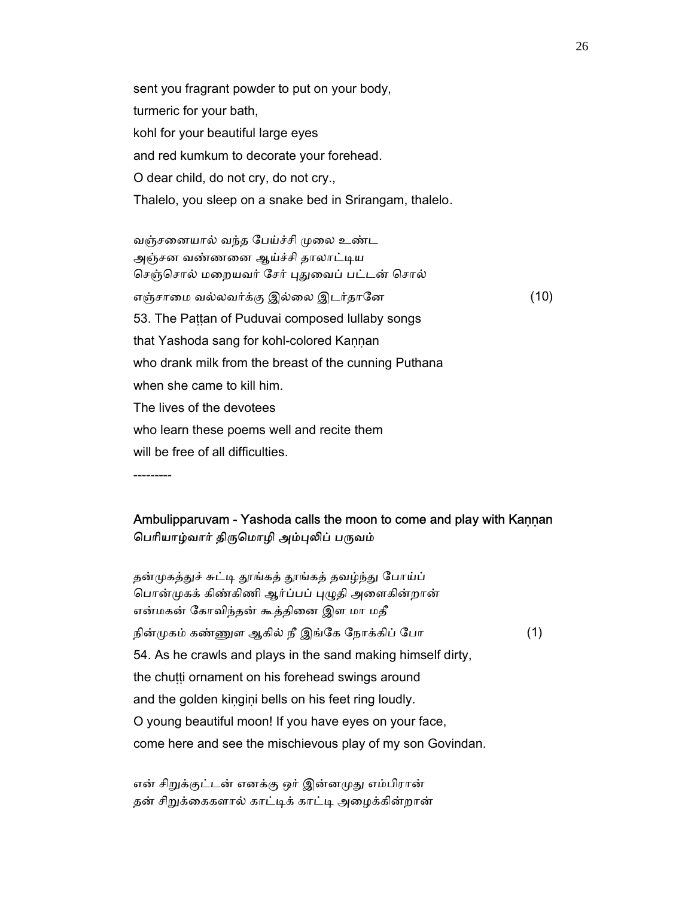sent you fragrant powder to put on your body, turmeric for your bath, kohl for your beautiful large eyes and red kumkum to decorate your forehead. O dear child, do not cry, do not cry., Thalelo, you sleep on a snake bed in Srirangam, thalelo.

வஞ்சனையால் வந்த பேய்ச்சி முலை உண்ட அஞ்சன வண்ணனை ஆய்ச்சி தாலாட்டிய செஞ்சொல் மறையவர் சேர் புதுவைப் பட்டன் சொல் எஞ்சாைம வல்லவர்க்கு இல்ைல இடர்தாேன (10) 53. The Pattan of Puduvai composed lullaby songs that Yashoda sang for kohl-colored Kaṇṇan who drank milk from the breast of the cunning Puthana when she came to kill him. The lives of the devotees who learn these poems well and recite them will be free of all difficulties.

---------

### Ambulipparuvam - Yashoda calls the moon to come and play with Kannan பெரியாழ்வார் திருமொழி அம்புலிப் பருவம்

தன்முகத்துச் சுட்டி தூங்கத் தூங்கத் தவழ்ந்து போய்ப் பொன்முகக் கிண்கிணி ஆர்ப்பப் புழுதி அளைகின்றான் என்மகன் ேகாவிந்தன் கூத்திைன இள மா மதீ நின்முகம் கண்ணுள ஆகில் நீ இங்கே நோக்கிப் போ $(1)$  54. As he crawls and plays in the sand making himself dirty, the chutti ornament on his forehead swings around and the golden kiṇgiṇi bells on his feet ring loudly. O young beautiful moon! If you have eyes on your face, come here and see the mischievous play of my son Govindan.

என் சிறுக்குட்டன் எனக்கு ஒர் இன்னமுது எம்பிரான் தன் சிறுக்கைகளால் காட்டிக் காட்டி அழைக்கின்றான்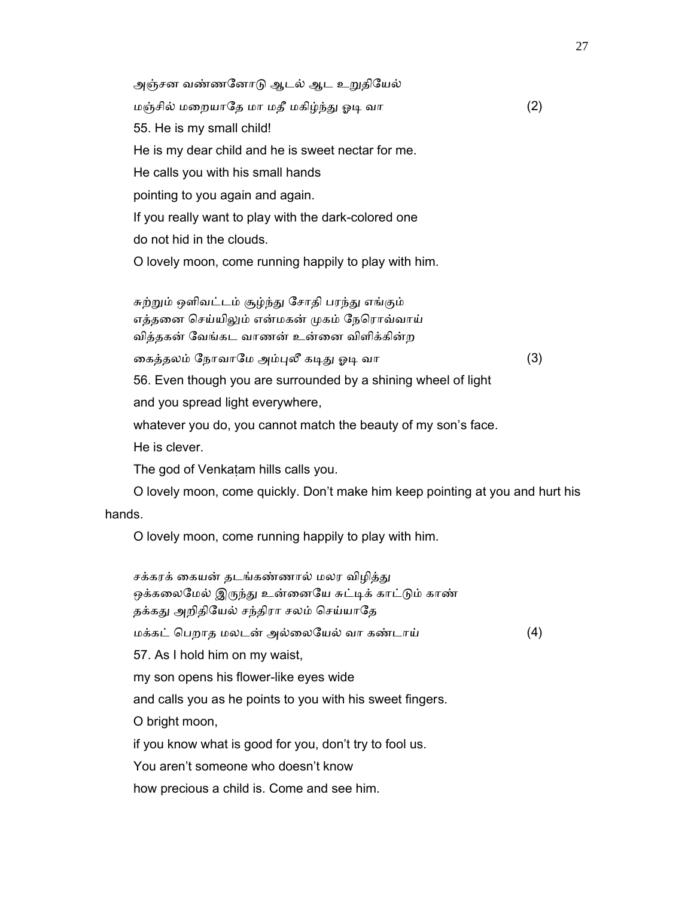அஞ்சன வண்ணனோடு ஆடல் ஆட உறுதியேல் மஞ்சில் மறையாதே மா மதீ மகிழ்ந்து ஓடி வா  $(2)$  55. He is my small child! He is my dear child and he is sweet nectar for me. He calls you with his small hands pointing to you again and again. If you really want to play with the dark-colored one do not hid in the clouds. O lovely moon, come running happily to play with him. சுற்றும் ஒளிவட்டம் சூழ்ந்து சோதி பரந்து எங்கும் எத்தனை செய்யிலும் என்மகன் முகம் நேரொவ்வாய் வித்தகன் ேவங்கட வாணன் உன்ைன விளிக்கின்ற கைத்தலம் நோவாமே அம்புலீ கடிது ஓடி வா (3) 56. Even though you are surrounded by a shining wheel of light and you spread light everywhere, whatever you do, you cannot match the beauty of my son's face.

He is clever.

The god of Venkaṭam hills calls you.

 O lovely moon, come quickly. Don't make him keep pointing at you and hurt his hands.

O lovely moon, come running happily to play with him.

சக்கரக் கையன் தடங்கண்ணால் மலர விழித்து ஒக்கலைமேல் இருந்து உன்னையே சுட்டிக் காட்டும் காண் தக்கது அறிதியேல் சந்திரா சலம் செய்யாதே மக்கட் ெபறாத மலடன் அல்ைலேயல் வா கண்டாய் (4) 57. As I hold him on my waist, my son opens his flower-like eyes wide and calls you as he points to you with his sweet fingers. O bright moon, if you know what is good for you, don't try to fool us. You aren't someone who doesn't know how precious a child is. Come and see him.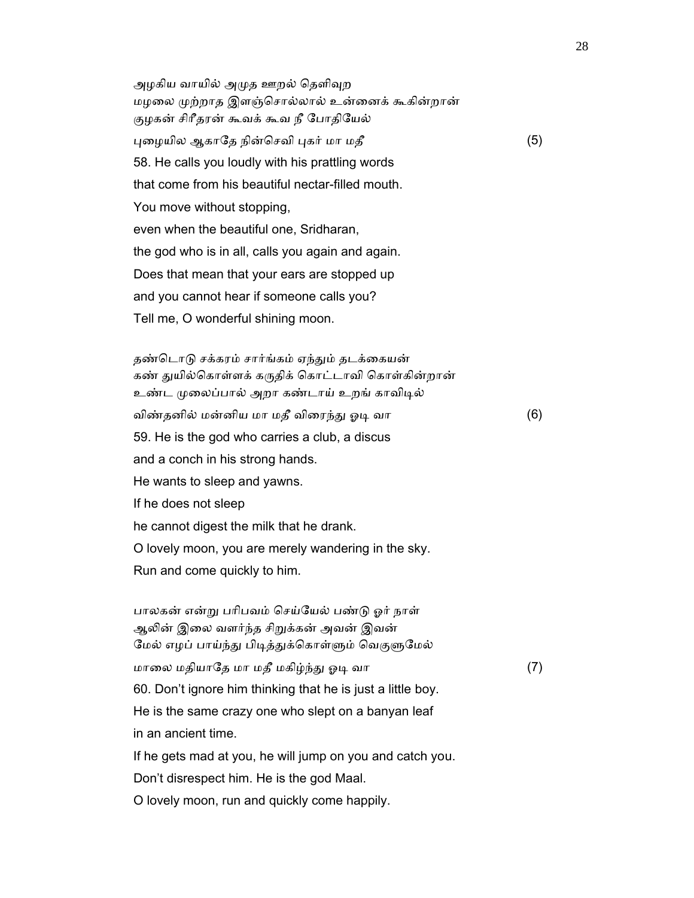அழகிய வாயில் அமுத ஊறல் தெளிவுற மழலை முற்றாத இளஞ்சொல்லால் உன்னைக் கூகின்றான் குழகன் சிாீதரன் கூவக் கூவ நீ ேபாதிேயல் புழையில ஆகாதே நின்செவி புகர் மா மதீ (5) 58. He calls you loudly with his prattling words that come from his beautiful nectar-filled mouth. You move without stopping, even when the beautiful one, Sridharan, the god who is in all, calls you again and again. Does that mean that your ears are stopped up and you cannot hear if someone calls you? Tell me, O wonderful shining moon.

தண்டொடு சக்கரம் சார்ங்கம் ஏந்தும் தடக்கையன் கண் துயில்கொள்ளக் கருதிக் கொட்டாவி கொள்கின்றான் உண்ட முலைப்பால் அறா கண்டாய் உறங் காவிடில் விண்தனில் மன்னிய மா மதீ விரைந்து ஓடி வா (6) 59. He is the god who carries a club, a discus and a conch in his strong hands. He wants to sleep and yawns. If he does not sleep he cannot digest the milk that he drank. O lovely moon, you are merely wandering in the sky. Run and come quickly to him.

 பாலகன் என்ᾠ பாிபவம் ெசய்ேயல் பண்ᾌ ஓர் நாள் ஆலின் இலை வளர்ந்த சிறுக்கன் அவன் இவன் மேல் எழப் பாய்ந்து பிடித்துக்கொள்ளும் வெகுளுமேல் மாைல மதியாேத மா மதீ மகிழ்ந்ᾐ ஓᾊ வா (7) 60. Don't ignore him thinking that he is just a little boy. He is the same crazy one who slept on a banyan leaf in an ancient time. If he gets mad at you, he will jump on you and catch you. Don't disrespect him. He is the god Maal.

O lovely moon, run and quickly come happily.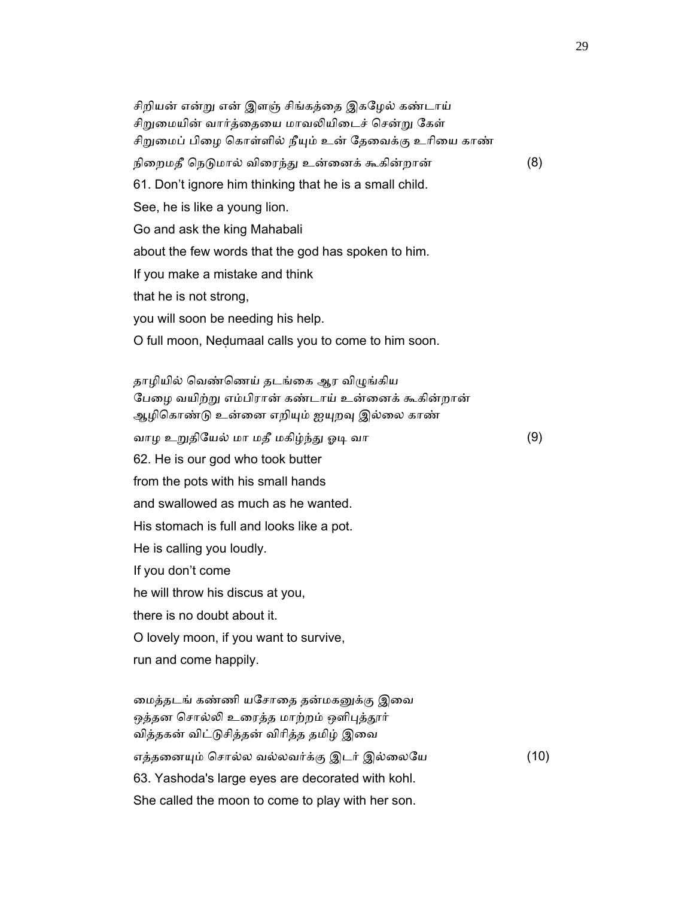சிறியன் என்று என் இளஞ் சிங்கத்தை இகழேல் கண்டாய் சிறுமையின் வார்த்தையை மாவலியிடைச் சென்று கேள் சிறுமைப் பிழை கொள்ளில் நீயும் உன் தேவைக்கு உரியை காண் நிறைமதீ நெடுமால் விரைந்து உன்னைக் கூகின்றான் (8) 61. Don't ignore him thinking that he is a small child. See, he is like a young lion. Go and ask the king Mahabali about the few words that the god has spoken to him. If you make a mistake and think that he is not strong, you will soon be needing his help. O full moon, Neḍumaal calls you to come to him soon.

தாழியில் வெண்ணெய் தடங்கை ஆர விழுங்கிய பேழை வயிற்று எம்பிரான் கண்டாய் உன்னைக் கூகின்றான் ஆழிகொண்டு உன்னை எறியும் ஐயுறவு இல்லை காண் வாழ உᾠதிேயல் மா மதீ மகிழ்ந்ᾐ ஓᾊ வா (9) 62. He is our god who took butter from the pots with his small hands and swallowed as much as he wanted. His stomach is full and looks like a pot. He is calling you loudly. If you don't come he will throw his discus at you, there is no doubt about it. O lovely moon, if you want to survive, run and come happily. மைத்தடங் கண்ணி யசோதை தன்மகனுக்கு இவை ஒத்தன சொல்லி உரைத்த மாற்றம் ஒளிபுத்தூர் வித்தகன் விட்டுசித்தன் விரித்த தமிழ் இவை எத்தனையும் சொல்ல வல்லவர்க்கு இடர் இல்லையே (10) 63. Yashoda's large eyes are decorated with kohl.

She called the moon to come to play with her son.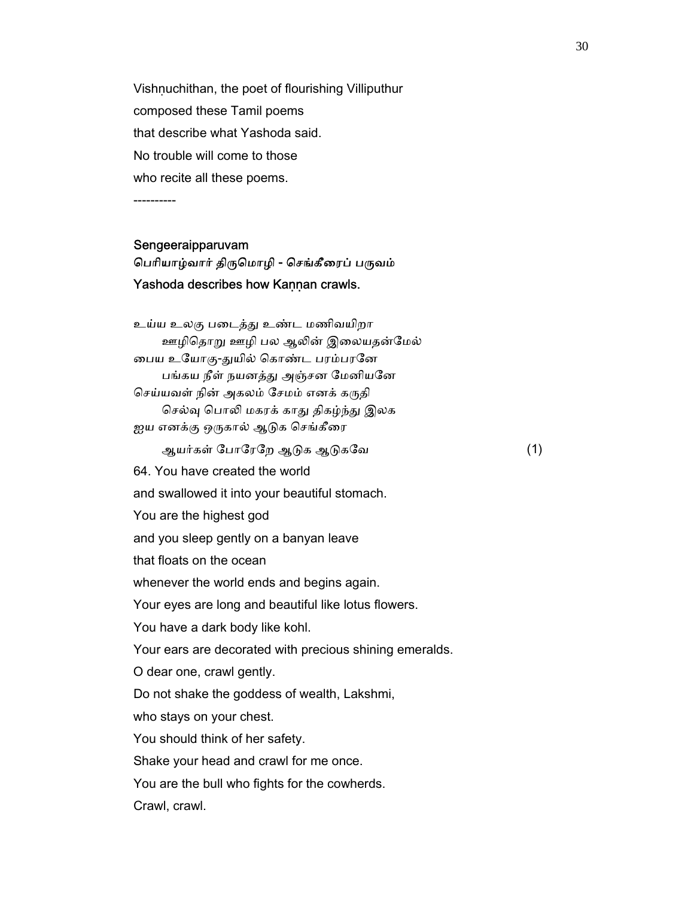Vishnuchithan, the poet of flourishing Villiputhur composed these Tamil poems that describe what Yashoda said. No trouble will come to those who recite all these poems.

----------

#### Sengeeraipparuvam

## பெரியாழ்வார் திருமொழி - செங்கீரைப் பருவம் Yashoda describes how Kannan crawls.

 உய்ய உலகு பைடத்ᾐ உண்ட மணிவயிறா ஊழிதொறு ஊழி பல ஆலின் இலையதன்மேல் பைய உயோகு-துயில் கொண்ட பரம்பரனே பங்கய நீள் நயனத்து அஞ்சன மேனியனே செய்யவள் நின் அகலம் சேமம் எனக் கருதி செல்வு பொலி மகரக் காது திகழ்ந்து இலக ஐய எனக்கு ஒருகால் ஆடுக செங்கீரை ஆயர்கள் ேபாேரேற ஆᾌக ஆᾌகேவ (1) 64. You have created the world and swallowed it into your beautiful stomach. You are the highest god and you sleep gently on a banyan leave that floats on the ocean whenever the world ends and begins again. Your eyes are long and beautiful like lotus flowers. You have a dark body like kohl. Your ears are decorated with precious shining emeralds. O dear one, crawl gently. Do not shake the goddess of wealth, Lakshmi, who stays on your chest. You should think of her safety. Shake your head and crawl for me once. You are the bull who fights for the cowherds. Crawl, crawl.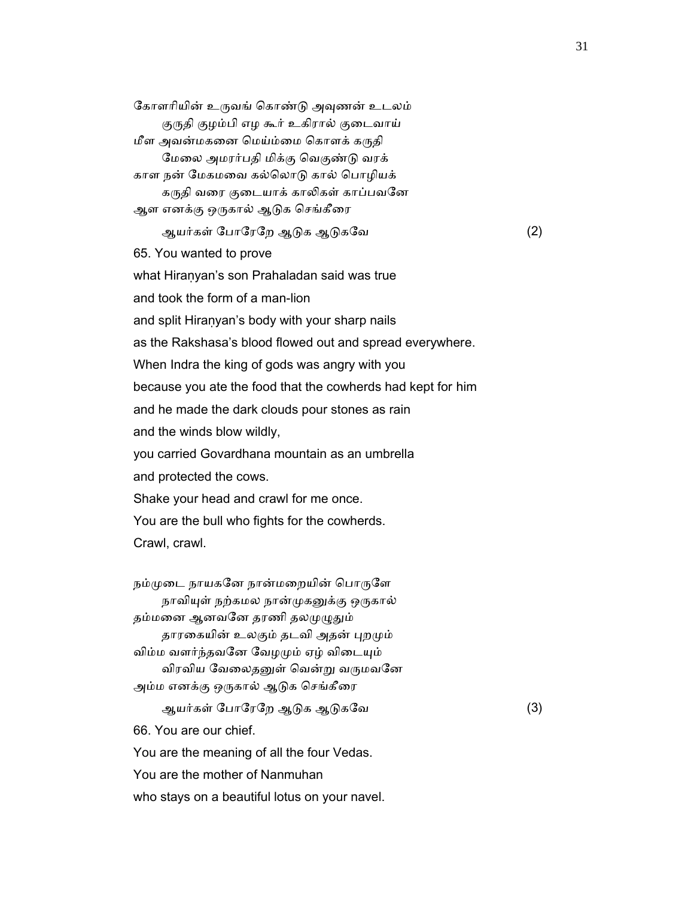கோளரியின் உருவங் கொண்டு அவுணன் உடலம் குருதி குழம்பி எழ கூர் உகிரால் குடைவாய் மீள அவன்மகனை மெய்ம்மை கொளக் கருதி ேமைல அமரர்பதி மிக்கு ெவகுண்ᾌ வரக் காள நன் ேமகமைவ கல்ெலாᾌ கால் ெபாழியக் கருதி வரை குடையாக் காலிகள் காப்பவனே ஆள எனக்கு ஒருகால் ஆடுக செங்கீரை ஆயர்கள் போரேறே ஆடுக ஆடுகவே (2) 65. You wanted to prove what Hiranyan's son Prahaladan said was true and took the form of a man-lion and split Hiraṇyan's body with your sharp nails as the Rakshasa's blood flowed out and spread everywhere. When Indra the king of gods was angry with you because you ate the food that the cowherds had kept for him and he made the dark clouds pour stones as rain and the winds blow wildly, you carried Govardhana mountain as an umbrella and protected the cows. Shake your head and crawl for me once. You are the bull who fights for the cowherds. Crawl, crawl. நம்முடை நாயகனே நான்மறையின் பொருளே நாவியுள் நற்கமல நான்முகனுக்கு ஒருகால்

தம்மனை ஆனவனே தரணி தலமுழுதும் தாரகையின் உலகும் தடவி அதன் புறமும் விம்ம வளர்ந்தவனே வேழமும் ஏழ் விடையும் விரவிய வேலைதனுள் வென்று வருமவனே அம்ம எனக்கு ஒருகால் ஆடுக செங்கீரை ஆயர்கள் போரேறே ஆடுக ஆடுகவே (3)

66. You are our chief.

You are the meaning of all the four Vedas.

You are the mother of Nanmuhan

who stays on a beautiful lotus on your navel.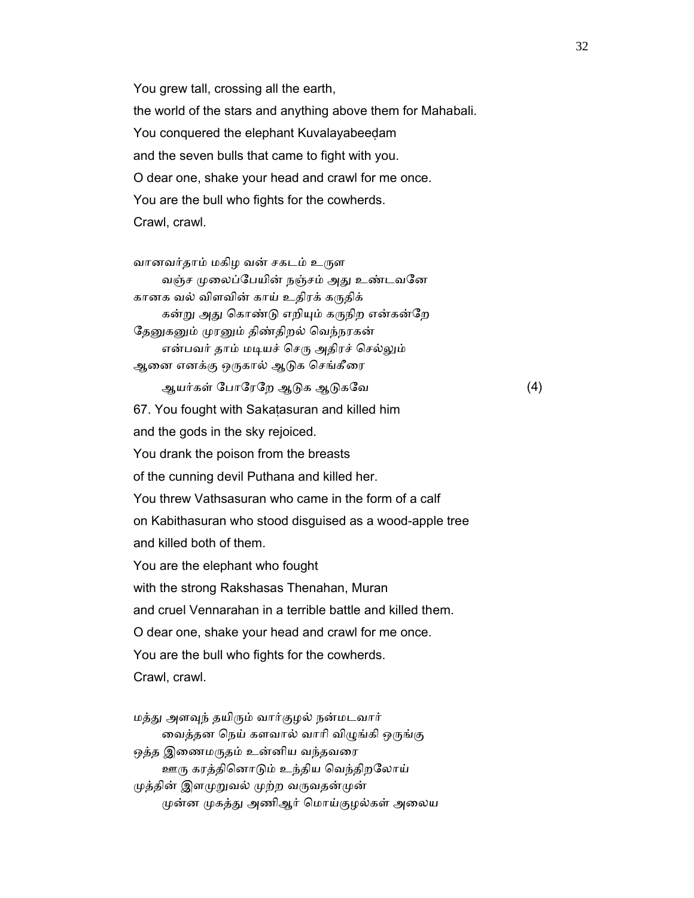You grew tall, crossing all the earth, the world of the stars and anything above them for Mahabali. You conquered the elephant Kuvalayabeeḍam and the seven bulls that came to fight with you. O dear one, shake your head and crawl for me once. You are the bull who fights for the cowherds. Crawl, crawl.

வானவர்தாம் மகிழ வன் சகடம் உருள வஞ்ச முலைப்பேயின் நஞ்சம் அது உண்டவனே கானக வல் விளவின் காய் உதிரக் கருதிக் கன்று அது கொண்டு எறியும் கருநிற என்கன்றே தேனுகனும் முரனும் திண்திறல் வெந்நரகன் என்பவர் தாம் மடியச் செரு அதிரச் செல்லும் ஆனை எனக்கு ஒருகால் ஆடுக செங்கீரை ஆயர்கள் போரேறே ஆடுக ஆடுகவே (4) 67. You fought with Sakaṭasuran and killed him and the gods in the sky rejoiced. You drank the poison from the breasts of the cunning devil Puthana and killed her. You threw Vathsasuran who came in the form of a calf on Kabithasuran who stood disguised as a wood-apple tree and killed both of them. You are the elephant who fought with the strong Rakshasas Thenahan, Muran and cruel Vennarahan in a terrible battle and killed them. O dear one, shake your head and crawl for me once. You are the bull who fights for the cowherds. Crawl, crawl.

 மத்ᾐ அளᾫந் தயிᾞம் வார்குழல் நன்மடவார் வைத்தன நெய் களவால் வாரி விழுங்கி ஒருங்கு ஒத்த இணைமருதம் உன்னிய வந்தவரை ஊᾞ கரத்திெனாᾌம் உந்திய ெவந்திறேலாய் முத்தின் இளமுறுவல் முற்ற வருவதன்முன் முன்ன முகத்து அணிஆர் மொய்குழல்கள் அலைய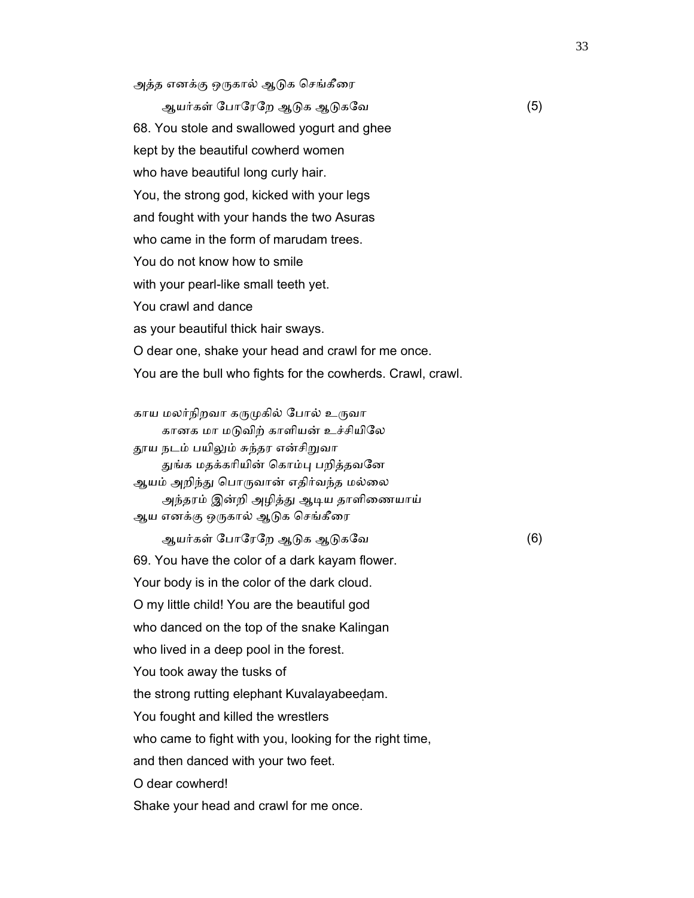அத்த எனக்கு ஒருகால் ஆடுக செங்கீரை

ஆயர்கள் போரேறே ஆடுக ஆடுகவே (5) 68. You stole and swallowed yogurt and ghee kept by the beautiful cowherd women who have beautiful long curly hair. You, the strong god, kicked with your legs and fought with your hands the two Asuras who came in the form of marudam trees. You do not know how to smile with your pearl-like small teeth yet. You crawl and dance as your beautiful thick hair sways. O dear one, shake your head and crawl for me once. You are the bull who fights for the cowherds. Crawl, crawl.

காய மலர்நிறவா கருமுகில் போல் உருவா கானக மா மடுவிற் காளியன் உச்சியிலே தூய நடம் பயிலும் சுந்தர என்சிறுவா துங்க மதக்கரியின் கொம்பு பறித்தவனே ஆயம் அறிந்து பொருவான் எதிர்வந்த மல்லை அந்தரம் இன்றி அழித்து ஆடிய தாளிணையாய் ஆய எனக்கு ஒருகால் ஆடுக செங்கீரை

ஆயர்கள் போரேறே ஆடுக ஆடுகவே (6) 69. You have the color of a dark kayam flower. Your body is in the color of the dark cloud. O my little child! You are the beautiful god who danced on the top of the snake Kalingan who lived in a deep pool in the forest. You took away the tusks of the strong rutting elephant Kuvalayabeeḍam. You fought and killed the wrestlers who came to fight with you, looking for the right time, and then danced with your two feet. O dear cowherd!

Shake your head and crawl for me once.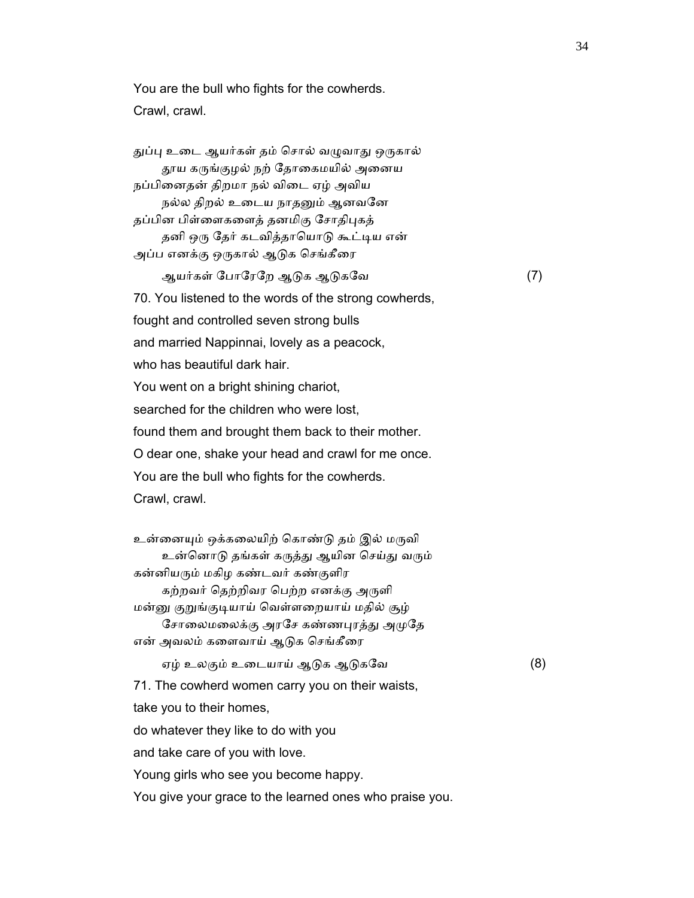You are the bull who fights for the cowherds. Crawl, crawl.

துப்பு உடை ஆயர்கள் தம் சொல் வழுவாது ஒருகால் தூய கருங்குழல் நற் தோகைமயில் அனைய நப்பிைனதன் திறமா நல் விைட ஏழ் அவிய நல்ல திறல் உடைய நாதனும் ஆனவனே தப்பின பிள்ளைகளைத் தனமிகு சோதிபுகத் தனி ஒரு தேர் கடவித்தாயொடு கூட்டிய என் அப்ப எனக்கு ஒருகால் ஆடுக செங்கீரை ஆயர்கள் ேபாேரேற ஆᾌக ஆᾌகேவ (7) 70. You listened to the words of the strong cowherds, fought and controlled seven strong bulls and married Nappinnai, lovely as a peacock, who has beautiful dark hair. You went on a bright shining chariot, searched for the children who were lost, found them and brought them back to their mother. O dear one, shake your head and crawl for me once. You are the bull who fights for the cowherds. Crawl, crawl. உன்னையும் ஒக்கலையிற் கொண்டு தம் இல் மருவி உன்னொடு தங்கள் கருத்து ஆயின செய்து வரும் கன்னியᾞம் மகிழ கண்டவர் கண்குளிர கற்றவர் தெற்றிவர பெற்ற எனக்கு அருளி மன்னு குறுங்குடியாய் வெள்ளறையாய் மதில் சூழ் சோலைமலைக்கு அரசே கண்ணபுரத்து அமுதே என் அவலம் களைவாய் ஆடுக செங்கீரை ஏழ் உலகும் உைடயாய் ஆᾌக ஆᾌகேவ (8) 71. The cowherd women carry you on their waists, take you to their homes, do whatever they like to do with you and take care of you with love. Young girls who see you become happy. You give your grace to the learned ones who praise you.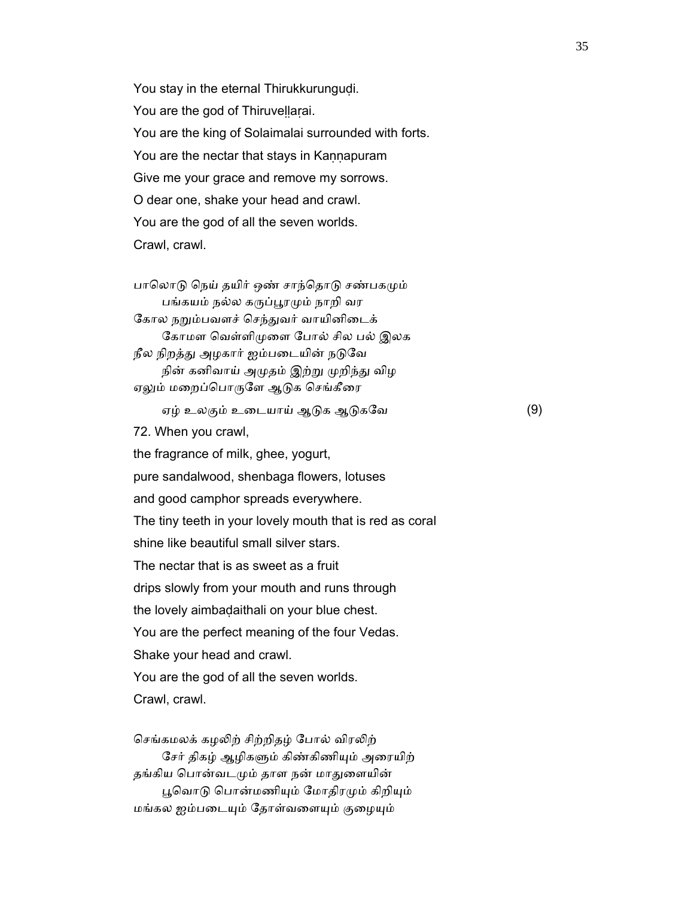You stay in the eternal Thirukkurungudi. You are the god of Thiruvellarai. You are the king of Solaimalai surrounded with forts. You are the nectar that stays in Kaṇṇapuram Give me your grace and remove my sorrows. O dear one, shake your head and crawl. You are the god of all the seven worlds. Crawl, crawl.

பாலொடு நெய் தயிர் ஒண் சாந்தொடு சண்பகமும் பங்கயம் நல்ல கருப்பூரமும் நாறி வர கோல நறும்பவளச் செந்துவர் வாயினிடைக் கோமள வெள்ளிமுளை போல் சில பல் இலக நீல நிறத்து அழகார் ஐம்படையின் நடுவே நின் கனிவாய் அமுதம் இற்று முறிந்து விழ ஏலும் மறைப்பொருளே ஆடுக செங்கீரை

ஏழ் உலகும் உைடயாய் ஆᾌக ஆᾌகேவ (9)

72. When you crawl,

 the fragrance of milk, ghee, yogurt, pure sandalwood, shenbaga flowers, lotuses and good camphor spreads everywhere. The tiny teeth in your lovely mouth that is red as coral shine like beautiful small silver stars. The nectar that is as sweet as a fruit drips slowly from your mouth and runs through the lovely aimbaḍaithali on your blue chest. You are the perfect meaning of the four Vedas. Shake your head and crawl. You are the god of all the seven worlds. Crawl, crawl.

செங்கமலக் கழலிற் சிற்றிதழ் போல் விரலிற் சேர் திகழ் ஆழிகளும் கிண்கிணியும் அரையிற் தங்கிய பொன்வடமும் தாள நன் மாதுளையின் பூவொடு பொன்மணியும் மோதிரமும் கிறியும் மங்கல ஐம்படையும் தோள்வளையும் குழையும்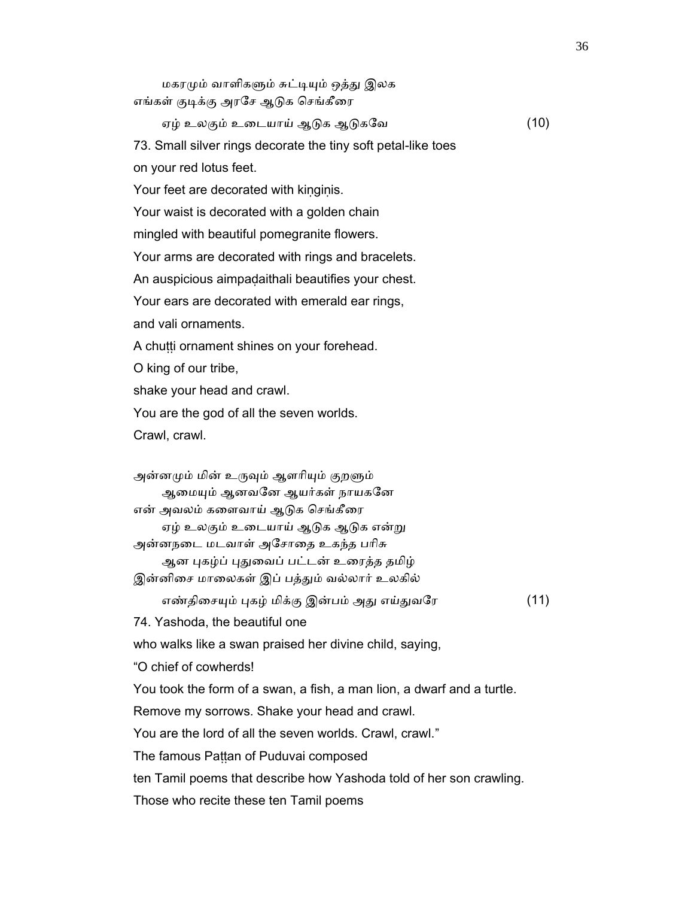மகரமும் வாளிகளும் சுட்டியும் ஒத்து இலக எங்கள் குடிக்கு அரசே ஆடுக செங்கீரை ஏழ் உலகும் உைடயாய் ஆᾌக ஆᾌகேவ (10) 73. Small silver rings decorate the tiny soft petal-like toes on your red lotus feet. Your feet are decorated with kinginis. Your waist is decorated with a golden chain mingled with beautiful pomegranite flowers. Your arms are decorated with rings and bracelets. An auspicious aimpaḍaithali beautifies your chest. Your ears are decorated with emerald ear rings, and vali ornaments. A chutti ornament shines on your forehead. O king of our tribe, shake your head and crawl. You are the god of all the seven worlds. Crawl, crawl. அன்னமும் மின் உருவும் ஆளரியும் குறளும் ஆமையும் ஆனவனே ஆயர்கள் நாயகனே என் அவலம் களைவாய் ஆடுக செங்கீரை ஏழ் உலகும் உடையாய் ஆடுக ஆடுக என்று அன்னநைட மடவாள் அேசாைத உகந்த பாிசு ஆன புகழ்ப் புதுவைப் பட்டன் உரைத்த தமிழ் இன்னிசை மாலைகள் இப் பத்தும் வல்லார் உலகில் எண்திசையும் புகழ் மிக்கு இன்பம் அது எய்துவரே (11) 74. Yashoda, the beautiful one who walks like a swan praised her divine child, saying, "O chief of cowherds! You took the form of a swan, a fish, a man lion, a dwarf and a turtle. Remove my sorrows. Shake your head and crawl. You are the lord of all the seven worlds. Crawl, crawl." The famous Pattan of Puduvai composed ten Tamil poems that describe how Yashoda told of her son crawling. Those who recite these ten Tamil poems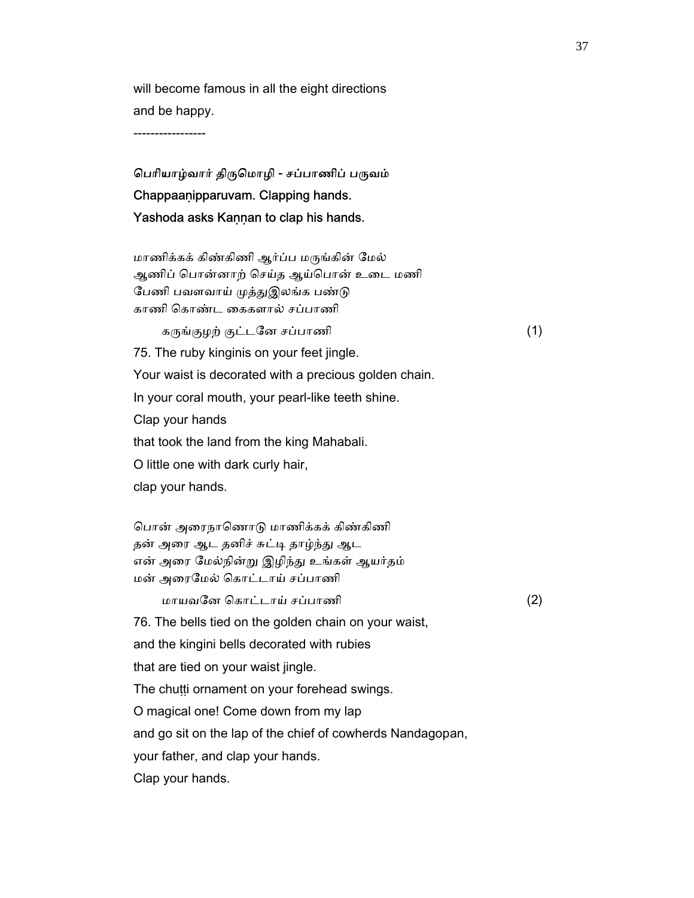will become famous in all the eight directions and be happy.

-----------------

# பெரியாழ்வார் திருமொழி - சப்பாணிப் பருவம் Chappaaṇipparuvam. Clapping hands. Yashoda asks Kaṇṇan to clap his hands.

 மாணிக்கக் கிண்கிணி ஆர்ப்ப மᾞங்கின் ேமல் ஆணிப் ெபான்னாற் ெசய்த ஆய்ெபான் உைட மணி பேணி பவளவாய் முத்துஇலங்க பண்டு காணி ெகாண்ட ைககளால் சப்பாணி

 $\mathfrak{s}_{\mathfrak{l}}$ ங்குழற் குட்டனே சப்பாணி (1) 75. The ruby kinginis on your feet jingle. Your waist is decorated with a precious golden chain. In your coral mouth, your pearl-like teeth shine. Clap your hands that took the land from the king Mahabali. O little one with dark curly hair, clap your hands.

 ெபான் அைரநாெணாᾌ மாணிக்கக் கிண்கிணி தன் அரை ஆட தனிச் சுட்டி தாழ்ந்து ஆட என் அரை மேல்நின்று இழிந்து உங்கள் ஆயர்தம் மன் அைரேமல் ெகாட்டாய் சப்பாணி

மாயவேன ெகாட்டாய் சப்பாணி (2)

76. The bells tied on the golden chain on your waist,

and the kingini bells decorated with rubies

that are tied on your waist jingle.

The chutti ornament on your forehead swings.

O magical one! Come down from my lap

and go sit on the lap of the chief of cowherds Nandagopan,

your father, and clap your hands.

Clap your hands.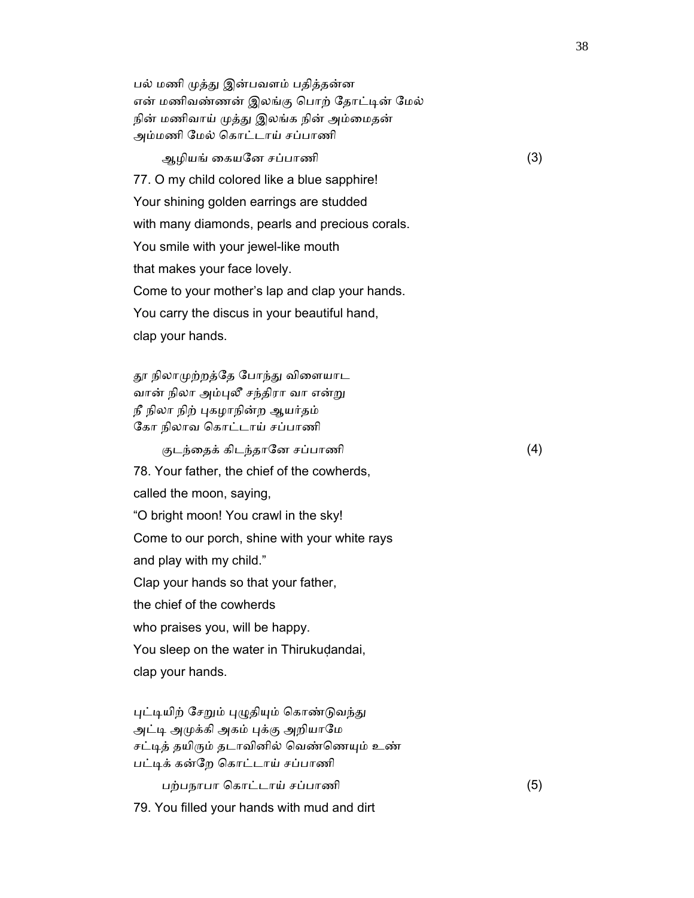பல் மணி முத்து இன்பவளம் பதித்தன்ன என் மணிவண்ணன் இலங்கு பொற் தோட்டின் மேல் நின் மணிவாய் முத்து இலங்க நின் அம்மைதன் அம்மணி ேமல் ெகாட்டாய் சப்பாணி

ஆழியங் ைகயேன சப்பாணி (3)

77. O my child colored like a blue sapphire!

Your shining golden earrings are studded

with many diamonds, pearls and precious corals.

You smile with your jewel-like mouth

that makes your face lovely.

Come to your mother's lap and clap your hands.

You carry the discus in your beautiful hand,

clap your hands.

தூ நிலாமுற்றத்தே போந்து விளையாட வான் நிலா அம்புலீ சந்திரா வா என்று நீ நிலா நிற் புகழாநின்ற ஆயர்தம் ேகா நிலாவ ெகாட்டாய் சப்பாணி

குடந்தைக் கிடந்தானே சப்பாணி (4)

78. Your father, the chief of the cowherds,

called the moon, saying,

"O bright moon! You crawl in the sky!

Come to our porch, shine with your white rays

and play with my child."

Clap your hands so that your father,

the chief of the cowherds

who praises you, will be happy.

You sleep on the water in Thirukudandai,

clap your hands.

புட்டியிற் சேறும் புழுதியும் கொண்டுவந்து அட்டி அமுக்கி அகம் புக்கு அறியாமே சட்டித் தயிரும் தடாவினில் வெண்ணெயும் உண் பட்டிக் கன்றே கொட்டாய் சப்பாணி

பற்பநாபா ெகாட்டாய் சப்பாணி (5)

79. You filled your hands with mud and dirt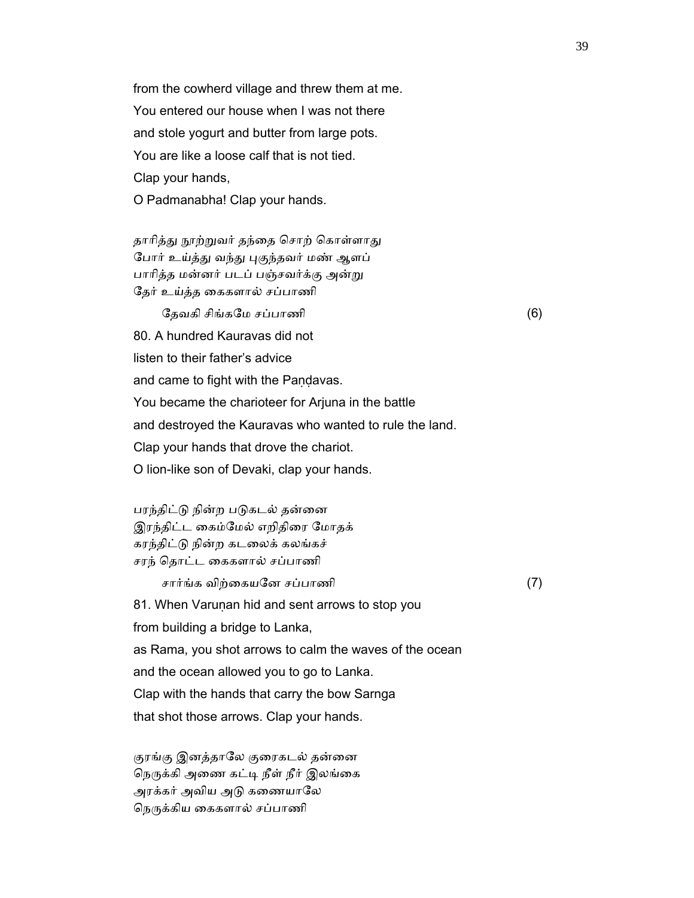from the cowherd village and threw them at me. You entered our house when I was not there and stole yogurt and butter from large pots. You are like a loose calf that is not tied. Clap your hands, O Padmanabha! Clap your hands.

தாரித்து நூற்றுவர் தந்தை சொற் கொள்ளாது போர் உய்த்து வந்து புகுந்தவர் மண் ஆளப் பாரித்த மன்னர் படப் பஞ்சவர்க்கு அன்று ேதர் உய்த்த ைககளால் சப்பாணி

ேதவகி சிங்கமே சப்பாணி  $(6)$  80. A hundred Kauravas did not listen to their father's advice and came to fight with the Pandavas. You became the charioteer for Arjuna in the battle and destroyed the Kauravas who wanted to rule the land. Clap your hands that drove the chariot. O lion-like son of Devaki, clap your hands.

பரந்திட்டு நின்ற படுகடல் தன்னை இரந்திட்ட ைகம்ேமல் எறிதிைர ேமாதக் கரந்திட்ᾌ நின்ற கடைலக் கலங்கச் சரந் ெதாட்ட ைககளால் சப்பாணி

சார்ங்க விற்ைகயேன சப்பாணி (7)

81. When Varunan hid and sent arrows to stop you

from building a bridge to Lanka,

as Rama, you shot arrows to calm the waves of the ocean

and the ocean allowed you to go to Lanka.

Clap with the hands that carry the bow Sarnga

that shot those arrows. Clap your hands.

குரங்கு இனத்தாலே குரைகடல் தன்னை நெருக்கி அணை கட்டி நீள் நீர் இலங்கை அரக்கர் அவிய அடு கணையாலே நெருக்கிய கைகளால் சப்பாணி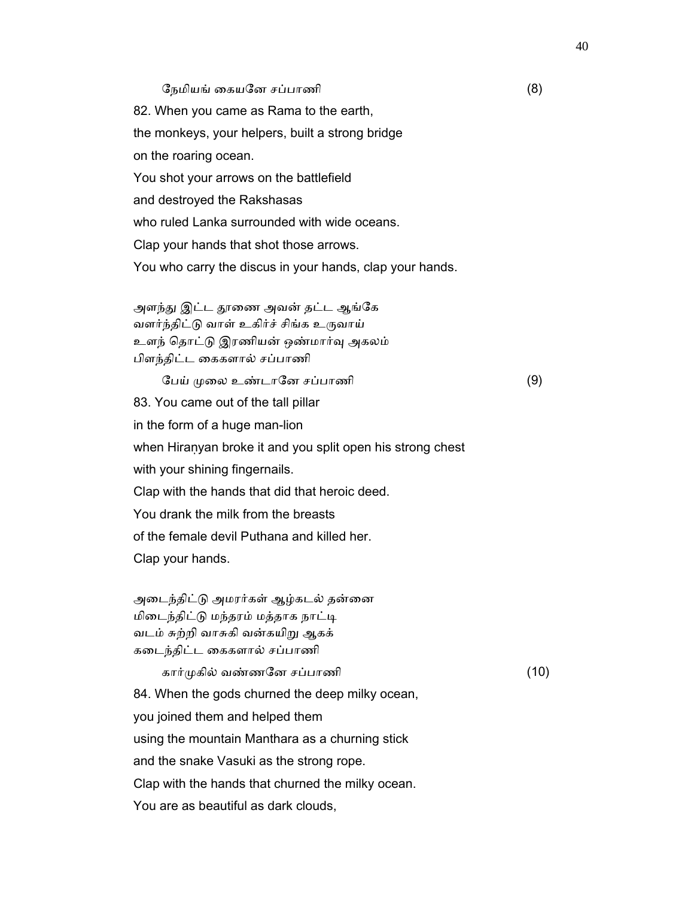#### ேநமியங் ைகயேன சப்பாணி (8)

 82. When you came as Rama to the earth, the monkeys, your helpers, built a strong bridge on the roaring ocean. You shot your arrows on the battlefield and destroyed the Rakshasas who ruled Lanka surrounded with wide oceans. Clap your hands that shot those arrows. You who carry the discus in your hands, clap your hands.

அளந்து இட்ட தூணை அவன் தட்ட ஆங்கே வளர்ந்திட்டு வாள் உகிர்ச் சிங்க உருவாய் உளந் ெதாட்ᾌ இரணியன் ஒண்மார்ᾫ அகலம் பிளந்திட்ட ைககளால் சப்பாணி

ேபய் முலை உண்டானே சப்பாணி  $(9)$  83. You came out of the tall pillar in the form of a huge man-lion when Hiraṇyan broke it and you split open his strong chest with your shining fingernails. Clap with the hands that did that heroic deed. You drank the milk from the breasts of the female devil Puthana and killed her. Clap your hands.

அடைந்திட்டு அமரர்கள் ஆழ்கடல் தன்னை மிடைந்திட்டு மந்தரம் மத்தாக நாட்டி வடம் சுற்றி வாசுகி வன்கயிᾠ ஆகக் கைடந்திட்ட ைககளால் சப்பாணி

கார்முகில் வண்ணனே சப்பாணி  $(10)$ 

 84. When the gods churned the deep milky ocean, you joined them and helped them using the mountain Manthara as a churning stick and the snake Vasuki as the strong rope. Clap with the hands that churned the milky ocean. You are as beautiful as dark clouds,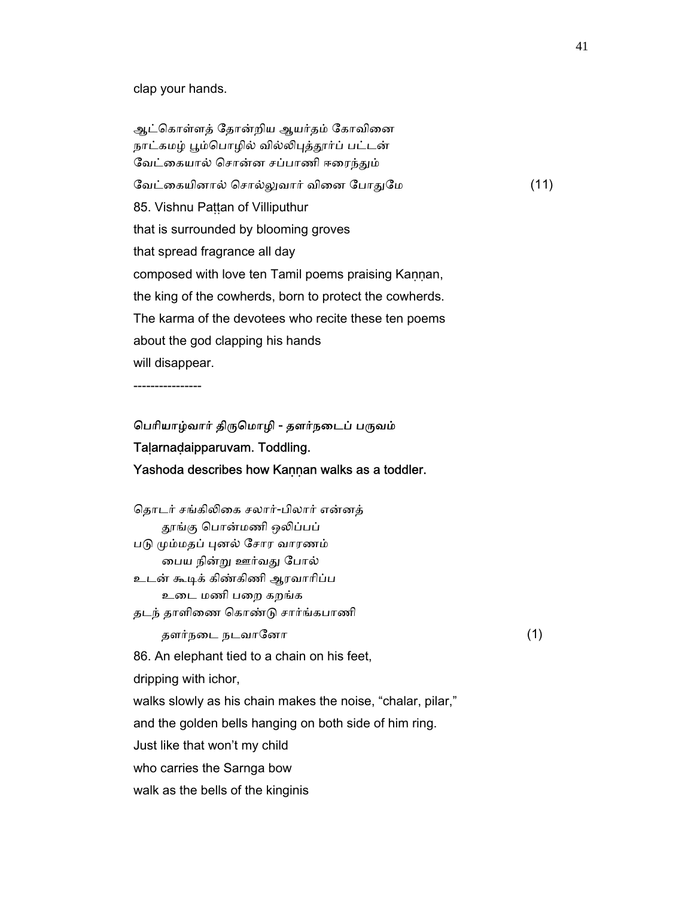## clap your hands.

ஆட்கொள்ளத் தோன்றிய ஆயர்தம் கோவினை நாட்கமழ் பூம்பொழில் வில்லிபுத்தூர்ப் பட்டன் வேட்கையால் சொன்ன சப்பாணி ஈரைந்தும் ேவட்ைகயினால் ெசால்ᾤவார் விைன ேபாᾐேம (11) 85. Vishnu Paṭṭan of Villiputhur that is surrounded by blooming groves that spread fragrance all day composed with love ten Tamil poems praising Kaṇṇan, the king of the cowherds, born to protect the cowherds. The karma of the devotees who recite these ten poems about the god clapping his hands will disappear.

----------------

# பெரியாழ்வார் திருமொழி - தளர்நடைப் பருவம் Taḷarnaḍaipparuvam. Toddling. Yashoda describes how Kaṇṇan walks as a toddler.

| தொடர் சங்கிலிகை சலார்-பிலார் என்னத்                         |                                |
|-------------------------------------------------------------|--------------------------------|
| தூங்கு பொன்மணி ஒலிப்பப்                                     |                                |
| படு மும்மதப் புனல் சோர வாரணம்                               |                                |
| பைய நின்று ஊர்வது போல்                                      |                                |
| உடன் கூடிக் கிண்கிணி ஆரவாரிப்ப                              |                                |
| உடை மணி பறை கறங்க                                           |                                |
|                                                             |                                |
| தளர்நடை நடவானோ                                              | (1)                            |
| 86. An elephant tied to a chain on his feet,                |                                |
| dripping with ichor,                                        |                                |
| walks slowly as his chain makes the noise, "chalar, pilar," |                                |
| and the golden bells hanging on both side of him ring.      |                                |
| Just like that won't my child                               |                                |
| who carries the Sarnga bow                                  |                                |
| walk as the bells of the kinginis                           |                                |
|                                                             | தடந் தாளிணை கொண்டு சார்ங்கபாணி |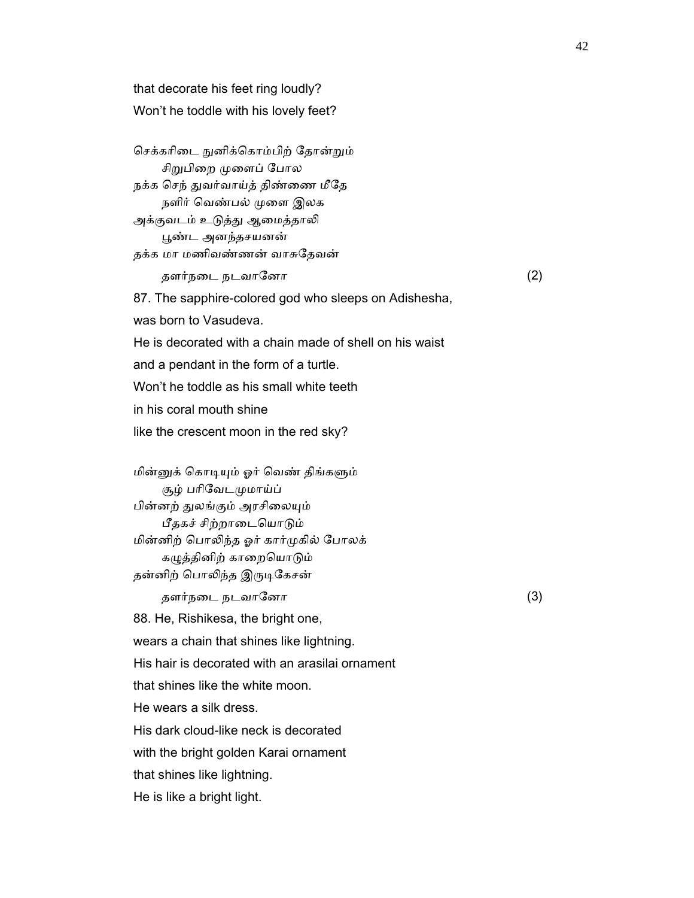that decorate his feet ring loudly? Won't he toddle with his lovely feet?

செக்கரிடை நுனிக்கொம்பிற் தோன்றும் சிறுபிறை முளைப் போல நக்க செந் துவர்வாய்த் திண்ணை மீதே நளிர் வெண்பல் முளை இலக அக்குவடம் உடுத்து ஆமைத்தாலி ᾘண்ட அனந்தசயனன் தக்க மா மணிவண்ணன் வாசுேதவன் தளர்நடை நடவானோ  $(2)$ 

and a pendant in the form of a turtle.

Won't he toddle as his small white teeth

like the crescent moon in the red sky?

was born to Vasudeva.

in his coral mouth shine

87. The sapphire-colored god who sleeps on Adishesha,

He is decorated with a chain made of shell on his waist

மின்னுக் கொடியும் ஓர் வெண் திங்களும் சூழ் பரிவேடமுமாய்ப் பின்னற் துலங்கும் அரசிலையும் பீதகச் சிற்றாடையொடும் மின்னிற் ெபாᾢந்த ஓர் கார்ᾙகில் ேபாலக் கழுத்தினிற் காறையொடும் தன்னிற் பொலிந்த இருடிகேசன்

தளர்நடை நடவானோ  $(3)$ 

88. He, Rishikesa, the bright one,

wears a chain that shines like lightning.

His hair is decorated with an arasilai ornament

that shines like the white moon.

He wears a silk dress.

His dark cloud-like neck is decorated

with the bright golden Karai ornament

that shines like lightning.

He is like a bright light.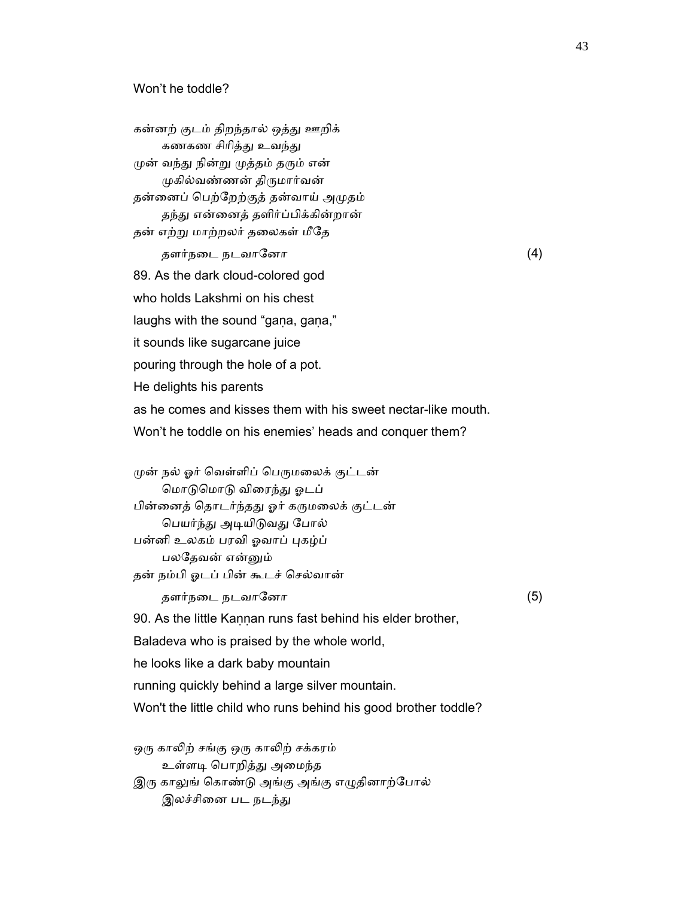கன்னற் குடம் திறந்தால் ஒத்து ஊறிக் கணகண சிரித்து உவந்து முன் வந்து நின்று முத்தம் தரும் என் முகில்வண்ணன் திருமார்வன் தன்னைப் பெற்றேற்குத் தன்வாய் அமுதம் தந்து என்னைத் தளிர்ப்பிக்கின்றான் தன் எற்ᾠ மாற்றலர் தைலகள் மீேத தளர்நைட நடவாேனா (4) 89. As the dark cloud-colored god who holds Lakshmi on his chest laughs with the sound "gana, gana," it sounds like sugarcane juice pouring through the hole of a pot. He delights his parents as he comes and kisses them with his sweet nectar-like mouth. Won't he toddle on his enemies' heads and conquer them? முன் நல் ஓர் வெள்ளிப் பெருமலைக் குட்டன் ெமாᾌெமாᾌ விைரந்ᾐ ஓடப் பின்னைத் தொடர்ந்தது ஓர் கருமலைக் குட்டன் பெயர்ந்து அடியிடுவது போல்

பன்னி உலகம் பரவி ஓவாப் புகழ்ப் பலேதவன் என்ᾔம் தன் நம்பி ஓடப் பின் கூடச் ெசல்வான்

தளர்நடை நடவானோ  $(5)$ 

90. As the little Kannan runs fast behind his elder brother,

Baladeva who is praised by the whole world,

he looks like a dark baby mountain

running quickly behind a large silver mountain.

Won't the little child who runs behind his good brother toddle?

ஒரு காலிற் சங்கு ஒரு காலிற் சக்கரம் உள்ளடி பொறித்து அமைந்த இரு காலுங் கொண்டு அங்கு அங்கு எழுதினாற்போல் இலச்சினை பட நடந்து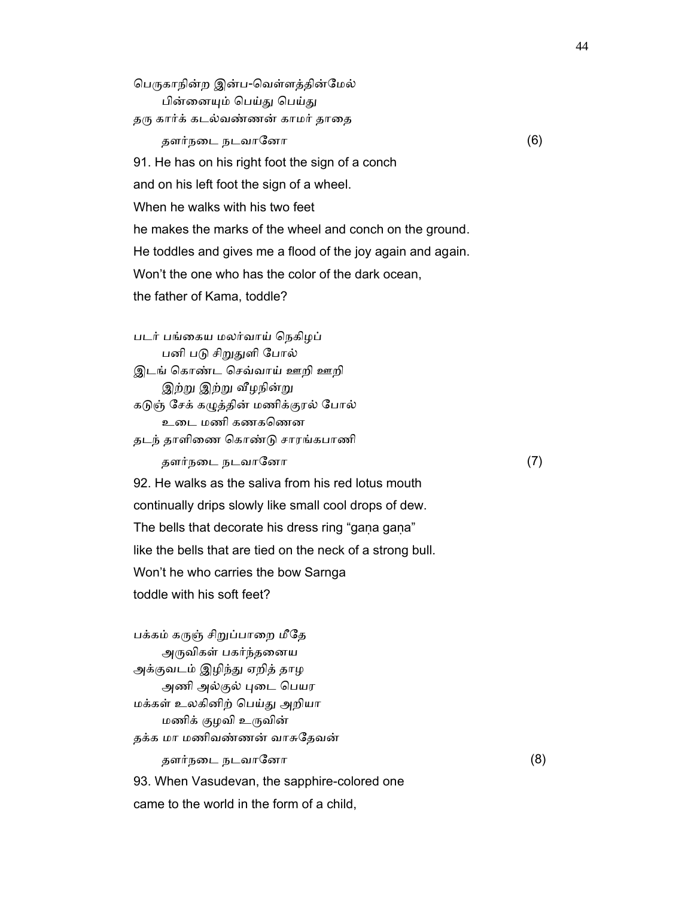பெருகாநின்ற இன்ப-வெள்ளத்தின்மேல் பின்னையும் பெய்து பெய்து தரு கார்க் கடல்வண்ணன் காமர் தாதை தளர்நடை நடவானோ  $(6)$  91. He has on his right foot the sign of a conch and on his left foot the sign of a wheel. When he walks with his two feet he makes the marks of the wheel and conch on the ground. He toddles and gives me a flood of the joy again and again. Won't the one who has the color of the dark ocean, the father of Kama, toddle? படர் பங்ைகய மலர்வாய் ெநகிழப் பனி படு சிறுதுளி போல் இடங் ெகாண்ட ெசவ்வாய் ஊறி ஊறி இற்று இற்று வீழநின்று கᾌஞ் ேசக் கᾨத்தின் மணிக்குரல் ேபால்

உடை மணி கணகணென தடந் தாளிைண ெகாண்ᾌ சாரங்கபாணி

தளர்நடை நடவானோ  $(7)$ 

 92. He walks as the saliva from his red lotus mouth continually drips slowly like small cool drops of dew. The bells that decorate his dress ring "gaṇa gaṇa" like the bells that are tied on the neck of a strong bull. Won't he who carries the bow Sarnga toddle with his soft feet?

பக்கம் கருஞ் சிறுப்பாறை மீதே அருவிகள் பகர்ந்தனைய அக்குவடம் இழிந்து ஏறித் தாழ அணி அல்குல் புடை பெயர மக்கள் உலகினிற் ெபய்ᾐ அறியா மணிக் குழவி உᾞவின் தக்க மா மணிவண்ணன் வாசுேதவன் தளர்நைட நடவாேனா (8) 93. When Vasudevan, the sapphire-colored one came to the world in the form of a child,

44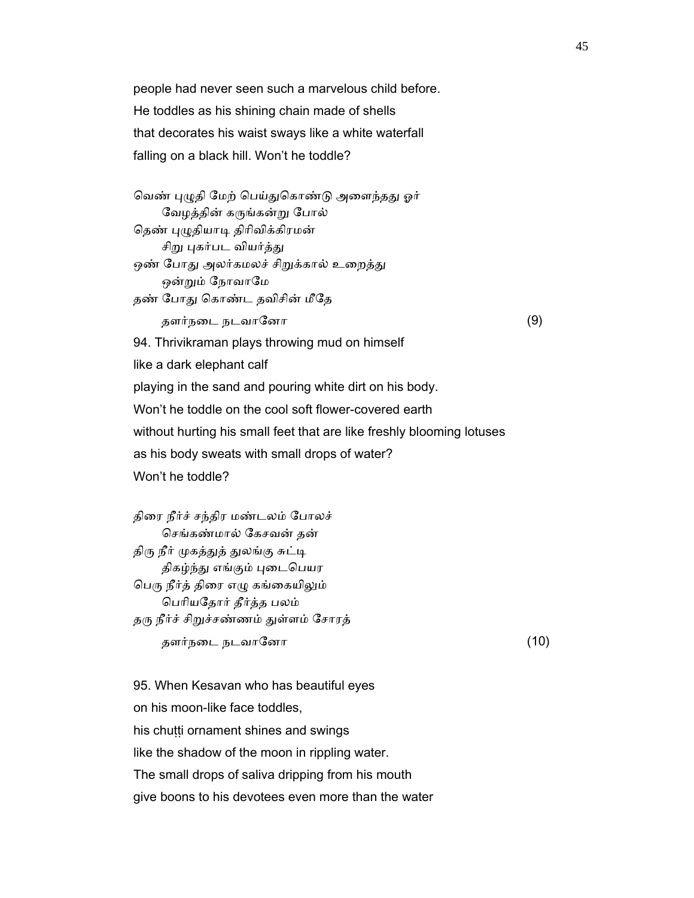people had never seen such a marvelous child before. He toddles as his shining chain made of shells that decorates his waist sways like a white waterfall falling on a black hill. Won't he toddle?

வெண் புழுதி மேற் பெய்துகொண்டு அளைந்தது ஓர் ேவழத்தின் கᾞங்கன்ᾠ ேபால் தெண் புழுதியாடி திரிவிக்கிரமன் சிறு புகர்பட வியர்த்து ஒண் போது அலர்கமலச் சிறுக்கால் உறைத்து ஒன்றும் நோவாமே தண் போது கொண்ட தவிசின் மீதே தளர்நடை நடவானோ  $(9)$  94. Thrivikraman plays throwing mud on himself like a dark elephant calf playing in the sand and pouring white dirt on his body. Won't he toddle on the cool soft flower-covered earth without hurting his small feet that are like freshly blooming lotuses as his body sweats with small drops of water? Won't he toddle?

 திைர நீர்ச் சந்திர மண்டலம் ேபாலச் ெசங்கண்மால் ேகசவன் தன் திரு நீர் முகத்துத் துலங்கு சுட்டி திகழ்ந்து எங்கும் புடைபெயர பெரு நீர்த் திரை எழு கங்கையிலும் ெபாியேதார் தீர்த்த பலம் தரு நீர்ச் சிறுச்சண்ணம் துள்ளம் சோரத் தளர்நடை நடவானோ  $(10)$ 

 95. When Kesavan who has beautiful eyes on his moon-like face toddles, his chutti ornament shines and swings like the shadow of the moon in rippling water. The small drops of saliva dripping from his mouth give boons to his devotees even more than the water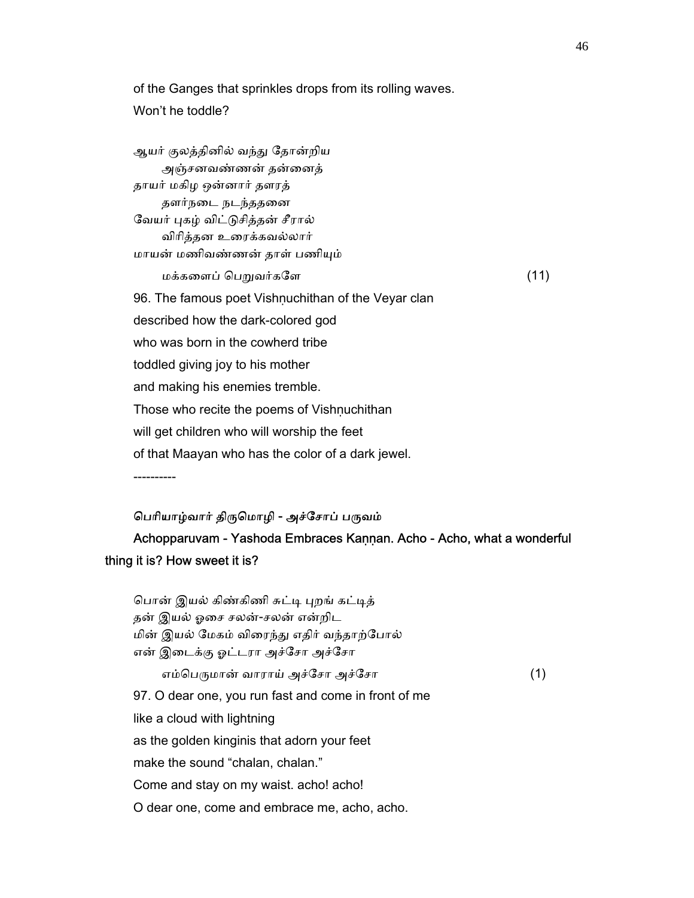of the Ganges that sprinkles drops from its rolling waves. Won't he toddle?

ஆயர் குலத்தினில் வந்து தோன்றிய அஞ்சனவண்ணன் தன்ைனத் தாயர் மகிழ ஒன்னார் தளரத் தளர்நைட நடந்ததைன வேயர் புகழ் விட்டுசித்தன் சீரால் விாித்தன உைரக்கவல்லார் மாயன் மணிவண்ணன் தாள் பணிᾜம்  $\mu$ க்களைப் பெறுவர்களே  $(11)$ 96. The famous poet Vishnuchithan of the Veyar clan described how the dark-colored god who was born in the cowherd tribe toddled giving joy to his mother and making his enemies tremble. Those who recite the poems of Vishṇuchithan will get children who will worship the feet of that Maayan who has the color of a dark jewel. ----------

## பெரியாழ்வார் திருமொழி - அச்சோப் பருவம்

 Achopparuvam - Yashoda Embraces Kaṇṇan. Acho - Acho, what a wonderful thing it is? How sweet it is?

| பொன் இயல் கிண்கிணி சுட்டி புறங் கட்டித்              |     |
|------------------------------------------------------|-----|
| தன் இயல் ஓசை சலன்-சலன் என்றிட                        |     |
| மின் இயல் மேகம் விரைந்து எதிர் வந்தாற்போல்           |     |
| என் இடைக்கு ஓட்டரா அச்சோ அச்சோ                       |     |
| எம்பெருமான் வாராய் அச்சோ அச்சோ                       | (1) |
| 97. O dear one, you run fast and come in front of me |     |
| like a cloud with lightning                          |     |
| as the golden kinginis that adorn your feet          |     |
| make the sound "chalan, chalan."                     |     |
| Come and stay on my waist. acho! acho!               |     |
| O dear one, come and embrace me, acho, acho.         |     |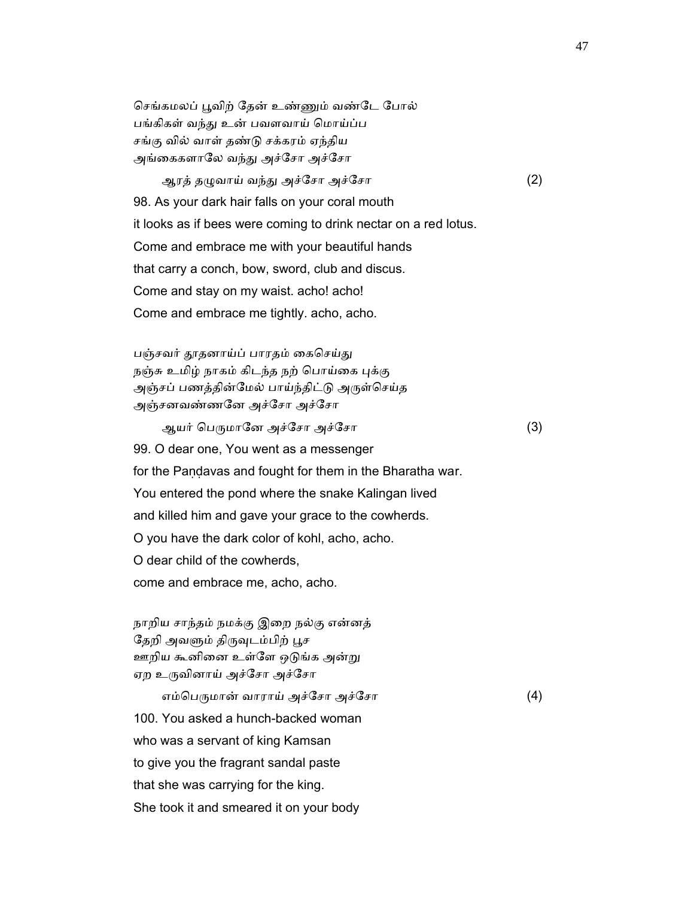செங்கமலப் பூவிற் தேன் உண்ணும் வண்டே போல் பங்கிகள் வந்து உன் பவளவாய் மொய்ப்ப சங்கு வில் வாள் தண்ᾌ சக்கரம் ஏந்திய அங்கைகளாலே வந்து அச்சோ அச்சோ

ஆரத் தழுவாய் வந்து அச்சோ அச்சோ (2) 98. As your dark hair falls on your coral mouth

it looks as if bees were coming to drink nectar on a red lotus.

Come and embrace me with your beautiful hands

that carry a conch, bow, sword, club and discus.

Come and stay on my waist. acho! acho!

Come and embrace me tightly. acho, acho.

பஞ்சவர் தூதனாய்ப் பாரதம் கைசெய்து நஞ்சு உமிழ் நாகம் கிடந்த நற் பொய்கை புக்கு அஞ்சப் பணத்தின்மேல் பாய்ந்திட்டு அருள்செய்த அஞ்சனவண்ணேன அச்ேசா அச்ேசா

ஆயர் பெருமானே அச்சோ அச்சோ (3) 99. O dear one, You went as a messenger for the Pandavas and fought for them in the Bharatha war. You entered the pond where the snake Kalingan lived and killed him and gave your grace to the cowherds. O you have the dark color of kohl, acho, acho. O dear child of the cowherds, come and embrace me, acho, acho.

 நாறிய சாந்தம் நமக்கு இைற நல்கு என்னத் தேறி அவளும் திருவுடம்பிற் பூச ஊறிய கூனினை உள்ளே ஒடுங்க அன்று ஏற உருவினாய் அச்சோ அச்சோ

எம்பெருமான் வாராய் அச்சோ அச்சோ  $(4)$  100. You asked a hunch-backed woman who was a servant of king Kamsan to give you the fragrant sandal paste that she was carrying for the king. She took it and smeared it on your body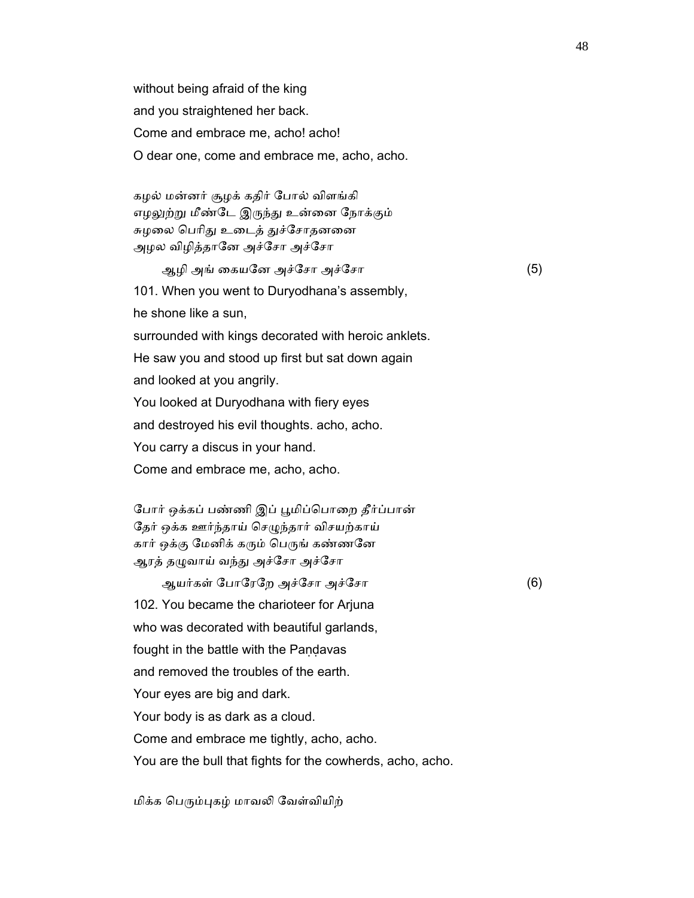without being afraid of the king and you straightened her back. Come and embrace me, acho! acho! O dear one, come and embrace me, acho, acho.

 கழல் மன்னர் சூழக் கதிர் ேபால் விளங்கி எழலுற்று மீண்டே இருந்து உன்னை நோக்கும் சுழலை பெரிது உடைத் துச்சோதனனை அழல விழித்தாேன அச்ேசா அச்ேசா

 ஆழி அங் ைகயேன அச்ேசா அச்ேசா (5) 101. When you went to Duryodhana's assembly, he shone like a sun, surrounded with kings decorated with heroic anklets. He saw you and stood up first but sat down again and looked at you angrily. You looked at Duryodhana with fiery eyes and destroyed his evil thoughts. acho, acho. You carry a discus in your hand. Come and embrace me, acho, acho.

போர் ஒக்கப் பண்ணி இப் பூமிப்பொறை தீர்ப்பான் தேர் ஒக்க ஊர்ந்தாய் செழுந்தார் விசயற்காய் கார் ஒக்கு மேனிக் கரும் பெருங் கண்ணனே ஆரத் தழுவாய் வந்து அச்சோ அச்சோ

 ஆயர்கள் ேபாேரேற அச்ேசா அச்ேசா (6) 102. You became the charioteer for Arjuna who was decorated with beautiful garlands, fought in the battle with the Pandavas and removed the troubles of the earth. Your eyes are big and dark. Your body is as dark as a cloud. Come and embrace me tightly, acho, acho. You are the bull that fights for the cowherds, acho, acho.

மிக்க பெரும்புகழ் மாவலி வேள்வியிற்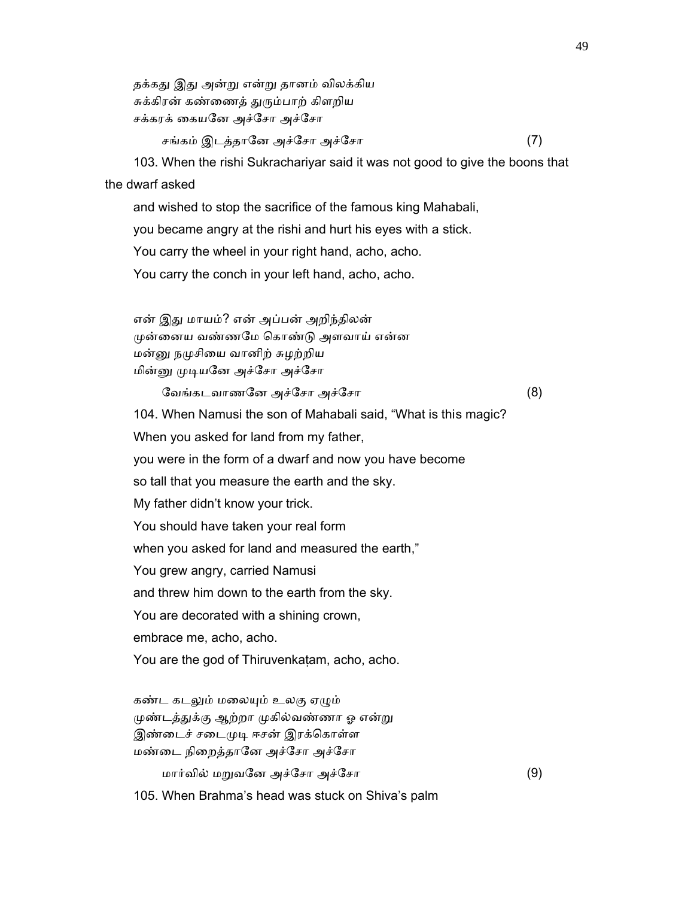தக்கது இது அன்று என்று தானம் விலக்கிய சுக்கிரன் கண்ணைத் துரும்பாற் கிளறிய சக்கரக் ைகயேன அச்ேசா அச்ேசா

சங்கம் இடத்தாேன அச்ேசா அச்ேசா (7)

 103. When the rishi Sukrachariyar said it was not good to give the boons that the dwarf asked

 and wished to stop the sacrifice of the famous king Mahabali, you became angry at the rishi and hurt his eyes with a stick. You carry the wheel in your right hand, acho, acho. You carry the conch in your left hand, acho, acho.

 என் இᾐ மாயம்? என் அப்பன் அறிந்திலன் ᾙன்ைனய வண்ணேம ெகாண்ᾌ அளவாய் என்ன மன்னு நமுசியை வானிற் சுழற்றிய மின்னு முடியனே அச்சோ அச்சோ

ேவங்கடவாணேன அச்ேசா அச்ேசா (8)

 104. When Namusi the son of Mahabali said, "What is this magic? When you asked for land from my father, you were in the form of a dwarf and now you have become so tall that you measure the earth and the sky. My father didn't know your trick. You should have taken your real form when you asked for land and measured the earth," You grew angry, carried Namusi and threw him down to the earth from the sky. You are decorated with a shining crown, embrace me, acho, acho. You are the god of Thiruvenkaṭam, acho, acho. கண்ட கடலும் மலையும் உலகு ஏழும் முண்டத்துக்கு ஆற்றா முகில்வண்ணா ஓ என்று இண்டைச் சடைமுடி ஈசன் இரக்கொள்ள மண்ைட நிைறத்தாேன அச்ேசா அச்ேசா

மார்வில் மᾠவேன அச்ேசா அச்ேசா (9)

105. When Brahma's head was stuck on Shiva's palm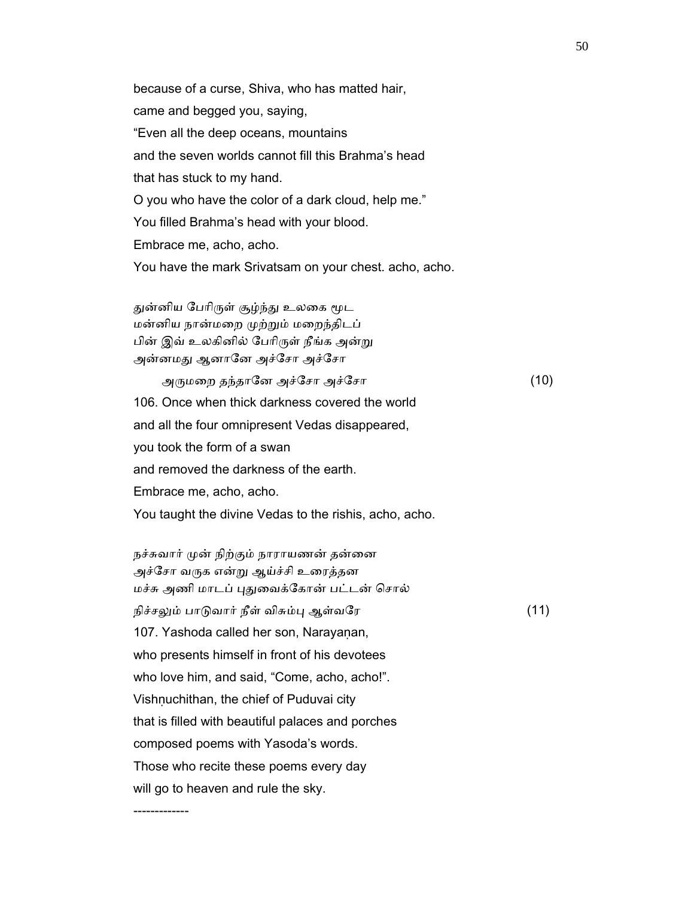because of a curse, Shiva, who has matted hair, came and begged you, saying, "Even all the deep oceans, mountains and the seven worlds cannot fill this Brahma's head that has stuck to my hand. O you who have the color of a dark cloud, help me." You filled Brahma's head with your blood. Embrace me, acho, acho. You have the mark Srivatsam on your chest. acho, acho. துன்னிய பேரிருள் சூழ்ந்து உலகை மூட மன்னிய நான்மைற ᾙற்ᾠம் மைறந்திடப் பின் இவ் உலகினில் பேரிருள் நீங்க அன்று அன்னமது ஆனானே அச்சோ அச்சோ அᾞமைற தந்தாேன அச்ேசா அச்ேசா (10) 106. Once when thick darkness covered the world and all the four omnipresent Vedas disappeared, you took the form of a swan and removed the darkness of the earth. Embrace me, acho, acho.

You taught the divine Vedas to the rishis, acho, acho.

-------------

நச்சுவார் முன் நிற்கும் நாராயணன் தன்னை அச்சோ வருக என்று ஆய்ச்சி உரைத்தன மச்சு அணி மாடப் புதுவைக்கோன் பட்டன் சொல் நிச்சலும் பாடுவார் நீள் விசும்பு ஆள்வரே (11) 107. Yashoda called her son, Narayanan, who presents himself in front of his devotees who love him, and said, "Come, acho, acho!". Vishnuchithan, the chief of Puduvai city that is filled with beautiful palaces and porches composed poems with Yasoda's words. Those who recite these poems every day will go to heaven and rule the sky.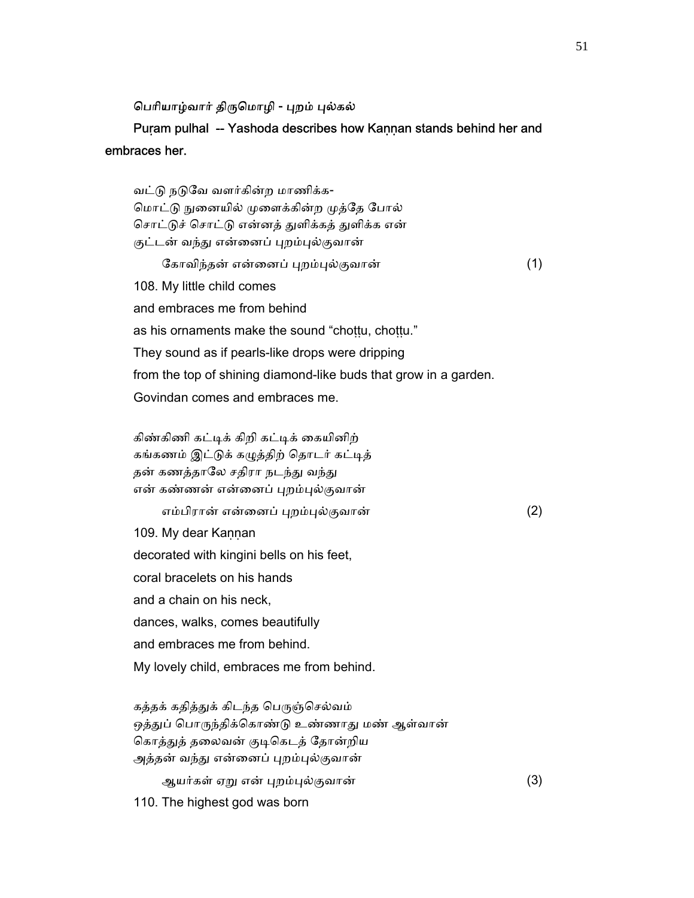## பெரியாழ்வார் திருமொழி - புறம் புல்கல்

## Puṛam pulhal -- Yashoda describes how Kaṇṇan stands behind her and embraces her.

வட்டு நடுவே வளர்கின்ற மாணிக்க-மொட்டு நுனையில் முளைக்கின்ற முத்தே போல் சொட்டுச் சொட்டு என்னத் துளிக்கத் துளிக்க என் குட்டன் வந்து என்னைப் புறம்புல்குவான் ேகாவிந்தன் என்ைனப் ᾗறம்ᾗல்குவான் (1) 108. My little child comes and embraces me from behind as his ornaments make the sound "choṭṭu, choṭṭu." They sound as if pearls-like drops were dripping from the top of shining diamond-like buds that grow in a garden. Govindan comes and embraces me.

 கிண்கிணி கட்ᾊக் கிறி கட்ᾊக் ைகயினிற் கங்கணம் இட்டுக் கழுத்திற் தொடர் கட்டித் தன் கணத்தாலே சதிரா நடந்து வந்து என் கண்ணன் என்னைப் புறம்புல்குவான் எம்பிரான் என்ைனப் ᾗறம்ᾗல்குவான் (2) 109. My dear Kannan decorated with kingini bells on his feet, coral bracelets on his hands and a chain on his neck, dances, walks, comes beautifully and embraces me from behind.

My lovely child, embraces me from behind.

கத்தக் கதித்துக் கிடந்த பெருஞ்செல்வம் ஒத்துப் பொருந்திக்கொண்டு உண்ணாது மண் ஆள்வான் கொத்துத் தலைவன் குடிகெடத் தோன்றிய அத்தன் வந்து என்னைப் புறம்புல்குவான்

ஆயர்கள் ஏᾠ என் ᾗறம்ᾗல்குவான் (3)

110. The highest god was born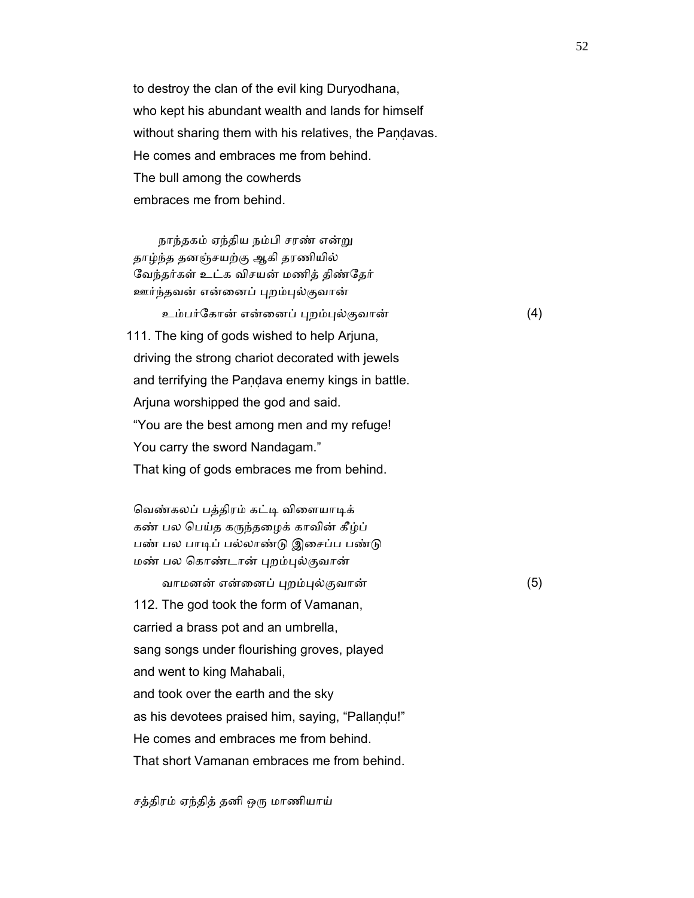to destroy the clan of the evil king Duryodhana, who kept his abundant wealth and lands for himself without sharing them with his relatives, the Pandavas. He comes and embraces me from behind. The bull among the cowherds embraces me from behind.

 நாந்தகம் ஏந்திய நம்பி சரண் என்ᾠ தாழ்ந்த தனஞ்சயற்கு ஆகி தரணியில் வேந்தர்கள் உட்க விசயன் மணித் திண்தேர் ஊர்ந்தவன் என்னைப் புறம்புல்குவான்

 உம்பர்ேகான் என்ைனப் ᾗறம்ᾗல்குவான் (4) 111. The king of gods wished to help Arjuna, driving the strong chariot decorated with jewels and terrifying the Pandava enemy kings in battle. Arjuna worshipped the god and said. "You are the best among men and my refuge! You carry the sword Nandagam." That king of gods embraces me from behind.

வெண்கலப் பத்திரம் கட்டி விளையாடிக் கண் பல பெய்த கருந்தழைக் காவின் கீழ்ப் பண் பல பாடிப் பல்லாண்டு இசைப்ப பண்டு மண் பல ெகாண்டான் ᾗறம்ᾗல்குவான்

 வாமனன் என்ைனப் ᾗறம்ᾗல்குவான் (5) 112. The god took the form of Vamanan, carried a brass pot and an umbrella, sang songs under flourishing groves, played and went to king Mahabali, and took over the earth and the sky as his devotees praised him, saying, "Pallaṇḍu!" He comes and embraces me from behind. That short Vamanan embraces me from behind.

சத்திரம் ஏந்தித் தனி ஒᾞ மாணியாய்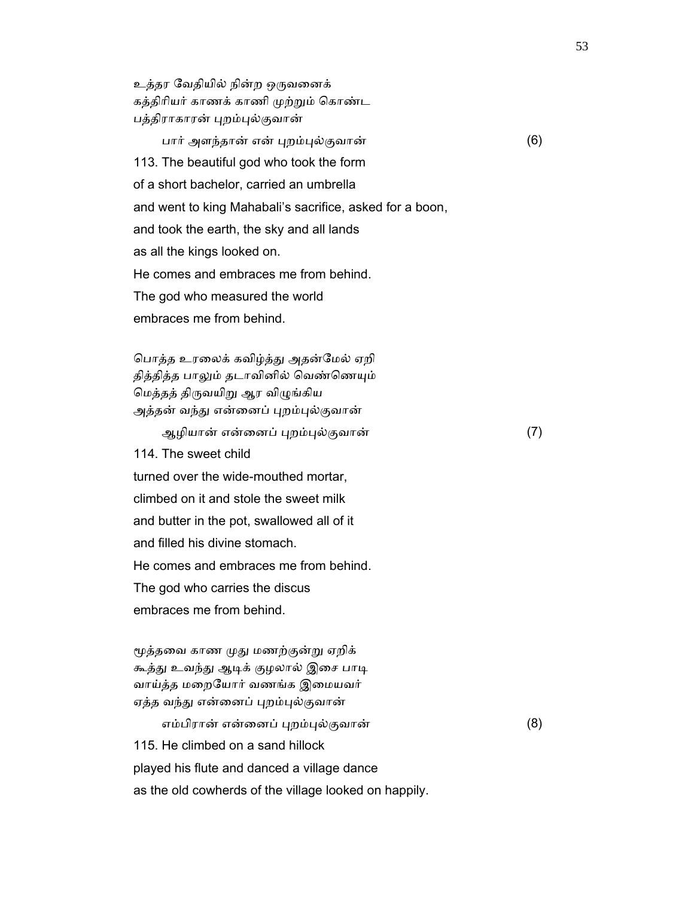உத்தர ேவதியில் நின்ற ஒᾞவைனக் கத்திரியர் காணக் காணி முற்றும் கொண்ட பத்திராகாரன் புறம்புல்குவான்

 பார் அளந்தான் என் ᾗறம்ᾗல்குவான் (6) 113. The beautiful god who took the form of a short bachelor, carried an umbrella and went to king Mahabali's sacrifice, asked for a boon, and took the earth, the sky and all lands as all the kings looked on. He comes and embraces me from behind. The god who measured the world embraces me from behind.

பொத்த உரலைக் கவிழ்த்து அதன்மேல் ஏறி தித்தித்த பாலும் தடாவினில் வெண்ணெயும் ெமத்தத் திᾞவயிᾠ ஆர விᾨங்கிய அத்தன் வந்து என்னைப் புறம்புல்குவான்

ஆழியான் என்ைனப் ᾗறம்ᾗல்குவான் (7)

 114. The sweet child turned over the wide-mouthed mortar, climbed on it and stole the sweet milk and butter in the pot, swallowed all of it and filled his divine stomach. He comes and embraces me from behind. The god who carries the discus embraces me from behind.

 ᾚத்தைவ காண ᾙᾐ மணற்குன்ᾠ ஏறிக் கூத்து உவந்து ஆடிக் குழலால் இசை பாடி வாய்த்த மறையோர் வணங்க இமையவர் ஏத்த வந்து என்னைப் புறம்புல்குவான்

எம்பிரான் என்னைப் புறம்புல்குவான் (8) 115. He climbed on a sand hillock played his flute and danced a village dance as the old cowherds of the village looked on happily.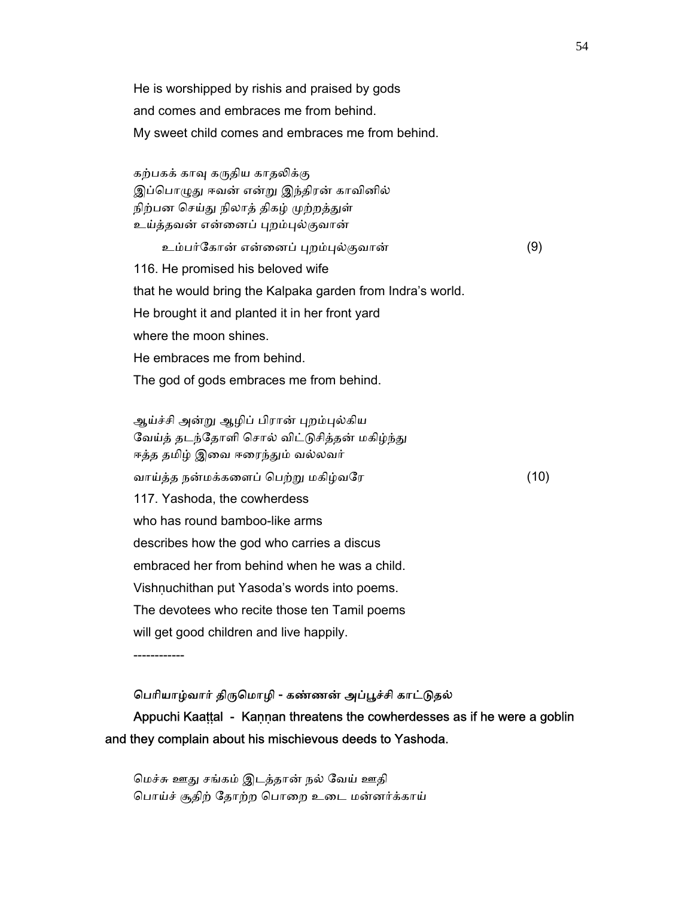He is worshipped by rishis and praised by gods and comes and embraces me from behind. My sweet child comes and embraces me from behind.

கற்பகக் காவு கருதிய காதலிக்கு இப்பொழுது ஈவன் என்று இந்திரன் காவினில் நிற்பன செய்து நிலாத் திகழ் முற்றத்துள் உய்த்தவன் என்னைப் புறம்புல்குவான்

உம்பர்ேகான் என்ைனப் ᾗறம்ᾗல்குவான் (9)

116. He promised his beloved wife

that he would bring the Kalpaka garden from Indra's world.

He brought it and planted it in her front yard

where the moon shines.

He embraces me from behind.

The god of gods embraces me from behind.

ஆய்ச்சி அன்று ஆழிப் பிரான் புறம்புல்கிய வேய்த் தடந்தோளி சொல் விட்டுசித்தன் மகிழ்ந்து ஈத்த தமிழ் இவை ஈரைந்தும் வல்லவர் வாய்த்த நன்மக்கைளப் ெபற்ᾠ மகிழ்வேர (10) 117. Yashoda, the cowherdess who has round bamboo-like arms describes how the god who carries a discus embraced her from behind when he was a child. Vishnuchithan put Yasoda's words into poems. The devotees who recite those ten Tamil poems will get good children and live happily.

------------

## பெரியாழ்வார் திருமொழி - கண்ணன் அப்பூச்சி காட்டுதல்

Appuchi Kaaṭṭal - Kaṇṇan threatens the cowherdesses as if he were a goblin and they complain about his mischievous deeds to Yashoda.

 ெமச்சு ஊᾐ சங்கம் இடத்தான் நல் ேவய் ஊதி பொய்ச் சூதிற் தோற்ற பொறை உடை மன்னர்க்காய்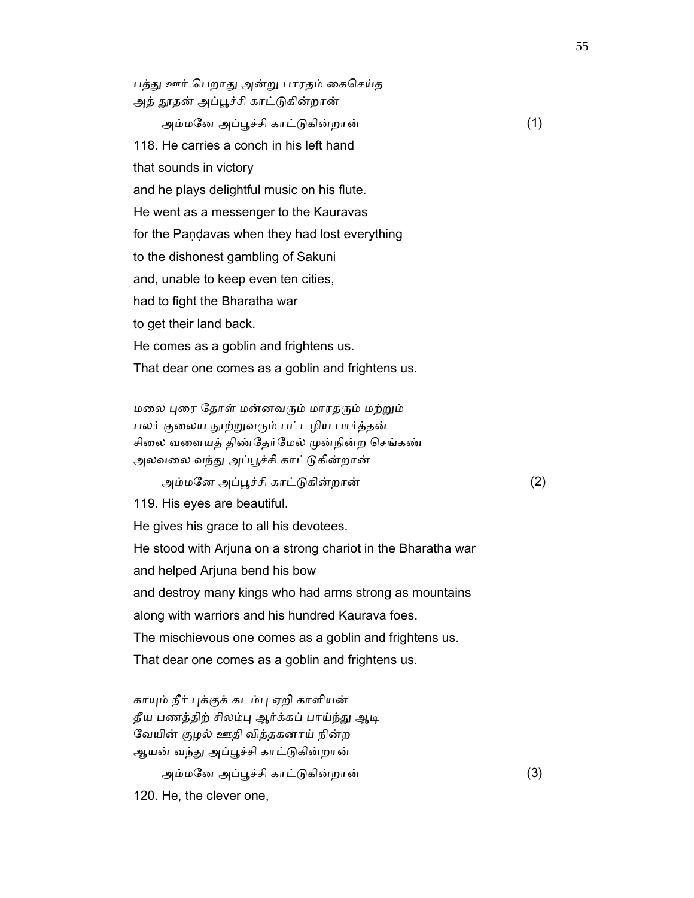பத்து ஊர் பெறாது அன்று பாரதம் கைசெய்த அத் தூதன் அப்பூச்சி காட்டுகின்றான் அம்மேன அப்ᾘச்சி காட்ᾌகின்றான் (1)

 118. He carries a conch in his left hand that sounds in victory and he plays delightful music on his flute. He went as a messenger to the Kauravas for the Paṇḍavas when they had lost everything to the dishonest gambling of Sakuni and, unable to keep even ten cities, had to fight the Bharatha war to get their land back. He comes as a goblin and frightens us.

மலை புரை தோள் மன்னவரும் மாரதரும் மற்றும் பலர் குலைய நூற்றுவரும் பட்டழிய பார்த்தன் சிலை வளையத் திண்தேர்மேல் முன்நின்ற செங்கண் அலவலை வந்து அப்பூச்சி காட்டுகின்றான்

That dear one comes as a goblin and frightens us.

அம்மேன அப்ᾘச்சி காட்ᾌகின்றான் (2)

119. His eyes are beautiful.

He gives his grace to all his devotees.

 He stood with Arjuna on a strong chariot in the Bharatha war and helped Arjuna bend his bow and destroy many kings who had arms strong as mountains along with warriors and his hundred Kaurava foes. The mischievous one comes as a goblin and frightens us. That dear one comes as a goblin and frightens us.

காயும் நீர் புக்குக் கடம்பு ஏறி காளியன் தீய பணத்திற் சிலம்பு ஆர்க்கப் பாய்ந்து ஆடி ேவயின் குழல் ஊதி வித்தகனாய் நின்ற ஆயன் வந்து அப்பூச்சி காட்டுகின்றான்

அம்மேன அப்ᾘச்சி காட்ᾌகின்றான் (3)

120. He, the clever one,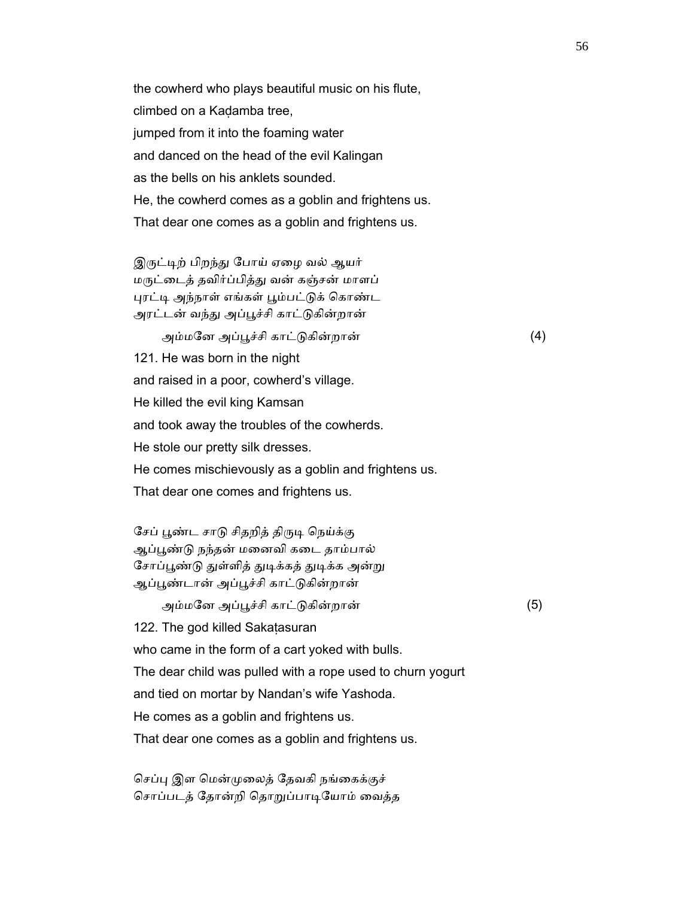the cowherd who plays beautiful music on his flute, climbed on a Kaḍamba tree, jumped from it into the foaming water and danced on the head of the evil Kalingan as the bells on his anklets sounded. He, the cowherd comes as a goblin and frightens us. That dear one comes as a goblin and frightens us.

இருட்டிற் பிறந்து போய் ஏழை வல் ஆயர் மᾞட்ைடத் தவிர்ப்பித்ᾐ வன் கஞ்சன் மாளப் புரட்டி அந்நாள் எங்கள் பூம்பட்டுக் கொண்ட அரட்டன் வந்து அப்பூச்சி காட்டுகின்றான்

அம்மேன அப்ᾘச்சி காட்ᾌகின்றான் (4)

 121. He was born in the night and raised in a poor, cowherd's village.

He killed the evil king Kamsan

and took away the troubles of the cowherds.

He stole our pretty silk dresses.

He comes mischievously as a goblin and frightens us.

That dear one comes and frightens us.

சேப் பூண்ட சாடு சிதறித் திருடி நெய்க்கு ஆப்பூண்டு நந்தன் மனைவி கடை தாம்பால் சோப்பூண்டு துள்ளித் துடிக்கத் துடிக்க அன்று ஆப்ᾘண்டான் அப்ᾘச்சி காட்ᾌகின்றான்

அம்மேன அப்ᾘச்சி காட்ᾌகின்றான் (5)

122. The god killed Sakaṭasuran

who came in the form of a cart yoked with bulls.

The dear child was pulled with a rope used to churn yogurt

and tied on mortar by Nandan's wife Yashoda.

He comes as a goblin and frightens us.

That dear one comes as a goblin and frightens us.

செப்பு இள மென்முலைத் தேவகி நங்கைக்குச் சொப்படத் தோன்றி தொறுப்பாடியோம் வைத்த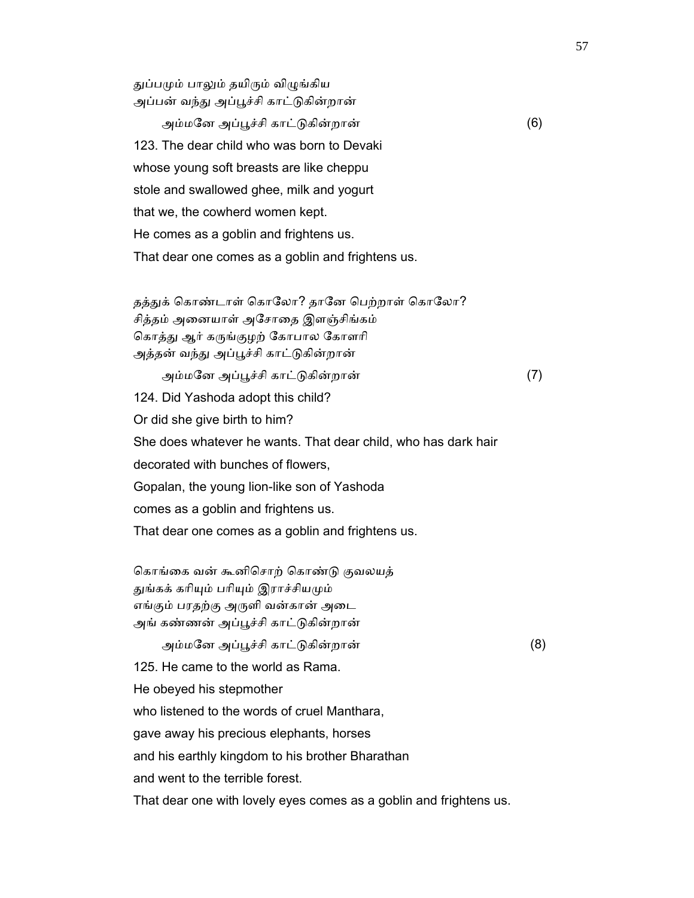துப்பமும் பாலும் தயிரும் விழுங்கிய அப்பன் வந்து அப்பூச்சி காட்டுகின்றான்

 அம்மேன அப்ᾘச்சி காட்ᾌகின்றான் (6) 123. The dear child who was born to Devaki whose young soft breasts are like cheppu stole and swallowed ghee, milk and yogurt that we, the cowherd women kept. He comes as a goblin and frightens us. That dear one comes as a goblin and frightens us.

தத்துக் கொண்டாள் கொலோ? தானே பெற்றாள் கொலோ? சித்தம் அைனயாள் அேசாைத இளஞ்சிங்கம் கொத்து ஆர் கருங்குழற் கோபால கோளரி அத்தன் வந்து அப்பூச்சி காட்டுகின்றான் அம்மேன அப்ᾘச்சி காட்ᾌகின்றான் (7)

 124. Did Yashoda adopt this child? Or did she give birth to him? She does whatever he wants. That dear child, who has dark hair decorated with bunches of flowers, Gopalan, the young lion-like son of Yashoda comes as a goblin and frightens us. That dear one comes as a goblin and frightens us.

கொங்கை வன் கூனிசொற் கொண்டு குவலயத் துங்கக் கரியும் பரியும் இராச்சியமும் எங்கும் பரதற்கு அᾞளி வன்கான் அைட அங் கண்ணன் அப்ᾘச்சி காட்ᾌகின்றான்

 அம்மேன அப்ᾘச்சி காட்ᾌகின்றான் (8) 125. He came to the world as Rama. He obeyed his stepmother who listened to the words of cruel Manthara, gave away his precious elephants, horses and his earthly kingdom to his brother Bharathan and went to the terrible forest. That dear one with lovely eyes comes as a goblin and frightens us.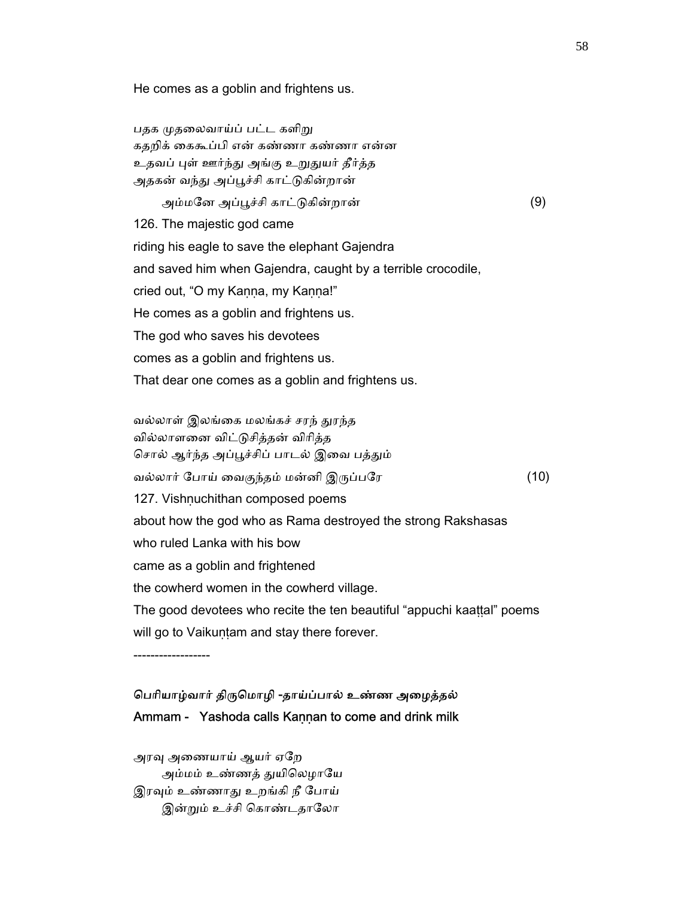He comes as a goblin and frightens us.

பதக முதலைவாய்ப் பட்ட களிறு கதறிக் ைககூப்பி என் கண்ணா கண்ணா என்ன உதவப் புள் ஊர்ந்து அங்கு உறுதுயர் தீர்த்த அதகன் வந்து அப்பூச்சி காட்டுகின்றான்

 அம்மேன அப்ᾘச்சி காட்ᾌகின்றான் (9) 126. The majestic god came riding his eagle to save the elephant Gajendra and saved him when Gajendra, caught by a terrible crocodile, cried out, "O my Kaṇṇa, my Kaṇṇa!" He comes as a goblin and frightens us. The god who saves his devotees comes as a goblin and frightens us. That dear one comes as a goblin and frightens us.

வல்லாள் இலங்கை மலங்கச் சரந் துரந்த வில்லாளைன விட்ᾌசித்தன் விாித்த சொல் ஆர்ந்த அப்பூச்சிப் பாடல் இவை பத்தும் வல்லார் போய் வைகுந்தம் மன்னி இருப்பரே (10) 127. Vishṇuchithan composed poems about how the god who as Rama destroyed the strong Rakshasas who ruled Lanka with his bow came as a goblin and frightened the cowherd women in the cowherd village. The good devotees who recite the ten beautiful "appuchi kaattal" poems will go to Vaikuṇṭam and stay there forever.

------------------

## ெபாியாழ்வார் திᾞெமாழி -தாய்ப்பால் உண்ண அைழத்தல் Ammam - Yashoda calls Kaṇṇan to come and drink milk

அரவு அணையாய் ஆயர் ஏறே அம்மம் உண்ணத் துயிலெழாயே இரவும் உண்ணாது உறங்கி நீ போய் இன்றும் உச்சி கொண்டதாலோ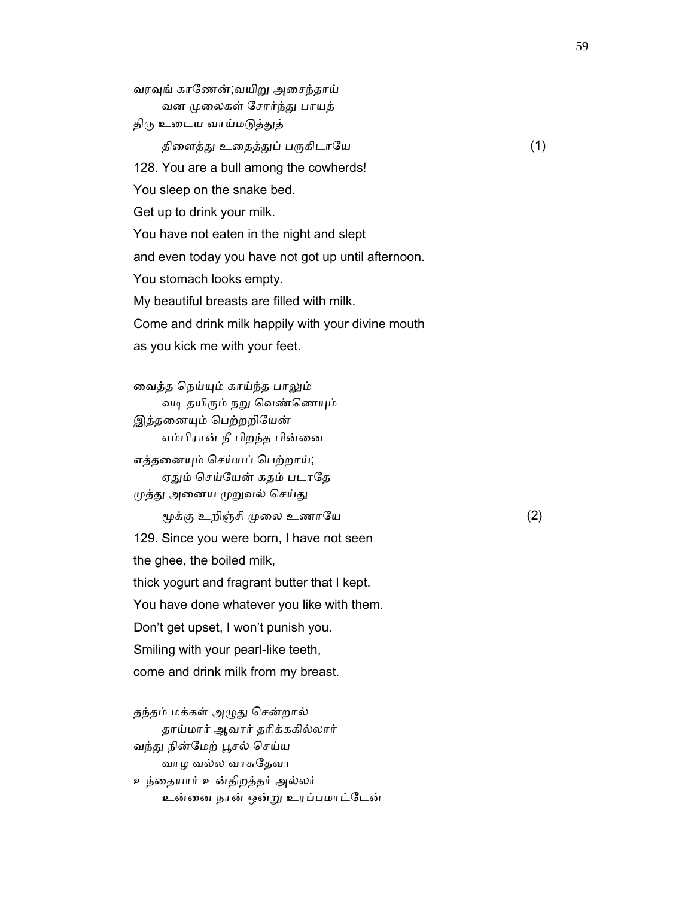வரவுங் காணேன்;வயிறு அசைந்தாய் வன ᾙைலகள் ேசார்ந்ᾐ பாயத் திரு உடைய வாய்மடுத்துத் திளைத்து உதைத்துப் பருகிடாயே  $(1)$  128. You are a bull among the cowherds! You sleep on the snake bed. Get up to drink your milk. You have not eaten in the night and slept and even today you have not got up until afternoon. You stomach looks empty. My beautiful breasts are filled with milk. Come and drink milk happily with your divine mouth as you kick me with your feet.

 ைவத்த ெநய்ᾜம் காய்ந்த பாᾤம் வடி தயிரும் நறு வெண்ணெயும் இத்தனையும் பெற்றறியேன் எம்பிரான் நீ பிறந்த பின்னை எத்தைனᾜம் ெசய்யப் ெபற்றாய்; ஏதும் செய்யேன் கதம் படாதே முத்து அனைய முறுவல் செய்து ᾚக்கு உறிஞ்சி ᾙைல உணாேய (2) 129. Since you were born, I have not seen the ghee, the boiled milk, thick yogurt and fragrant butter that I kept. You have done whatever you like with them. Don't get upset, I won't punish you. Smiling with your pearl-like teeth, come and drink milk from my breast.

தந்தம் மக்கள் அழுது சென்றால் தாய்மார் ஆவார் தாிக்ககில்லார் வந்து நின்மேற் பூசல் செய்ய வாழ வல்ல வாசுேதவா உந்ைதயார் உன்திறத்தர் அல்லர் உன்ைன நான் ஒன்ᾠ உரப்பமாட்ேடன்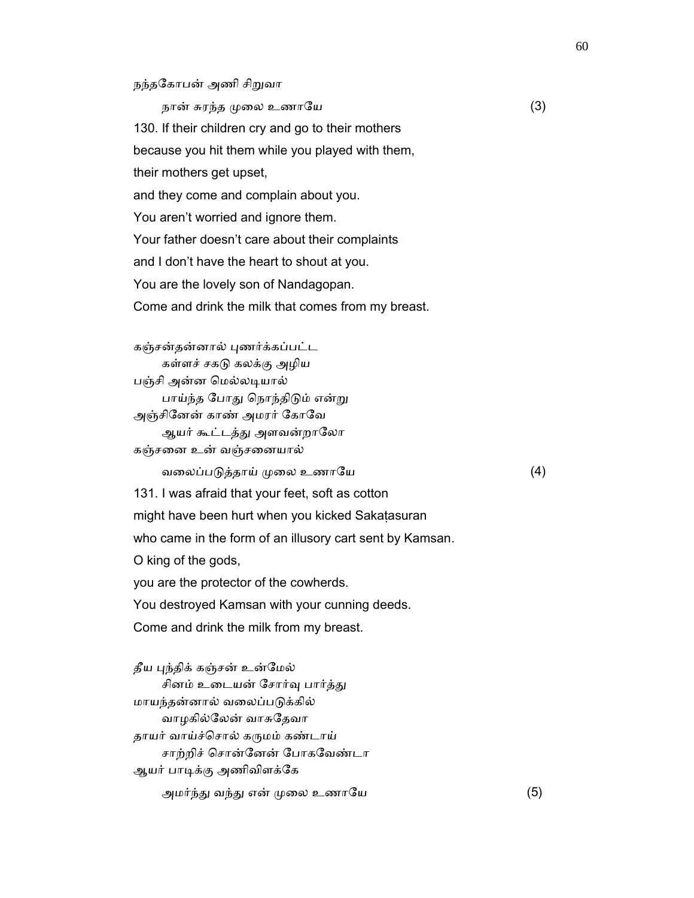## நந்தேகாபன் அணி சிᾠவா

நான் சுரந்த முலை உணாயே  $(3)$  130. If their children cry and go to their mothers because you hit them while you played with them, their mothers get upset, and they come and complain about you. You aren't worried and ignore them. Your father doesn't care about their complaints and I don't have the heart to shout at you. You are the lovely son of Nandagopan. Come and drink the milk that comes from my breast.

 கஞ்சன்தன்னால் ᾗணர்க்கப்பட்ட கள்ளச் சகᾌ கலக்கு அழிய பஞ்சி அன்ன மெல்லடியால் பாய்ந்த போது நொந்திடும் என்று அஞ்சிேனன் காண் அமரர் ேகாேவ ஆயர் கூட்டத்து அளவன்றாலோ கஞ்சைன உன் வஞ்சைனயால் வலைப்படுத்தாய் முலை உணாயே  $(4)$  131. I was afraid that your feet, soft as cotton might have been hurt when you kicked Sakaṭasuran who came in the form of an illusory cart sent by Kamsan.

O king of the gods,

you are the protector of the cowherds.

You destroyed Kamsan with your cunning deeds.

Come and drink the milk from my breast.

தீய புந்திக் கஞ்சன் உன்மேல் சினம் உடையன் சோர்வு பார்த்து மாயந்தன்னால் வைலப்பᾌக்கில் வாழகில்ேலன் வாசுேதவா தாயர் வாய்ச்சொல் கருமம் கண்டாய் சாற்றிச் ெசான்ேனன் ேபாகேவண்டா ஆயர் பாᾊக்கு அணிவிளக்ேக அமர்ந்ᾐ வந்ᾐ என் ᾙைல உணாேய (5)

60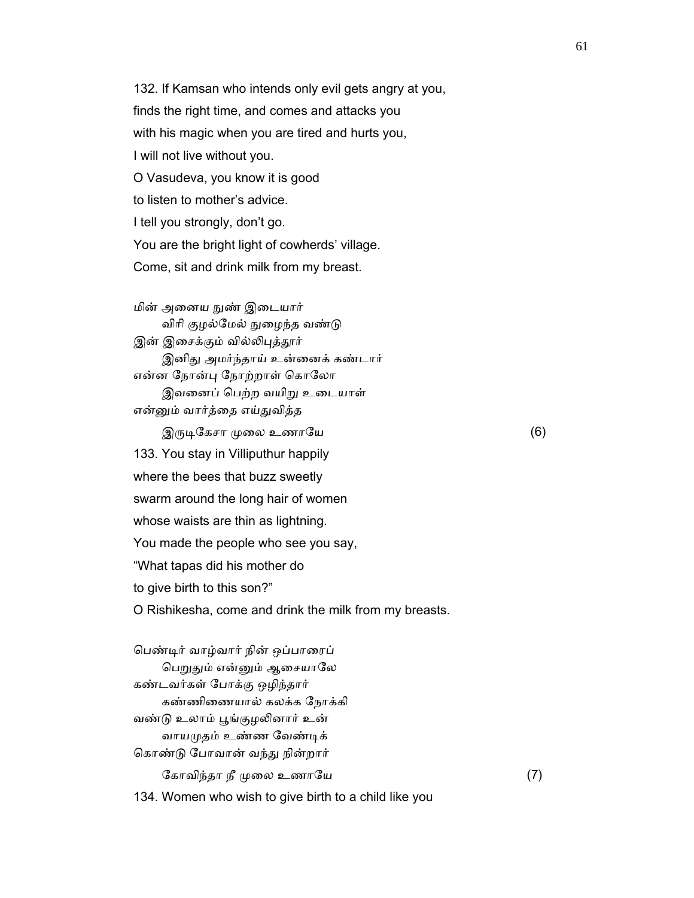132. If Kamsan who intends only evil gets angry at you, finds the right time, and comes and attacks you with his magic when you are tired and hurts you, I will not live without you. O Vasudeva, you know it is good to listen to mother's advice. I tell you strongly, don't go. You are the bright light of cowherds' village. Come, sit and drink milk from my breast.

மின் அனைய நுண் இடையார் விரி குழல்மேல் நுழைந்த வண்டு இன் இசைக்கும் வில்லிபுத்தூர் இனிது அமர்ந்தாய் உன்னைக் கண்டார் என்ன நோன்பு நோற்றாள் கொலோ இவனைப் பெற்ற வயிறு உடையாள் என்ᾔம் வார்த்ைத எய்ᾐவித்த  $\mathfrak{A}$ ருடிகேசா முலை உணாயே  $(6)$ 133. You stay in Villiputhur happily

 where the bees that buzz sweetly swarm around the long hair of women whose waists are thin as lightning. You made the people who see you say, "What tapas did his mother do to give birth to this son?" O Rishikesha, come and drink the milk from my breasts.

 ெபண்ᾊர் வாழ்வார் நின் ஒப்பாைரப் பெறுதும் என்னும் ஆசையாலே கண்டவர்கள் ேபாக்கு ஒழிந்தார் கண்ணிைணயால் கலக்க ேநாக்கி வண்டு உலாம் பூங்குழலினார் உன் வாயமுதம் உண்ண வேண்டிக் கொண்டு போவான் வந்து நின்றார் கோவிந்தா நீ முலை உணாயே  $(7)$ 134. Women who wish to give birth to a child like you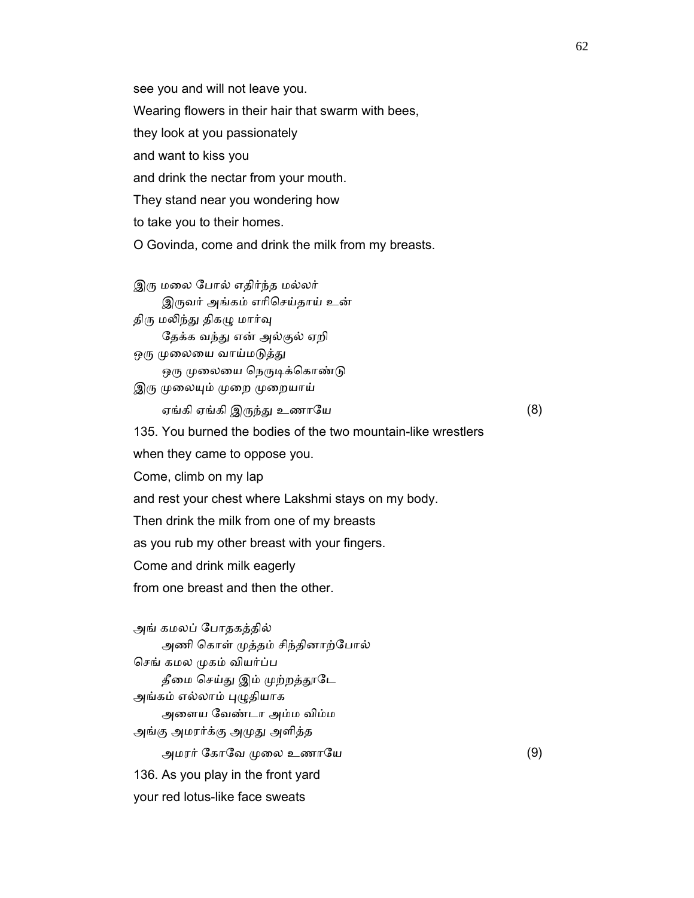see you and will not leave you.

Wearing flowers in their hair that swarm with bees,

they look at you passionately

and want to kiss you

and drink the nectar from your mouth.

They stand near you wondering how

to take you to their homes.

O Govinda, come and drink the milk from my breasts.

இரு மலை போல் எதிர்ந்த மல்லர் இᾞவர் அங்கம் எாிெசய்தாய் உன்

திரு மலிந்து திகழு மார்வு தேக்க வந்து என் அல்குல் ஏறி ஒரு முலையை வாய்மடுத்து

ஒரு முலையை நெருடிக்கொண்டு

இரு முலையும் முறை முறையாய்

ஏங்கி எங்கி இருந்து உணாயே  $(8)$ 

135. You burned the bodies of the two mountain-like wrestlers

when they came to oppose you.

Come, climb on my lap

and rest your chest where Lakshmi stays on my body.

Then drink the milk from one of my breasts

as you rub my other breast with your fingers.

Come and drink milk eagerly

from one breast and then the other.

 அங் கமலப் ேபாதகத்தில் அணி கொள் முத்தம் சிந்தினாற்போல் செங் கமல முகம் வியர்ப்ப தீமை செய்து இம் முற்றத்தூடே அங்கம் எல்லாம் புழுதியாக அைளய ேவண்டா அம்ம விம்ம அங்கு அமரர்க்கு அᾙᾐ அளித்த அமரர் கோவே முலை உணாயே  $(9)$  136. As you play in the front yard your red lotus-like face sweats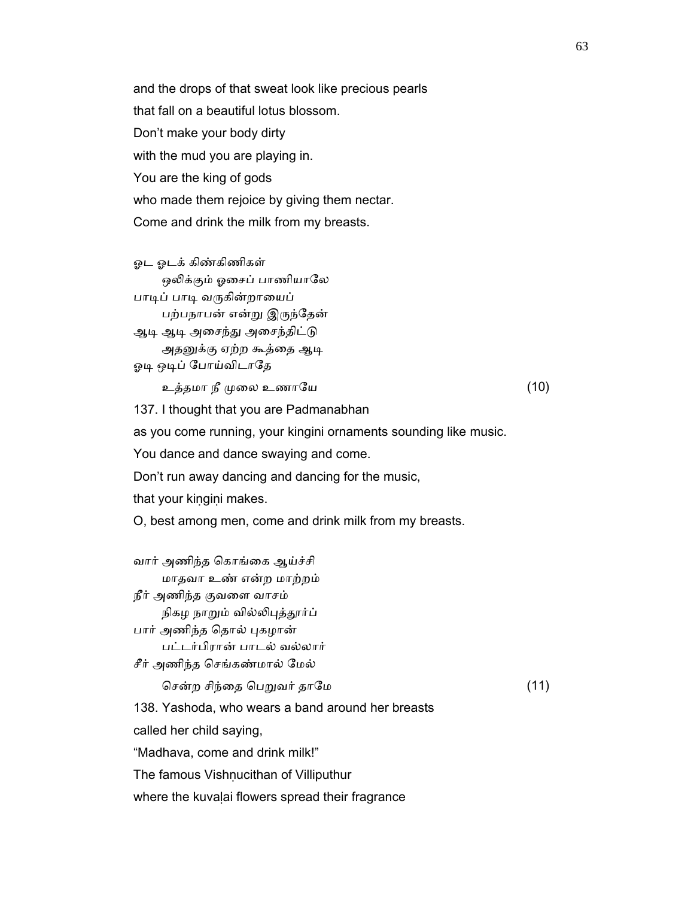and the drops of that sweat look like precious pearls that fall on a beautiful lotus blossom. Don't make your body dirty with the mud you are playing in. You are the king of gods who made them rejoice by giving them nectar. Come and drink the milk from my breasts.

 ஓட ஓடக் கிண்கிணிகள் ஒலிக்கும் ஓசைப் பாணியாலே பாடிப் பாடி வருகின்றாயைப் பற்பநாபன் என்ᾠ இᾞந்ேதன் ஆடி ஆடி அசைந்து அசைந்திட்டு அதனுக்கு ஏற்ற கூத்தை ஆடி ஓடி ஒடிப் போய்விடாதே

உத்தமா நீ ᾙைல உணாேய (10)

137. I thought that you are Padmanabhan

as you come running, your kingini ornaments sounding like music.

You dance and dance swaying and come.

Don't run away dancing and dancing for the music,

that your kiṇgiṇi makes.

O, best among men, come and drink milk from my breasts.

 வார் அணிந்த ெகாங்ைக ஆய்ச்சி மாதவா உண் என்ற மாற்றம் நீர் அணிந்த குவைள வாசம் நிகழ நாறும் வில்லிபுத்தூர்ப் பார் அணிந்த தொல் புகழான் பட்டர்பிரான் பாடல் வல்லார் சீர் அணிந்த ெசங்கண்மால் ேமல் ெசன்ற சிந்ைத ெபᾠவர் தாேம (11)

138. Yashoda, who wears a band around her breasts

called her child saying,

"Madhava, come and drink milk!"

The famous Vishnucithan of Villiputhur

where the kuvaḷai flowers spread their fragrance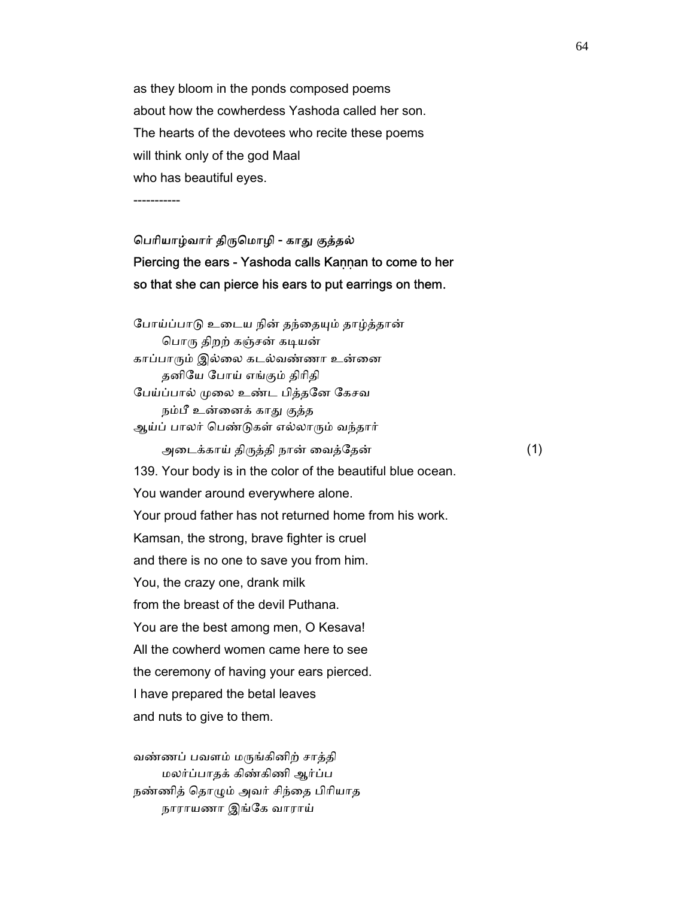as they bloom in the ponds composed poems about how the cowherdess Yashoda called her son. The hearts of the devotees who recite these poems will think only of the god Maal who has beautiful eyes.

-----------

# பெரியாழ்வார் திருமொழி - காது குத்தல் Piercing the ears - Yashoda calls Kaṇṇan to come to her so that she can pierce his ears to put earrings on them.

போய்ப்பாடு உடைய நின் தந்தையும் தாழ்த்தான் பொரு திறற் கஞ்சன் கடியன் காப்பாரும் இல்லை கடல்வண்ணா உன்னை தனிேய ேபாய் எங்கும் திாிதி ேபய்ப்பால் ᾙைல உண்ட பித்தேன ேகசவ நம்பீ உன்னைக் காது குத்த ஆய்ப் பாலர் பெண்டுகள் எல்லாரும் வந்தார் அைடக்காய் திᾞத்தி நான் ைவத்ேதன் (1) 139. Your body is in the color of the beautiful blue ocean. You wander around everywhere alone. Your proud father has not returned home from his work. Kamsan, the strong, brave fighter is cruel and there is no one to save you from him. You, the crazy one, drank milk from the breast of the devil Puthana. You are the best among men, O Kesava! All the cowherd women came here to see the ceremony of having your ears pierced. I have prepared the betal leaves and nuts to give to them.

 வண்ணப் பவளம் மᾞங்கினிற் சாத்தி மலர்ப்பாதக் கிண்கிணி ஆர்ப்ப நண்ணித் ெதாᾨம் அவர் சிந்ைத பிாியாத நாராயணா இங்ேக வாராய்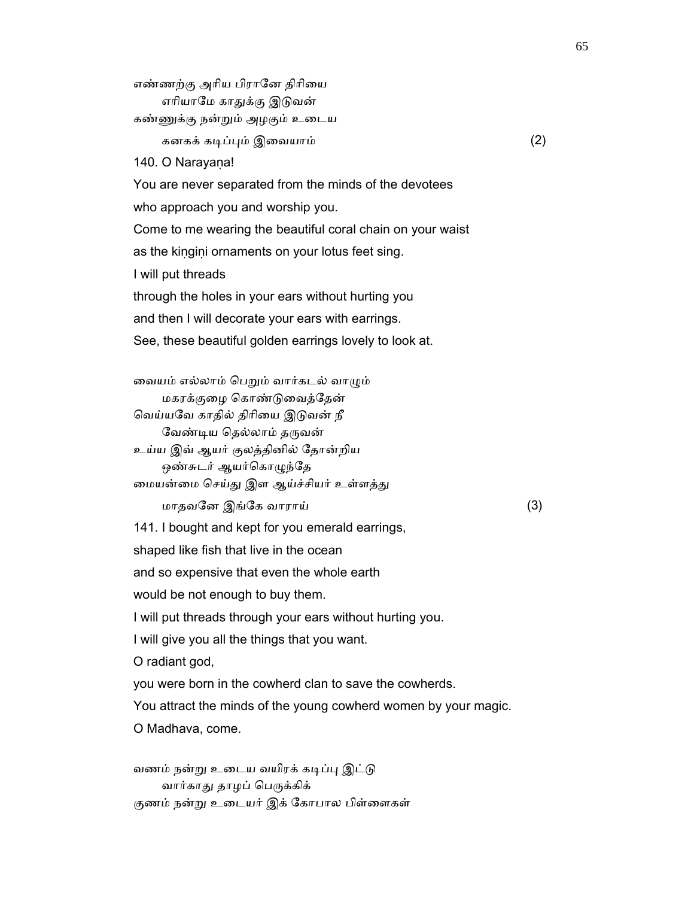எண்ணற்கு அாிய பிராேன திாிைய எரியாமே காதுக்கு இடுவன் கண்ᾎக்கு நன்ᾠம் அழகும் உைடய கனகக் கடிப்பும் இவையாம்  $(2)$  140. O Narayaṇa! You are never separated from the minds of the devotees who approach you and worship you. Come to me wearing the beautiful coral chain on your waist as the kingini ornaments on your lotus feet sing. I will put threads through the holes in your ears without hurting you and then I will decorate your ears with earrings. See, these beautiful golden earrings lovely to look at.

 ைவயம் எல்லாம் ெபᾠம் வார்கடல் வாᾨம் மகரக்குைழ ெகாண்ᾌைவத்ேதன் வெய்யவே காதில் திரியை இடுவன் நீ வேண்டிய தெல்லாம் தருவன் உய்ய இவ் ஆயர் குலத்தினில் ேதான்றிய

ஒண்சுடர் ஆயர்கொழுந்தே மையன்மை செய்து இள ஆய்ச்சியர் உள்ளத்து

மாதவேன இங்ேக வாராய் (3)

141. I bought and kept for you emerald earrings,

shaped like fish that live in the ocean

and so expensive that even the whole earth

would be not enough to buy them.

I will put threads through your ears without hurting you.

I will give you all the things that you want.

O radiant god,

you were born in the cowherd clan to save the cowherds.

You attract the minds of the young cowherd women by your magic.

O Madhava, come.

வணம் நன்று உடைய வயிரக் கடிப்பு இட்டு வார்காது தாழப் பெருக்கிக் குணம் நன்று உடையர் இக் கோபால பிள்ளைகள்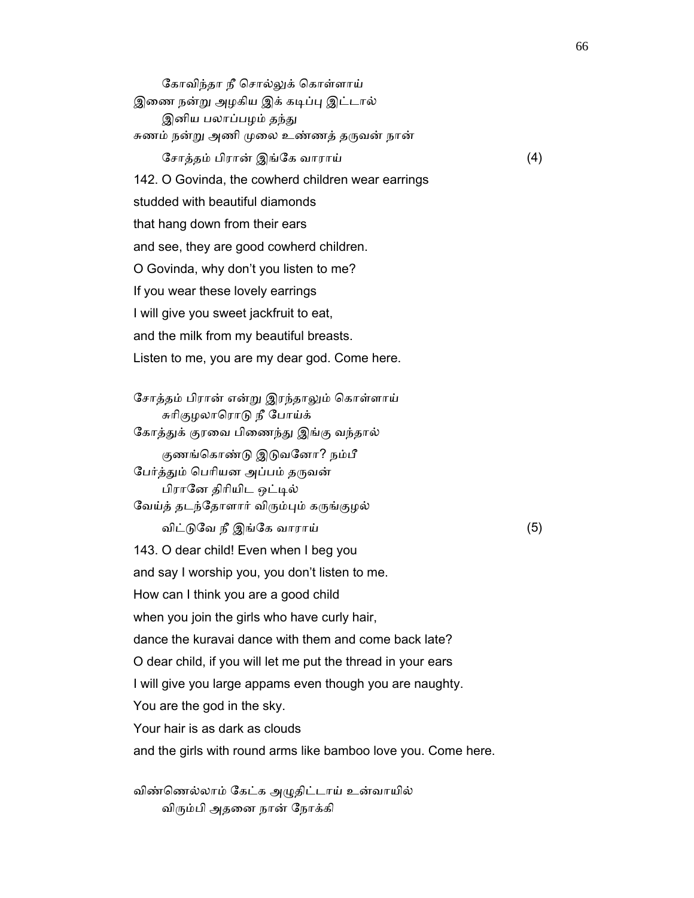கோவிந்தா நீ சொல்லுக் கொள்ளாய் இணை நன்று அழகிய இக் கடிப்பு இட்டால் இனிய பலாப்பழம் தந்து சுணம் நன்று அணி முலை உண்ணத் தருவன் நான் ேசாத்தம் பிரான் இங்ேக வாராய் (4) 142. O Govinda, the cowherd children wear earrings studded with beautiful diamonds that hang down from their ears and see, they are good cowherd children. O Govinda, why don't you listen to me? If you wear these lovely earrings I will give you sweet jackfruit to eat, and the milk from my beautiful breasts. Listen to me, you are my dear god. Come here. ேசாத்தம் பிரான் என்ᾠ இரந்தாᾤம் ெகாள்ளாய் சுரிகுழலாரொடு நீ போய்க் கோத்துக் குரவை பிணைந்து இங்கு வந்தால் குணங்கொண்டு இடுவனோ? நம்பீ பேர்த்தும் பெரியன அப்பம் தருவன் பிரானே திரியிட ஒட்டில் வேய்த் தடந்தோளார் விரும்பும் கருங்குழல் விட்ᾌேவ நீ இங்ேக வாராய் (5) 143. O dear child! Even when I beg you and say I worship you, you don't listen to me. How can I think you are a good child when you join the girls who have curly hair, dance the kuravai dance with them and come back late? O dear child, if you will let me put the thread in your ears I will give you large appams even though you are naughty. You are the god in the sky. Your hair is as dark as clouds and the girls with round arms like bamboo love you. Come here.

 விண்ெணல்லாம் ேகட்க அᾨதிட்டாய் உன்வாயில் விரும்பி அதனை நான் நோக்கி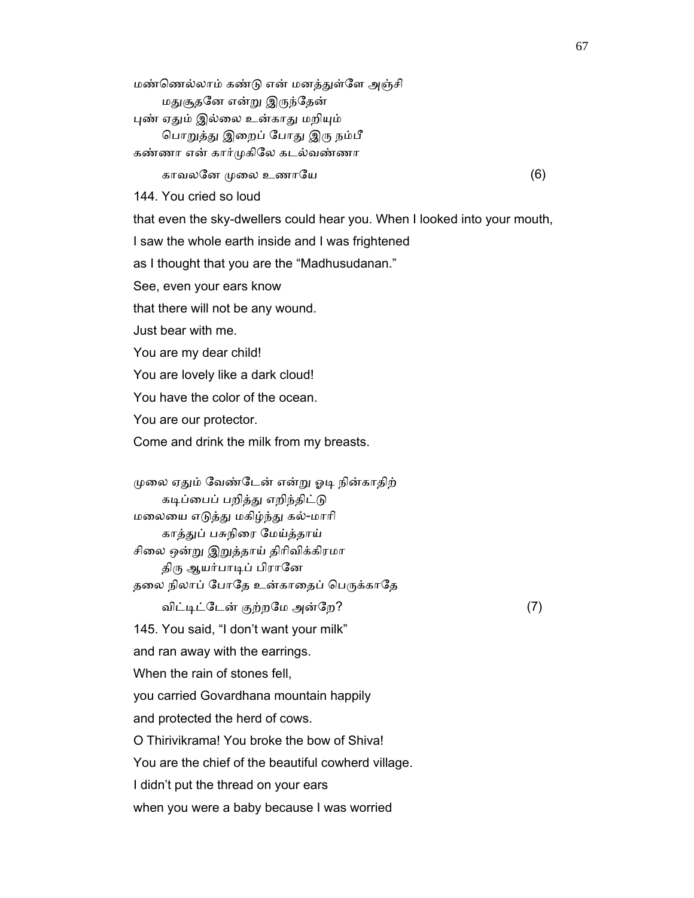மண்ணெல்லாம் கண்டு என் மனத்துள்ளே அஞ்சி மதுசூதனே என்று இருந்தேன் புண் ஏதும் இல்லை உன்காது மறியும் பொறுத்து இறைப் போது இரு நம்பீ கண்ணா என் கார்ᾙகிேல கடல்வண்ணா காவலேன ᾙைல உணாேய (6) 144. You cried so loud that even the sky-dwellers could hear you. When I looked into your mouth, I saw the whole earth inside and I was frightened as I thought that you are the "Madhusudanan." See, even your ears know that there will not be any wound. Just bear with me. You are my dear child!

You are lovely like a dark cloud!

You have the color of the ocean.

You are our protector.

Come and drink the milk from my breasts.

முலை ஏதும் வேண்டேன் என்று ஓடி நின்காதிற் கடிப்பைப் பறித்து எறிந்திட்டு மைலைய எᾌத்ᾐ மகிழ்ந்ᾐ கல்-மாாி காத்ᾐப் பசுநிைர ேமய்த்தாய் சிலை ஒன்று இறுத்தாய் திரிவிக்கிரமா திரு ஆயர்பாடிப் பிரானே தலை நிலாப் போதே உன்காதைப் பெருக்காதே விட்டிட்டேன் குற்றமே அன்றே? (7) 145. You said, "I don't want your milk" and ran away with the earrings. When the rain of stones fell. you carried Govardhana mountain happily and protected the herd of cows. O Thirivikrama! You broke the bow of Shiva! You are the chief of the beautiful cowherd village. I didn't put the thread on your ears when you were a baby because I was worried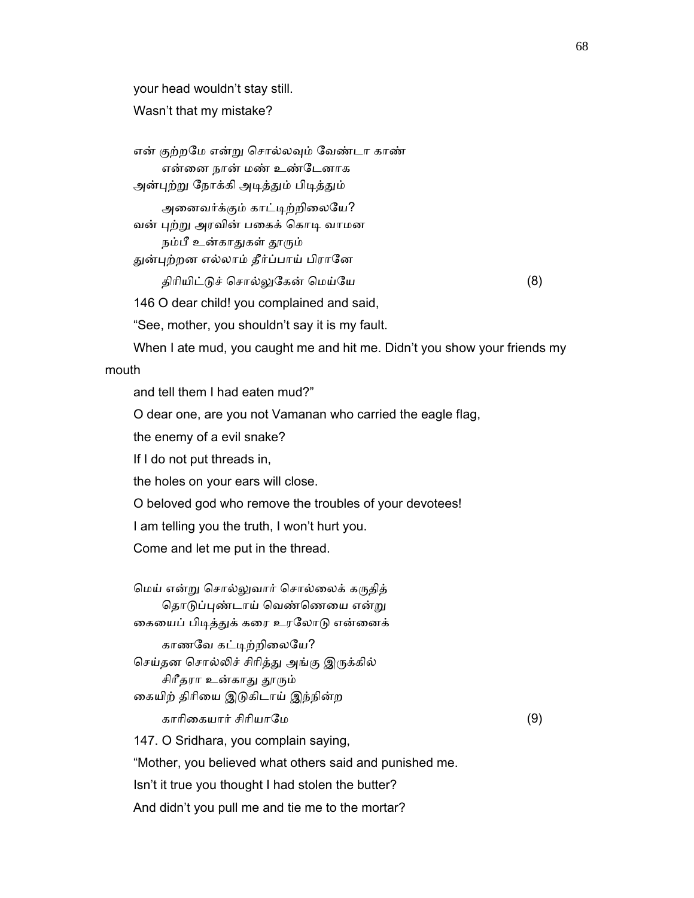your head wouldn't stay still.

Wasn't that my mistake?

 என் குற்றேம என்ᾠ ெசால்லᾫம் ேவண்டா காண் என்னை நான் மண் உண்டேனாக அன்புற்று நோக்கி அடித்தும் பிடித்தும்

அனைவர்க்கும் காட்டிற்றிலையே? வன் புற்று அரவின் பகைக் கொடி வாமன நம்பீ உன்காதுகள் தூரும்

துன்புற்றன எல்லாம் தீர்ப்பாய் பிரானே

திாியிட்ᾌச் ெசால்ᾤேகன் ெமய்ேய (8)

146 O dear child! you complained and said,

"See, mother, you shouldn't say it is my fault.

 When I ate mud, you caught me and hit me. Didn't you show your friends my mouth

and tell them I had eaten mud?"

O dear one, are you not Vamanan who carried the eagle flag,

the enemy of a evil snake?

If I do not put threads in,

the holes on your ears will close.

O beloved god who remove the troubles of your devotees!

I am telling you the truth, I won't hurt you.

Come and let me put in the thread.

 ெமய் என்ᾠ ெசால்ᾤவார் ெசால்ைலக் கᾞதித் தொடுப்புண்டாய் வெண்ணெயை என்று கையைப் பிடித்துக் கரை உரலோடு என்னைக் காணவே கட்டிற்றிலையே? செய்தன சொல்லிச் சிரித்து அங்கு இருக்கில் சிரீதரா உன்காது தூரும் கையிற் திரியை இடுகிடாய் இந்நின்ற காாிைகயார் சிாியாேம (9) 147. O Sridhara, you complain saying, "Mother, you believed what others said and punished me. Isn't it true you thought I had stolen the butter?

And didn't you pull me and tie me to the mortar?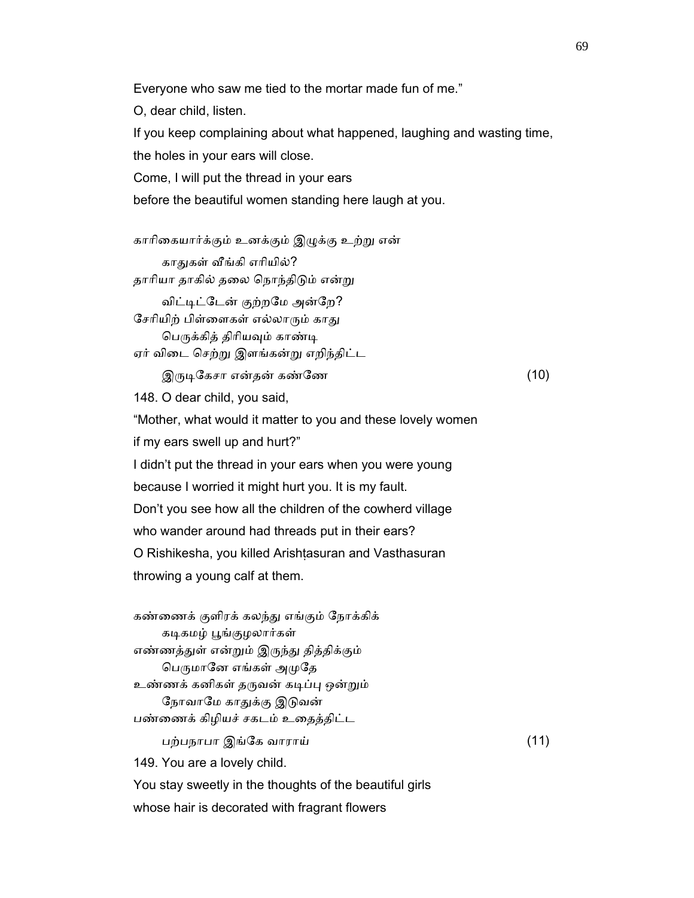Everyone who saw me tied to the mortar made fun of me." O, dear child, listen. If you keep complaining about what happened, laughing and wasting time, the holes in your ears will close. Come, I will put the thread in your ears before the beautiful women standing here laugh at you. காாிைகயார்க்கும் உனக்கும் இᾨக்கு உற்ᾠ என் காதுகள் வீங்கி எரியில்? தாரியா தாகில் தலை நொந்திடும் என்று விட்டிட்டேன் குற்றமே அன்றே? சேரியிற் பிள்ளைகள் எல்லாரும் காது பெருக்கித் திரியவும் காண்டி

ஏர் விைட ெசற்ᾠ இளங்கன்ᾠ எறிந்திட்ட

 $\mathcal{R}$ ருடிகேசா என்தன் கண்ணே $(10)$ 

148. O dear child, you said,

 "Mother, what would it matter to you and these lovely women if my ears swell up and hurt?" I didn't put the thread in your ears when you were young because I worried it might hurt you. It is my fault. Don't you see how all the children of the cowherd village who wander around had threads put in their ears? O Rishikesha, you killed Arishṭasuran and Vasthasuran throwing a young calf at them.

 கண்ைணக் குளிரக் கலந்ᾐ எங்கும் ேநாக்கிக் கடிகமழ் பூங்குழலார்கள் எண்ணத்துள் என்றும் இருந்து தித்திக்கும் பெருமானே எங்கள் அமுதே உண்ணக் கனிகள் தருவன் கடிப்பு ஒன்றும் நோவாமே காதுக்கு இடுவன் பண்ைணக் கிழியச் சகடம் உைதத்திட்ட பற்பநாபா இங்ேக வாராய் (11) 149. You are a lovely child. You stay sweetly in the thoughts of the beautiful girls

whose hair is decorated with fragrant flowers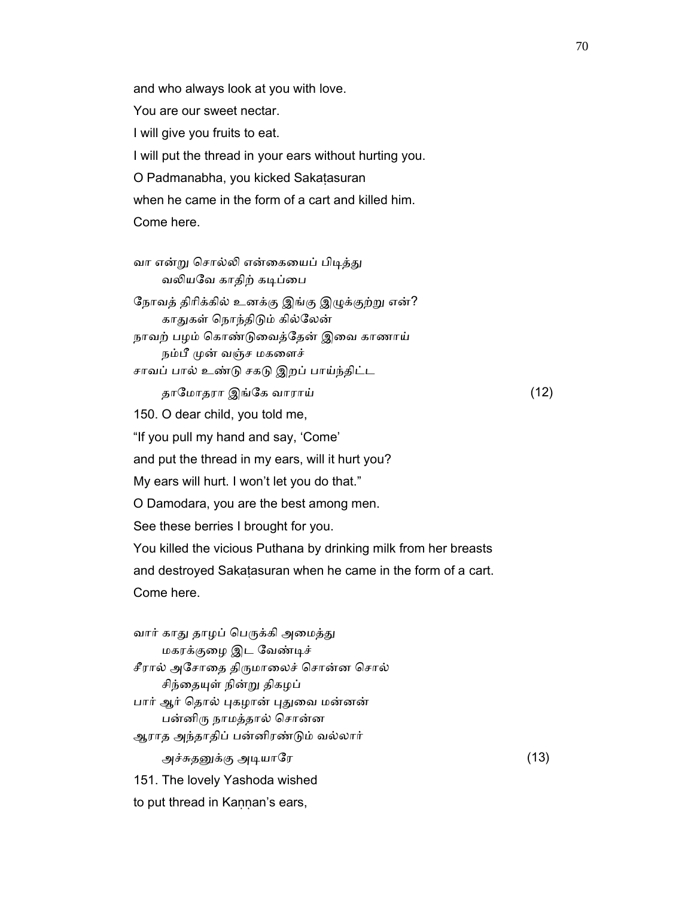and who always look at you with love. You are our sweet nectar. I will give you fruits to eat. I will put the thread in your ears without hurting you. O Padmanabha, you kicked Sakaṭasuran when he came in the form of a cart and killed him. Come here.

வா என்று சொல்லி என்கையைப் பிடித்து வலியவே காதிற் கடிப்பை நோவத் திரிக்கில் உனக்கு இங்கு இழுக்குற்று என்? காᾐகள் ெநாந்திᾌம் கில்ேலன் நாவற் பழம் ெகாண்ᾌைவத்ேதன் இைவ காணாய் நம்பீ முன் வஞ்ச மகளைச் சாவப் பால் உண்ᾌ சகᾌ இறப் பாய்ந்திட்ட தாேமாதரா இங்ேக வாராய் (12) 150. O dear child, you told me, "If you pull my hand and say, 'Come' and put the thread in my ears, will it hurt you? My ears will hurt. I won't let you do that."

O Damodara, you are the best among men.

See these berries I brought for you.

You killed the vicious Puthana by drinking milk from her breasts

and destroyed Sakaṭasuran when he came in the form of a cart.

Come here.

வார் காது தாழப் பெருக்கி அமைத்து மகரக்குைழ இட ேவண்ᾊச் சீரால் அசோதை திருமாலைச் சொன்ன சொல் சிந்தையுள் நின்று திகழப் பார் ஆர் தொல் புகழான் புதுவை மன்னன் பன்னிᾞ நாமத்தால் ெசான்ன ஆராத அந்தாதிப் பன்னிரண்ᾌம் வல்லார் அச்சுதனுக்கு அடியாரே  $(13)$  151. The lovely Yashoda wished to put thread in Kaṇṇan's ears,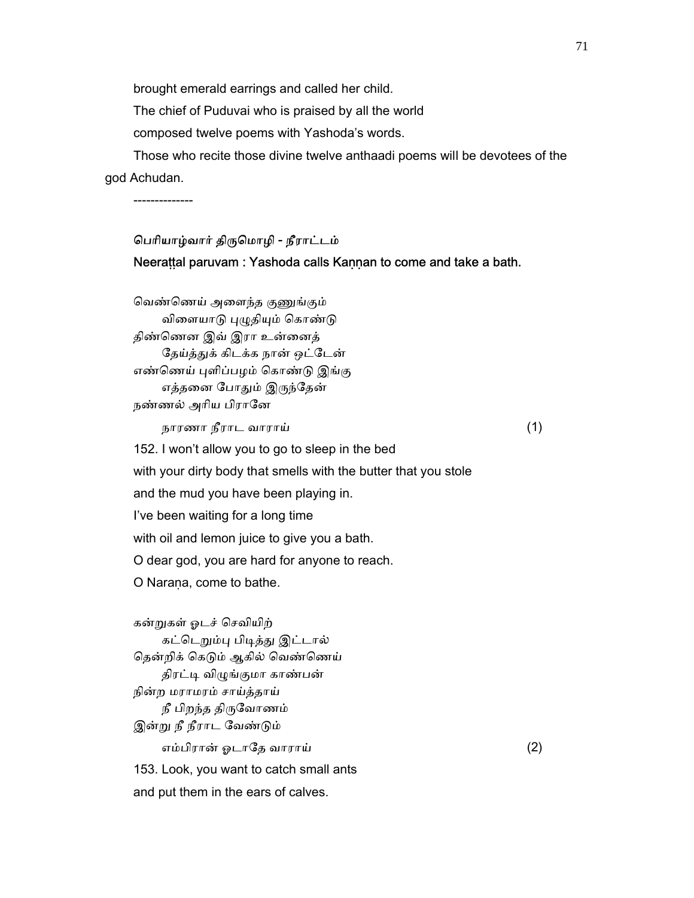brought emerald earrings and called her child.

The chief of Puduvai who is praised by all the world

composed twelve poems with Yashoda's words.

 Those who recite those divine twelve anthaadi poems will be devotees of the god Achudan.

--------------

# ெபாியாழ்வார் திᾞெமாழி - நீராட்டம் Neerattal paruvam : Yashoda calls Kaṇṇan to come and take a bath.

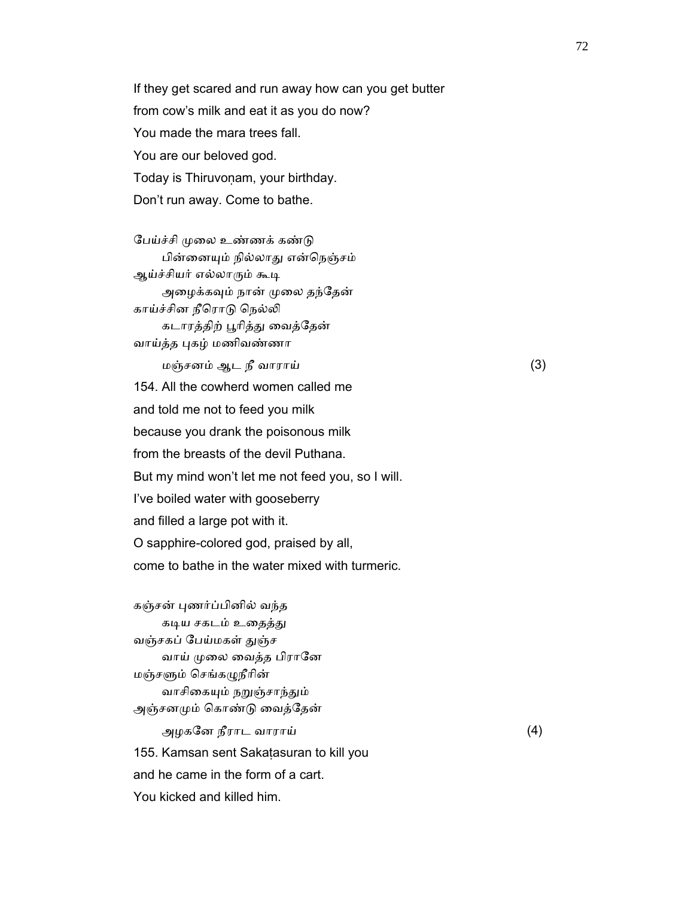If they get scared and run away how can you get butter from cow's milk and eat it as you do now? You made the mara trees fall. You are our beloved god. Today is Thiruvonam, your birthday. Don't run away. Come to bathe.

பேய்ச்சி முலை உண்ணக் கண்டு பின்னையும் நில்லாது என்நெஞ்சம் ஆய்ச்சியர் எல்லாரும் கூடி அழைக்கவும் நான் முலை தந்தேன் காய்ச்சின நீரொடு நெல்லி கடாரத்திற் ᾘாித்ᾐ ைவத்ேதன் வாய்த்த ᾗகழ் மணிவண்ணா

 மஞ்சனம் ஆட நீ வாராய் (3) 154. All the cowherd women called me and told me not to feed you milk because you drank the poisonous milk from the breasts of the devil Puthana. But my mind won't let me not feed you, so I will. I've boiled water with gooseberry and filled a large pot with it. O sapphire-colored god, praised by all, come to bathe in the water mixed with turmeric.

 கஞ்சன் ᾗணர்ப்பினில் வந்த கடிய சகடம் உதைத்து வஞ்சகப் பேய்மகள் துஞ்ச வாய் முலை வைத்த பிரானே மஞ்சᾦம் ெசங்கᾨநீாின் வாசிகையும் நறுஞ்சாந்தும் அஞ்சனᾙம் ெகாண்ᾌ ைவத்ேதன் அழகேன நீராட வாராய் (4) 155. Kamsan sent Sakaṭasuran to kill you and he came in the form of a cart. You kicked and killed him.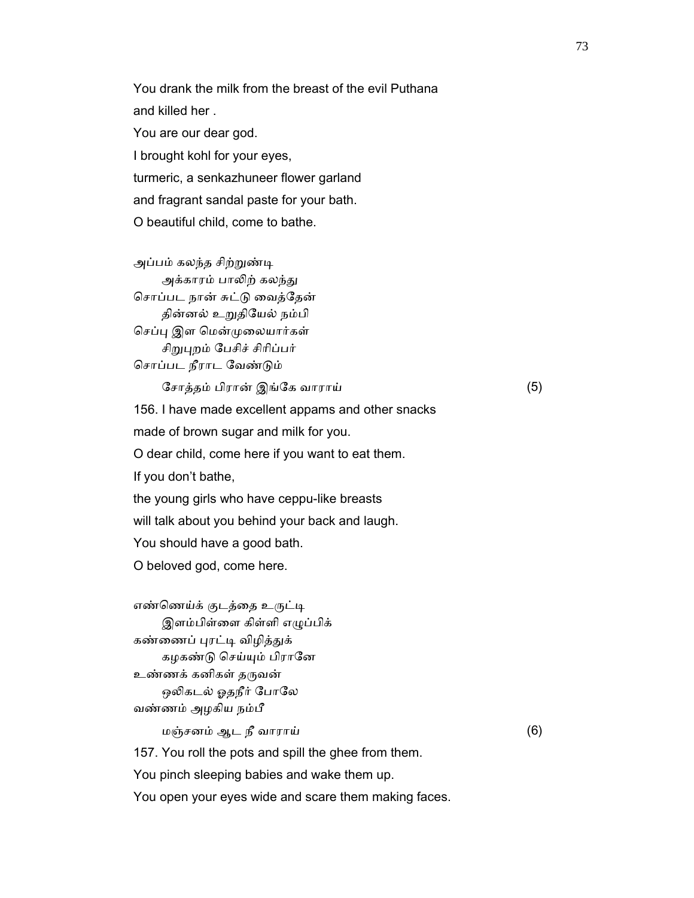You drank the milk from the breast of the evil Puthana and killed her . You are our dear god. I brought kohl for your eyes, turmeric, a senkazhuneer flower garland and fragrant sandal paste for your bath. O beautiful child, come to bathe.

அப்பம் கலந்த சிற்றுண்டி அக்காரம் பாலிற் கலந்து ெசாப்பட நான் சுட்ᾌ ைவத்ேதன் தின்னல் உᾠதிேயல் நம்பி செப்பு இள மென்முலையார்கள் சிறுபுறம் பேசிச் சிரிப்பர் ெசாப்பட நீராட ேவண்ᾌம்

ேசாத்தம் பிரான் இங்ேக வாராய் (5)

156. I have made excellent appams and other snacks

made of brown sugar and milk for you.

O dear child, come here if you want to eat them.

If you don't bathe,

the young girls who have ceppu-like breasts

will talk about you behind your back and laugh.

You should have a good bath.

O beloved god, come here.

எண்ணெய்க் குடத்தை உருட்டி இளம்பிள்ைள கிள்ளி எᾨப்பிக் கண்ணைப் புரட்டி விழித்துக் கழகண்டு செய்யும் பிரானே உண்ணக் கனிகள் தருவன் ஒலிகடல் ஓதநீர் போலே வண்ணம் அழகிய நம்பீ மஞ்சனம் ஆட நீ வாராய் (6) 157. You roll the pots and spill the ghee from them. You pinch sleeping babies and wake them up. You open your eyes wide and scare them making faces.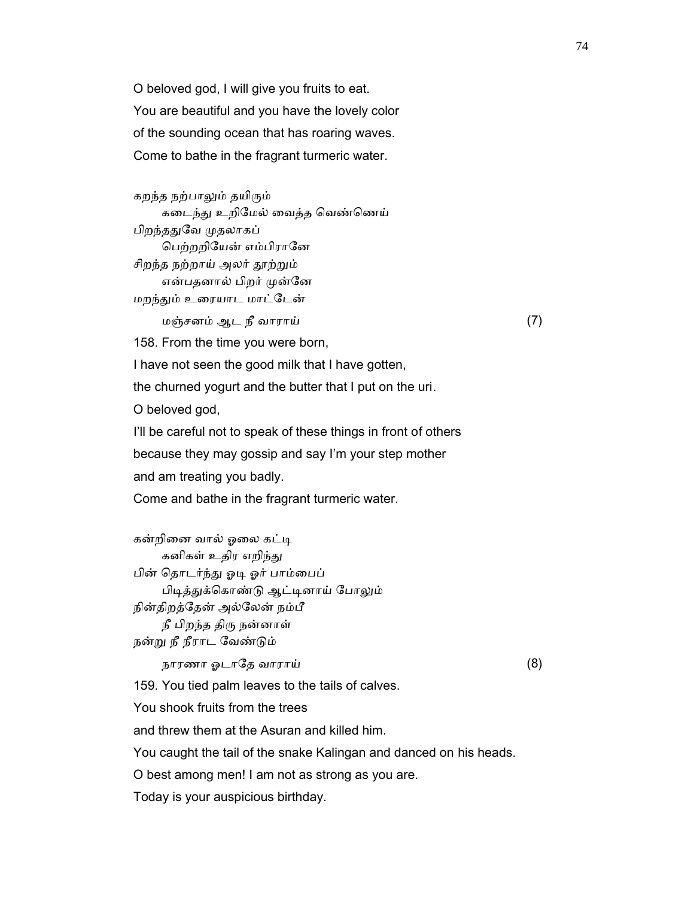O beloved god, I will give you fruits to eat. You are beautiful and you have the lovely color of the sounding ocean that has roaring waves. Come to bathe in the fragrant turmeric water.

 கறந்த நற்பாᾤம் தயிᾞம் கடைந்து உறிமேல் வைத்த வெண்ணெய் பிறந்ததுவே முதலாகப் ெபற்றறிேயன் எம்பிராேன சிறந்த நற்றாய் அலர் தூற்றும் என்பதனால் பிறர் முன்னே மறந்தும் உரையாட மாட்டேன் மஞ்சனம் ஆட நீ வாராய் (7)

158. From the time you were born,

I have not seen the good milk that I have gotten,

the churned yogurt and the butter that I put on the uri.

O beloved god,

I'll be careful not to speak of these things in front of others

because they may gossip and say I'm your step mother

and am treating you badly.

Come and bathe in the fragrant turmeric water.

கன்றினை வால் ஓலை கட்டி கனிகள் உதிர எறிந்து பின் ெதாடர்ந்ᾐ ஓᾊ ஓர் பாம்ைபப் பிடித்துக்கொண்டு ஆட்டினாய் போலும் நின்திறத்ேதன் அல்ேலன் நம்பீ நீ பிறந்த திᾞ நன்னாள் நன்ᾠ நீ நீராட ேவண்ᾌம் நாரணா ஓடாதே வாராய்  $(8)$  159. You tied palm leaves to the tails of calves. You shook fruits from the trees and threw them at the Asuran and killed him.

You caught the tail of the snake Kalingan and danced on his heads.

O best among men! I am not as strong as you are.

Today is your auspicious birthday.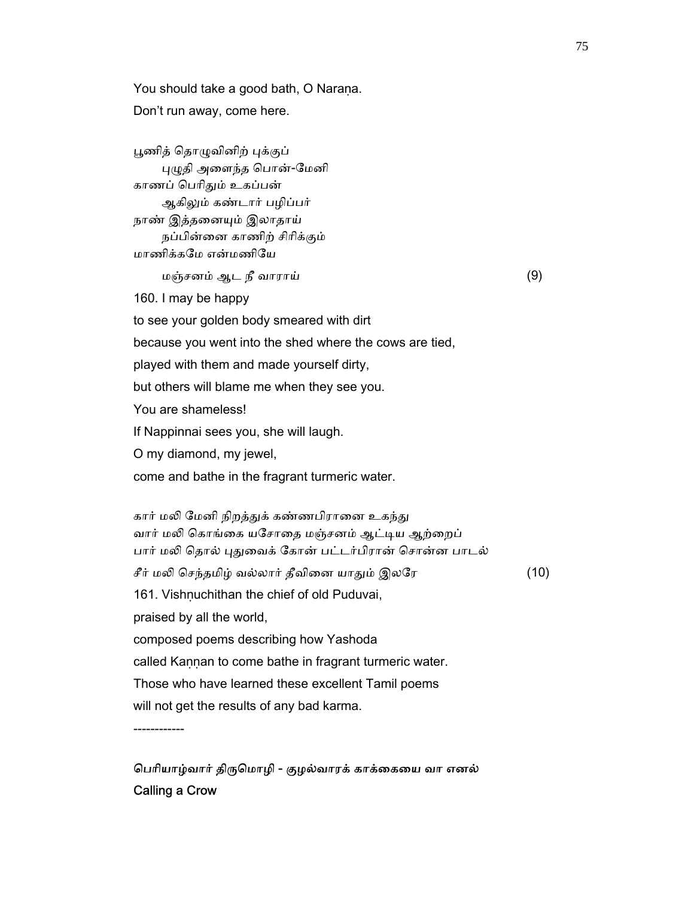You should take a good bath, O Narana. Don't run away, come here.

பூணித் தொழுவினிற் புக்குப் ᾗᾨதி அைளந்த ெபான்-ேமனி காணப் ெபாிᾐம் உகப்பன் ஆகிலும் கண்டார் பழிப்பர் நாண் இத்தனையும் இலாதாய் நப்பின்ைன காணிற் சிாிக்கும் மாணிக்கேம என்மணிேய மஞ்சனம் ஆட நீ வாராய் (9) 160. I may be happy to see your golden body smeared with dirt because you went into the shed where the cows are tied,

played with them and made yourself dirty,

but others will blame me when they see you.

You are shameless!

If Nappinnai sees you, she will laugh.

O my diamond, my jewel,

come and bathe in the fragrant turmeric water.

கார் மலி மேனி நிறத்துக் கண்ணபிரானை உகந்து வார் மலி கொங்கை யசோதை மஞ்சனம் ஆட்டிய ஆற்றைப் பார் மலி தொல் புதுவைக் கோன் பட்டர்பிரான் சொன்ன பாடல் சீர் மலி செந்தமிழ் வல்லார் தீவினை யாதும் இலரே $(10)$ 161. Vishnuchithan the chief of old Puduvai, praised by all the world, composed poems describing how Yashoda called Kannan to come bathe in fragrant turmeric water. Those who have learned these excellent Tamil poems will not get the results of any bad karma.

------------

பெரியாழ்வார் திருமொழி - குழல்வாரக் காக்கையை வா எனல் Calling a Crow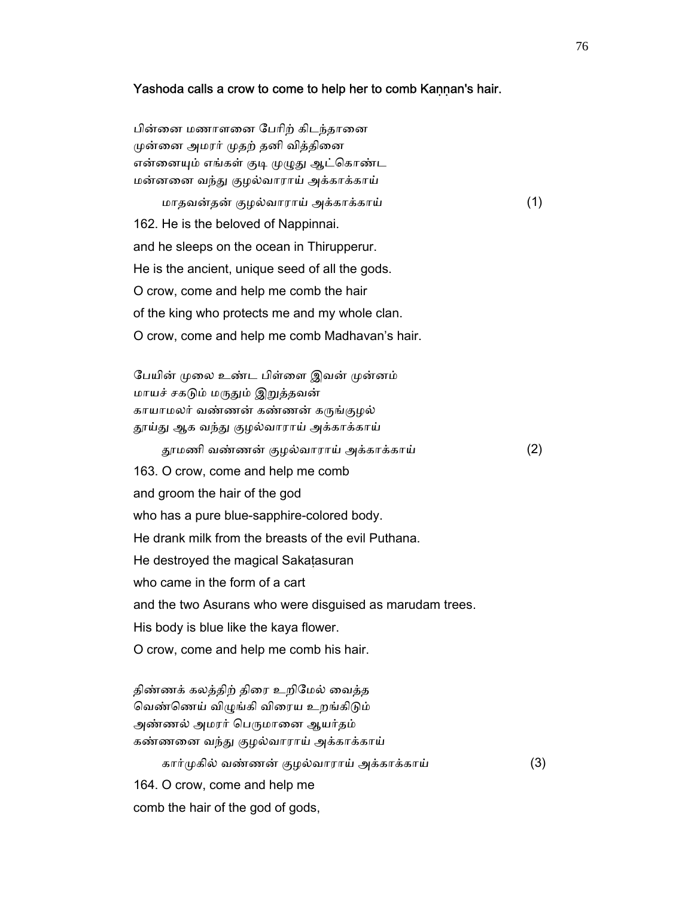#### Yashoda calls a crow to come to help her to comb Kannan's hair.

பின்னை மணாளனை பேரிற் கிடந்தானை முன்னை அமரர் முதற் தனி வித்தினை என்னையும் எங்கள் குடி முழுது ஆட்கொண்ட மன்னனை வந்து குழல்வாராய் அக்காக்காய்

 மாதவன்தன் குழல்வாராய் அக்காக்காய் (1) 162. He is the beloved of Nappinnai. and he sleeps on the ocean in Thirupperur. He is the ancient, unique seed of all the gods. O crow, come and help me comb the hair of the king who protects me and my whole clan. O crow, come and help me comb Madhavan's hair.

பேயின் முலை உண்ட பிள்ளை இவன் முன்னம் மாயச் சகடும் மருதும் இறுத்தவன் காயாமலர் வண்ணன் கண்ணன் கருங்குழல் தூய்து ஆக வந்து குழல்வாராய் அக்காக்காய் ᾑமணி வண்ணன் குழல்வாராய் அக்காக்காய் (2) 163. O crow, come and help me comb and groom the hair of the god who has a pure blue-sapphire-colored body. He drank milk from the breasts of the evil Puthana. He destroyed the magical Sakatasuran who came in the form of a cart and the two Asurans who were disguised as marudam trees. His body is blue like the kaya flower. O crow, come and help me comb his hair.

திண்ணக் கலத்திற் திரை உறிமேல் வைத்த வெண்ணெய் விழுங்கி விரைய உறங்கிடும் அண்ணல் அமரர் பெருமானை ஆயர்தம் கண்ணனை வந்து குழல்வாராய் அக்காக்காய் கார்முகில் வண்ணன் குழல்வாராய் அக்காக்காய் (3) 164. O crow, come and help me

comb the hair of the god of gods,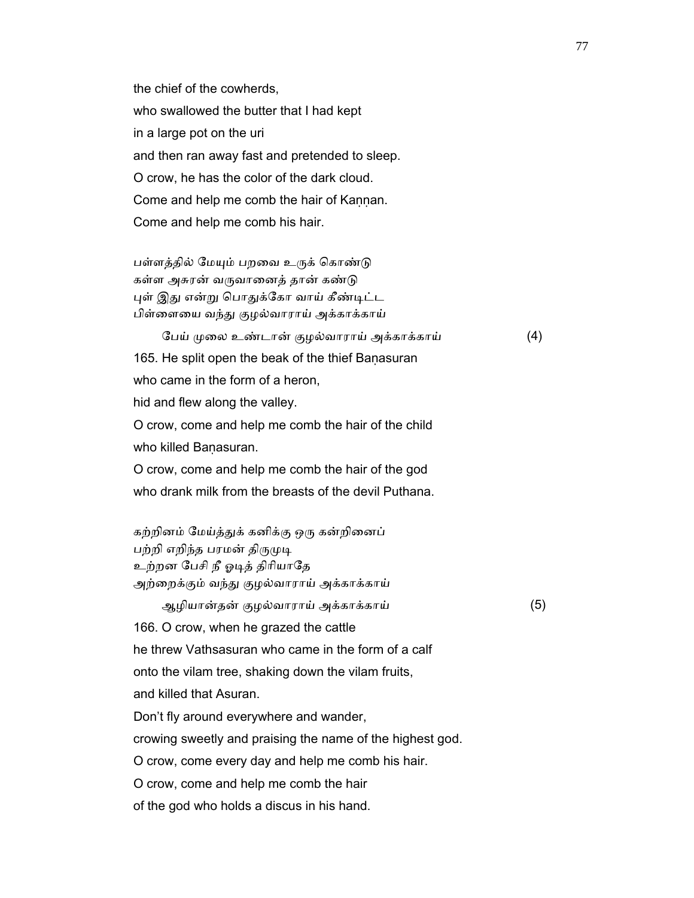the chief of the cowherds, who swallowed the butter that I had kept in a large pot on the uri and then ran away fast and pretended to sleep. O crow, he has the color of the dark cloud. Come and help me comb the hair of Kannan. Come and help me comb his hair.

பள்ளத்தில் மேயும் பறவை உருக் கொண்டு கள்ள அசுரன் வருவானைத் தான் கண்டு புள் இது என்று பொதுக்கோ வாய் கீண்டிட்ட பிள்ளையை வந்து குழல்வாராய் அக்காக்காய்

 ேபய் ᾙைல உண்டான் குழல்வாராய் அக்காக்காய் (4) 165. He split open the beak of the thief Baṇasuran who came in the form of a heron. hid and flew along the valley.

 O crow, come and help me comb the hair of the child who killed Banasuran.

 O crow, come and help me comb the hair of the god who drank milk from the breasts of the devil Puthana.

கற்றினம் மேய்த்துக் கனிக்கு ஒரு கன்றினைப் பற்றி எறிந்த பரமன் திருமுடி உற்றன ேபசி நீ ஓᾊத் திாியாேத அற்றைக்கும் வந்து குழல்வாராய் அக்காக்காய்

ஆழியான்தன் குழல்வாராய் அக்காக்காய் (5)

166. O crow, when he grazed the cattle

he threw Vathsasuran who came in the form of a calf

onto the vilam tree, shaking down the vilam fruits,

and killed that Asuran.

Don't fly around everywhere and wander,

crowing sweetly and praising the name of the highest god.

O crow, come every day and help me comb his hair.

O crow, come and help me comb the hair

of the god who holds a discus in his hand.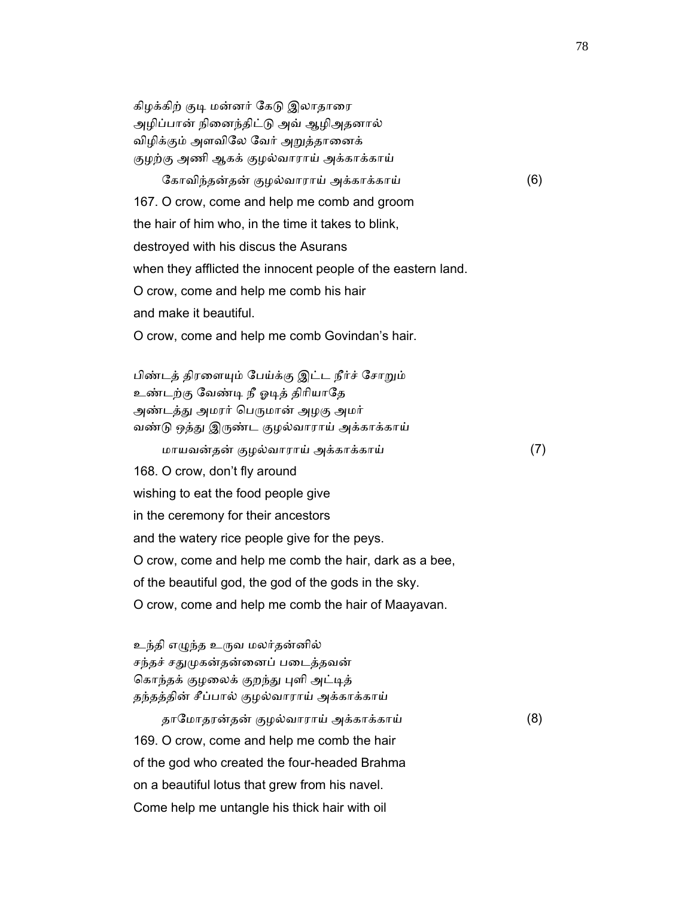கிழக்கிற் குடி மன்னர் கேடு இலாதாரை அழிப்பான் நிைனந்திட்ᾌ அவ் ஆழிஅதனால் விழிக்கும் அளவிேல ேவர் அᾠத்தாைனக் குழற்கு அணி ஆகக் குழல்வாராய் அக்காக்காய்

 ேகாவிந்தன்தன் குழல்வாராய் அக்காக்காய் (6) 167. O crow, come and help me comb and groom the hair of him who, in the time it takes to blink, destroyed with his discus the Asurans when they afflicted the innocent people of the eastern land. O crow, come and help me comb his hair and make it beautiful. O crow, come and help me comb Govindan's hair.

பிண்டத் திரளையும் பேய்க்கு இட்ட நீர்ச் சோறும் உண்டற்கு ேவண்ᾊ நீ ஓᾊத் திாியாேத அண்டத்து அமரர் பெருமான் அழகு அமர் வண்டு ஒத்து இருண்ட குழல்வாராய் அக்காக்காய் மாயவன்தன் குழல்வாராய் அக்காக்காய் (7) 168. O crow, don't fly around wishing to eat the food people give in the ceremony for their ancestors and the watery rice people give for the peys. O crow, come and help me comb the hair, dark as a bee, of the beautiful god, the god of the gods in the sky. O crow, come and help me comb the hair of Maayavan.

உந்தி எழுந்த உருவ மலர்தன்னில் சந்தச் சதுமுகன்தன்னைப் படைத்தவன் கொந்தக் குழலைக் குறந்து புளி அட்டித் தந்தத்தின் சீப்பால் குழல்வாராய் அக்காக்காய்

 தாேமாதரன்தன் குழல்வாராய் அக்காக்காய் (8) 169. O crow, come and help me comb the hair of the god who created the four-headed Brahma on a beautiful lotus that grew from his navel. Come help me untangle his thick hair with oil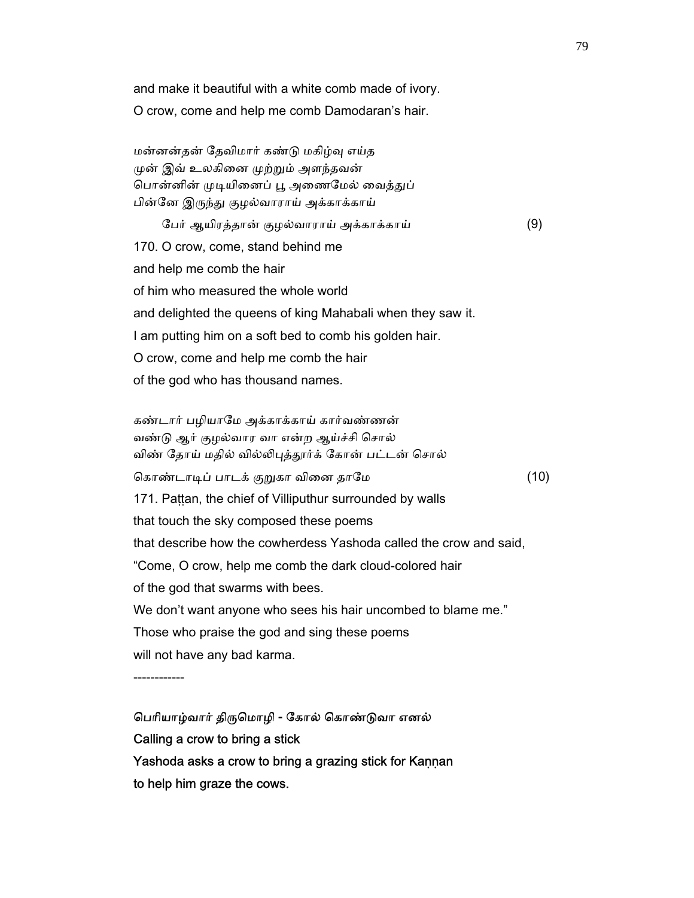and make it beautiful with a white comb made of ivory. O crow, come and help me comb Damodaran's hair.

 மன்னன்தன் ேதவிமார் கண்ᾌ மகிழ்ᾫ எய்த முன் இவ் உலகினை முற்றும் அளந்தவன் பொன்னின் முடியினைப் பூ அணைமேல் வைத்துப் பின்னே இருந்து குழல்வாராய் அக்காக்காய்

 ேபர் ஆயிரத்தான் குழல்வாராய் அக்காக்காய் (9) 170. O crow, come, stand behind me and help me comb the hair of him who measured the whole world and delighted the queens of king Mahabali when they saw it. I am putting him on a soft bed to comb his golden hair. O crow, come and help me comb the hair of the god who has thousand names.

 கண்டார் பழியாேம அக்காக்காய் கார்வண்ணன் வண்ᾌ ஆர் குழல்வார வா என்ற ஆய்ச்சி ெசால் விண் தோய் மதில் வில்லிபுத்தூர்க் கோன் பட்டன் சொல் கொண்டாடிப் பாடக் குறுகா வினை தாமே (10) 171. Pattan, the chief of Villiputhur surrounded by walls that touch the sky composed these poems that describe how the cowherdess Yashoda called the crow and said, "Come, O crow, help me comb the dark cloud-colored hair of the god that swarms with bees. We don't want anyone who sees his hair uncombed to blame me." Those who praise the god and sing these poems will not have any bad karma.

------------

 ெபாியாழ்வார் திᾞெமாழி - ேகால் ெகாண்ᾌவா எனல் Calling a crow to bring a stick Yashoda asks a crow to bring a grazing stick for Kaṇṇan to help him graze the cows.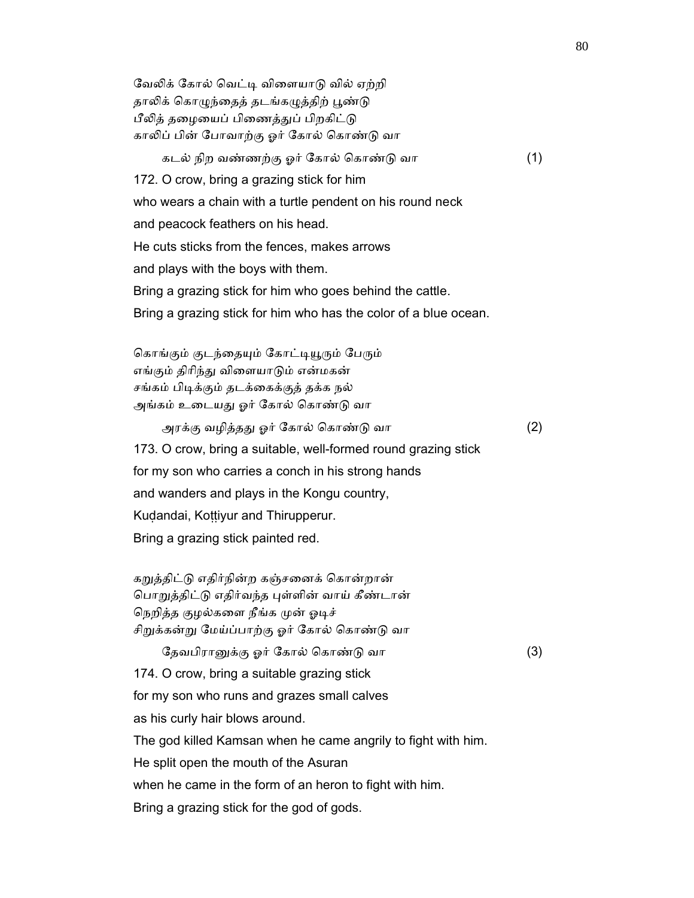வேலிக் கோல் வெட்டி விளையாடு வில் ஏற்றி தாலிக் கொழுந்தைத் தடங்கழுத்திற் பூண்டு பீலித் தழையைப் பிணைத்துப் பிறகிட்டு காலிப் பின் போவாற்கு ஓர் கோல் கொண்டு வா கடல் நிற வண்ணற்கு ஓர் ேகால் ெகாண்ᾌ வா (1) 172. O crow, bring a grazing stick for him who wears a chain with a turtle pendent on his round neck and peacock feathers on his head. He cuts sticks from the fences, makes arrows and plays with the boys with them. Bring a grazing stick for him who goes behind the cattle. Bring a grazing stick for him who has the color of a blue ocean. கொங்கும் குடந்தையும் கோட்டியூரும் பேரும் எங்கும் திாிந்ᾐ விைளயாᾌம் என்மகன் சங்கம் பிடிக்கும் தடக்கைக்குத் தக்க நல் அங்கம் உடையது ஓர் கோல் கொண்டு வா அரக்கு வழித்தᾐ ஓர் ேகால் ெகாண்ᾌ வா (2) 173. O crow, bring a suitable, well-formed round grazing stick for my son who carries a conch in his strong hands and wanders and plays in the Kongu country, Kuḍandai, Koṭṭiyur and Thirupperur. Bring a grazing stick painted red. கறுத்திட்டு எதிர்நின்ற கஞ்சனைக் கொன்றான் பொறுத்திட்டு எதிர்வந்த புள்ளின் வாய் கீண்டான் நெறித்த குழல்களை நீங்க முன் ஓடிச் சிறுக்கன்று மேய்ப்பாற்கு ஓர் கோல் கொண்டு வா தேவபிரானுக்கு ஓர் கோல் கொண்டு வா (3) 174. O crow, bring a suitable grazing stick for my son who runs and grazes small calves as his curly hair blows around. The god killed Kamsan when he came angrily to fight with him. He split open the mouth of the Asuran when he came in the form of an heron to fight with him. Bring a grazing stick for the god of gods.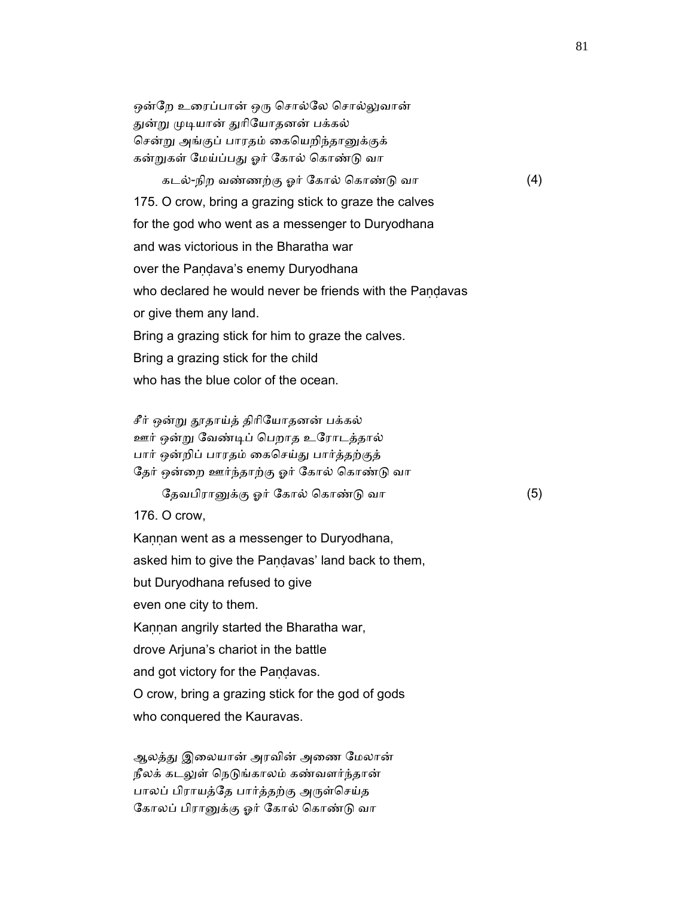ஒன்றே உரைப்பான் ஒரு சொல்லே சொல்லுவான் துன்று முடியான் துரியோதனன் பக்கல் சென்று அங்குப் பாரதம் கையெறிந்தானுக்குக் கன்றுகள் மேய்ப்பது ஓர் கோல் கொண்டு வா

 கடல்-நிற வண்ணற்கு ஓர் ேகால் ெகாண்ᾌ வா (4) 175. O crow, bring a grazing stick to graze the calves for the god who went as a messenger to Duryodhana and was victorious in the Bharatha war over the Pandava's enemy Duryodhana who declared he would never be friends with the Pandavas or give them any land. Bring a grazing stick for him to graze the calves. Bring a grazing stick for the child who has the blue color of the ocean.

சீர் ஒன்று தூதாய்த் திரியோதனன் பக்கல் ஊர் ஒன்று வேண்டிப் பெறாத உரோடத்தால் பார் ஒன்றிப் பாரதம் ைகெசய்ᾐ பார்த்தற்குத் தேர் ஒன்றை ஊர்ந்தாற்கு ஓர் கோல் கொண்டு வா

தேவபிரானுக்கு ஓர் கோல் கொண்டு வா (5)

176. O crow,

Kannan went as a messenger to Duryodhana, asked him to give the Paṇḍavas' land back to them, but Duryodhana refused to give even one city to them. Kaṇṇan angrily started the Bharatha war, drove Arjuna's chariot in the battle and got victory for the Pandavas. O crow, bring a grazing stick for the god of gods who conquered the Kauravas.

ஆலத்து இலையான் அரவின் அணை மேலான் நீலக் கடலுள் நெடுங்காலம் கண்வளர்ந்தான் பாலப் பிராயத்தே பார்த்தற்கு அருள்செய்த கோலப் பிரானுக்கு ஓர் கோல் கொண்டு வா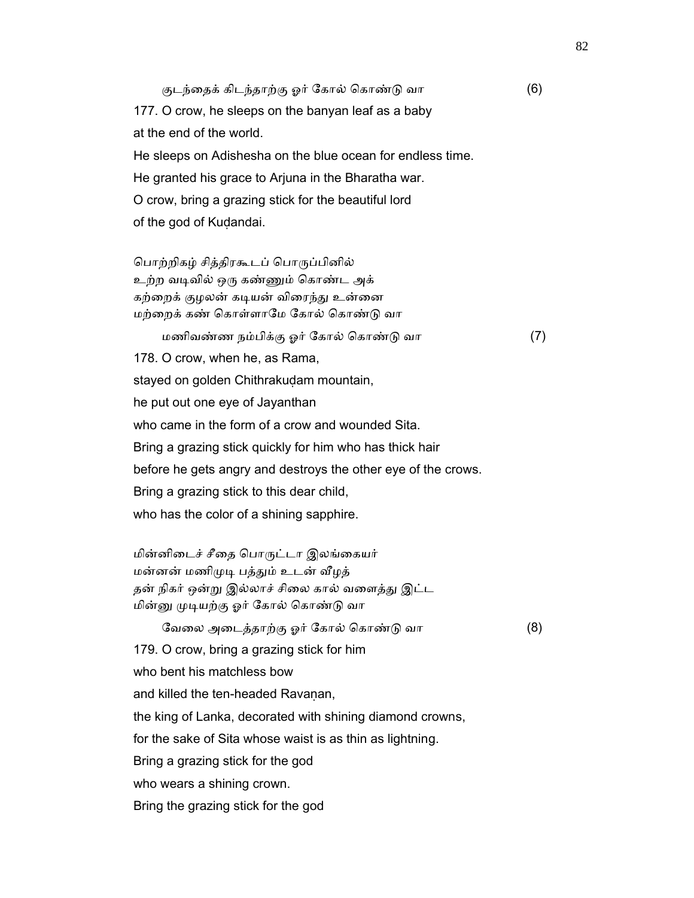குடந்தைக் கிடந்தாற்கு ஓர் கோல் கொண்டு வா (6) 177. O crow, he sleeps on the banyan leaf as a baby at the end of the world. He sleeps on Adishesha on the blue ocean for endless time. He granted his grace to Arjuna in the Bharatha war. O crow, bring a grazing stick for the beautiful lord of the god of Kuḍandai.

 ெபாற்றிகழ் சித்திரகூடப் ெபாᾞப்பினில் உற்ற வᾊவில் ஒᾞ கண்ᾎம் ெகாண்ட அக் கற்றைக் குழலன் கடியன் விரைந்து உன்னை மற்றைக் கண் கொள்ளாமே கோல் கொண்டு வா மணிவண்ண நம்பிக்கு ஓர் ேகால் ெகாண்ᾌ வா (7) 178. O crow, when he, as Rama, stayed on golden Chithrakudam mountain, he put out one eye of Jayanthan who came in the form of a crow and wounded Sita. Bring a grazing stick quickly for him who has thick hair before he gets angry and destroys the other eye of the crows. Bring a grazing stick to this dear child, who has the color of a shining sapphire.

மின்னிடைச் சீதை பொருட்டா இலங்கையர் மன்னன் மணிமுடி பத்தும் உடன் வீழத் தன் நிகர் ஒன்று இல்லாச் சிலை கால் வளைத்து இட்ட மின்னு முடியற்கு ஓர் கோல் கொண்டு வா

ேவைல அைடத்தாற்கு ஓர் ேகால் ெகாண்ᾌ வா (8)

179. O crow, bring a grazing stick for him

who bent his matchless bow

and killed the ten-headed Ravanan,

the king of Lanka, decorated with shining diamond crowns,

for the sake of Sita whose waist is as thin as lightning.

Bring a grazing stick for the god

who wears a shining crown.

Bring the grazing stick for the god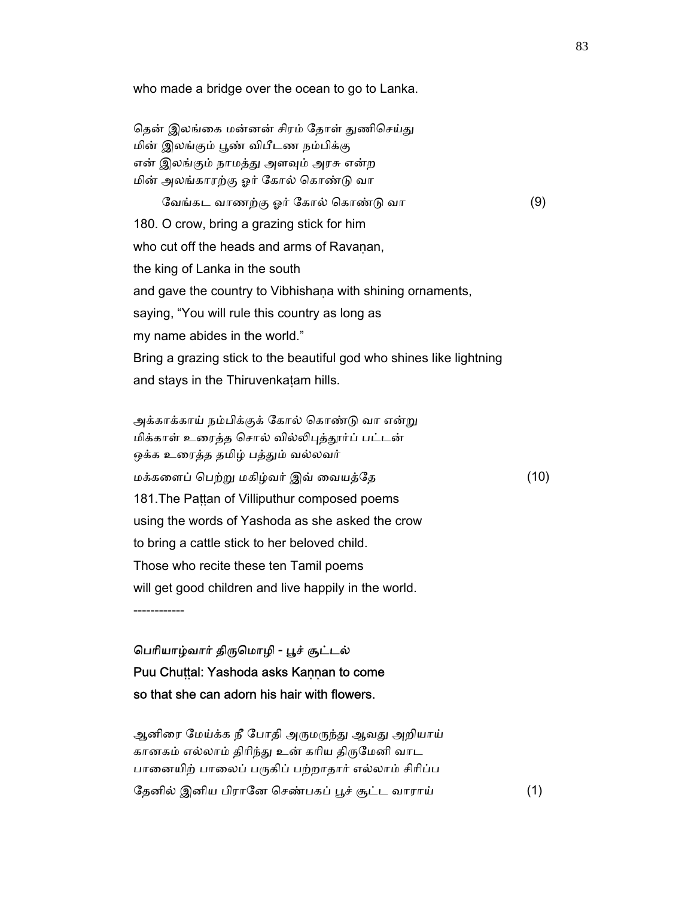தென் இலங்கை மன்னன் சிரம் தோள் துணிசெய்து மின் இலங்கும் ᾘண் விபீடண நம்பிக்கு என் இலங்கும் நாமத்து அளவும் அரசு என்ற மின் அலங்காரற்கு ஓர் ேகால் ெகாண்ᾌ வா ேவங்கட வாணற்கு ஓர் ேகால் ெகாண்ᾌ வா (9) 180. O crow, bring a grazing stick for him who cut off the heads and arms of Ravanan, the king of Lanka in the south and gave the country to Vibhishaṇa with shining ornaments, saying, "You will rule this country as long as my name abides in the world." Bring a grazing stick to the beautiful god who shines like lightning and stays in the Thiruvenkaṭam hills.

who made a bridge over the ocean to go to Lanka.

அக்காக்காய் நம்பிக்குக் கோல் கொண்டு வா என்று மிக்காள் உரைத்த சொல் வில்லிபுத்தூர்ப் பட்டன் ஒக்க உரைத்த தமிழ் பத்தும் வல்லவர் மக்கைளப் ெபற்ᾠ மகிழ்வர் இவ் ைவயத்ேத (10) 181. The Pattan of Villiputhur composed poems using the words of Yashoda as she asked the crow to bring a cattle stick to her beloved child. Those who recite these ten Tamil poems will get good children and live happily in the world.

------------

## பெரியாழ்வார் திருமொழி - பூச் சூட்டல் Puu Chuṭṭal: Yashoda asks Kaṇṇan to come so that she can adorn his hair with flowers.

ஆனிரை மேய்க்க நீ போதி அருமருந்து ஆவது அறியாய் கானகம் எல்லாம் திரிந்து உன் கரிய திருமேனி வாட பானையிற் பாலைப் பருகிப் பற்றாதார் எல்லாம் சிரிப்ப தேனில் இனிய பிரானே செண்பகப் பூச் சூட்ட வாராய் (1)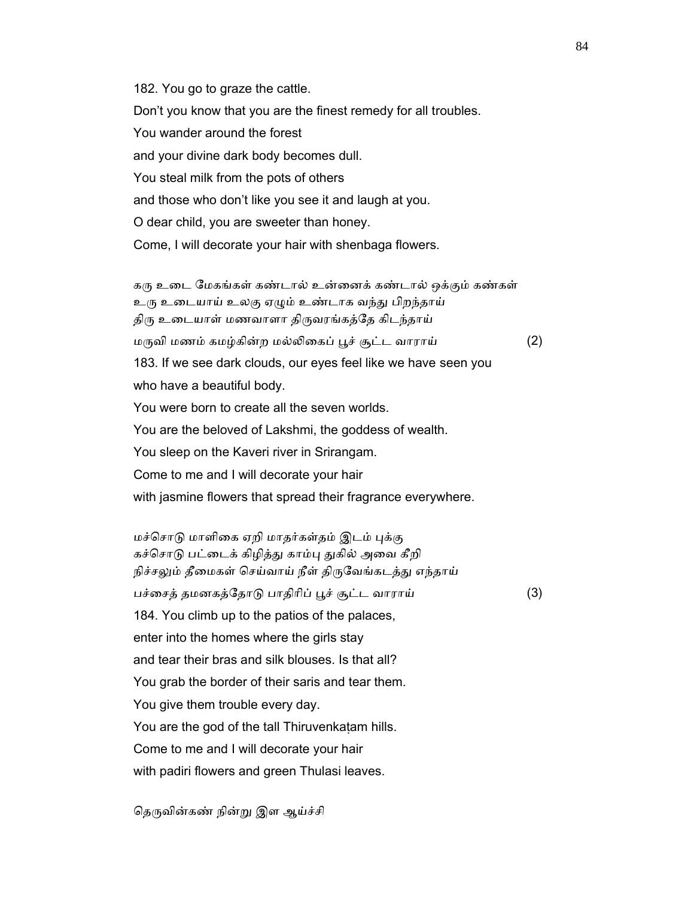182. You go to graze the cattle. Don't you know that you are the finest remedy for all troubles. You wander around the forest and your divine dark body becomes dull. You steal milk from the pots of others and those who don't like you see it and laugh at you. O dear child, you are sweeter than honey. Come, I will decorate your hair with shenbaga flowers.

கரு உடை மேகங்கள் கண்டால் உன்னைக் கண்டால் ஒக்கும் கண்கள் உரு உடையாய் உலகு ஏழும் உண்டாக வந்து பிறந்தாய் திரு உடையாள் மணவாளா திருவரங்கத்தே கிடந்தாய்  $\omega$ ருவி மணம் கமழ்கின்ற மல்லிகைப் பூச் சூட்ட வாராய்  $\qquad \qquad \textbf{(2)}$  183. If we see dark clouds, our eyes feel like we have seen you who have a beautiful body. You were born to create all the seven worlds. You are the beloved of Lakshmi, the goddess of wealth. You sleep on the Kaveri river in Srirangam. Come to me and I will decorate your hair with jasmine flowers that spread their fragrance everywhere.

மச்சொடு மாளிகை ஏறி மாதர்கள்தம் இடம் புக்கு கச்சொடு பட்டைக் கிழித்து காம்பு துகில் அவை கீறி நிச்சலும் தீமைகள் செய்வாய் நீள் திருவேங்கடத்து எந்தாய் பச்சைத் தமனகத்தோடு பாதிரிப் பூச் சூட்ட வாராய் (3) 184. You climb up to the patios of the palaces, enter into the homes where the girls stay and tear their bras and silk blouses. Is that all? You grab the border of their saris and tear them. You give them trouble every day. You are the god of the tall Thiruvenkaṭam hills. Come to me and I will decorate your hair with padiri flowers and green Thulasi leaves.

தெருவின்கண் நின்று இள ஆய்ச்சி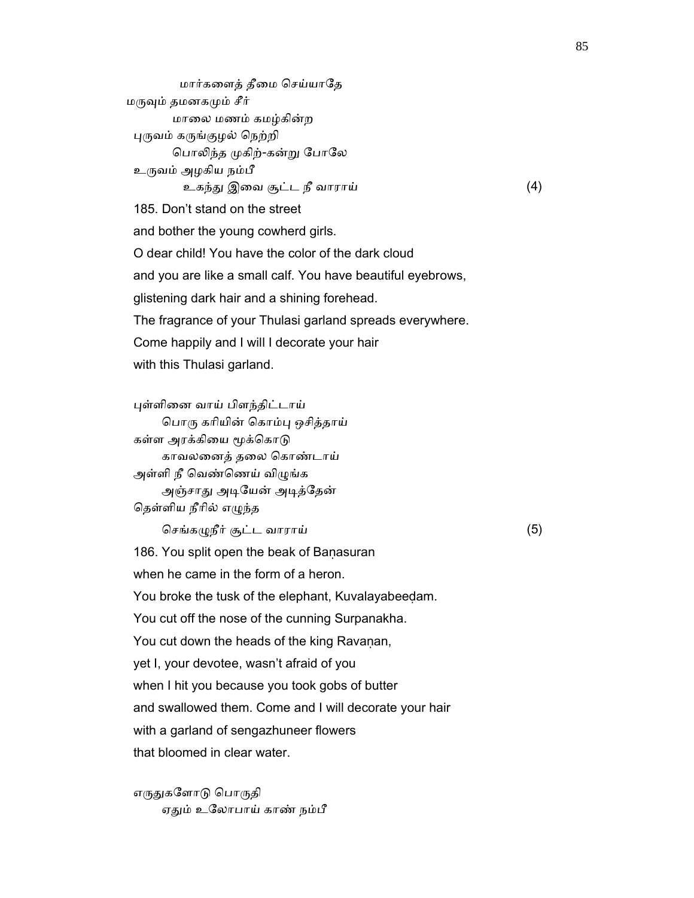மார்களைத் தீமை செய்யாதே மருவும் தமனகமும் சீர் மாைல மணம் கமழ்கின்ற ᾗᾞவம் கᾞங்குழல் ெநற்றி பொலிந்த முகிற்-கன்று போலே உருவம் அழகிய நம்பீ உகந்ᾐ இைவ சூட்ட நீ வாராய் (4) 185. Don't stand on the street and bother the young cowherd girls. O dear child! You have the color of the dark cloud and you are like a small calf. You have beautiful eyebrows, glistening dark hair and a shining forehead. The fragrance of your Thulasi garland spreads everywhere. Come happily and I will I decorate your hair with this Thulasi garland.

 ᾗள்ளிைன வாய் பிளந்திட்டாய் பொரு கரியின் கொம்பு ஒசித்தாய் கள்ள அரக்கியை மூக்கொடு காவலைனத் தைல ெகாண்டாய் அள்ளி நீ வெண்ணெய் விழுங்க அஞ்சாது அடியேன் அடித்தேன் தெள்ளிய நீரில் எழுந்த

செங்கழுநீர் சூட்ட வாராய்  $(5)$ 

186. You split open the beak of Baṇasuran

when he came in the form of a heron.

You broke the tusk of the elephant, Kuvalayabeeḍam.

You cut off the nose of the cunning Surpanakha.

You cut down the heads of the king Ravaṇan,

yet I, your devotee, wasn't afraid of you

when I hit you because you took gobs of butter

and swallowed them. Come and I will decorate your hair

with a garland of sengazhuneer flowers

that bloomed in clear water.

எருதுகளோடு பொருதி ஏதும் உலோபாய் காண் நம்பீ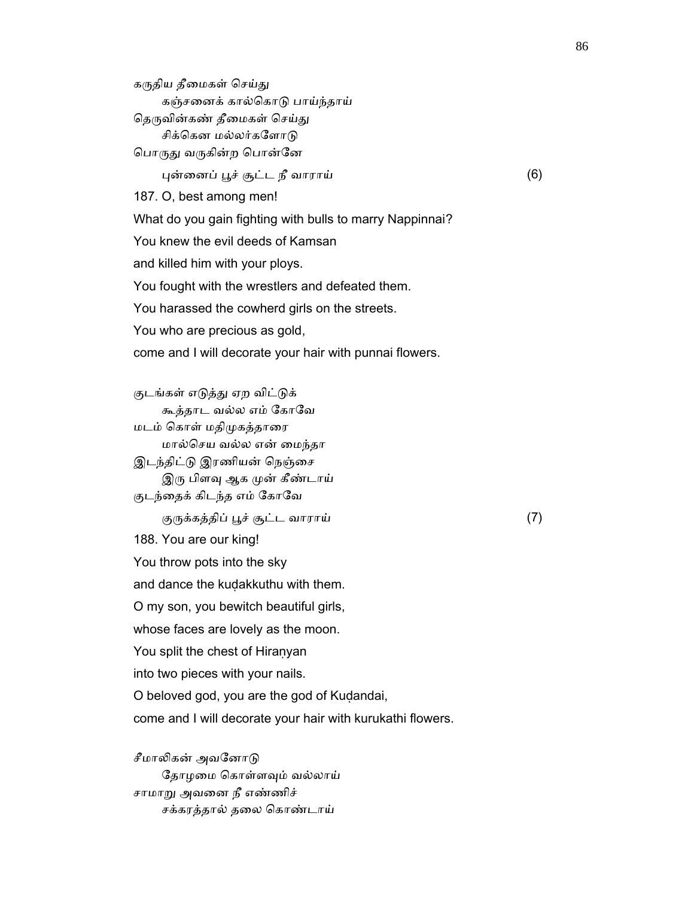கருதிய தீமைகள் செய்து கஞ்சைனக் கால்ெகாᾌ பாய்ந்தாய் தெருவின்கண் தீமைகள் செய்து சிக்கென மல்லர்களோடு பொருது வருகின்ற பொன்னே

 $\mu$ ன்னைப் பூச் சூட்ட நீ வாராய்  $(6)$ 

187. O, best among men!

What do you gain fighting with bulls to marry Nappinnai?

You knew the evil deeds of Kamsan

and killed him with your ploys.

You fought with the wrestlers and defeated them.

You harassed the cowherd girls on the streets.

You who are precious as gold,

come and I will decorate your hair with punnai flowers.

குடங்கள் எடுத்து ஏற விட்டுக் கூத்தாட வல்ல எம் ேகாேவ மடம் ெகாள் மதிᾙகத்தாைர மால்ெசய வல்ல என் ைமந்தா இடந்திட்டு இரணியன் நெஞ்சை இரு பிளவு ஆக முன் கீண்டாய் குடந்தைக் கிடந்த எம் கோவே குᾞக்கத்திப் ᾘச் சூட்ட வாராய் (7) 188. You are our king! You throw pots into the sky and dance the kuḍakkuthu with them. O my son, you bewitch beautiful girls, whose faces are lovely as the moon. You split the chest of Hiraṇyan into two pieces with your nails. O beloved god, you are the god of Kuḍandai, come and I will decorate your hair with kurukathi flowers.

சீமாலிகன் அவனோடு தோழமை கொள்ளவும் வல்லாய் சாமாᾠ அவைன நீ எண்ணிச் சக்கரத்தால் தைல ெகாண்டாய்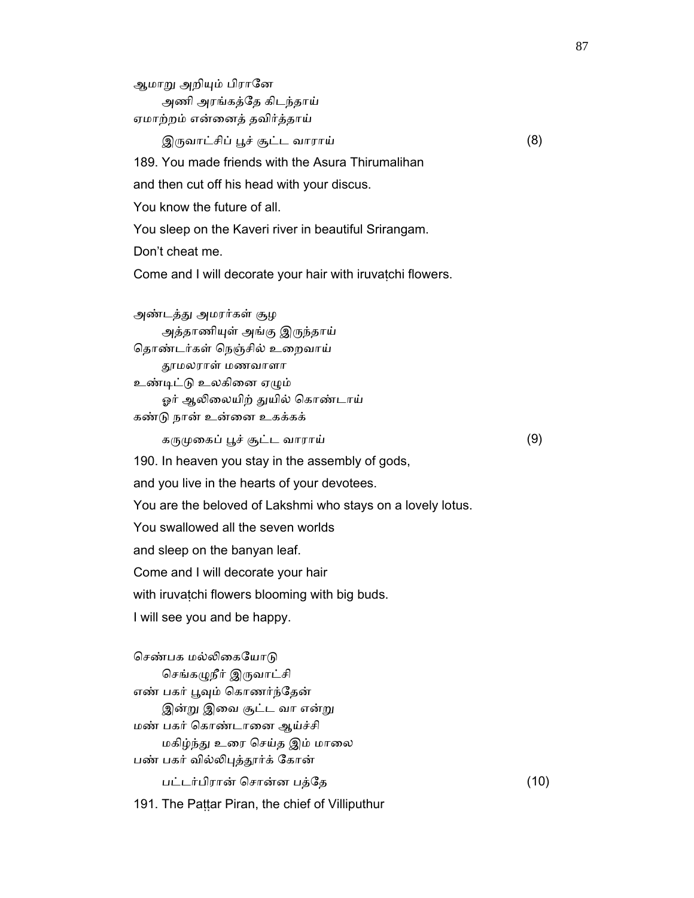ஆமாறு அறியும் பிரானே

 அணி அரங்கத்ேத கிடந்தாய் ஏமாற்றம் என்ைனத் தவிர்த்தாய்

 $\mathfrak{A}$ ருவாட்சிப் பூச் சூட்ட வாராய் (8)

189. You made friends with the Asura Thirumalihan

and then cut off his head with your discus.

You know the future of all.

You sleep on the Kaveri river in beautiful Srirangam.

Don't cheat me.

Come and I will decorate your hair with iruvatchi flowers.

 அண்டத்ᾐ அமரர்கள் சூழ அத்தாணியுள் அங்கு இருந்தாய் தொண்டர்கள் நெஞ்சில் உறைவாய் ᾑமலராள் மணவாளா உண்டிட்டு உலகினை ஏழும் ஓர் ஆலிலையிற் துயில் கொண்டாய் கண்ᾌ நான் உன்ைன உகக்கக் கருமுகைப் பூச் சூட்ட வாராய்  $(9)$  190. In heaven you stay in the assembly of gods, and you live in the hearts of your devotees. You are the beloved of Lakshmi who stays on a lovely lotus. You swallowed all the seven worlds and sleep on the banyan leaf. Come and I will decorate your hair with iruvatchi flowers blooming with big buds. I will see you and be happy.

செண்பக மல்லிகையோடு செங்கழுநீர் இருவாட்சி எண் பகர் பூவும் கொணர்ந்தேன் இன்று இவை சூட்ட வா என்று மண் பகர் ெகாண்டாைன ஆய்ச்சி மகிழ்ந்து உரை செய்த இம் மாலை பண் பகர் வில்லிபுத்தூர்க் கோன் பட்டர்பிரான் ெசான்ன பத்ேத (10)

191. The Pattar Piran, the chief of Villiputhur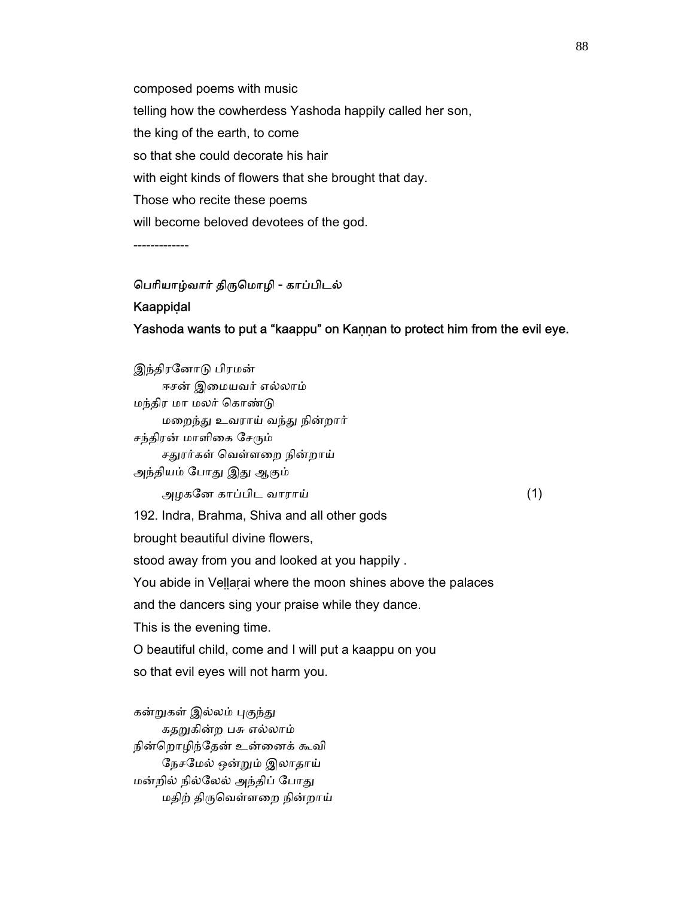composed poems with music telling how the cowherdess Yashoda happily called her son, the king of the earth, to come so that she could decorate his hair with eight kinds of flowers that she brought that day. Those who recite these poems will become beloved devotees of the god.

-------------

# ெபாியாழ்வார் திᾞெமாழி - காப்பிடல்

#### **Kaappidal**

#### Yashoda wants to put a "kaappu" on Kaṇṇan to protect him from the evil eye.

 இந்திரேனாᾌ பிரமன் ஈசன் இைமயவர் எல்லாம் மந்திர மா மலர் ெகாண்ᾌ மைறந்ᾐ உவராய் வந்ᾐ நின்றார் சந்திரன் மாளிகை சேரும் சதுரர்கள் வெள்ளறை நின்றாய் அந்தியம் போது இது ஆகும் அழகேன காப்பிட வாராய் (1) 192. Indra, Brahma, Shiva and all other gods brought beautiful divine flowers, stood away from you and looked at you happily . You abide in Vellarai where the moon shines above the palaces and the dancers sing your praise while they dance. This is the evening time. O beautiful child, come and I will put a kaappu on you so that evil eyes will not harm you.

கன்றுகள் இல்லம் புகுந்து கதறுகின்ற பசு எல்லாம் நின்ெறாழிந்ேதன் உன்ைனக் கூவி ேநசேமல் ஒன்ᾠம் இலாதாய் மன்றில் நில்லேல் அந்திப் போது மதிற் திᾞெவள்ளைற நின்றாய்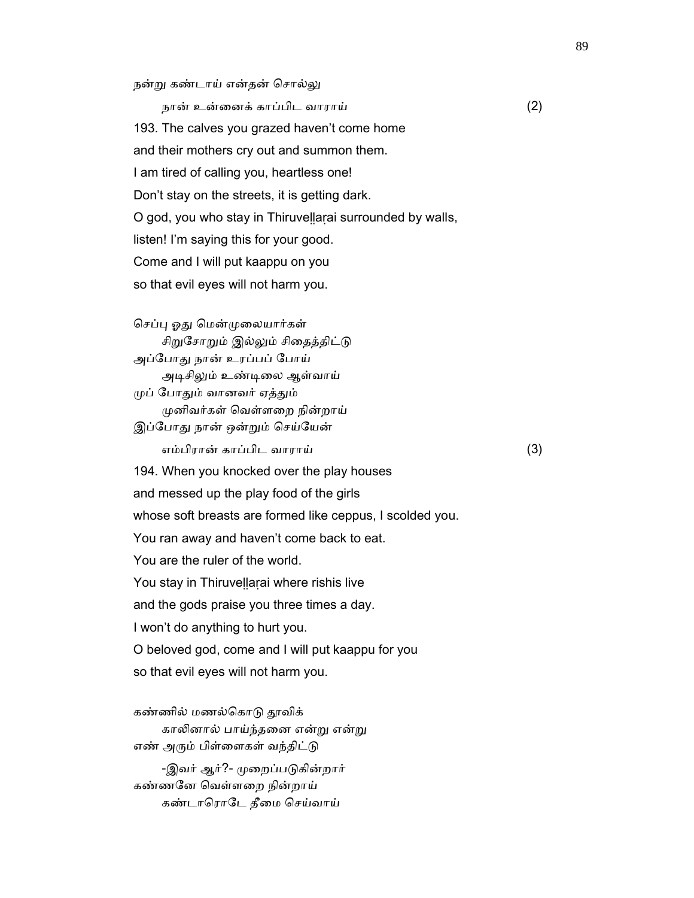நன்று கண்டாய் என்தன் சொல்லு

 நான் உன்ைனக் காப்பிட வாராய் (2) 193. The calves you grazed haven't come home and their mothers cry out and summon them. I am tired of calling you, heartless one! Don't stay on the streets, it is getting dark. O god, you who stay in Thiruveḷḷaṛai surrounded by walls, listen! I'm saying this for your good. Come and I will put kaappu on you so that evil eyes will not harm you.

செப்பு ஓது மென்முலையார்கள் சிறுசோறும் இல்லும் சிதைத்திட்டு அப்ேபாᾐ நான் உரப்பப் ேபாய் அடிசிலும் உண்டிலை ஆள்வாய் ᾙப் ேபாᾐம் வானவர் ஏத்ᾐம் ᾙனிவர்கள் ெவள்ளைற நின்றாய் இப்போது நான் ஒன்றும் செய்யேன் எம்பிரான் காப்பிட வாராய் (3) 194. When you knocked over the play houses and messed up the play food of the girls whose soft breasts are formed like ceppus, I scolded you. You ran away and haven't come back to eat. You are the ruler of the world. You stay in Thiruvellarai where rishis live and the gods praise you three times a day. I won't do anything to hurt you. O beloved god, come and I will put kaappu for you so that evil eyes will not harm you.

கண்ணில் மணல்கொடு தூவிக் காலினால் பாய்ந்தனை என்று என்று எண் அரும் பிள்ளைகள் வந்திட்டு

-இவர் ஆர்?- முறைப்படுகின்றார் கண்ணேன ெவள்ளைற நின்றாய் கண்டாரொடே தீமை செய்வாய்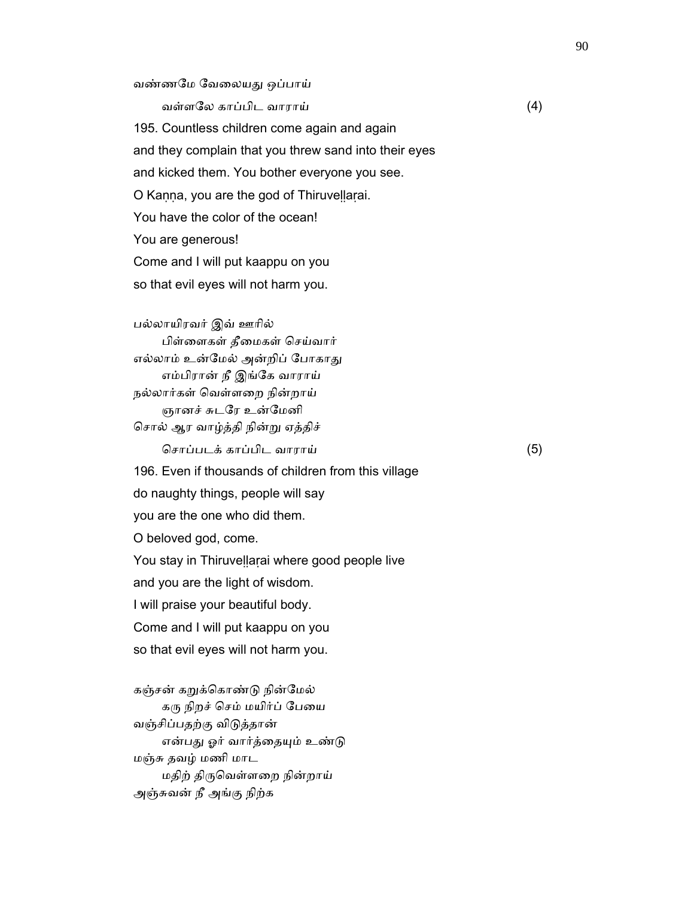வண்ணேம ேவைலயᾐ ஒப்பாய்

வள்ளேல காப்பிட வாராய் (4)

 195. Countless children come again and again and they complain that you threw sand into their eyes and kicked them. You bother everyone you see. O Kaṇṇa, you are the god of Thiruveḷḷaṛai. You have the color of the ocean! You are generous! Come and I will put kaappu on you so that evil eyes will not harm you.

 பல்லாயிரவர் இவ் ஊாில் பிள்ைளகள் தீைமகள் ெசய்வார் எல்லாம் உன்மேல் அன்றிப் போகாது எம்பிரான் நீ இங்ேக வாராய் நல்லார்கள் ெவள்ளைற நின்றாய் ஞானச் சுடேர உன்ேமனி ெசால் ஆர வாழ்த்தி நின்ᾠ ஏத்திச் ெசாப்படக் காப்பிட வாராய் (5) 196. Even if thousands of children from this village do naughty things, people will say you are the one who did them. O beloved god, come. You stay in Thiruvellarai where good people live and you are the light of wisdom. I will praise your beautiful body. Come and I will put kaappu on you so that evil eyes will not harm you.

கஞ்சன் கறுக்கொண்டு நின்மேல் கரு நிறச் செம் மயிர்ப் பேயை வஞ்சிப்பதற்கு விᾌத்தான் என்பது ஓர் வார்த்தையும் உண்டு மஞ்சு தவழ் மணி மாட மதிற் திᾞெவள்ளைற நின்றாய் அஞ்சுவன் நீ அங்கு நிற்க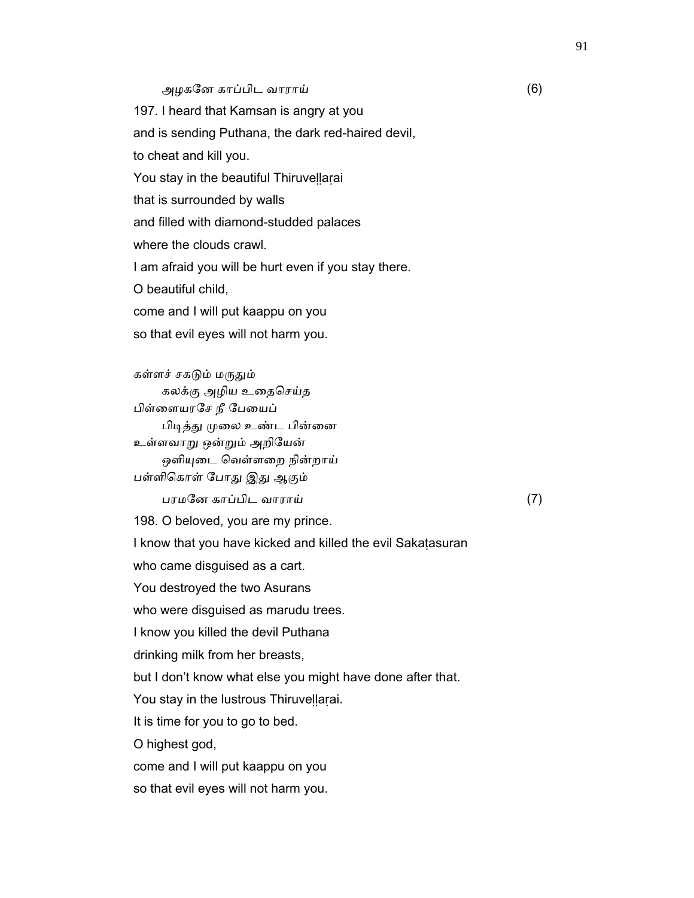#### அழகேன காப்பிட வாராய் (6)

 197. I heard that Kamsan is angry at you and is sending Puthana, the dark red-haired devil, to cheat and kill you. You stay in the beautiful Thiruvellarai that is surrounded by walls and filled with diamond-studded palaces where the clouds crawl. I am afraid you will be hurt even if you stay there. O beautiful child, come and I will put kaappu on you so that evil eyes will not harm you. கள்ளச் சகடும் மருதும் கலக்கு அழிய உதைசெய்த பிள்ைளயரேச நீ ேபையப் பிடித்து முலை உண்ட பின்னை உள்ளவாᾠ ஒன்ᾠம் அறிேயன் ஒளியுடை வெள்ளறை நின்றாய் பள்ளிகொள் போது இது ஆகும் பரமேன காப்பிட வாராய் (7) 198. O beloved, you are my prince. I know that you have kicked and killed the evil Sakaṭasuran who came disguised as a cart. You destroyed the two Asurans who were disguised as marudu trees. I know you killed the devil Puthana drinking milk from her breasts, but I don't know what else you might have done after that. You stay in the lustrous Thiruvellarai. It is time for you to go to bed. O highest god,

come and I will put kaappu on you

so that evil eyes will not harm you.

91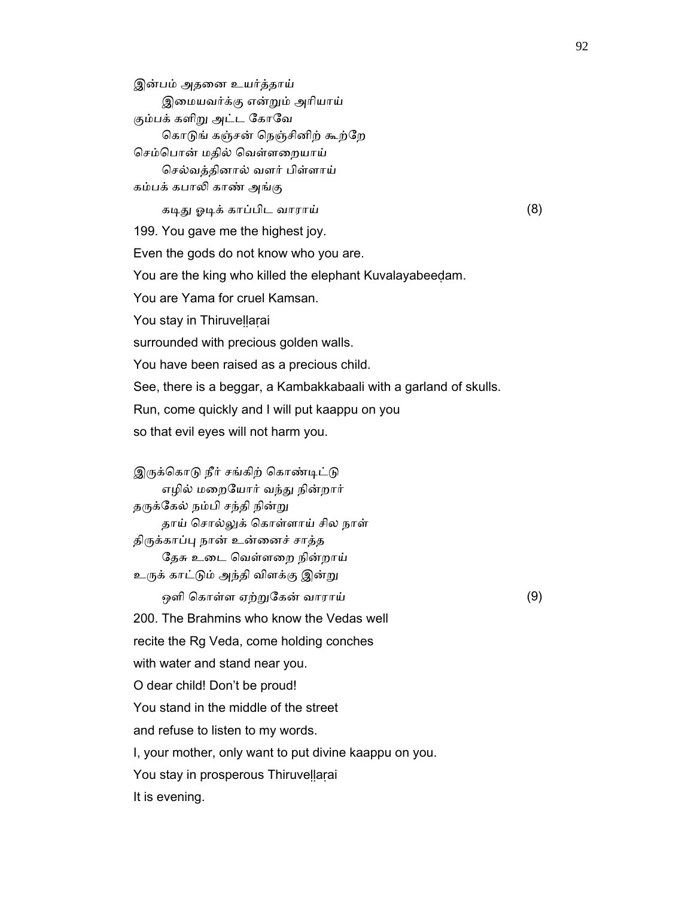இன்பம் அதைன உயர்த்தாய் இைமயவர்க்கு என்ᾠம் அாியாய் கும்பக் களிறு அட்ட கோவே கொடுங் கஞ்சன் நெஞ்சினிற் கூற்றே செம்பொன் மதில் வெள்ளறையாய் ெசல்வத்தினால் வளர் பிள்ளாய் கம்பக் கபாᾢ காண் அங்கு கᾊᾐ ஓᾊக் காப்பிட வாராய் (8) 199. You gave me the highest joy. Even the gods do not know who you are. You are the king who killed the elephant Kuvalayabeeḍam. You are Yama for cruel Kamsan. You stay in Thiruvellarai surrounded with precious golden walls. You have been raised as a precious child. See, there is a beggar, a Kambakkabaali with a garland of skulls. Run, come quickly and I will put kaappu on you so that evil eyes will not harm you.

இருக்கொடு நீர் சங்கிற் கொண்டிட்டு எழில் மைறேயார் வந்ᾐ நின்றார் தருக்கேல் நம்பி சந்தி நின்று தாய் சொல்லுக் கொள்ளாய் சில நாள் திருக்காப்பு நான் உன்னைச் சாத்த ேதசு உைட ெவள்ளைற நின்றாய் உருக் காட்டும் அந்தி விளக்கு இன்று ஒளி ெகாள்ள ஏற்ᾠேகன் வாராய் (9)

 200. The Brahmins who know the Vedas well recite the Rg Veda, come holding conches with water and stand near you. O dear child! Don't be proud! You stand in the middle of the street and refuse to listen to my words. I, your mother, only want to put divine kaappu on you.

You stay in prosperous Thiruvellarai

It is evening.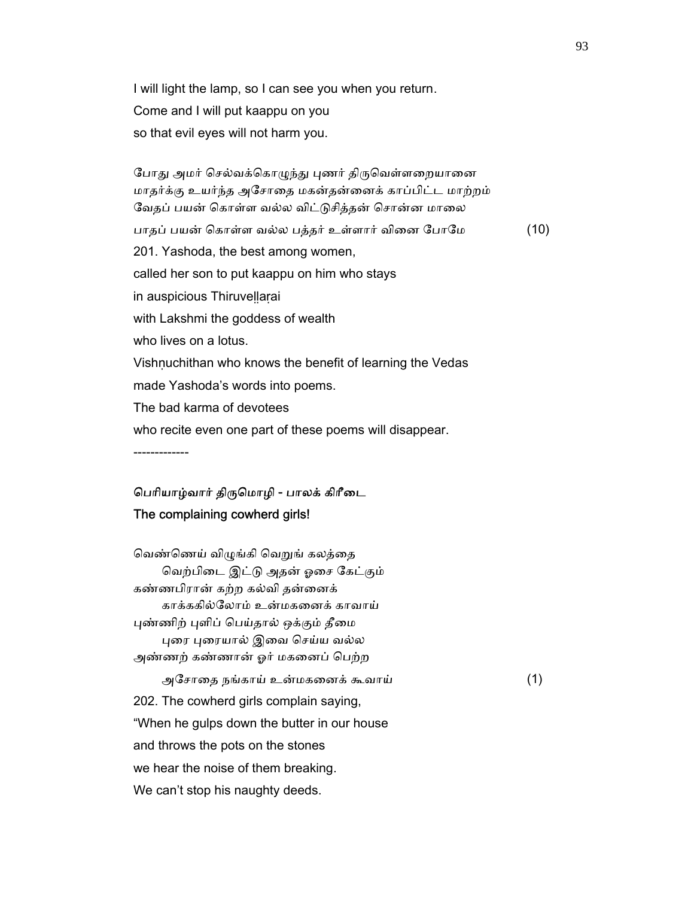I will light the lamp, so I can see you when you return. Come and I will put kaappu on you so that evil eyes will not harm you.

போது அமர் செல்வக்கொழுந்து புணர் திருவெள்ளறையானை மாதர்க்கு உயர்ந்த அேசாைத மகன்தன்ைனக் காப்பிட்ட மாற்றம் வேதப் பயன் கொள்ள வல்ல விட்டுசித்தன் சொன்ன மாலை பாதப் பயன் ெகாள்ள வல்ல பத்தர் உள்ளார் விைன ேபாேம (10) 201. Yashoda, the best among women, called her son to put kaappu on him who stays in auspicious Thiruveḷḷaṛai with Lakshmi the goddess of wealth who lives on a lotus. Vishṇuchithan who knows the benefit of learning the Vedas made Yashoda's words into poems. The bad karma of devotees who recite even one part of these poems will disappear. -------------

## ெபாியாழ்வார் திᾞெமாழி - பாலக் கிாீைட The complaining cowherd girls!

வெண்ணெய் விழுங்கி வெறுங் கலத்தை ெவற்பிைட இட்ᾌ அதன் ஓைச ேகட்கும் கண்ணபிரான் கற்ற கல்வி தன்ைனக் காக்ககில்ேலாம் உன்மகைனக் காவாய் புண்ணிற் புளிப் பெய்தால் ஒக்கும் தீமை புரை புரையால் இவை செய்ய வல்ல அண்ணற் கண்ணான் ஓர் மகைனப் ெபற்ற அேசாைத நங்காய் உன்மகைனக் கூவாய் (1) 202. The cowherd girls complain saying, "When he gulps down the butter in our house and throws the pots on the stones we hear the noise of them breaking. We can't stop his naughty deeds.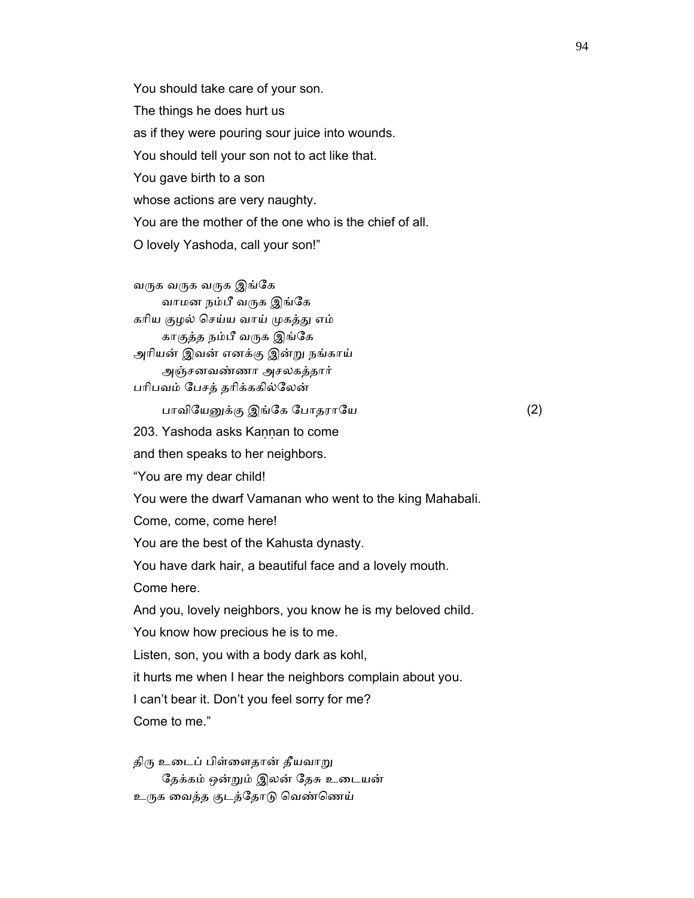You should take care of your son. The things he does hurt us as if they were pouring sour juice into wounds. You should tell your son not to act like that. You gave birth to a son whose actions are very naughty. You are the mother of the one who is the chief of all. O lovely Yashoda, call your son!"

வருக வருக இங்கே வாமன நம்பீ வருக இங்கே கரிய குழல் செய்ய வாய் முகத்து எம் காகுத்த நம்பீ வᾞக இங்ேக அாியன் இவன் எனக்கு இன்ᾠ நங்காய் அஞ்சனவண்ணா அசலகத்தார் பாிபவம் ேபசத் தாிக்ககில்ேலன்

பாவிேயᾔக்கு இங்ேக ேபாதராேய (2)

203. Yashoda asks Kannan to come

and then speaks to her neighbors.

"You are my dear child!

You were the dwarf Vamanan who went to the king Mahabali.

Come, come, come here!

You are the best of the Kahusta dynasty.

You have dark hair, a beautiful face and a lovely mouth.

Come here.

And you, lovely neighbors, you know he is my beloved child.

You know how precious he is to me.

Listen, son, you with a body dark as kohl,

it hurts me when I hear the neighbors complain about you.

I can't bear it. Don't you feel sorry for me?

Come to me."

திரு உடைப் பிள்ளைதான் தீயவாறு ேதக்கம் ஒன்ᾠம் இலன் ேதசு உைடயன் உருக வைத்த குடத்தோடு வெண்ணெய்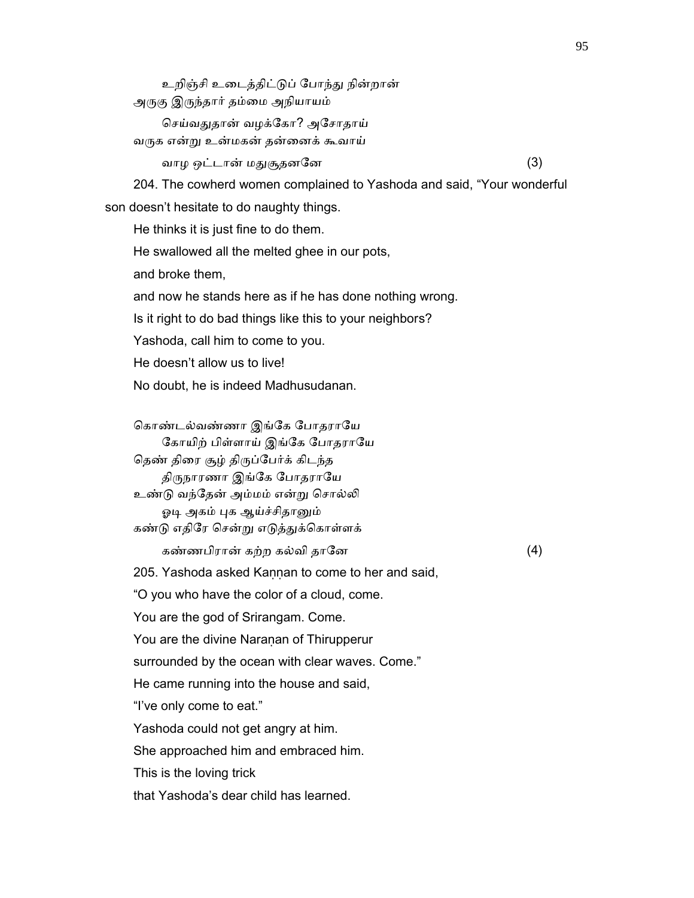உறிஞ்சி உைடத்திட்ᾌப் ேபாந்ᾐ நின்றான் அᾞகு இᾞந்தார் தம்ைம அநியாயம் செய்வதுதான் வழக்கோ? அசோதாய் வᾞக என்ᾠ உன்மகன் தன்ைனக் கூவாய் வாழ ஒட்டான் மᾐசூதனேன (3) 204. The cowherd women complained to Yashoda and said, "Your wonderful son doesn't hesitate to do naughty things. He thinks it is just fine to do them. He swallowed all the melted ghee in our pots, and broke them, and now he stands here as if he has done nothing wrong. Is it right to do bad things like this to your neighbors? Yashoda, call him to come to you. He doesn't allow us to live! No doubt, he is indeed Madhusudanan. கொண்டல்வண்ணா இங்கே போதராயே கோயிற் பிள்ளாய் இங்கே போதராயே தெண் திரை சூழ் திருப்பேர்க் கிடந்த திருநாரணா இங்கே போதராயே உண்டு வந்தேன் அம்மம் என்று சொல்லி ஓடி அகம் புக ஆய்ச்சிதானும் கண்டு எதிரே சென்று எடுத்துக்கொள்ளக் கண்ணபிரான் கற்ற கல்வி தாேன (4) 205. Yashoda asked Kannan to come to her and said, "O you who have the color of a cloud, come. You are the god of Srirangam. Come. You are the divine Naraṇan of Thirupperur surrounded by the ocean with clear waves. Come." He came running into the house and said, "I've only come to eat." Yashoda could not get angry at him. She approached him and embraced him. This is the loving trick that Yashoda's dear child has learned.

95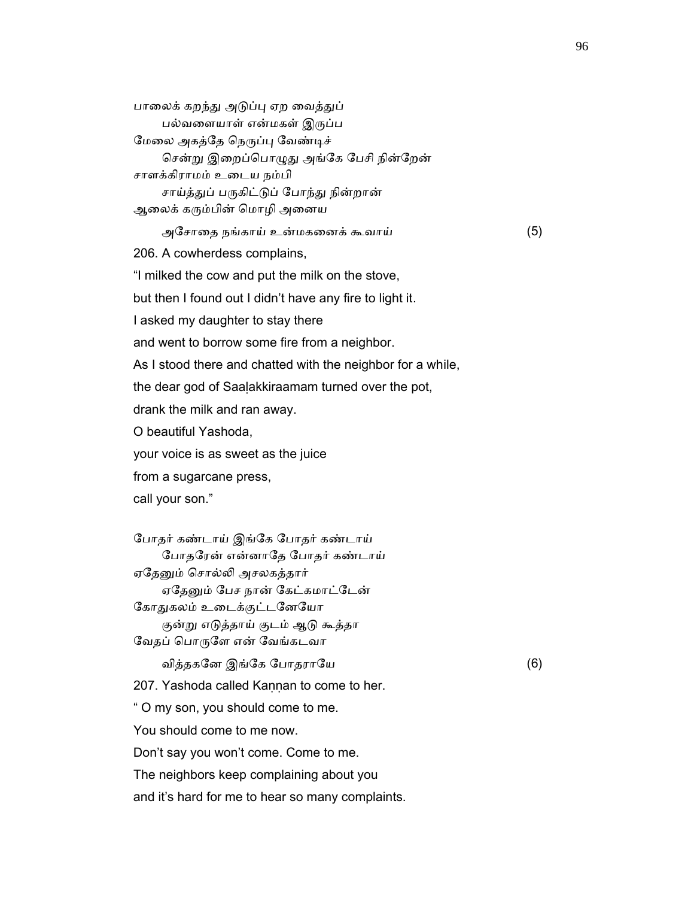பாலைக் கறந்து அடுப்பு ஏற வைத்துப் பல்வைளயாள் என்மகள் இᾞப்ப மேலை அகத்தே நெருப்பு வேண்டிச் சென்று இறைப்பொழுது அங்கே பேசி நின்றேன் சாளக்கிராமம் உைடய நம்பி சாய்த்துப் பருகிட்டுப் போந்து நின்றான் ஆலைக் கரும்பின் மொழி அனைய அேசாைத நங்காய் உன்மகைனக் கூவாய் (5) 206. A cowherdess complains, "I milked the cow and put the milk on the stove, but then I found out I didn't have any fire to light it. I asked my daughter to stay there and went to borrow some fire from a neighbor. As I stood there and chatted with the neighbor for a while, the dear god of Saaḷakkiraamam turned over the pot, drank the milk and ran away. O beautiful Yashoda, your voice is as sweet as the juice from a sugarcane press, call your son." ேபாதர் கண்டாய் இங்ேக ேபாதர் கண்டாய் ேபாதேரன் என்னாேத ேபாதர் கண்டாய் ஏதேனும் சொல்லி அசலகத்தார் ஏதேனும் பேச நான் கேட்கமாட்டேன் கோதுகலம் உடைக்குட்டனேயோ குன்ᾠ எᾌத்தாய் குடம் ஆᾌ கூத்தா வேதப் பொருளே என் வேங்கடவா வித்தகேன இங்ேக ேபாதராேய (6) 207. Yashoda called Kannan to come to her. " O my son, you should come to me. You should come to me now. Don't say you won't come. Come to me. The neighbors keep complaining about you and it's hard for me to hear so many complaints.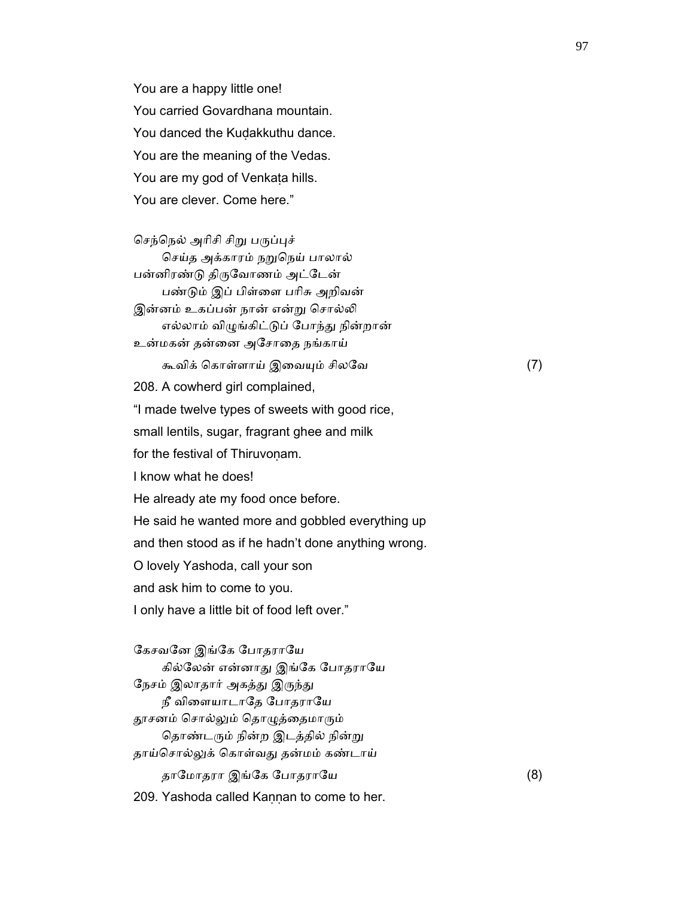You are a happy little one! You carried Govardhana mountain. You danced the Kuḍakkuthu dance. You are the meaning of the Vedas. You are my god of Venkata hills. You are clever. Come here."

செந்நெல் அரிசி சிறு பருப்புச் செய்த அக்காரம் நறுநெய் பாலால் பன்னிரண்டு திருவோணம் அட்டேன் பண்ᾌம் இப் பிள்ைள பாிசு அறிவன் இன்னம் உகப்பன் நான் என்று சொல்லி எல்லாம் விᾨங்கிட்ᾌப் ேபாந்ᾐ நின்றான் உன்மகன் தன்ைன அேசாைத நங்காய் கூவிக் ெகாள்ளாய் இைவᾜம் சிலேவ (7) 208. A cowherd girl complained, "I made twelve types of sweets with good rice, small lentils, sugar, fragrant ghee and milk for the festival of Thiruvonam. I know what he does! He already ate my food once before. He said he wanted more and gobbled everything up and then stood as if he hadn't done anything wrong. O lovely Yashoda, call your son and ask him to come to you. I only have a little bit of food left over."

கேசவனே இங்கே போதராயே கில்லேன் என்னாது இங்கே போதராயே நேசம் இலாதார் அகத்து இருந்து நீ விளையாடாதே போதராயே தூசனம் சொல்லும் தொழுத்தைமாரும் தொண்டரும் நின்ற இடத்தில் நின்று தாய்சொல்லுக் கொள்வது தன்மம் கண்டாய் தாேமாதரா இங்ேக ேபாதராேய (8) 209. Yashoda called Kaṇṇan to come to her.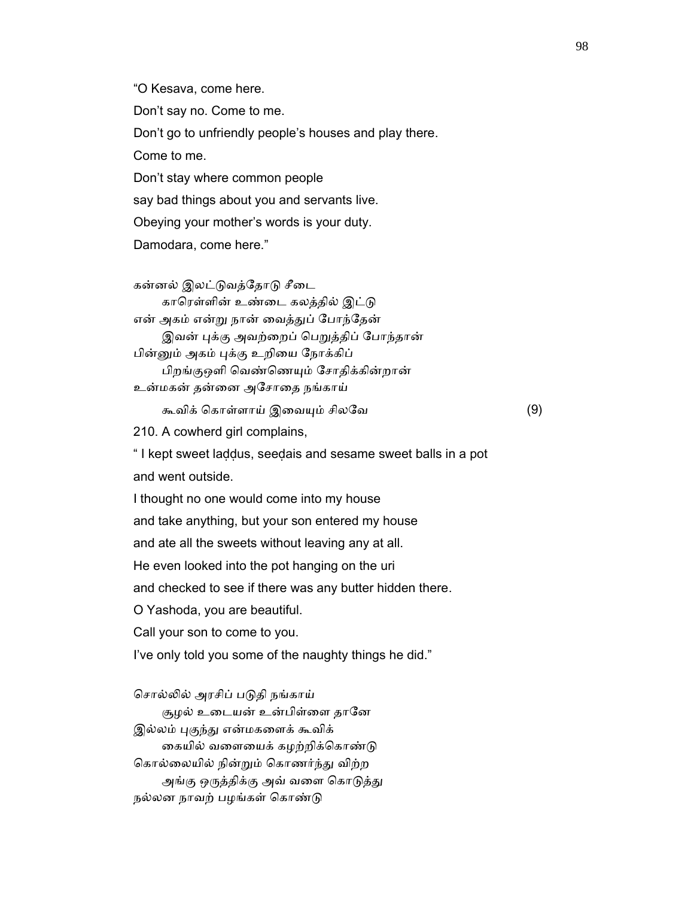"O Kesava, come here. Don't say no. Come to me. Don't go to unfriendly people's houses and play there. Come to me. Don't stay where common people say bad things about you and servants live. Obeying your mother's words is your duty. Damodara, come here."

கன்னல் இலட்டுவத்தோடு சீடை காரெள்ளின் உண்டை கலத்தில் இட்டு என் அகம் என்ᾠ நான் ைவத்ᾐப் ேபாந்ேதன் இவன் புக்கு அவற்றைப் பெறுத்திப் போந்தான் பின்னும் அகம் புக்கு உறியை ந<mark>ோ</mark>க்கிப் பிறங்குஒளி ெவண்ெணᾜம் ேசாதிக்கின்றான் உன்மகன் தன்ைன அேசாைத நங்காய்

கூவிக் கொள்ளாய் இவையும் சிலவே (9)

210. A cowherd girl complains,

 " I kept sweet laḍḍus, seeḍais and sesame sweet balls in a pot and went outside.

 I thought no one would come into my house and take anything, but your son entered my house and ate all the sweets without leaving any at all. He even looked into the pot hanging on the uri and checked to see if there was any butter hidden there. O Yashoda, you are beautiful. Call your son to come to you. I've only told you some of the naughty things he did."

சொல்லில் அரசிப் படுதி நங்காய் சூழல் உடையன் உன்பிள்ளை தானே இல்லம் புகுந்து என்மகளைக் கூவிக் கையில் வளையைக் கழற்றிக்கொண்டு ெகால்ைலயில் நின்ᾠம் ெகாணர்ந்ᾐ விற்ற அங்கு ஒருத்திக்கு அவ் வளை கொடுத்து நல்லன நாவற் பழங்கள் கொண்டு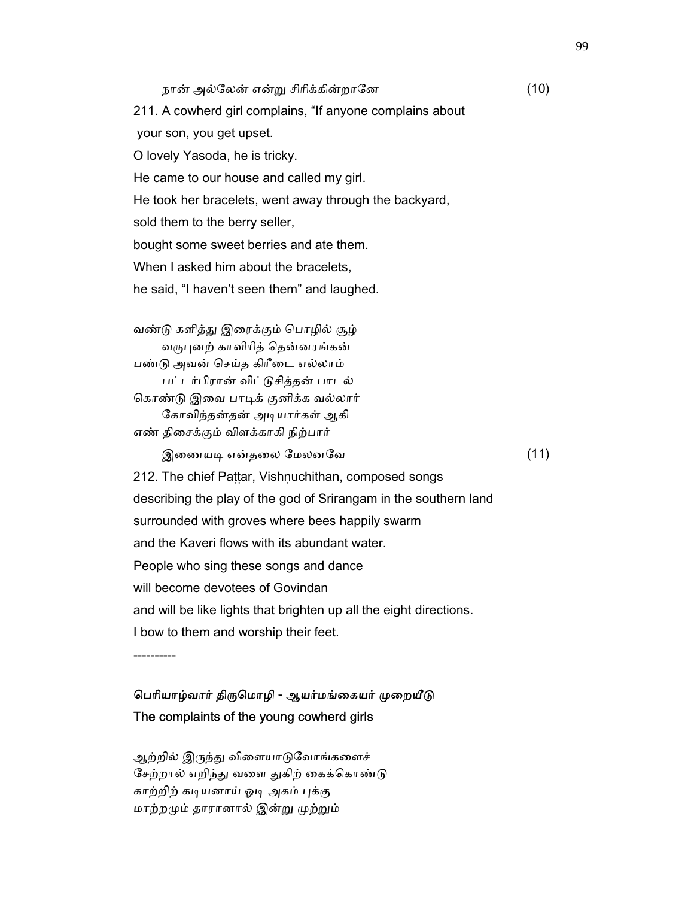நான் அல்ேலன் என்ᾠ சிாிக்கின்றாேன (10) 211. A cowherd girl complains, "If anyone complains about your son, you get upset. O lovely Yasoda, he is tricky. He came to our house and called my girl. He took her bracelets, went away through the backyard, sold them to the berry seller, bought some sweet berries and ate them. When I asked him about the bracelets. he said, "I haven't seen them" and laughed. வண்ᾌ களித்ᾐ இைரக்கும் ெபாழில் சூழ் வருபுனற் காவிரித் தென்னரங்கன் பண்ᾌ அவன் ெசய்த கிாீைட எல்லாம் பட்டர்பிரான் விட்ᾌசித்தன் பாடல் கொண்டு இவை பாடிக் குனிக்க வல்லார் கோவிந்தன்தன் அடியார்கள் ஆகி எண் திைசக்கும் விளக்காகி நிற்பார் இைணயᾊ என்தைல ேமலனேவ (11) 212. The chief Pattar, Vishnuchithan, composed songs describing the play of the god of Srirangam in the southern land surrounded with groves where bees happily swarm and the Kaveri flows with its abundant water. People who sing these songs and dance will become devotees of Govindan and will be like lights that brighten up all the eight directions. I bow to them and worship their feet.

----------

## பெரியாழ்வார் திருமொழி - ஆயர்மங்கையர் முறையீடு The complaints of the young cowherd girls

ஆற்றில் இருந்து விளையாடுவோங்களைச் சேற்றால் எறிந்து வளை துகிற் கைக்கொண்டு காற்றிற் கடியனாய் ஓடி அகம் புக்கு மாற்றᾙம் தாரானால் இன்ᾠ ᾙற்ᾠம்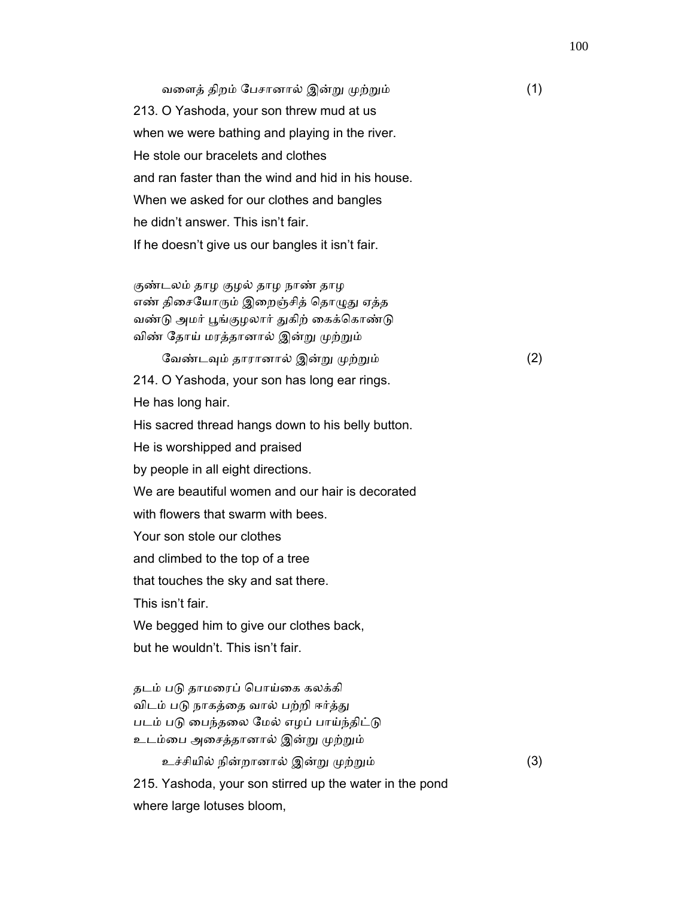வளைத் திறம் பேசானால் இன்று முற்றும் (1) 213. O Yashoda, your son threw mud at us when we were bathing and playing in the river. He stole our bracelets and clothes and ran faster than the wind and hid in his house. When we asked for our clothes and bangles he didn't answer. This isn't fair. If he doesn't give us our bangles it isn't fair.

 குண்டலம் தாழ குழல் தாழ நாண் தாழ எண் திசையோரும் இறைஞ்சித் தொழுது ஏத்த வண்டு அமர் பூங்குழலார் துகிற் கைக்கொண்டு விண் தோய் மரத்தானால் இன்று முற்றும்

 ேவண்டᾫம் தாரானால் இன்ᾠ ᾙற்ᾠம் (2) 214. O Yashoda, your son has long ear rings. He has long hair. His sacred thread hangs down to his belly button. He is worshipped and praised by people in all eight directions. We are beautiful women and our hair is decorated with flowers that swarm with bees. Your son stole our clothes and climbed to the top of a tree that touches the sky and sat there. This isn't fair. We begged him to give our clothes back, but he wouldn't. This isn't fair. தடம் படு தாமரைப் பொய்கை கலக்கி

விடம் படு நாகத்தை வால் பற்றி ஈர்த்து படம் படு பைந்தலை மேல் எழப் பாய்ந்திட்டு உடம்பை அசைத்தானால் இன்று முற்றும்

 உச்சியில் நின்றானால் இன்ᾠ ᾙற்ᾠம் (3) 215. Yashoda, your son stirred up the water in the pond where large lotuses bloom,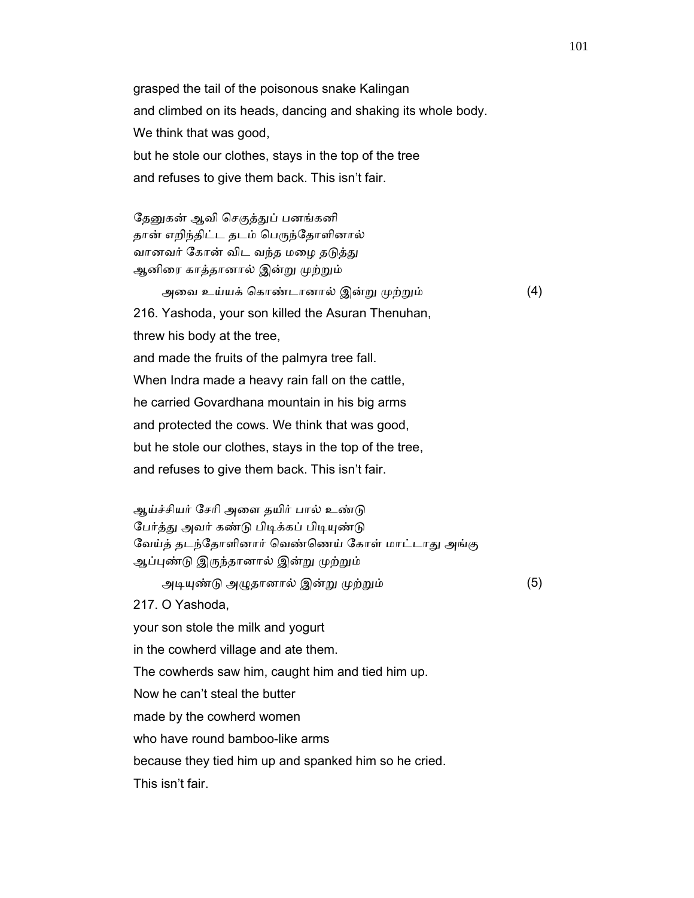grasped the tail of the poisonous snake Kalingan and climbed on its heads, dancing and shaking its whole body. We think that was good, but he stole our clothes, stays in the top of the tree and refuses to give them back. This isn't fair.

தேனுகன் ஆவி செகுத்துப் பனங்கனி தான் எறிந்திட்ட தடம் பெருந்தோளினால் வானவர் கோன் விட வந்த மழை தடுத்து ஆனிரை காத்தானால் இன்று முற்றும்

 அைவ உய்யக் ெகாண்டானால் இன்ᾠ ᾙற்ᾠம் (4) 216. Yashoda, your son killed the Asuran Thenuhan, threw his body at the tree, and made the fruits of the palmyra tree fall. When Indra made a heavy rain fall on the cattle, he carried Govardhana mountain in his big arms and protected the cows. We think that was good, but he stole our clothes, stays in the top of the tree, and refuses to give them back. This isn't fair.

ஆய்ச்சியர் சேரி அளை தயிர் பால் உண்டு பேர்த்து அவர் கண்டு பிடிக்கப் பிடியுண்டு வேய்த் தடந்தோளினார் வெண்ணெய் கோள் மாட்டாது அங்கு ஆப்புண்டு இருந்தானால் இன்று முற்றும்

அடியுண்டு அழுதானால் இன்று முற்றும் (5)

217. O Yashoda,

your son stole the milk and yogurt

in the cowherd village and ate them.

The cowherds saw him, caught him and tied him up.

Now he can't steal the butter

made by the cowherd women

who have round bamboo-like arms

because they tied him up and spanked him so he cried.

This isn't fair.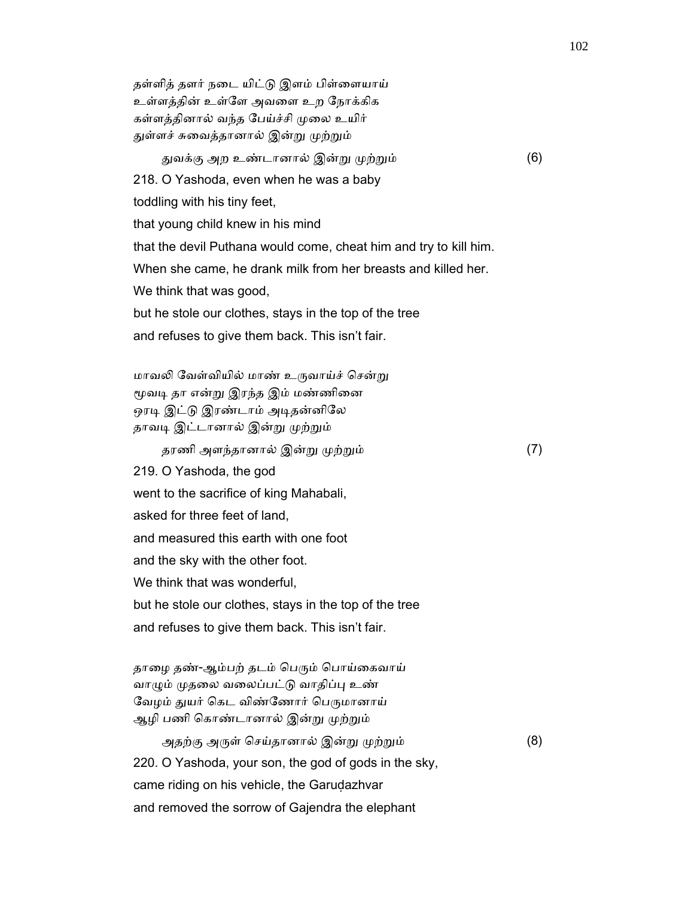தள்ளித் தளர் நைட யிட்ᾌ இளம் பிள்ைளயாய் உள்ளத்தின் உள்ேள அவைள உற ேநாக்கிக கள்ளத்தினால் வந்த பேய்ச்சி முலை உயிர் துள்ளச் சுவைத்தானால் இன்று முற்றும்

துவக்கு அற உண்டானால் இன்று முற்றும் (6)

218. O Yashoda, even when he was a baby

toddling with his tiny feet,

that young child knew in his mind

that the devil Puthana would come, cheat him and try to kill him.

When she came, he drank milk from her breasts and killed her.

We think that was good,

but he stole our clothes, stays in the top of the tree

and refuses to give them back. This isn't fair.

மாவலி வேள்வியில் மாண் உருவாய்ச் சென்று மூவடி தா என்று இரந்த இம் மண்ணினை ஒரடி இட்டு இரண்டாம் அடிதன்னிலே தாவடி இட்டானால் இன்று முற்றும்

தரணி அளந்தானால் இன்ᾠ ᾙற்ᾠம் (7)

219. O Yashoda, the god

went to the sacrifice of king Mahabali,

asked for three feet of land,

and measured this earth with one foot

and the sky with the other foot.

We think that was wonderful.

but he stole our clothes, stays in the top of the tree

and refuses to give them back. This isn't fair.

தாழை தண்-ஆம்பற் தடம் பெரும் பொய்கைவாய் வாழும் முதலை வலைப்பட்டு வாதிப்பு உண் வேழம் துயர் கெட விண்ணோர் பெருமானாய் ஆழி பணி கொண்டானால் இன்று முற்றும்

அதற்கு அருள் செய்தானால் இன்று முற்றும் (8) 220. O Yashoda, your son, the god of gods in the sky, came riding on his vehicle, the Garudazhvar and removed the sorrow of Gajendra the elephant

102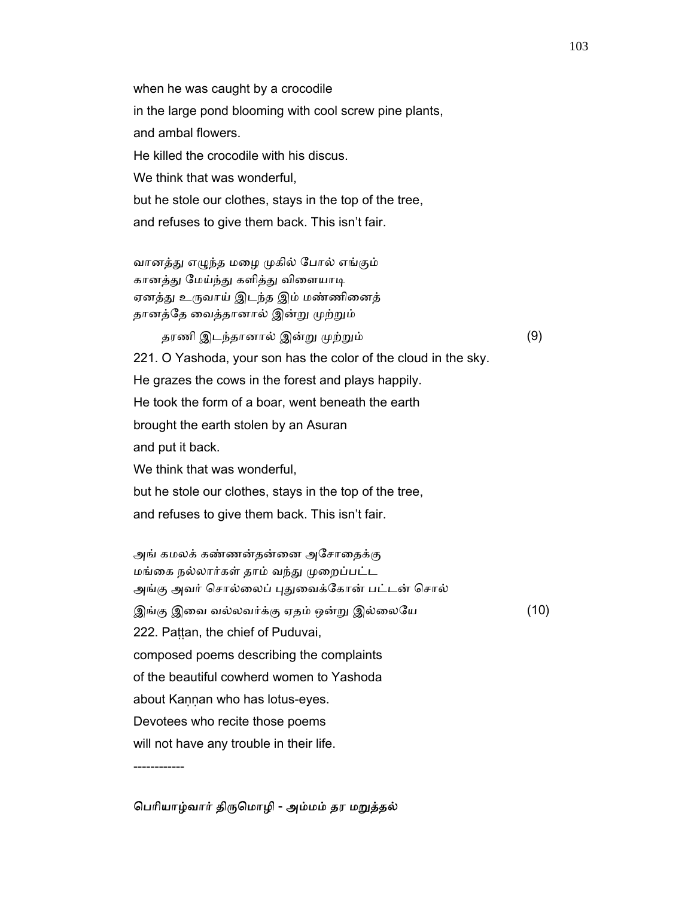when he was caught by a crocodile in the large pond blooming with cool screw pine plants, and ambal flowers. He killed the crocodile with his discus. We think that was wonderful. but he stole our clothes, stays in the top of the tree, and refuses to give them back. This isn't fair.

வானத்து எழுந்த மழை முகில் போல் எங்கும் கானத்து மேய்ந்து களித்து விளையாடி ஏனத்து உருவாய் இடந்த இம் மண்ணினைத் தானத்தே வைத்தானால் இன்று முற்றும்

தரணி இடந்தானால் இன்று முற்றும் (9) 221. O Yashoda, your son has the color of the cloud in the sky. He grazes the cows in the forest and plays happily. He took the form of a boar, went beneath the earth brought the earth stolen by an Asuran and put it back. We think that was wonderful, but he stole our clothes, stays in the top of the tree, and refuses to give them back. This isn't fair.

அங் கமலக் கண்ணன்தன்னை அசோதைக்கு மங்கை நல்லார்கள் தாம் வந்து முறைப்பட்ட அங்கு அவர் சொல்லைப் புதுவைக்கோன் பட்டன் சொல் இங்கு இவை வல்லவர்க்கு ஏதம் ஒன்று இல்லையே (10) 222. Paṭṭan, the chief of Puduvai, composed poems describing the complaints of the beautiful cowherd women to Yashoda about Kannan who has lotus-eyes. Devotees who recite those poems will not have any trouble in their life. ------------

#### பெரியாழ்வார் திருமொழி - அம்மம் தர மறுத்தல்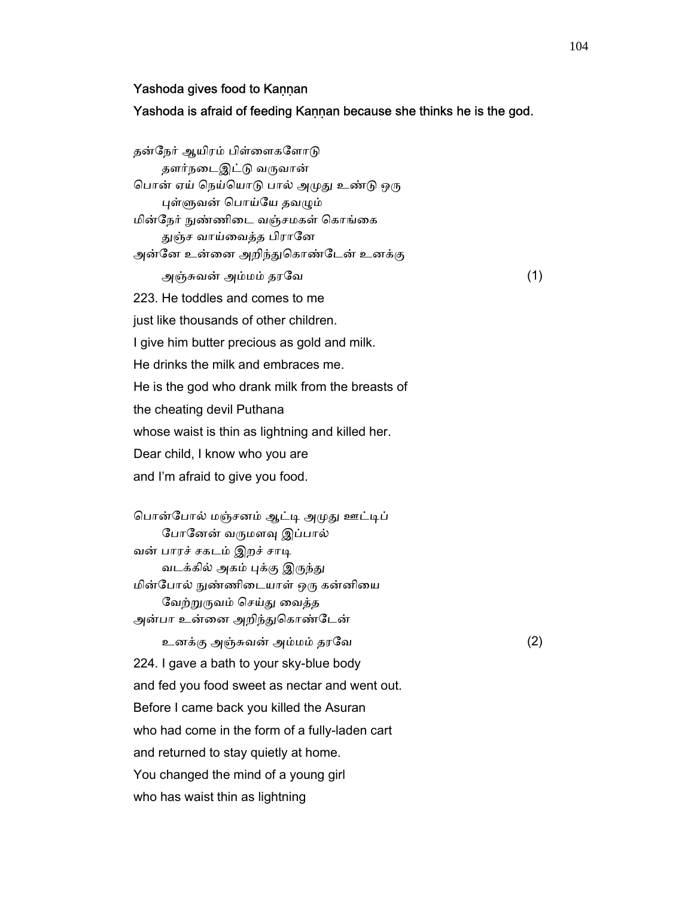#### Yashoda gives food to Kannan

Yashoda is afraid of feeding Kaṇṇan because she thinks he is the god.

தன்நேர் ஆயிரம் பிள்ளைகளோடு தளர்நடைஇட்டு வருவான் பொன் ஏய் நெய்யொடு பால் அமுது உண்டு ஒரு புள்ளுவன் பொய்யே தவழும் மின்நேர் நுண்ணிடை வஞ்சமகள் கொங்கை துஞ்ச வாய்வைத்த பிரானே அன்னே உன்னை அறிந்துகொண்டேன் உனக்கு அஞ்சுவன் அம்மம் தரேவ (1) 223. He toddles and comes to me just like thousands of other children. I give him butter precious as gold and milk. He drinks the milk and embraces me. He is the god who drank milk from the breasts of the cheating devil Puthana whose waist is thin as lightning and killed her. Dear child, I know who you are and I'm afraid to give you food.

பொன்போல் மஞ்சனம் ஆட்டி அமுது ஊட்டிப் போனேன் வருமளவு இப்பால் வன் பாரச் சகடம் இறச் சாடி வடக்கில் அகம் புக்கு இருந்து மின்போல் நுண்ணிடையாள் ஒரு கன்னியை வேற்றுருவம் செய்து வைத்த அன்பா உன்னை அறிந்துகொண்டேன்

 உனக்கு அஞ்சுவன் அம்மம் தரேவ (2) 224. I gave a bath to your sky-blue body and fed you food sweet as nectar and went out. Before I came back you killed the Asuran who had come in the form of a fully-laden cart and returned to stay quietly at home. You changed the mind of a young girl who has waist thin as lightning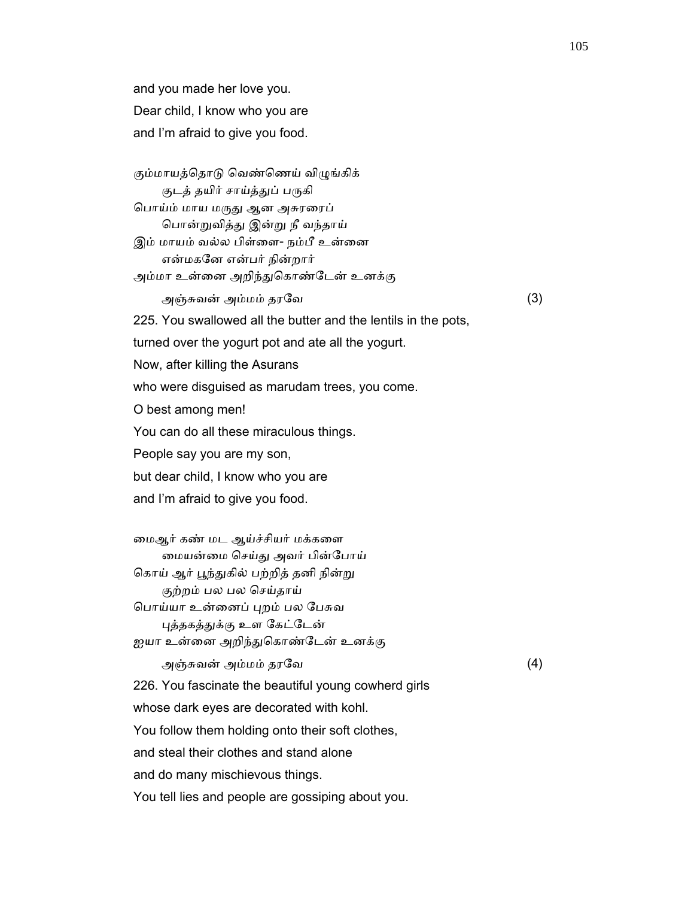and you made her love you. Dear child, I know who you are and I'm afraid to give you food.

கும்மாயத்தொடு வெண்ணெய் விழுங்கிக்

குடத் தயிர் சாய்த்துப் பருகி

பொய்ம் மாய மருது ஆன அசுரரைப் ெபான்ᾠவித்ᾐ இன்ᾠ நீ வந்தாய் இம் மாயம் வல்ல பிள்ளை- நம்பீ உன்னை

 என்மகேன என்பர் நின்றார் அம்மா உன்னை அறிந்துகொண்டேன் உனக்கு

அஞ்சுவன் அம்மம் தரேவ (3)

225. You swallowed all the butter and the lentils in the pots,

turned over the yogurt pot and ate all the yogurt.

Now, after killing the Asurans

who were disguised as marudam trees, you come.

O best among men!

You can do all these miraculous things.

People say you are my son,

but dear child, I know who you are

and I'm afraid to give you food.

 ைமஆர் கண் மட ஆய்ச்சியர் மக்கைள ைமயன்ைம ெசய்ᾐ அவர் பின்ேபாய் கொய் ஆர் பூந்துகில் பற்றித் தனி நின்று குற்றம் பல பல ெசய்தாய் ெபாய்யா உன்ைனப் ᾗறம் பல ேபசுவ

புத்தகத்துக்கு உள கேட்டேன் ஐயா உன்னை அறிந்துகொண்டேன் உனக்கு

அஞ்சுவன் அம்மம் தரேவ (4)

226. You fascinate the beautiful young cowherd girls

whose dark eyes are decorated with kohl.

You follow them holding onto their soft clothes,

and steal their clothes and stand alone

and do many mischievous things.

You tell lies and people are gossiping about you.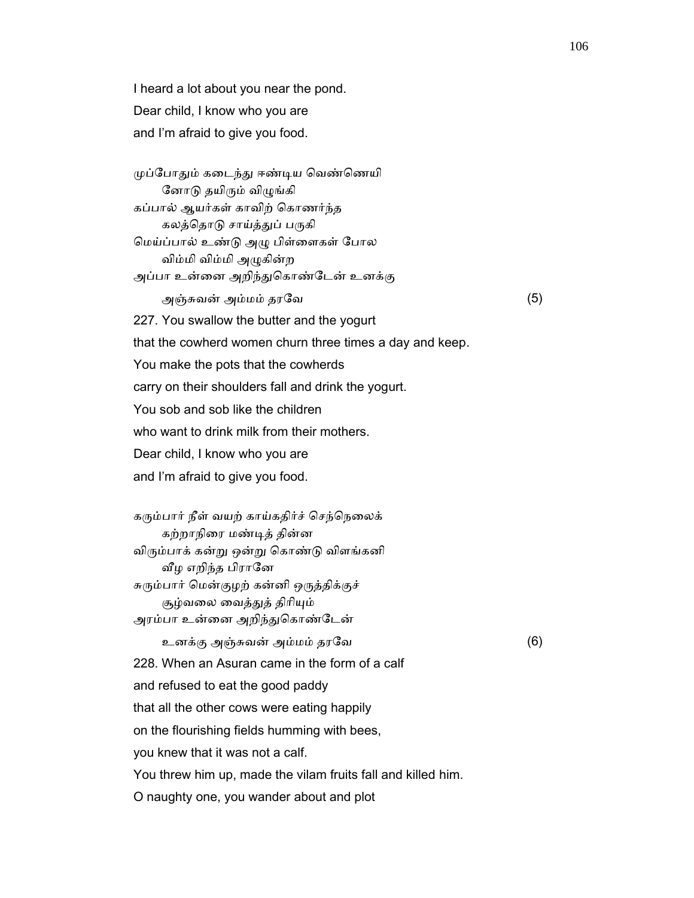I heard a lot about you near the pond. Dear child, I know who you are and I'm afraid to give you food.

முப்போதும் கடைந்து ஈண்டிய வெண்ணெயி னோடு தயிரும் விழுங்கி கப்பால் ஆயர்கள் காவிற் ெகாணர்ந்த கலத்தொடு சாய்த்துப் பருகி ெமய்ப்பால் உண்ᾌ அᾨ பிள்ைளகள் ேபால விம்மி விம்மி அᾨகின்ற அப்பா உன்னை அறிந்துகொண்டேன் உனக்கு

அஞ்சுவன் அம்மம் தரேவ (5)

227. You swallow the butter and the yogurt

that the cowherd women churn three times a day and keep.

You make the pots that the cowherds

carry on their shoulders fall and drink the yogurt.

You sob and sob like the children

who want to drink milk from their mothers.

Dear child, I know who you are

and I'm afraid to give you food.

கரும்பார் நீள் வயற் காய்கதிர்ச் செந்நெலைக் கற்றாநிைர மண்ᾊத் தின்ன விᾞம்பாக் கன்ᾠ ஒன்ᾠ ெகாண்ᾌ விளங்கனி வீழ எறிந்த பிரானே சுரும்பார் மென்குழற் கன்னி ஒருத்திக்குச் சூழ்வலை வைத்துத் திரியும் அரம்பா உன்னை அறிந்துகொண்டேன்

உனக்கு அஞ்சுவன் அம்மம் தரேவ (6)

228. When an Asuran came in the form of a calf

and refused to eat the good paddy

that all the other cows were eating happily

on the flourishing fields humming with bees,

you knew that it was not a calf.

You threw him up, made the vilam fruits fall and killed him.

O naughty one, you wander about and plot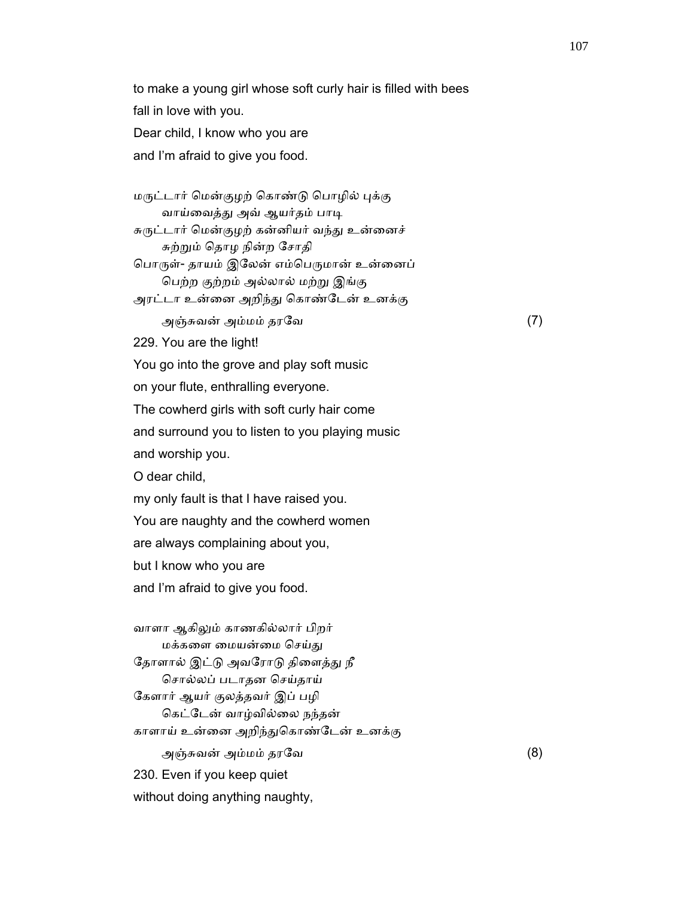to make a young girl whose soft curly hair is filled with bees fall in love with you.

 Dear child, I know who you are and I'm afraid to give you food.

 மᾞட்டார் ெமன்குழற் ெகாண்ᾌ ெபாழில் ᾗக்கு வாய்வைத்து அவ் ஆயர்தம் பாடி சுருட்டார் மென்குழற் கன்னியர் வந்து உன்னைச் சுற்ᾠம் ெதாழ நின்ற ேசாதி பொருள்- தாயம் இலேன் எம்பெருமான் உன்னைப் ெபற்ற குற்றம் அல்லால் மற்ᾠ இங்கு அரட்டா உன்னை அறிந்து கொண்டேன் உனக்கு அஞ்சுவன் அம்மம் தரேவ (7) 229. You are the light! You go into the grove and play soft music on your flute, enthralling everyone. The cowherd girls with soft curly hair come and surround you to listen to you playing music and worship you. O dear child, my only fault is that I have raised you. You are naughty and the cowherd women are always complaining about you, but I know who you are and I'm afraid to give you food.

 வாளா ஆகிᾤம் காணகில்லார் பிறர் மக்களை மையன்மை செய்து தோளால் இட்டு அவரோடு திளைத்து நீ ெசால்லப் படாதன ெசய்தாய் ேகளார் ஆயர் குலத்தவர் இப் பழி ெகட்ேடன் வாழ்வில்ைல நந்தன் காளாய் உன்னை அறிந்துகொண்டேன் உனக்கு அஞ்சுவன் அம்மம் தரேவ (8) 230. Even if you keep quiet without doing anything naughty,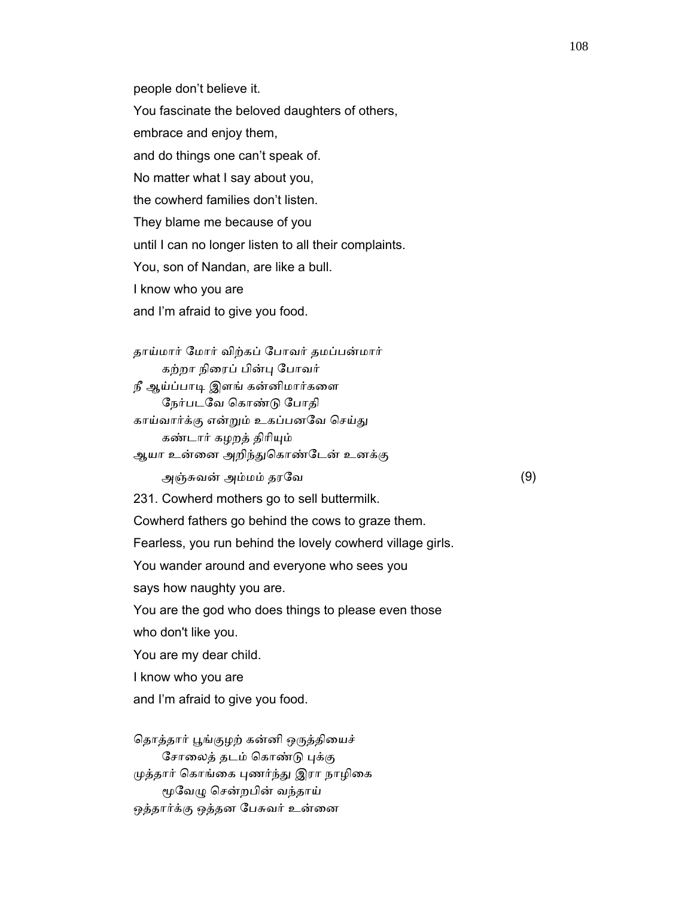people don't believe it.

You fascinate the beloved daughters of others,

embrace and enjoy them,

and do things one can't speak of.

No matter what I say about you,

the cowherd families don't listen.

They blame me because of you

until I can no longer listen to all their complaints.

You, son of Nandan, are like a bull.

I know who you are

and I'm afraid to give you food.

 தாய்மார் ேமார் விற்கப் ேபாவர் தமப்பன்மார் கற்றா நிைரப் பின்ᾗ ேபாவர் நீ ஆய்ப்பாடி இளங் கன்னிமார்களை ேநர்படேவ ெகாண்ᾌ ேபாதி காய்வார்க்கு என்றும் உகப்பனவே செய்து கண்டார் கழறத் திரியும் ஆயா உன்னை அறிந்துகொண்டேன் உனக்கு அஞ்சுவன் அம்மம் தரேவ (9)

231. Cowherd mothers go to sell buttermilk.

Cowherd fathers go behind the cows to graze them.

Fearless, you run behind the lovely cowherd village girls.

You wander around and everyone who sees you

says how naughty you are.

 You are the god who does things to please even those who don't like you.

You are my dear child.

I know who you are

and I'm afraid to give you food.

தொத்தார் பூங்குழற் கன்னி ஒருத்தியைச் சோலைத் தடம் கொண்டு புக்கு முத்தார் கொங்கை புணர்ந்து இரா நாழிகை மூவேழு சென்றபின் வந்தாய் ஒத்தார்க்கு ஒத்தன பேசுவர் உன்னை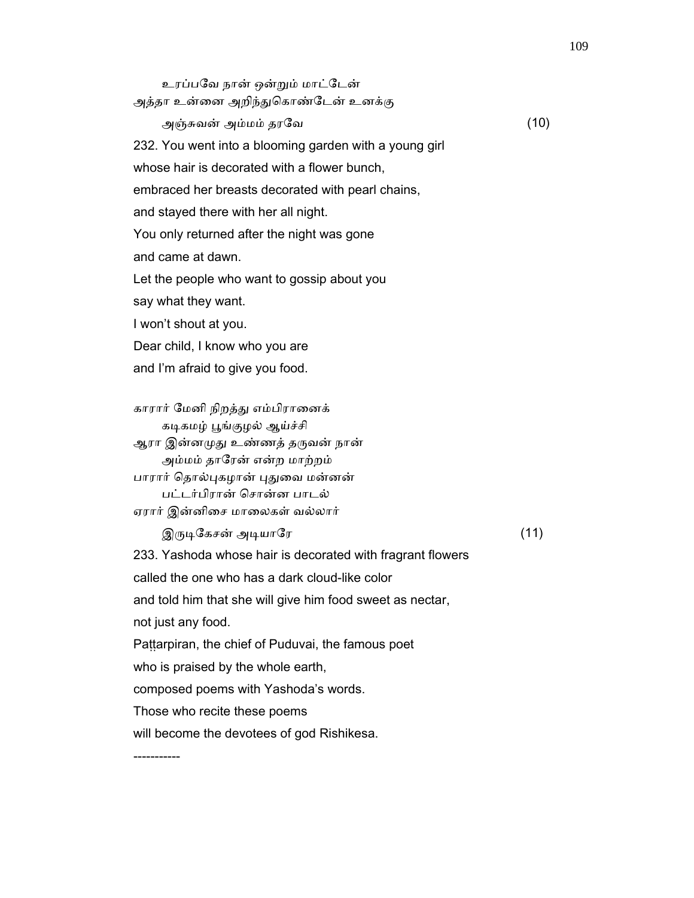உரப்பேவ நான் ஒன்ᾠம் மாட்ேடன் அத்தா உன்னை அறிந்துகொண்டேன் உனக்கு அஞ்சுவன் அம்மம் தரேவ (10) 232. You went into a blooming garden with a young girl whose hair is decorated with a flower bunch. embraced her breasts decorated with pearl chains, and stayed there with her all night. You only returned after the night was gone and came at dawn. Let the people who want to gossip about you say what they want. I won't shout at you. Dear child, I know who you are and I'm afraid to give you food. காரார் ேமனி நிறத்ᾐ எம்பிராைனக் கடிகமழ் பூங்குழல் ஆய்ச்சி ஆரா இன்னமுது உண்ணத் தருவன் நான் அம்மம் தாேரன் என்ற மாற்றம் பாரார் தொல்புகழான் புதுவை மன்னன் பட்டர்பிரான் ெசான்ன பாடல் ஏரார் இன்னிைச மாைலகள் வல்லார்  $\mathfrak{A}$ ருடிகேசன் அடியாரே பார்மையான (11) 233. Yashoda whose hair is decorated with fragrant flowers called the one who has a dark cloud-like color and told him that she will give him food sweet as nectar, not just any food. Pattarpiran, the chief of Puduvai, the famous poet who is praised by the whole earth, composed poems with Yashoda's words. Those who recite these poems will become the devotees of god Rishikesa. -----------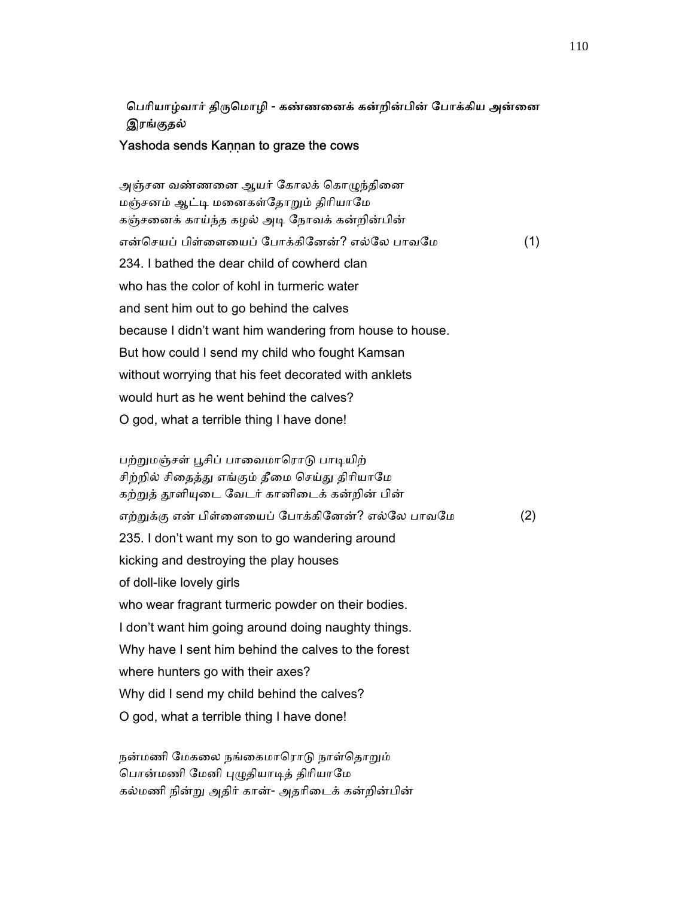# பெரியாழ்வார் திருமொழி - கண்ணனைக் கன்றின்பின் போக்கிய அன்னை இரங்குதல்

### Yashoda sends Kannan to graze the cows

அஞ்சன வண்ணனை ஆயர் கோலக் கொழுந்தினை மஞ்சனம் ஆட்டி மனைகள்தோறும் திரியாமே கஞ்சைனக் காய்ந்த கழல் அᾊ ேநாவக் கன்றின்பின் என்செயப் பிள்ளையைப் போக்கினேன்? எல்லே பாவமே (1) 234. I bathed the dear child of cowherd clan who has the color of kohl in turmeric water and sent him out to go behind the calves because I didn't want him wandering from house to house. But how could I send my child who fought Kamsan without worrying that his feet decorated with anklets would hurt as he went behind the calves? O god, what a terrible thing I have done!

பற்றுமஞ்சள் பூசிப் பாவைமாரொடு பாடியிற் சிற்றில் சிதைத்து எங்கும் தீமை செய்து திரியாமே கற்றுத் தூளியுடை வேடர் கானிடைக் கன்றின் பின் எற்றுக்கு என் பிள்ளையைப் போக்கினேன்? எல்லே பாவமே (2) 235. I don't want my son to go wandering around kicking and destroying the play houses of doll-like lovely girls who wear fragrant turmeric powder on their bodies. I don't want him going around doing naughty things. Why have I sent him behind the calves to the forest where hunters go with their axes? Why did I send my child behind the calves? O god, what a terrible thing I have done!

நன்மணி மேகலை நங்கைமாரொடு நாள்தொறும் பொன்மணி மேனி புழுதியாடித் திரியாமே கல்மணி நின்ᾠ அதிர் கான்- அதாிைடக் கன்றின்பின்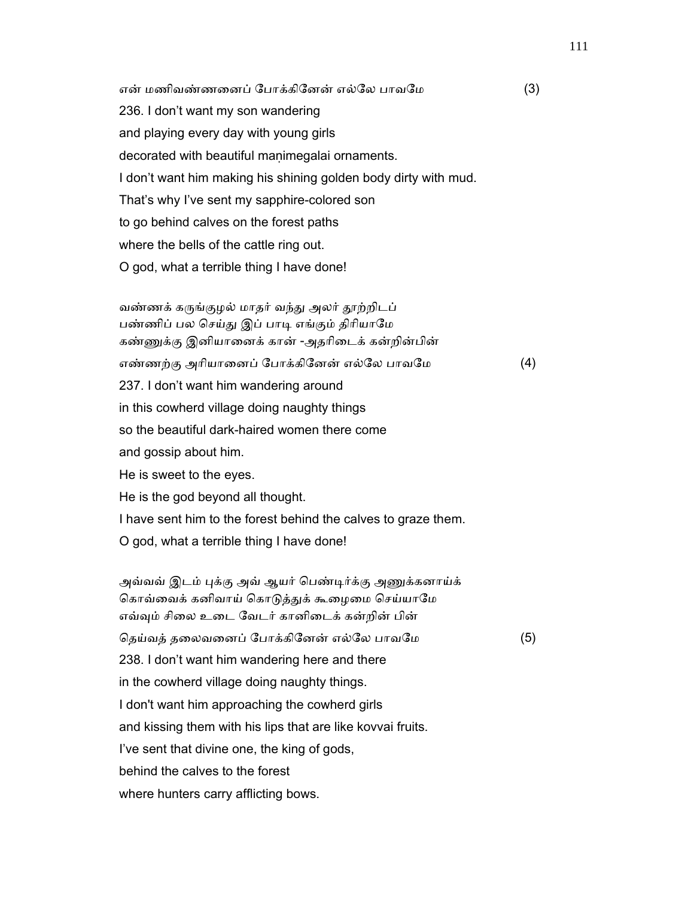என் மணிவண்ணனைப் போக்கினேன் எல்லே பாவமே (3) 236. I don't want my son wandering and playing every day with young girls decorated with beautiful maṇimegalai ornaments. I don't want him making his shining golden body dirty with mud. That's why I've sent my sapphire-colored son to go behind calves on the forest paths where the bells of the cattle ring out. O god, what a terrible thing I have done!

வண்ணக் கருங்குழல் மாதர் வந்து அலர் தூற்றிடப் பண்ணிப் பல செய்து இப் பாடி எங்கும் திரியாமே கண்ணுக்கு இனியானைக் கான் -அதரிடைக் கன்றின்பின் எண்ணற்கு அரியானைப் போக்கினேன் எல்லே பாவமே (4) 237. I don't want him wandering around in this cowherd village doing naughty things so the beautiful dark-haired women there come and gossip about him. He is sweet to the eyes. He is the god beyond all thought. I have sent him to the forest behind the calves to graze them. O god, what a terrible thing I have done!

அவ்வவ் இடம் புக்கு அவ் ஆயர் பெண்டிர்க்கு அணுக்கனாய்க் கொவ்வைக் கனிவாய் கொடுத்துக் கூழைமை செய்யாமே எவ்ᾫம் சிைல உைட ேவடர் கானிைடக் கன்றின் பின் தெய்வத் தலைவனைப் போக்கினேன் எல்லே பாவமே (5) 238. I don't want him wandering here and there in the cowherd village doing naughty things. I don't want him approaching the cowherd girls and kissing them with his lips that are like kovvai fruits. I've sent that divine one, the king of gods, behind the calves to the forest where hunters carry afflicting bows.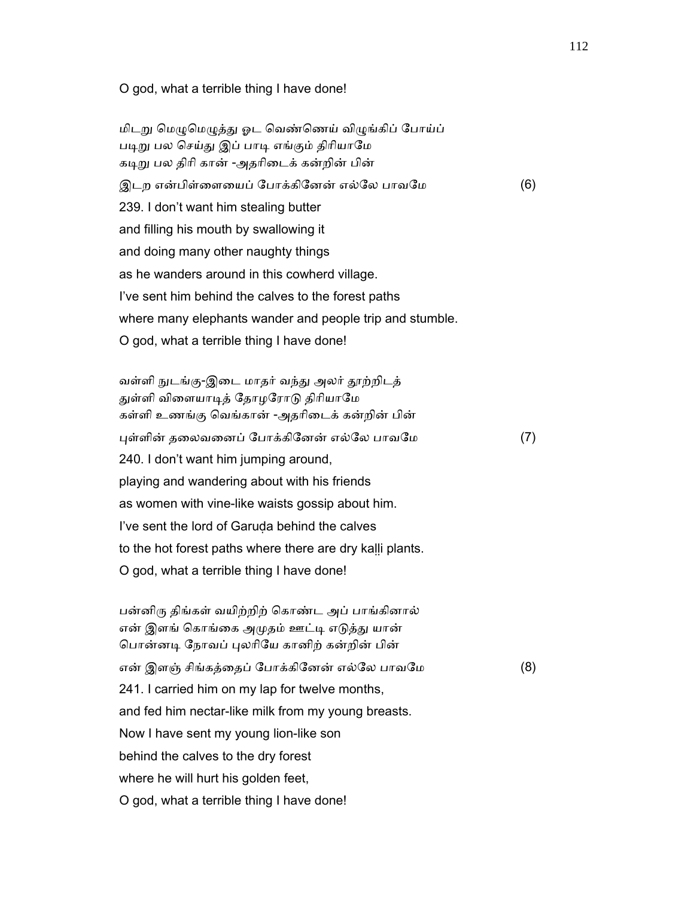#### O god, what a terrible thing I have done!

மிடறு மெழுமெழுத்து ஓட வெண்ணெய் விழுங்கிப் போய்ப் படிறு பல செய்து இப் பாடி எங்கும் திரியாமே கடிறு பல திரி கான் -அதரிடைக் கன்றின் பின் இடற என்பிள்ளையைப் போக்கினேன் எல்லே பாவமே (6) 239. I don't want him stealing butter and filling his mouth by swallowing it and doing many other naughty things as he wanders around in this cowherd village. I've sent him behind the calves to the forest paths where many elephants wander and people trip and stumble. O god, what a terrible thing I have done!

வள்ளி நுடங்கு-இடை மாதர் வந்து அலர் தூற்றிடத் துள்ளி விளையாடித் தோழரோடு திரியாமே கள்ளி உணங்கு ெவங்கான் -அதாிைடக் கன்றின் பின் ᾗள்ளின் தைலவைனப் ேபாக்கிேனன் எல்ேல பாவேம (7) 240. I don't want him jumping around, playing and wandering about with his friends as women with vine-like waists gossip about him. I've sent the lord of Garuḍa behind the calves to the hot forest paths where there are dry kaḷḷi plants. O god, what a terrible thing I have done!

 பன்னிᾞ திங்கள் வயிற்றிற் ெகாண்ட அப் பாங்கினால் என் இளங் கொங்கை அமுதம் ஊட்டி எடுத்து யான் பொன்னடி நோவப் புலரியே கானிற் கன்றின் பின் என் இளஞ் சிங்கத்தைப் போக்கினேன் எல்லே பாவமே (8) 241. I carried him on my lap for twelve months, and fed him nectar-like milk from my young breasts. Now I have sent my young lion-like son behind the calves to the dry forest where he will hurt his golden feet, O god, what a terrible thing I have done!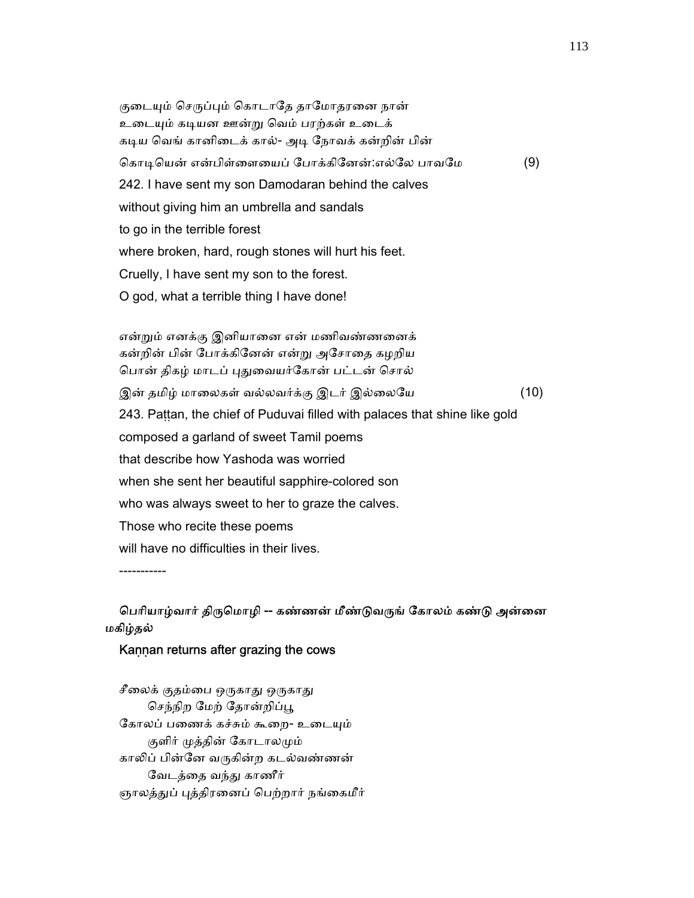குடையும் செருப்பும் கொடாதே தாமோதரனை நான் உடையும் கடியன ஊன்று வெம் பரற்கள் உடைக் கடிய வெங் கானிடைக் கால்- அடி நோவக் கன்றின் பின் கொடியென் என்பிள்ளையைப் போக்கினேன்:எல்லே பாவமே (9) 242. I have sent my son Damodaran behind the calves without giving him an umbrella and sandals to go in the terrible forest where broken, hard, rough stones will hurt his feet. Cruelly, I have sent my son to the forest. O god, what a terrible thing I have done!

 என்ᾠம் எனக்கு இனியாைன என் மணிவண்ணைனக் கன்றின் பின் ேபாக்கிேனன் என்ᾠ அேசாைத கழறிய பொன் திகழ் மாடப் புதுவையர்கோன் பட்டன் சொல் இன் தமிழ் மாலைகள் வல்லவர்க்கு இடர் இல்லையே (10) 243. Paṭṭan, the chief of Puduvai filled with palaces that shine like gold composed a garland of sweet Tamil poems that describe how Yashoda was worried when she sent her beautiful sapphire-colored son who was always sweet to her to graze the calves. Those who recite these poems will have no difficulties in their lives.

-----------

# பெரியாழ்வார் திருமொழி -- கண்ணன் மீண்டுவருங் கோலம் கண்டு அன்னை மகிழ்தல்

## Kaṇṇan returns after grazing the cows

சீலைக் குதம்பை ஒருகாது ஒருகாது செந்நிற மேற் தோன்றிப்பூ கோலப் பணைக் கச்சும் கூறை- உடையும் குளிர் முத்தின் கோடாலமும் காலிப் பின்னே வருகின்ற கடல்வண்ணன் வேடத்தை வந்து காணீர் ஞாலத்துப் புத்திரனைப் பெற்றார் நங்கைமீர்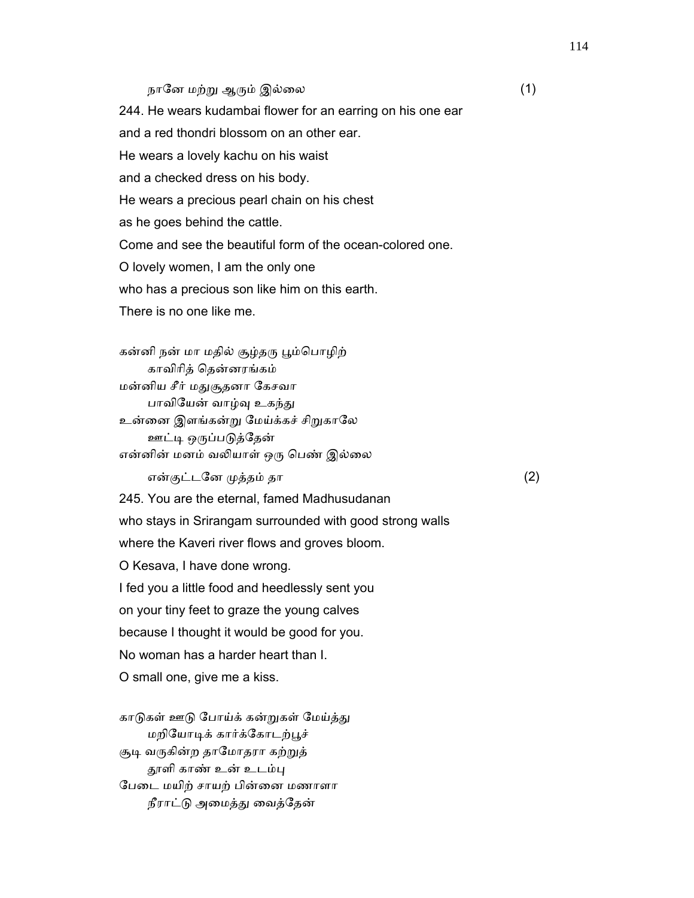## நானே மற்று ஆரும் இல்லை  $(1)$

 244. He wears kudambai flower for an earring on his one ear and a red thondri blossom on an other ear. He wears a lovely kachu on his waist and a checked dress on his body. He wears a precious pearl chain on his chest as he goes behind the cattle. Come and see the beautiful form of the ocean-colored one. O lovely women, I am the only one who has a precious son like him on this earth. There is no one like me.

கன்னி நன் மா மதில் சூழ்தரு பூம்பொழிற் காவிாித் ெதன்னரங்கம் மன்னிய சீர் மᾐசூதனா ேகசவா பாவியேன் வாழ்வு உகந்து உன்னை இளங்கன்று மேய்க்கச் சிறுகாலே ஊட்டி ஒருப்படுத்தேன் என்னின் மனம் வலியாள் ஒரு பெண் இல்லை

என்குட்டனே முத்தம் தா  $(2)$ 

 245. You are the eternal, famed Madhusudanan who stays in Srirangam surrounded with good strong walls where the Kaveri river flows and groves bloom. O Kesava, I have done wrong. I fed you a little food and heedlessly sent you on your tiny feet to graze the young calves because I thought it would be good for you. No woman has a harder heart than I. O small one, give me a kiss.

காடுகள் ஊடு போய்க் கன்றுகள் மேய்த்து மறியோடிக் கார்க்கோடற்பூச் சூடி வருகின்ற தாமோதரா கற்றுத் தூளி காண் உன் உடம்பு ேபைட மயிற் சாயற் பின்ைன மணாளா நீராட்டு அமைத்து வைத்தேன்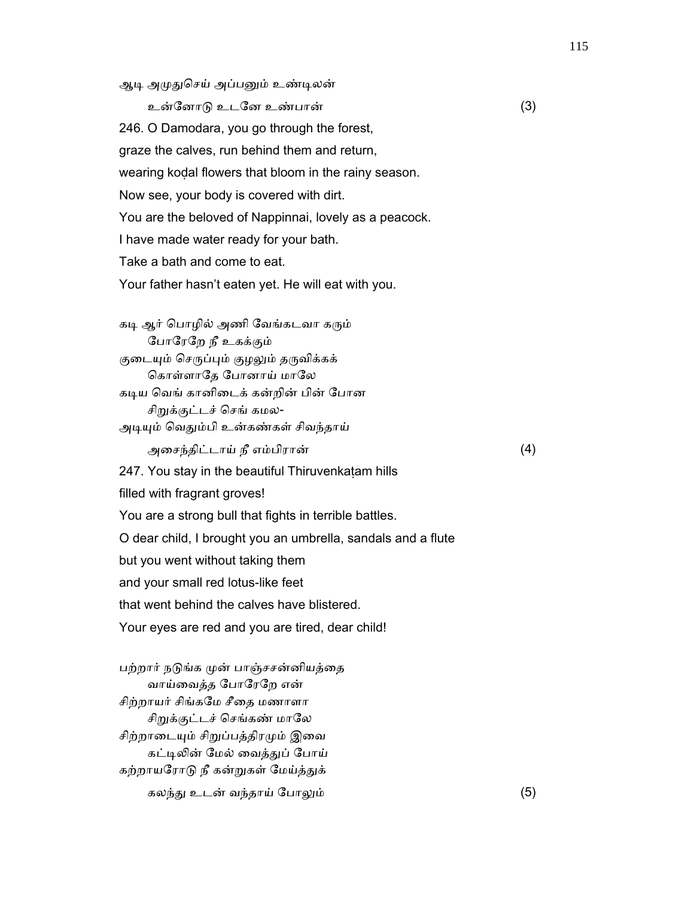ஆடி அமுதுசெய் அப்பனும் உண்டிலன்

உன்ேனாᾌ உடேன உண்பான் (3)

246. O Damodara, you go through the forest,

graze the calves, run behind them and return,

wearing koḍal flowers that bloom in the rainy season.

Now see, your body is covered with dirt.

You are the beloved of Nappinnai, lovely as a peacock.

I have made water ready for your bath.

Take a bath and come to eat.

Your father hasn't eaten yet. He will eat with you.

கடி ஆர் பொழில் அணி வேங்கடவா கரும் ேபாேரேற நீ உகக்கும்

குடையும் செருப்பும் குழலும் தருவிக்கக் கொள்ளாதே போனாய் மாலே

கடிய வெங் கானிடைக் கன்றின் பின் போன

சிறுக்குட்டச் செங் கமல-

அடியும் வெதும்பி உன்கண்கள் சிவந்தாய்

அைசந்திட்டாய் நீ எம்பிரான் (4)

247. You stay in the beautiful Thiruvenkatam hills

filled with fragrant groves!

You are a strong bull that fights in terrible battles.

O dear child, I brought you an umbrella, sandals and a flute

but you went without taking them

and your small red lotus-like feet

that went behind the calves have blistered.

Your eyes are red and you are tired, dear child!

பற்றார் நடுங்க முன் பாஞ்சசன்னியத்தை வாய்ைவத்த ேபாேரேற என் சிற்றாயர் சிங்கமே சீதை மணாளா சிறுக்குட்டச் செங்கண் மாலே சிற்றாடையும் சிறுப்பத்திரமும் இவை கட்டிலின் மேல் வைத்துப் போய் கற்றாயரோடு நீ கன்றுகள் மேய்த்துக் கலந்ᾐ உடன் வந்தாய் ேபாᾤம் (5)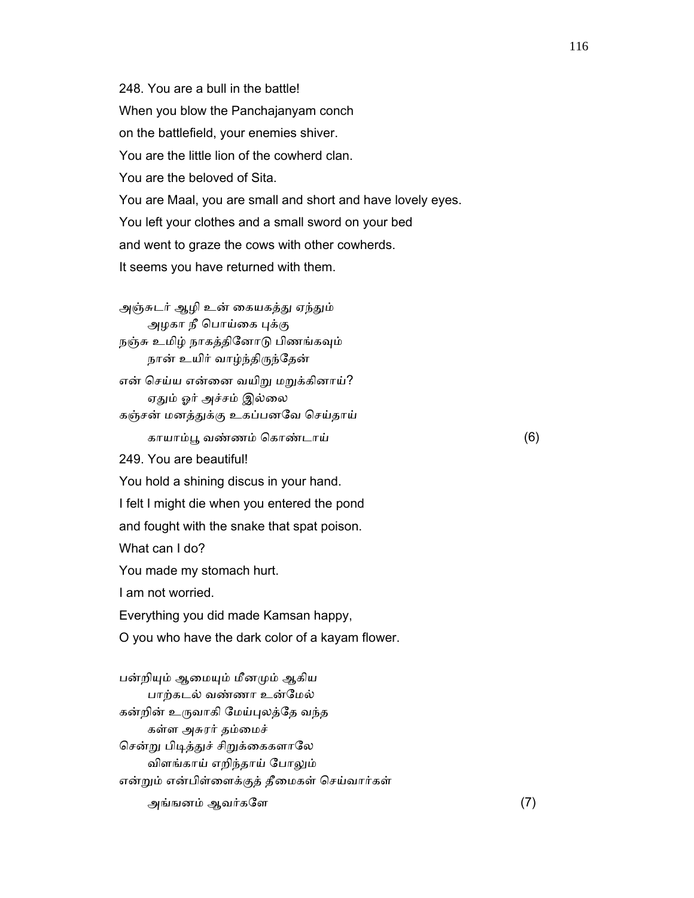248. You are a bull in the battle! When you blow the Panchajanyam conch on the battlefield, your enemies shiver. You are the little lion of the cowherd clan. You are the beloved of Sita. You are Maal, you are small and short and have lovely eyes. You left your clothes and a small sword on your bed and went to graze the cows with other cowherds. It seems you have returned with them.

அஞ்சுடர் ஆழி உன் கையகத்து ஏந்தும் அழகா நீ பொய்கை புக்கு நஞ்சு உமிழ் நாகத்தினோடு பிணங்கவும் நான் உயிர் வாழ்ந்திருந்தேன் என் செய்ய என்னை வயிறு மறுக்கினாய்? ஏதும் ஓர் அச்சம் இல்லை கஞ்சன் மனத்ᾐக்கு உகப்பனேவ ெசய்தாய் காயாம்ᾘ வண்ணம் ெகாண்டாய் (6) 249. You are beautiful! You hold a shining discus in your hand. I felt I might die when you entered the pond and fought with the snake that spat poison. What can I do? You made my stomach hurt. I am not worried. Everything you did made Kamsan happy, O you who have the dark color of a kayam flower.

பன்றியும் ஆமையும் மீனமும் ஆகிய பாற்கடல் வண்ணா உன்ேமல் கன்றின் உᾞவாகி ேமய்ᾗலத்ேத வந்த கள்ள அசுரர் தம்ைமச் சென்று பிடித்துச் சிறுக்கைகளாலே விளங்காய் எறிந்தாய் ேபாᾤம் என்ᾠம் என்பிள்ைளக்குத் தீைமகள் ெசய்வார்கள் அங்ஙனம் ஆவர்களே $(7)$ 

116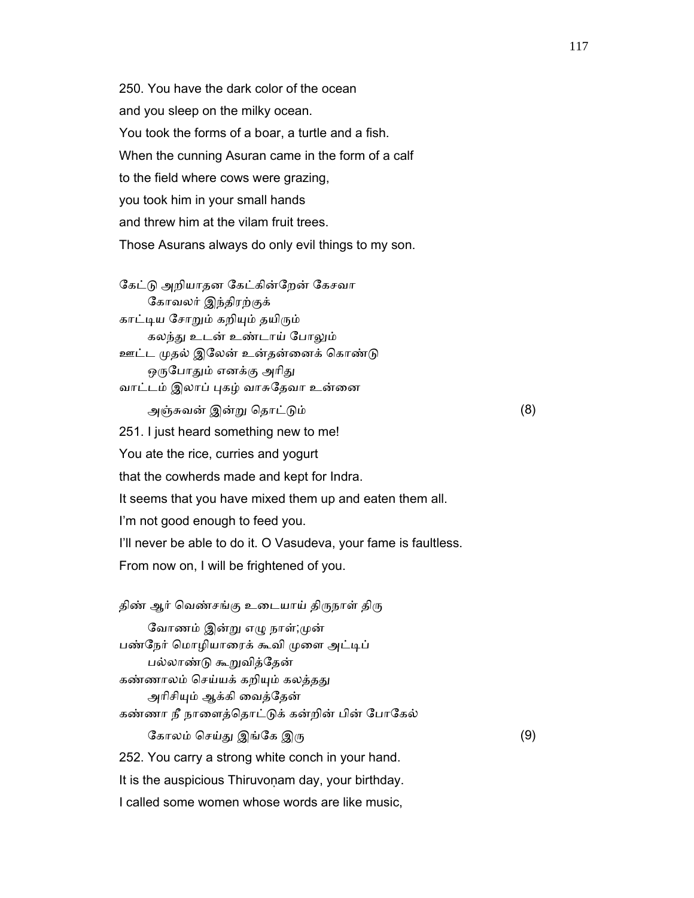250. You have the dark color of the ocean and you sleep on the milky ocean. You took the forms of a boar, a turtle and a fish. When the cunning Asuran came in the form of a calf to the field where cows were grazing, you took him in your small hands and threw him at the vilam fruit trees. Those Asurans always do only evil things to my son.

கேட்டு அறியாதன கேட்கின்றேன் கேசவா ேகாவலர் இந்திரற்குக் காட்டிய சோறும் கறியும் தயிரும் கலந்து உடன் உண்டாய் போலும் ஊட்ட முதல் இலேன் உன்தன்னைக் கொண்டு ஒருபோதும் எனக்கு அரிது வாட்டம் இலாப் புகழ் வாசுதேவா உன்னை அஞ்சுவன் இன்ᾠ ெதாட்ᾌம் (8) 251. I just heard something new to me! You ate the rice, curries and yogurt that the cowherds made and kept for Indra. It seems that you have mixed them up and eaten them all. I'm not good enough to feed you. I'll never be able to do it. O Vasudeva, your fame is faultless. From now on, I will be frightened of you.

திண் ஆர் வெண்சங்கு உடையாய் திருநாள் திரு வோணம் இன்று எழு நாள்;முன் பண்நேர் மொழியாரைக் கூவி முளை அட்டிப் பல்லாண்ᾌ கூᾠவித்ேதன் கண்ணாலம் செய்யக் கறியும் கலத்தது அரிசியும் ஆக்கி வைத்தேன் கண்ணா நீ நாளைத்தொட்டுக் கன்றின் பின் போகேல் கோலம் செய்து இங்கே இரு $(9)$  252. You carry a strong white conch in your hand. It is the auspicious Thiruvonam day, your birthday. I called some women whose words are like music,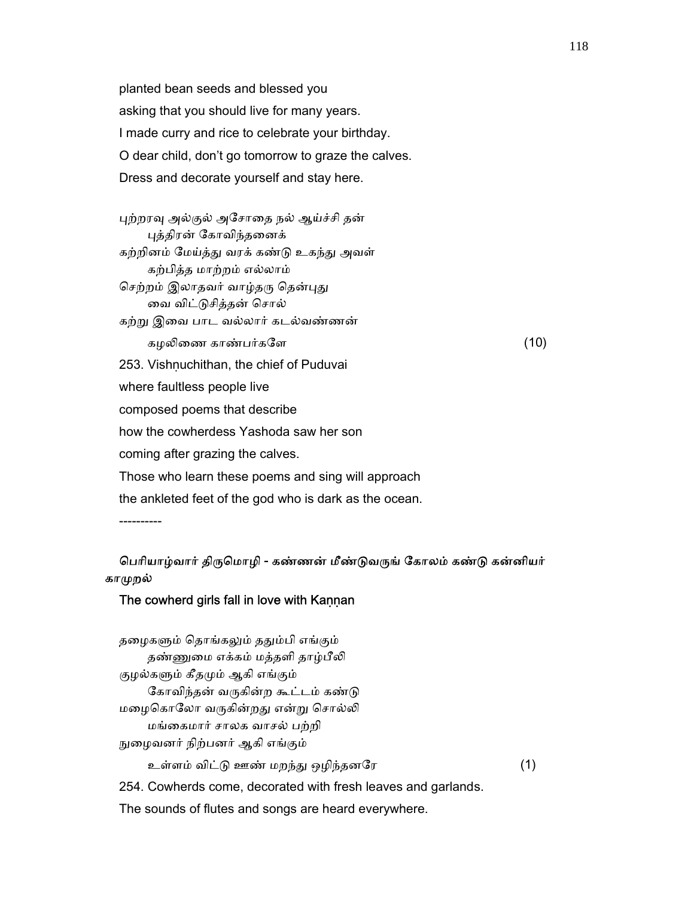planted bean seeds and blessed you asking that you should live for many years. I made curry and rice to celebrate your birthday. O dear child, don't go tomorrow to graze the calves. Dress and decorate yourself and stay here.

புற்றரவு அல்குல் அசோதை நல் ஆய்ச்சி தன் ᾗத்திரன் ேகாவிந்தைனக் கற்றினம் மேய்த்து வரக் கண்டு உகந்து அவள் கற்பித்த மாற்றம் எல்லாம் செற்றம் இலாதவர் வாழ்தரு தென்புது ைவ விட்ᾌசித்தன் ெசால் கற்ᾠ இைவ பாட வல்லார் கடல்வண்ணன் கழலிணை காண்பர்களே  $(10)$ 253. Vishnuchithan, the chief of Puduvai where faultless people live composed poems that describe how the cowherdess Yashoda saw her son coming after grazing the calves. Those who learn these poems and sing will approach the ankleted feet of the god who is dark as the ocean. ----------

## பெரியாழ்வார் திருமொழி - கண்ணன் மீண்டுவருங் கோலம் கண்டு கன்னியர் காமுறல்

#### The cowherd girls fall in love with Kannan

தழைகளும் தொங்கலும் ததும்பி எங்கும் தண்ணுமை எக்கம் மத்தளி தாழ்பீலி குழல்களும் கீதமும் ஆகி எங்கும் கோவிந்தன் வருகின்ற கூட்டம் கண்டு மழைகொலோ வருகின்றது என்று சொல்லி மங்ைகமார் சாலக வாசல் பற்றி ᾒைழவனர் நிற்பனர் ஆகி எங்கும் உள்ளம் விட்ᾌ ஊண் மறந்ᾐ ஒழிந்தனேர (1) 254. Cowherds come, decorated with fresh leaves and garlands.

The sounds of flutes and songs are heard everywhere.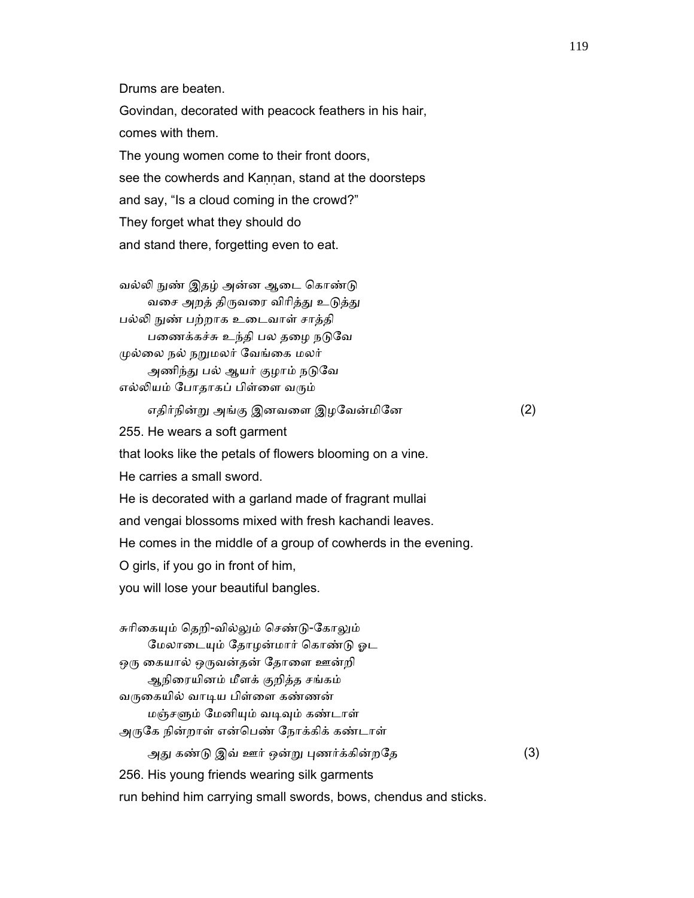Drums are beaten.

 Govindan, decorated with peacock feathers in his hair, comes with them. The young women come to their front doors,

see the cowherds and Kannan, stand at the doorsteps and say, "Is a cloud coming in the crowd?" They forget what they should do and stand there, forgetting even to eat.

வல்லி நுண் இதழ் அன்ன ஆடை கொண்டு வசை அறத் திருவரை விரித்து உடுத்து பல்ᾢ ᾒண் பற்றாக உைடவாள் சாத்தி பணைக்கச்சு உந்தி பல தழை நடுவே முல்லை நல் நறுமலர் வேங்கை மலர் அணிந்து பல் ஆயர் குழாம் நடுவே எல்லியம் போதாகப் பிள்ளை வரும்

எதிர்நின்ᾠ அங்கு இனவைள இழேவன்மிேன (2)

255. He wears a soft garment

that looks like the petals of flowers blooming on a vine.

He carries a small sword.

He is decorated with a garland made of fragrant mullai

and vengai blossoms mixed with fresh kachandi leaves.

He comes in the middle of a group of cowherds in the evening.

O girls, if you go in front of him,

you will lose your beautiful bangles.

சுரிகையும் தெறி-வில்லும் செண்டு-கோலும் மேலாடையும் தோழன்மார் கொண்டு ஓட ஒரு கையால் ஒருவன்தன் தோளை ஊன்றி ஆநிைரயினம் மீளக் குறித்த சங்கம் வருகையில் வாடிய பிள்ளை கண்ணன் மஞ்சᾦம் ேமனிᾜம் வᾊᾫம் கண்டாள் அருகே நின்றாள் என்பெண் நோக்கிக் கண்டாள் அது கண்டு இவ் ஊர் ஒன்று புணர்க்கின்றதே (3) 256. His young friends wearing silk garments run behind him carrying small swords, bows, chendus and sticks.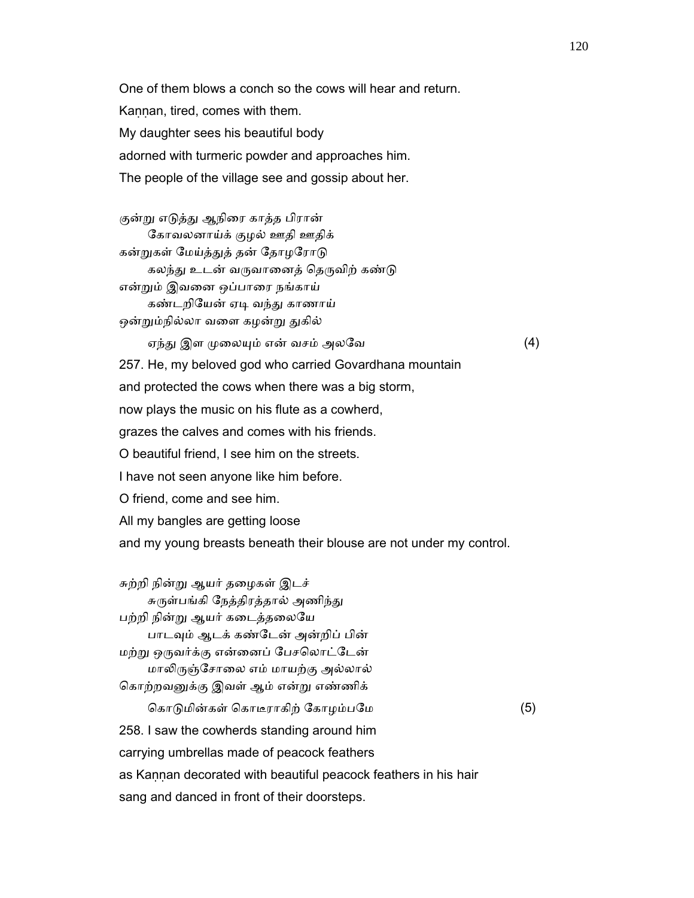One of them blows a conch so the cows will hear and return. Kannan, tired, comes with them. My daughter sees his beautiful body adorned with turmeric powder and approaches him. The people of the village see and gossip about her.

குன்று எடுத்து ஆநிரை காத்த பிரான் கோவலனாய்க் குழல் ஊதி ஊதிக் கன்றுகள் மேய்த்துத் தன் தோழரோடு கலந்து உடன் வருவானைத் தெருவிற் கண்டு என்ᾠம் இவைன ஒப்பாைர நங்காய் கண்டறியேன் ஏடி வந்து காணாய் ஒன்றும்நில்லா வளை கழன்று துகில் ஏந்து இள முலையும் என் வசம் அலவே $(4)$  257. He, my beloved god who carried Govardhana mountain and protected the cows when there was a big storm, now plays the music on his flute as a cowherd, grazes the calves and comes with his friends. O beautiful friend, I see him on the streets. I have not seen anyone like him before. O friend, come and see him. All my bangles are getting loose and my young breasts beneath their blouse are not under my control.

 சுற்றி நின்ᾠ ஆயர் தைழகள் இடச் சுருள்பங்கி நேத்திரத்தால் அணிந்து பற்றி நின்ᾠ ஆயர் கைடத்தைலேய பாடவும் ஆடக் கண்டேன் அன்றிப் பின் மற்று ஒருவர்க்கு என்னைப் பேசலொட்டேன் மாலிருஞ்சோலை எம் மாயற்கு அல்லால் ெகாற்றவᾔக்கு இவள் ஆம் என்ᾠ எண்ணிக்

கொடுமின்கள் கொடீராகிற் கோழம்பமே (5) 258. I saw the cowherds standing around him carrying umbrellas made of peacock feathers as Kannan decorated with beautiful peacock feathers in his hair sang and danced in front of their doorsteps.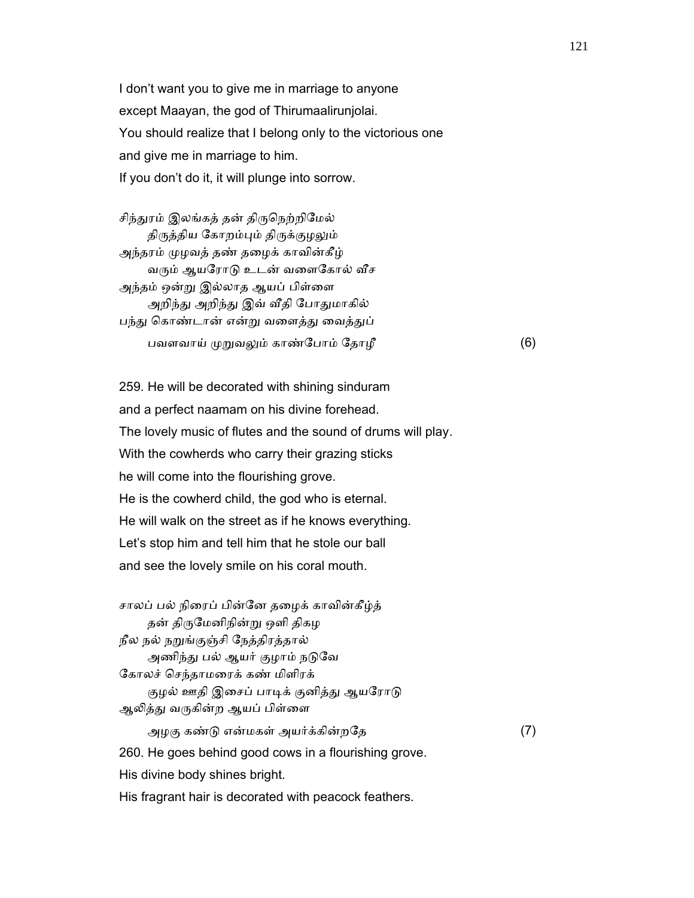I don't want you to give me in marriage to anyone except Maayan, the god of Thirumaalirunjolai. You should realize that I belong only to the victorious one and give me in marriage to him. If you don't do it, it will plunge into sorrow.

சிந்துரம் இலங்கத் தன் திருநெற்றிமேல் திருத்திய கோறம்பும் திருக்குழலும் அந்தரம் முழவத் தண் தழைக் காவின்கீழ் வரும் ஆயரோடு உடன் வளைகோல் வீச அந்தம் ஒன்று இல்லாத ஆயப் பிள்ளை அறிந்து அறிந்து இவ் வீதி போதுமாகில் பந்து கொண்டான் என்று வளைத்து வைத்துப் பவளவாய் முறுவலும் காண்போம் தோழீ (6)

 259. He will be decorated with shining sinduram and a perfect naamam on his divine forehead. The lovely music of flutes and the sound of drums will play. With the cowherds who carry their grazing sticks he will come into the flourishing grove. He is the cowherd child, the god who is eternal. He will walk on the street as if he knows everything. Let's stop him and tell him that he stole our ball and see the lovely smile on his coral mouth.

 சாலப் பல் நிைரப் பின்ேன தைழக் காவின்கீழ்த் தன் திருமேனிநின்று ஒளி திகழ நீல நல் நᾠங்குஞ்சி ேநத்திரத்தால் அணிந்து பல் ஆயர் குழாம் நடுவே ேகாலச் ெசந்தாமைரக் கண் மிளிரக் குழல் ஊதி இசைப் பாடிக் குனித்து ஆயரோடு ஆலித்து வருகின்ற ஆயப் பிள்ளை அழகு கண்டு என்மகள் அயர்க்கின்றதே  $(7)$  260. He goes behind good cows in a flourishing grove. His divine body shines bright.

His fragrant hair is decorated with peacock feathers.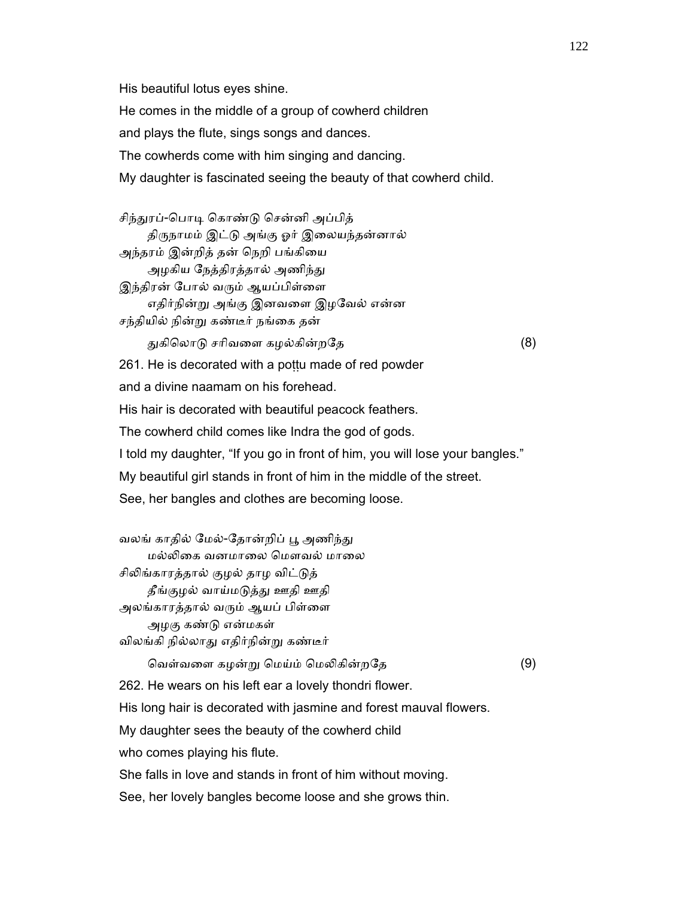His beautiful lotus eyes shine. He comes in the middle of a group of cowherd children and plays the flute, sings songs and dances. The cowherds come with him singing and dancing. My daughter is fascinated seeing the beauty of that cowherd child.

சிந்துரப்-பொடி கொண்டு சென்னி அப்பித் திருநாமம் இட்டு அங்கு ஓர் இலையந்தன்னால் அந்தரம் இன்றித் தன் நெறி பங்கியை அழகிய நேத்திரத்தால் அணிந்து இந்திரன் போல் வரும் ஆயப்பிள்ளை எதிர்நின்ᾠ அங்கு இனவைள இழேவல் என்ன சந்தியில் நின்ᾠ கண்டீர் நங்ைக தன் ᾐகிெலாᾌ சாிவைள கழல்கின்றேத (8) 261. He is decorated with a pottu made of red powder and a divine naamam on his forehead. His hair is decorated with beautiful peacock feathers. The cowherd child comes like Indra the god of gods. I told my daughter, "If you go in front of him, you will lose your bangles." My beautiful girl stands in front of him in the middle of the street. See, her bangles and clothes are becoming loose.

வலங் காதில் மேல்-தோன்றிப் பூ அணிந்து மல்ᾢைக வனமாைல ெமௗவல் மாைல சிலிங்காரத்தால் குழல் தாழ விட்டுத் தீங்குழல் வாய்மடுத்து ஊதி ஊதி அலங்காரத்தால் வரும் ஆயப் பிள்ளை அழகு கண்ᾌ என்மகள் விலங்கி நில்லாᾐ எதிர்நின்ᾠ கண்டீர்

வெள்வளை கழன்று மெய்ம் மெலிகின்றதே (9)

262. He wears on his left ear a lovely thondri flower.

His long hair is decorated with jasmine and forest mauval flowers.

My daughter sees the beauty of the cowherd child

who comes playing his flute.

She falls in love and stands in front of him without moving.

See, her lovely bangles become loose and she grows thin.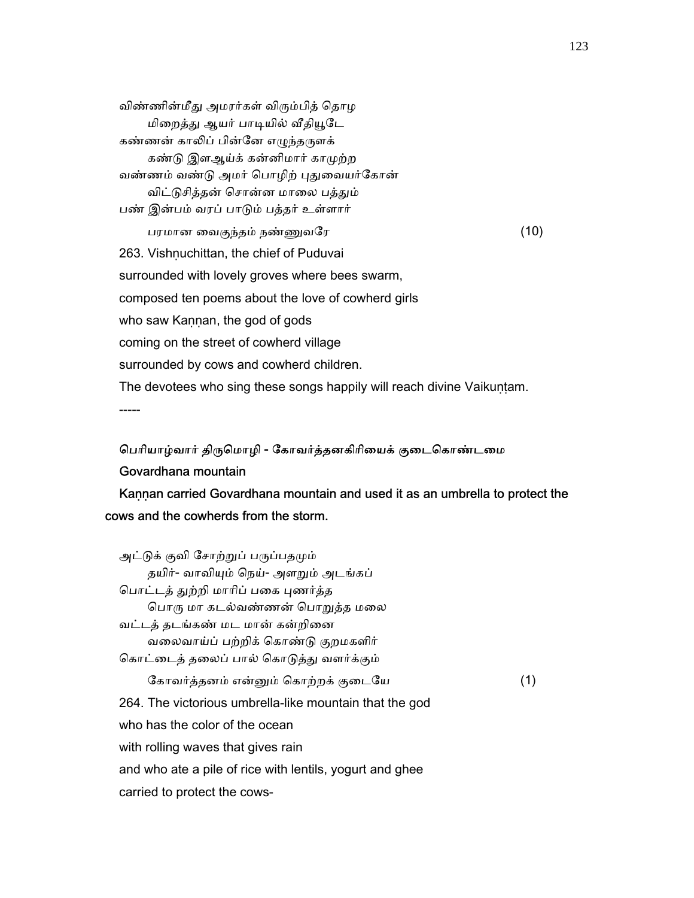விண்ணின்மீது அமரர்கள் விரும்பித் தொழ மிறைத்து ஆயர் பாடியில் வீதியூடே கண்ணன் காலிப் பின்னே எழுந்தருளக் கண்டு இளஆய்க் கன்னிமார் காமுற்ற வண்ணம் வண்டு அமர் பொழிற் புதுவையர்கோன் விட்டுசித்தன் சொன்ன மாலை பத்தும் பண் இன்பம் வரப் பாᾌம் பத்தர் உள்ளார் பரமான ைவகுந்தம் நண்ᾎவேர (10) 263. Vishnuchittan, the chief of Puduvai surrounded with lovely groves where bees swarm, composed ten poems about the love of cowherd girls who saw Kaṇṇan, the god of gods coming on the street of cowherd village surrounded by cows and cowherd children. The devotees who sing these songs happily will reach divine Vaikuntam. -----

# பெரியாழ்வார் திருமொழி - கோவர்த்தனகிரியைக் குடைகொண்டமை Govardhana mountain

Kannan carried Govardhana mountain and used it as an umbrella to protect the cows and the cowherds from the storm.

| அட்டுக் குவி சோற்றுப் பருப்பதமும்                        |     |
|----------------------------------------------------------|-----|
| தயிர்- வாவியும் நெய்- அளறும் அடங்கப்                     |     |
| பொட்டத் துற்றி மாரிப் பகை புணர்த்த                       |     |
| பொரு மா கடல்வண்ணன் பொறுத்த மலை                           |     |
| வட்டத் தடங்கண் மட மான் கன்றினை                           |     |
| வலைவாய்ப் பற்றிக் கொண்டு குறமகளிர்                       |     |
| கொட்டைத் தலைப் பால் கொடுத்து வளர்க்கும்                  |     |
| கோவர்த்தனம் என்னும் கொற்றக் குடையே                       | (1) |
| 264. The victorious umbrella-like mountain that the god  |     |
| who has the color of the ocean                           |     |
| with rolling waves that gives rain                       |     |
| and who ate a pile of rice with lentils, yogurt and ghee |     |
| carried to protect the cows-                             |     |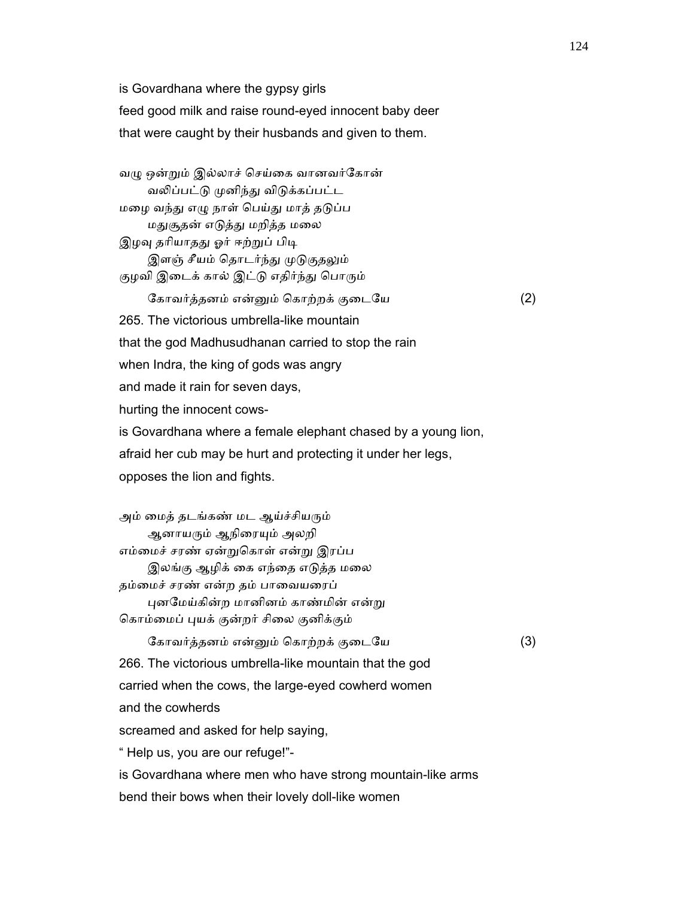is Govardhana where the gypsy girls

feed good milk and raise round-eyed innocent baby deer

that were caught by their husbands and given to them.

வழு ஒன்றும் இல்லாச் செய்கை வானவர்கோன் வலிப்பட்டு முனிந்து விடுக்கப்பட்ட மழை வந்து எழு நாள் பெய்து மாத் தடுப்ப மதுசூதன் எடுத்து மறித்த மலை இழவு தரியாதது ஓர் ஈற்றுப் பிடி இளஞ் சீயம் தொடர்ந்து முடுகுதலும் குழவி இடைக் கால் இட்டு எதிர்ந்து பொரும் ேகாவர்த்தனம் என்ᾔம் ெகாற்றக் குைடேய (2) 265. The victorious umbrella-like mountain that the god Madhusudhanan carried to stop the rain when Indra, the king of gods was angry and made it rain for seven days, hurting the innocent cows is Govardhana where a female elephant chased by a young lion, afraid her cub may be hurt and protecting it under her legs, opposes the lion and fights.

அம் மைத் தடங்கண் மட ஆய்ச்சியரும் ஆனாயரும் ஆநிரையும் அலறி எம்ைமச் சரண் ஏன்ᾠெகாள் என்ᾠ இரப்ப இலங்கு ஆழிக் கை எந்தை எடுத்த மலை தம்மைச் சரண் என்ற தம் பாவையரைப் புனமேய்கின்ற மானினம் காண்மின் என்று கொம்மைப் புயக் குன்றர் சிலை குனிக்கும் ேகாவர்த்தனம் என்ᾔம் ெகாற்றக் குைடேய (3) 266. The victorious umbrella-like mountain that the god carried when the cows, the large-eyed cowherd women and the cowherds screamed and asked for help saying, " Help us, you are our refuge!" is Govardhana where men who have strong mountain-like arms bend their bows when their lovely doll-like women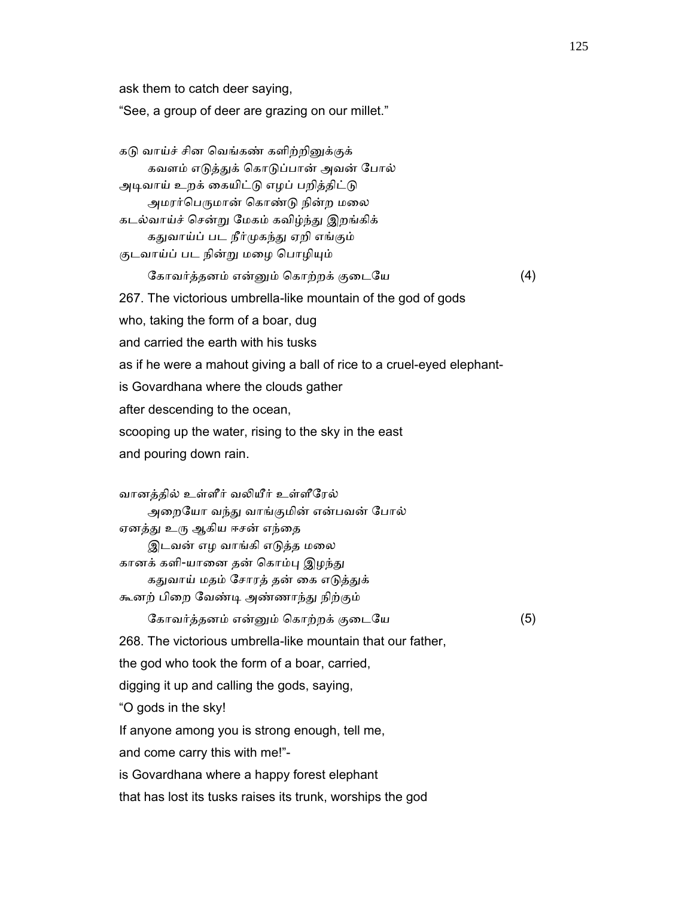ask them to catch deer saying,

"See, a group of deer are grazing on our millet."

கடு வாய்ச் சின வெங்கண் களிற்றினுக்குக் கவளம் எடுத்துக் கொடுப்பான் அவன் போல் அடிவாய் உறக் கையிட்டு எழப் பறித்திட்டு அமரர்பெருமான் கொண்டு நின்ற மலை கடல்வாய்ச் ெசன்ᾠ ேமகம் கவிழ்ந்ᾐ இறங்கிக் கதுவாய்ப் பட நீர்முகந்து ஏறி எங்கும் குடவாய்ப் பட நின்று மழை பொழியும் ேகாவர்த்தனம் என்ᾔம் ெகாற்றக் குைடேய (4) 267. The victorious umbrella-like mountain of the god of gods who, taking the form of a boar, dug and carried the earth with his tusks as if he were a mahout giving a ball of rice to a cruel-eyed elephant is Govardhana where the clouds gather after descending to the ocean, scooping up the water, rising to the sky in the east and pouring down rain. வானத்தில் உள்ளீர் வᾢயீர் உள்ளீேரல் அறையோ வந்து வாங்குமின் என்பவன் போல் ஏனத்து உரு ஆகிய ஈசன் எந்தை இடவன் எழ வாங்கி எடுத்த மலை கானக் களி-யானை தன் கொம்பு இழந்து கதுவாய் மதம் சோரத் தன் கை எடுத்துக் கூனற் பிைற ேவண்ᾊ அண்ணாந்ᾐ நிற்கும் ேகாவர்த்தனம் என்ᾔம் ெகாற்றக் குைடேய (5) 268. The victorious umbrella-like mountain that our father, the god who took the form of a boar, carried, digging it up and calling the gods, saying, "O gods in the sky! If anyone among you is strong enough, tell me, and come carry this with me!" is Govardhana where a happy forest elephant that has lost its tusks raises its trunk, worships the god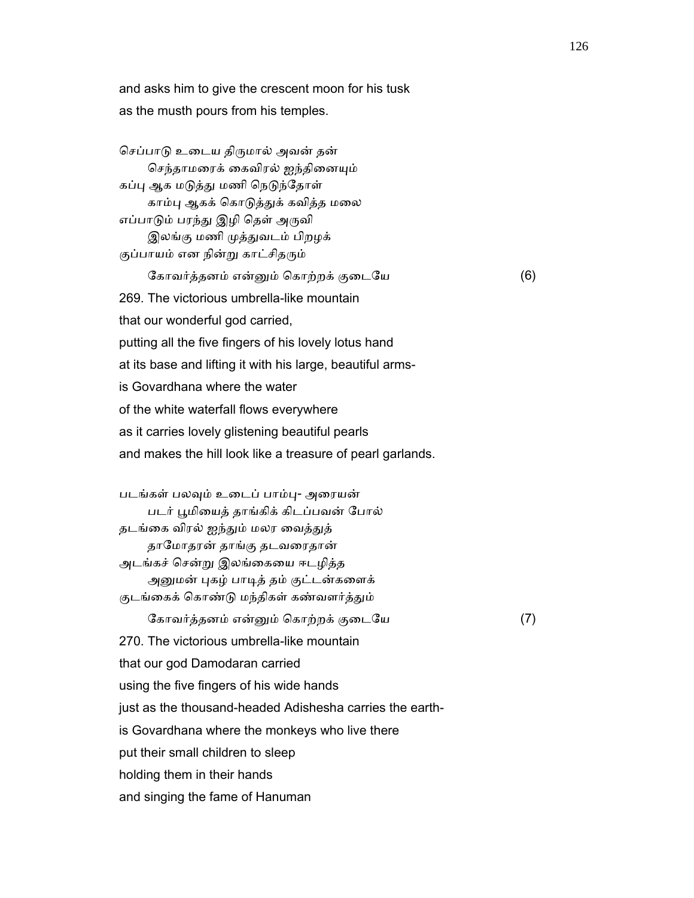and asks him to give the crescent moon for his tusk as the musth pours from his temples.

செப்பாடு உடைய திருமால் அவன் தன் செந்தாமரைக் கைவிரல் ஐந்தினையும் கப்பு ஆக மடுத்து மணி நெடுந்தோள் காம்பு ஆகக் கொடுத்துக் கவித்த மலை எப்பாடும் பரந்து இழி தெள் அருவி இலங்கு மணி முத்துவடம் பிறழக் குப்பாயம் என நின்று காட்சிதரும் கோவர்த்தனம் என்னும் கொற்றக் குடையே (6) 269. The victorious umbrella-like mountain that our wonderful god carried, putting all the five fingers of his lovely lotus hand at its base and lifting it with his large, beautiful arms is Govardhana where the water of the white waterfall flows everywhere as it carries lovely glistening beautiful pearls and makes the hill look like a treasure of pearl garlands. படங்கள் பலᾫம் உைடப் பாம்ᾗ- அைரயன் படர் ᾘமிையத் தாங்கிக் கிடப்பவன் ேபால் தடங்கை விரல் ஐந்தும் மலர வைத்துத் தாேமாதரன் தாங்கு தடவைரதான் அடங்கச் ெசன்ᾠ இலங்ைகைய ஈடழித்த அனுமன் புகழ் பாடித் தம் குட்டன்களைக் குடங்கைக் கொண்டு மந்திகள் கண்வளர்த்தும் ேகாவர்த்தனம் என்ᾔம் ெகாற்றக் குைடேய (7) 270. The victorious umbrella-like mountain that our god Damodaran carried using the five fingers of his wide hands just as the thousand-headed Adishesha carries the earth is Govardhana where the monkeys who live there put their small children to sleep holding them in their hands

and singing the fame of Hanuman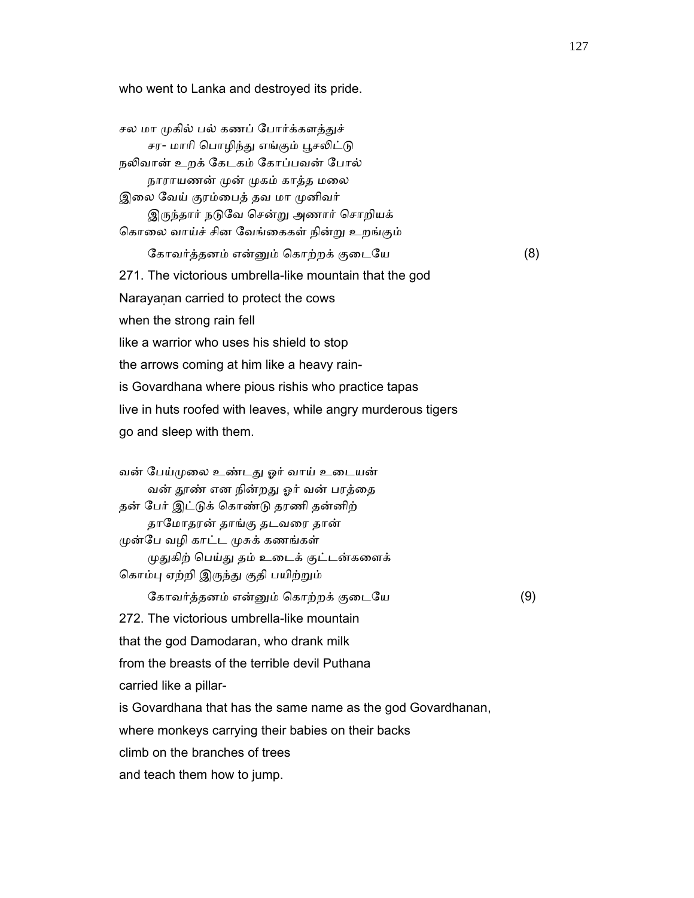who went to Lanka and destroyed its pride.

சல மா முகில் பல் கணப் போர்க்களத்துச் சர- மாரி பொழிந்து எங்கும் பூசலிட்டு நலிவான் உறக் கேடகம் கோப்பவன் போல் நாராயணன் முன் முகம் காத்த மலை இலை வேய் குரம்பைத் தவ மா முனிவர் இருந்தார் நடுவே சென்று அணார் சொறியக் ெகாைல வாய்ச் சின ேவங்ைககள் நின்ᾠ உறங்கும் ேகாவர்த்தனம் என்ᾔம் ெகாற்றக் குைடேய (8) 271. The victorious umbrella-like mountain that the god Narayanan carried to protect the cows when the strong rain fell like a warrior who uses his shield to stop the arrows coming at him like a heavy rain is Govardhana where pious rishis who practice tapas live in huts roofed with leaves, while angry murderous tigers go and sleep with them. வன் ேபய்ᾙைல உண்டᾐ ஓர் வாய் உைடயன் வன் தூண் என நின்றது ஓர் வன் பரத்தை தன் ேபர் இட்ᾌக் ெகாண்ᾌ தரணி தன்னிற் தாேமாதரன் தாங்கு தடவைர தான் ᾙன்ேப வழி காட்ட ᾙசுக் கணங்கள் முதுகிற் பெய்து தம் உடைக் குட்டன்களைக் கொம்பு ஏற்றி இருந்து குதி பயிற்றும் ேகாவர்த்தனம் என்ᾔம் ெகாற்றக் குைடேய (9) 272. The victorious umbrella-like mountain that the god Damodaran, who drank milk from the breasts of the terrible devil Puthana carried like a pillar is Govardhana that has the same name as the god Govardhanan, where monkeys carrying their babies on their backs climb on the branches of trees and teach them how to jump.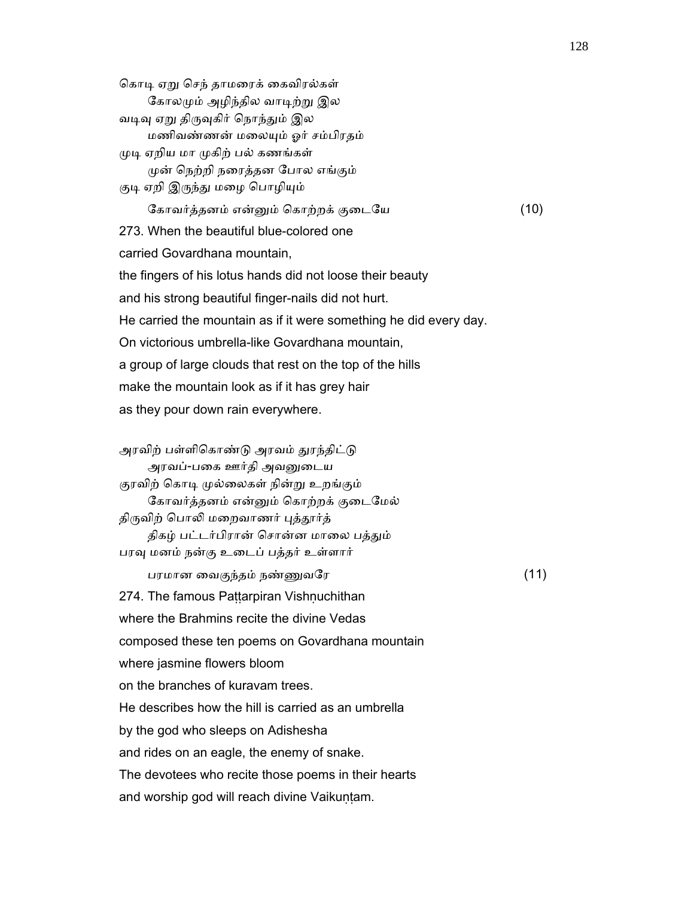கொடி ஏறு செந் தாமரைக் கைவிரல்கள் கோலமும் அழிந்தில வாடிற்று இல வடிவு ஏறு திருவுகிர் நொந்தும் இல மணிவண்ணன் மைலᾜம் ஓர் சம்பிரதம் முடி ஏறிய மா முகிற் பல் கணங்கள் ᾙன் ெநற்றி நைரத்தன ேபால எங்கும் குடி ஏறி இருந்து மழை பொழியும் ேகாவர்த்தனம் என்ᾔம் ெகாற்றக் குைடேய (10) 273. When the beautiful blue-colored one carried Govardhana mountain, the fingers of his lotus hands did not loose their beauty and his strong beautiful finger-nails did not hurt. He carried the mountain as if it were something he did every day. On victorious umbrella-like Govardhana mountain, a group of large clouds that rest on the top of the hills make the mountain look as if it has grey hair as they pour down rain everywhere. அரவிற் பள்ளிகொண்டு அரவம் துரந்திட்டு அரவப்-பைக ஊர்தி அவᾔைடய குரவிற் கொடி முல்லைகள் நின்று உறங்கும் ேகாவர்த்தனம் என்ᾔம் ெகாற்றக் குைடேமல்

திருவிற் பொலி மறைவாணர் புத்தூர்த்

திகழ் பட்டர்பிரான் சொன்ன மாலை பத்தும்

பரவு மனம் நன்கு உடைப் பத்தர் உள்ளார்

பரமான ைவகுந்தம் நண்ᾎவேர (11)

274. The famous Paṭṭarpiran Vishṇuchithan

where the Brahmins recite the divine Vedas

composed these ten poems on Govardhana mountain

where jasmine flowers bloom

on the branches of kuravam trees.

He describes how the hill is carried as an umbrella

by the god who sleeps on Adishesha

and rides on an eagle, the enemy of snake.

The devotees who recite those poems in their hearts

and worship god will reach divine Vaikuṇṭam.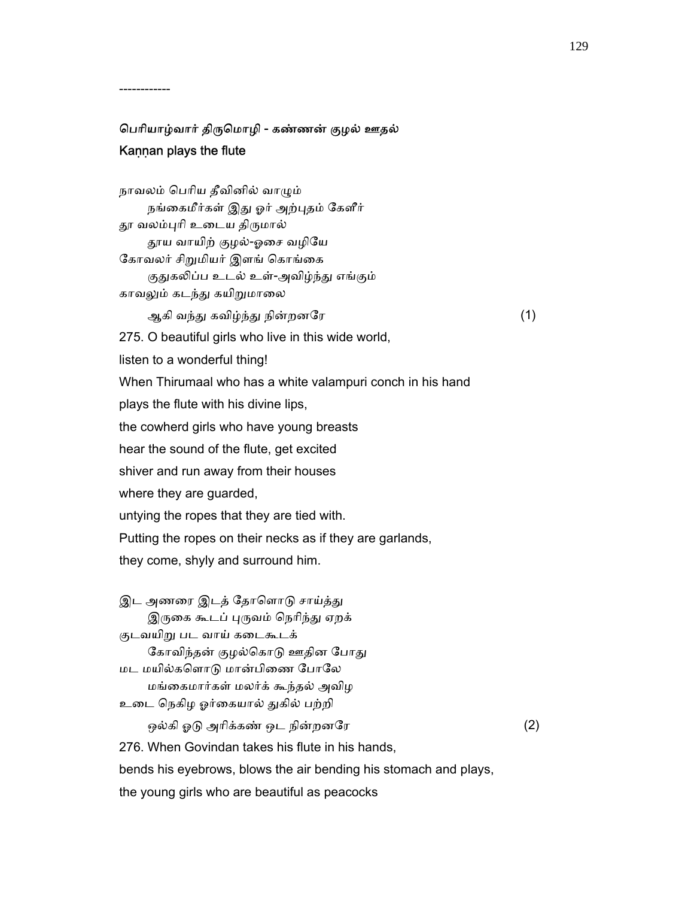# ெபாியாழ்வார் திᾞெமாழி - கண்ணன் குழல் ஊதல் Kaṇṇan plays the flute

------------

 நாவலம் ெபாிய தீவினில் வாᾨம் நங்கைமீர்கள் இது ஓர் அற்புதம் கேளீர் தூ வலம்புரி உடைய திருமால் ᾑய வாயிற் குழல்-ஓைச வழிேய கோவலர் சிறுமியர் இளங் கொங்கை குதுகலிப்ப உடல் உள்-அவிழ்ந்து எங்கும் காவலும் கடந்து கயிறுமாலை ஆகி வந்து கவிழ்ந்து நின்றனரே $(1)$  275. O beautiful girls who live in this wide world, listen to a wonderful thing! When Thirumaal who has a white valampuri conch in his hand plays the flute with his divine lips, the cowherd girls who have young breasts hear the sound of the flute, get excited shiver and run away from their houses where they are guarded, untying the ropes that they are tied with. Putting the ropes on their necks as if they are garlands, they come, shyly and surround him. இட அணரை இடத் தோளொடு சாய்த்து

இருகை கூடப் புருவம் நெரிந்து ஏறக் குடவயிறு பட வாய் கடைகூடக் கோவிந்தன் குழல்கொடு ஊதின போது மட மயில்கெளாᾌ மான்பிைண ேபாேல மங்ைகமார்கள் மலர்க் கூந்தல் அவிழ உடை நெகிழ ஓர்கையால் துகில் பற்றி ஒல்கி ஓடு அரிக்கண் ஒட நின்றனரே $(2)$ 276. When Govindan takes his flute in his hands,

bends his eyebrows, blows the air bending his stomach and plays,

the young girls who are beautiful as peacocks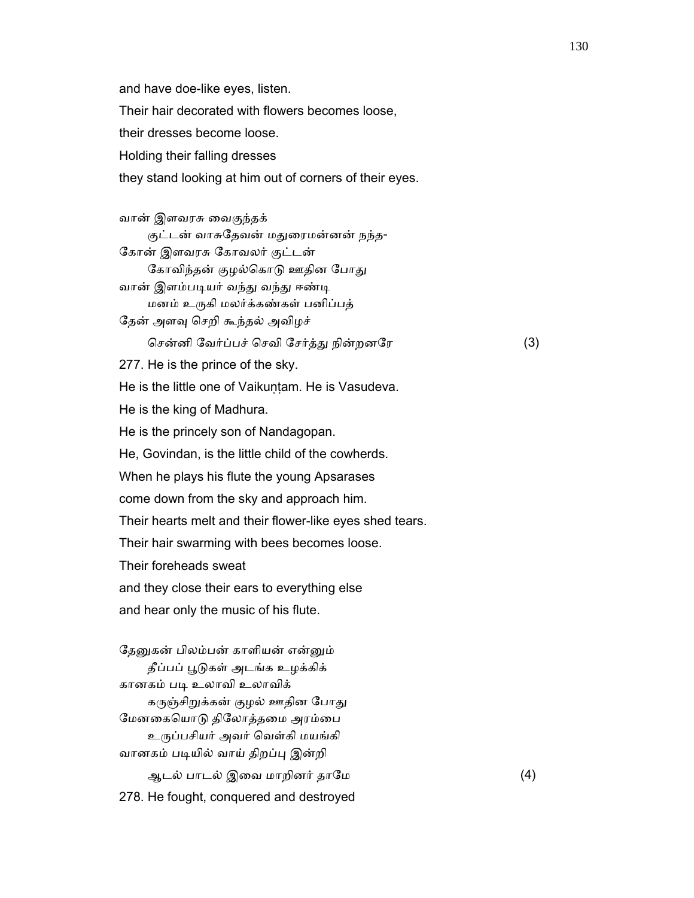and have doe-like eyes, listen. Their hair decorated with flowers becomes loose, their dresses become loose. Holding their falling dresses they stand looking at him out of corners of their eyes.

 வான் இளவரசு ைவகுந்தக் குட்டன் வாசுதேவன் மதுரைமன்னன் நந்த- ேகான் இளவரசு ேகாவலர் குட்டன் கோவிந்தன் குழல்கொடு ஊதின போது வான் இளம்படியர் வந்து வந்து ஈண்டி மனம் உᾞகி மலர்க்கண்கள் பனிப்பத் தேன் அளவு செறி கூந்தல் அவிழச் ெசன்னி ேவர்ப்பச் ெசவி ேசர்த்ᾐ நின்றனேர (3) 277. He is the prince of the sky. He is the little one of Vaikuntam. He is Vasudeva. He is the king of Madhura. He is the princely son of Nandagopan. He, Govindan, is the little child of the cowherds. When he plays his flute the young Apsarases come down from the sky and approach him. Their hearts melt and their flower-like eyes shed tears. Their hair swarming with bees becomes loose. Their foreheads sweat and they close their ears to everything else and hear only the music of his flute. தேனுகன் பிலம்பன் காளியன் என்னும் தீப்பப் பூடுகள் அடங்க உழக்கிக் கானகம் பᾊ உலாவி உலாவிக்

கருஞ்சிறுக்கன் குழல் ஊதின போது மேனகையொடு திலோத்தமை அரம்பை உருப்பசியர் அவர் வெள்கி மயங்கி வானகம் படியில் வாய் திறப்பு இன்றி ஆடல் பாடல் இைவ மாறினர் தாேம (4) 278. He fought, conquered and destroyed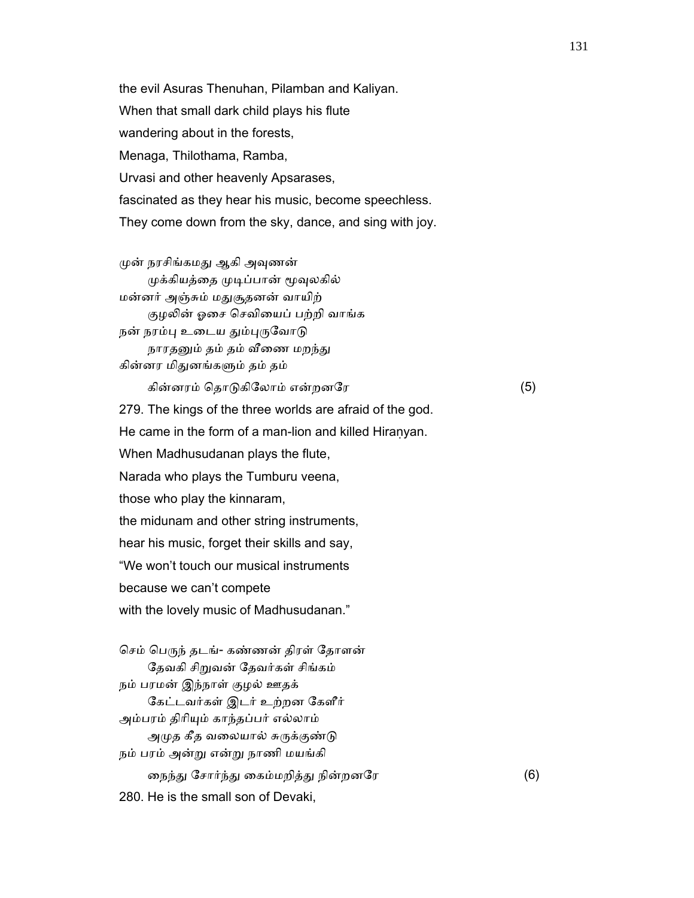the evil Asuras Thenuhan, Pilamban and Kaliyan. When that small dark child plays his flute wandering about in the forests, Menaga, Thilothama, Ramba, Urvasi and other heavenly Apsarases, fascinated as they hear his music, become speechless. They come down from the sky, dance, and sing with joy.

முன் நரசிங்கமது ஆகி அவுணன் முக்கியத்தை முடிப்பான் மூவுலகில் மன்னர் அஞ்சும் மᾐசூதனன் வாயிற் குழலின் ஓசை செவியைப் பற்றி வாங்க நன் நரம்பு உடைய தும்புருவோடு நாரதனும் தம் தம் வீணை மறந்து கின்னர மிதுனங்களும் தம் தம்

கின்னரம் ெதாᾌகிேலாம் என்றனேர (5)

 279. The kings of the three worlds are afraid of the god. He came in the form of a man-lion and killed Hiranyan. When Madhusudanan plays the flute, Narada who plays the Tumburu veena, those who play the kinnaram, the midunam and other string instruments, hear his music, forget their skills and say, "We won't touch our musical instruments because we can't compete with the lovely music of Madhusudanan." செம் பெருந் தடங்- கண்ணன் திரள் தோளன்

தேவகி சிறுவன் தேவர்கள் சிங்கம் நம் பரமன் இந்நாள் குழல் ஊதக் ேகட்டவர்கள் இடர் உற்றன ேகளீர் அம்பரம் திாிᾜம் காந்தப்பர் எல்லாம் அமுத கீத வலையால் சுருக்குண்டு நம் பரம் அன்ᾠ என்ᾠ நாணி மயங்கி நைந்து சோர்ந்து கைம்மறித்து நின்றனரே (6) 280. He is the small son of Devaki,

131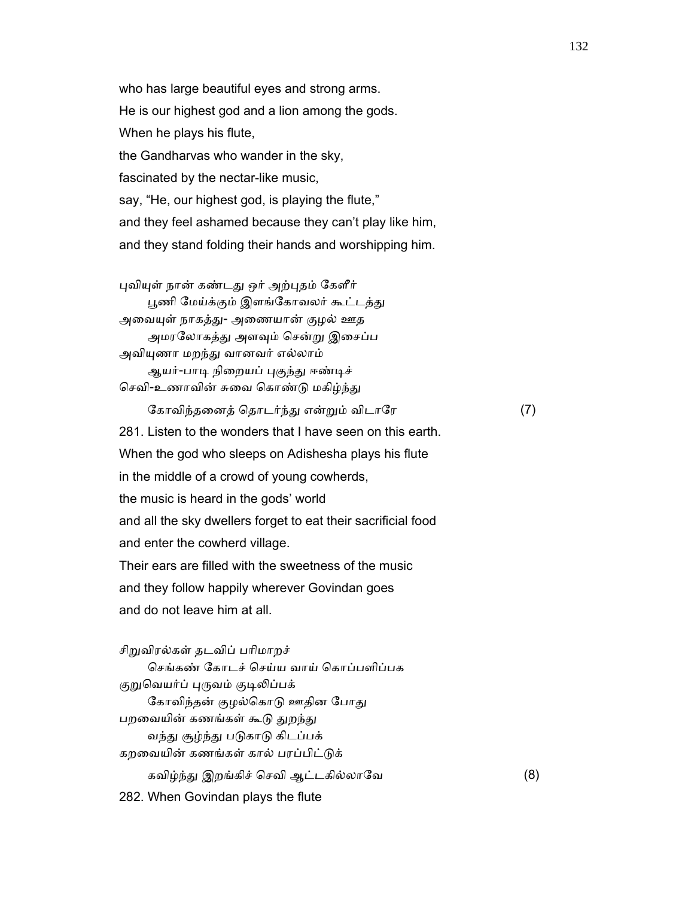who has large beautiful eyes and strong arms. He is our highest god and a lion among the gods. When he plays his flute, the Gandharvas who wander in the sky, fascinated by the nectar-like music, say, "He, our highest god, is playing the flute," and they feel ashamed because they can't play like him, and they stand folding their hands and worshipping him.

புவியுள் நான் கண்டது ஒர் அற்புதம் கேளீர் பூணி மேய்க்கும் இளங்கோவலர் கூட்டத்து அவையுள் நாகத்து- அணையான் குழல் ஊத அமரலோகத்து அளவும் சென்று இசைப்ப அவியுணா மறந்து வானவர் எல்லாம் ஆயர்-பாடி நிறையப் புகுந்து ஈண்டிச் செவி-உணாவின் சுவை கொண்டு மகிழ்ந்து

கோவிந்தனைத் தொடர்ந்து என்றும் விடாரே (7) 281. Listen to the wonders that I have seen on this earth. When the god who sleeps on Adishesha plays his flute in the middle of a crowd of young cowherds, the music is heard in the gods' world and all the sky dwellers forget to eat their sacrificial food and enter the cowherd village. Their ears are filled with the sweetness of the music and they follow happily wherever Govindan goes and do not leave him at all.

சிறுவிரல்கள் தடவிப் பரிமாறச் ெசங்கண் ேகாடச் ெசய்ய வாய் ெகாப்பளிப்பக குறுவெயர்ப் புருவம் குடிலிப்பக் கோவிந்தன் குழல்கொடு ஊதின போது பறவையின் கணங்கள் கூடு துறந்து வந்து சூழ்ந்து படுகாடு கிடப்பக் கறவையின் கணங்கள் கால் பரப்பிட்டுக் கவிழ்ந்து இறங்கிச் செவி ஆட்டகில்லாவே (8) 282. When Govindan plays the flute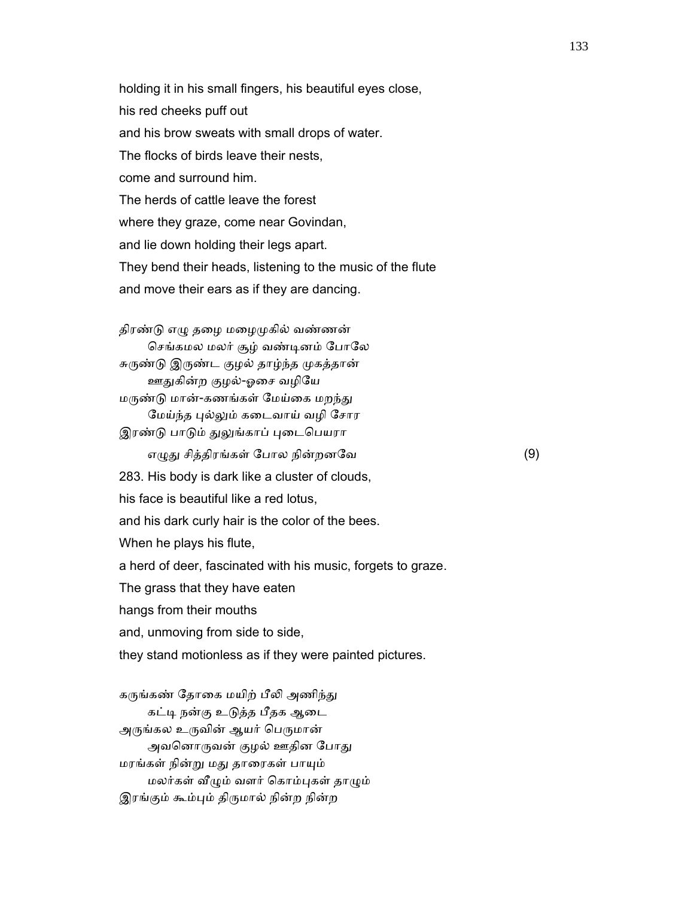holding it in his small fingers, his beautiful eyes close, his red cheeks puff out and his brow sweats with small drops of water. The flocks of birds leave their nests, come and surround him. The herds of cattle leave the forest where they graze, come near Govindan, and lie down holding their legs apart. They bend their heads, listening to the music of the flute and move their ears as if they are dancing.

திரண்டு எழு தழை மழைமுகில் வண்ணன் செங்கமல மலர் சூழ் வண்டினம் போலே சுருண்டு இருண்ட குழல் தாழ்ந்த முகத்தான் ஊᾐகின்ற குழல்-ஓைச வழிேய மருண்டு மான்-கணங்கள் மேய்கை மறந்து மேய்ந்த புல்லும் கடைவாய் வழி சோர இரண்டு பாடும் துலுங்காப் புடைபெயரா எழுது சித்திரங்கள் போல நின்றனவே $(9)$  283. His body is dark like a cluster of clouds, his face is beautiful like a red lotus, and his dark curly hair is the color of the bees. When he plays his flute, a herd of deer, fascinated with his music, forgets to graze. The grass that they have eaten hangs from their mouths and, unmoving from side to side, they stand motionless as if they were painted pictures. கருங்கண் தோகை மயிற் பீலி அணிந்து

கட்டி நன்கு உடுத்த பீதக ஆடை அருங்கல உருவின் ஆயர் பெருமான் அவனொருவன் குழல் ஊதின போது மரங்கள் நின்ᾠ மᾐ தாைரகள் பாᾜம் மலர்கள் ᾪᾨம் வளர் ெகாம்ᾗகள் தாᾨம் இரங்கும் கூம்பும் திருமால் நின்ற நின்ற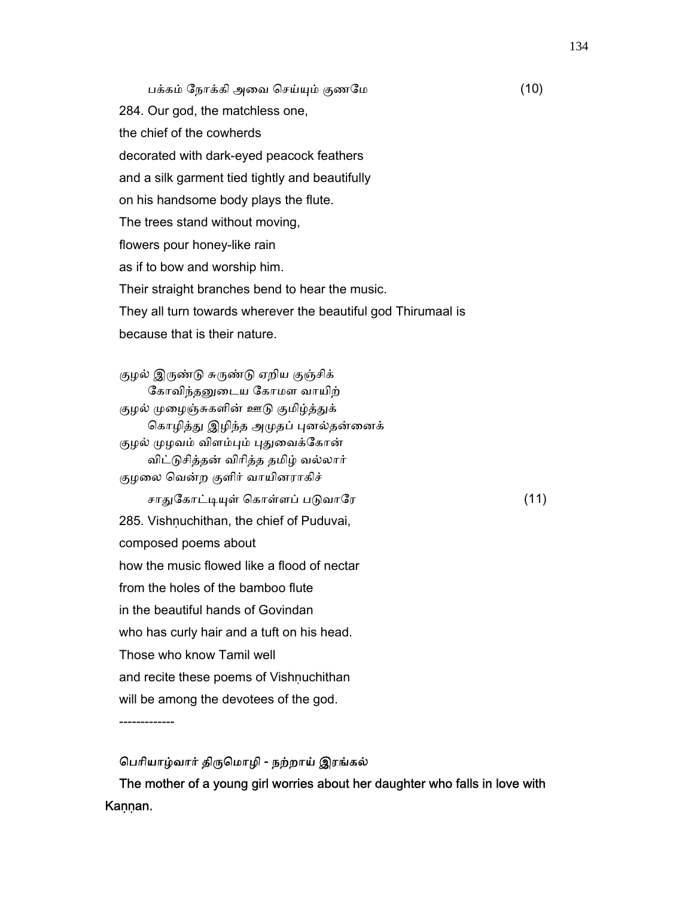பக்கம் ேநாக்கி அைவ ெசய்ᾜம் குணேம (10) 284. Our god, the matchless one, the chief of the cowherds decorated with dark-eyed peacock feathers and a silk garment tied tightly and beautifully on his handsome body plays the flute. The trees stand without moving, flowers pour honey-like rain as if to bow and worship him. Their straight branches bend to hear the music. They all turn towards wherever the beautiful god Thirumaal is because that is their nature.

குழல் இருண்டு சுருண்டு ஏறிய குஞ்சிக் கோவிந்தனுடைய கோமள வாயிற் குழல் முழைஞ்சுகளின் ஊடு குமிழ்த்துக் கொழித்து இழிந்த அமுதப் புனல்தன்னைக் குழல் முழவம் விளம்பும் புதுவைக்கோன் விட்ᾌசித்தன் விாித்த தமிழ் வல்லார் குழைல ெவன்ற குளிர் வாயினராகிச் சாᾐேகாட்ᾊᾜள் ெகாள்ளப் பᾌவாேர (11) 285. Vishnuchithan, the chief of Puduvai, composed poems about how the music flowed like a flood of nectar from the holes of the bamboo flute in the beautiful hands of Govindan who has curly hair and a tuft on his head. Those who know Tamil well and recite these poems of Vishnuchithan will be among the devotees of the god.

-------------

 ெபாியாழ்வார் திᾞெமாழி - நற்றாய் இரங்கல் The mother of a young girl worries about her daughter who falls in love with Kaṇṇan.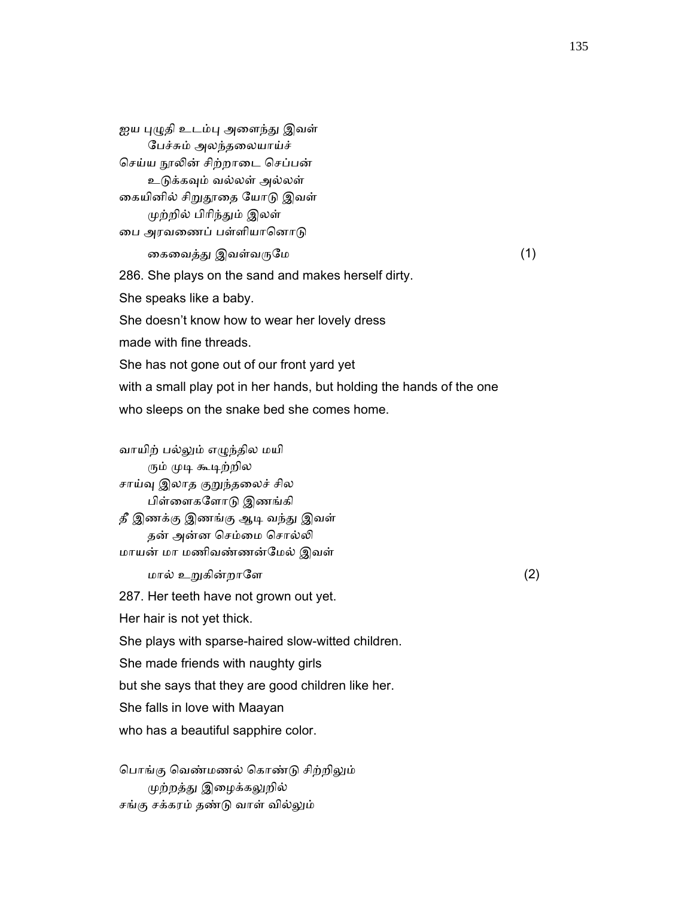ஐய புழுதி உடம்பு அளைந்து இவள் ேபச்சும் அலந்தைலயாய்ச் செய்ய நூலின் சிற்றாடை செப்பன் உடுக்கவும் வல்லள் அல்லள் கையினில் சிறுதூதை யோடு இவள் முற்றில் பிரிந்தும் இலள் பை அரவணைப் பள்ளியானொடு கைவைத்து இவள்வருமே மாவம் (1) 286. She plays on the sand and makes herself dirty. She speaks like a baby. She doesn't know how to wear her lovely dress made with fine threads. She has not gone out of our front yard yet with a small play pot in her hands, but holding the hands of the one who sleeps on the snake bed she comes home.

 வாயிற் பல்ᾤம் எᾨந்தில மயி ரும் முடி கூடிற்றில சாய்வு இலாத குறுந்தலைச் சில பிள்ைளகேளாᾌ இணங்கி தீ இணக்கு இணங்கு ஆடி வந்து இவள் தன் அன்ன செம்மை சொல்லி மாயன் மா மணிவண்ணன்ேமல் இவள்

 $\ln \omega$  உறுகின்றாளே கூடியமான (2)

287. Her teeth have not grown out yet.

Her hair is not yet thick.

She plays with sparse-haired slow-witted children.

She made friends with naughty girls

but she says that they are good children like her.

She falls in love with Maayan

who has a beautiful sapphire color.

பொங்கு வெண்மணல் கொண்டு சிற்றிலும் ᾙற்றத்ᾐ இைழக்கᾤறில் சங்கு சக்கரம் தண்ᾌ வாள் வில்ᾤம்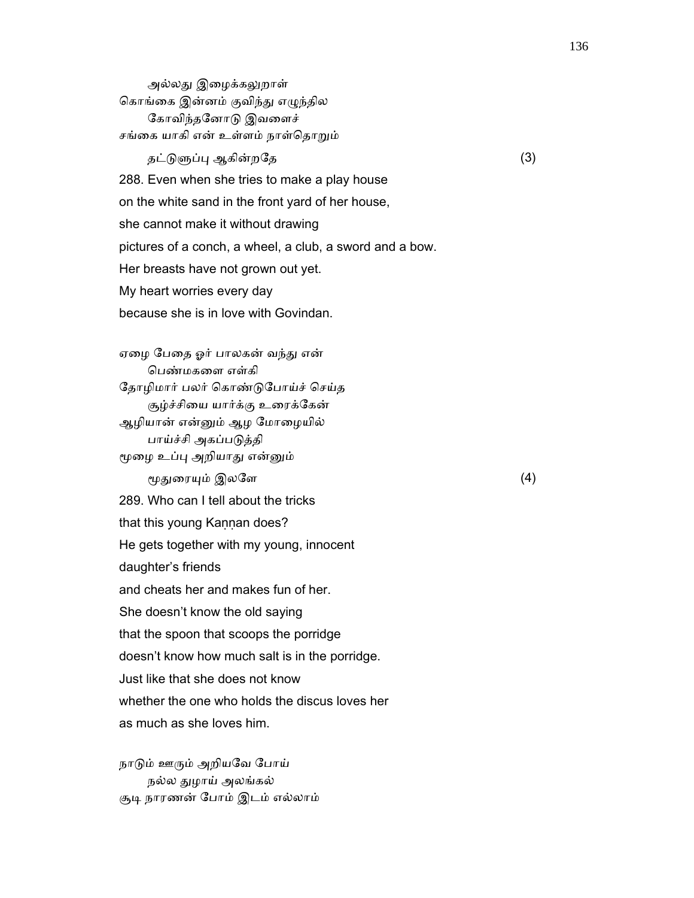அல்லது இழைக்கலுறாள் கொங்கை இன்னம் குவிந்து எழுந்தில ேகாவிந்தேனாᾌ இவைளச் சங்கை யாகி என் உள்ளம் நாள்தொறும்

தட்டுளுப்பு ஆகின்றதே (3) 288. Even when she tries to make a play house on the white sand in the front yard of her house, she cannot make it without drawing pictures of a conch, a wheel, a club, a sword and a bow. Her breasts have not grown out yet. My heart worries every day because she is in love with Govindan.

ஏழை பேதை ஓர் பாலகன் வந்து என் ெபண்மகைள எள்கி ேதாழிமார் பலர் ெகாண்ᾌேபாய்ச் ெசய்த சூழ்ச்சியை யார்க்கு உரைக்கேன் ஆழியான் என்ᾔம் ஆழ ேமாைழயில் பாய்ச்சி அகப்பᾌத்தி மூழை உப்பு அறியாது என்னும் மூதுரையும் இலளே (4) 289. Who can I tell about the tricks that this young Kannan does? He gets together with my young, innocent daughter's friends and cheats her and makes fun of her. She doesn't know the old saying that the spoon that scoops the porridge doesn't know how much salt is in the porridge. Just like that she does not know whether the one who holds the discus loves her as much as she loves him.

நாடும் ஊரும் அறியவே போய் நல்ல ᾐழாய் அலங்கல் சூடி நாரணன் போம் இடம் எல்லாம்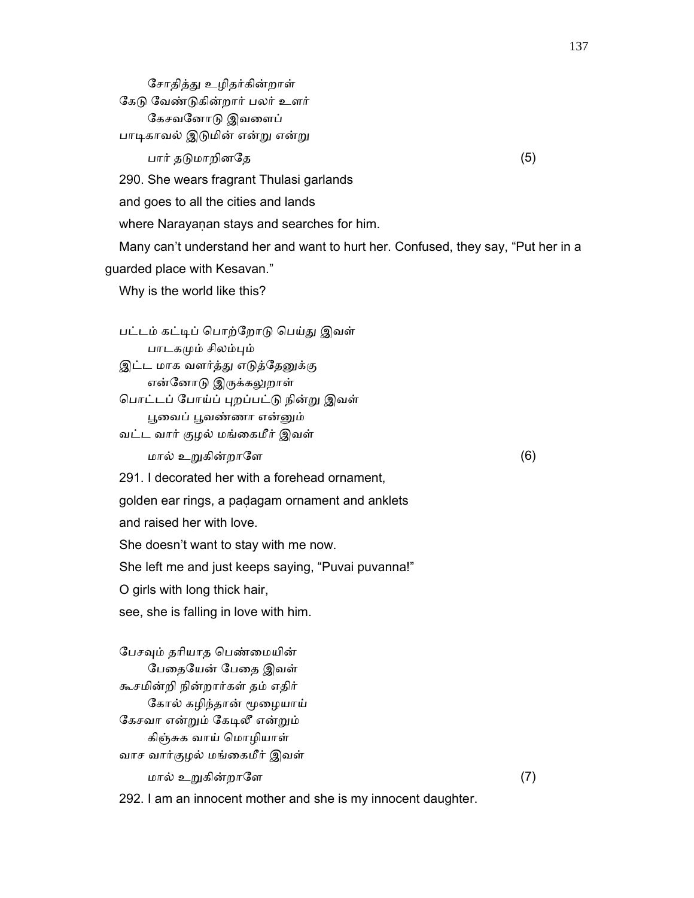சோதித்து உழிதர்கின்றாள் கேடு வேண்டுகின்றார் பலர் உளர் ேகசவேனாᾌ இவைளப் பாடிகாவல் இடுமின் என்று என்று  $\Box$ பார் தடுமாறினதே (5) 290. She wears fragrant Thulasi garlands and goes to all the cities and lands where Narayaṇan stays and searches for him. Many can't understand her and want to hurt her. Confused, they say, "Put her in a guarded place with Kesavan." Why is the world like this? பட்டம் கட்ᾊப் ெபாற்ேறாᾌ ெபய்ᾐ இவள் பாடகமும் சிலம்பும் இட்ட மாக வளர்த்து எடுத்தேனுக்கு என்னோடு இருக்கலுறாள் பொட்டப் போய்ப் புறப்பட்டு நின்று இவள் ᾘைவப் ᾘவண்ணா என்ᾔம் வட்ட வார் குழல் மங்ைகமீர் இவள்  $\ln \omega$  உறுகின்றாளே பான்று மால் (6) 291. I decorated her with a forehead ornament, golden ear rings, a paḍagam ornament and anklets and raised her with love. She doesn't want to stay with me now. She left me and just keeps saying, "Puvai puvanna!" O girls with long thick hair, see, she is falling in love with him. பேசவும் தரியாத பெண்மையின் பேதையேன் பேதை இவள் கூசமின்றி நின்றார்கள் தம் எதிர்

137

 $\ln \omega$  உறுகின்றாளே (7)

292. I am an innocent mother and she is my innocent daughter.

ேகால் கழிந்தான் ᾚைழயாய்

கேசவா என்றும் கேடிலீ என்றும் கிஞ்சுக வாய் ெமாழியாள் வாச வார்குழல் மங்ைகமீர் இவள்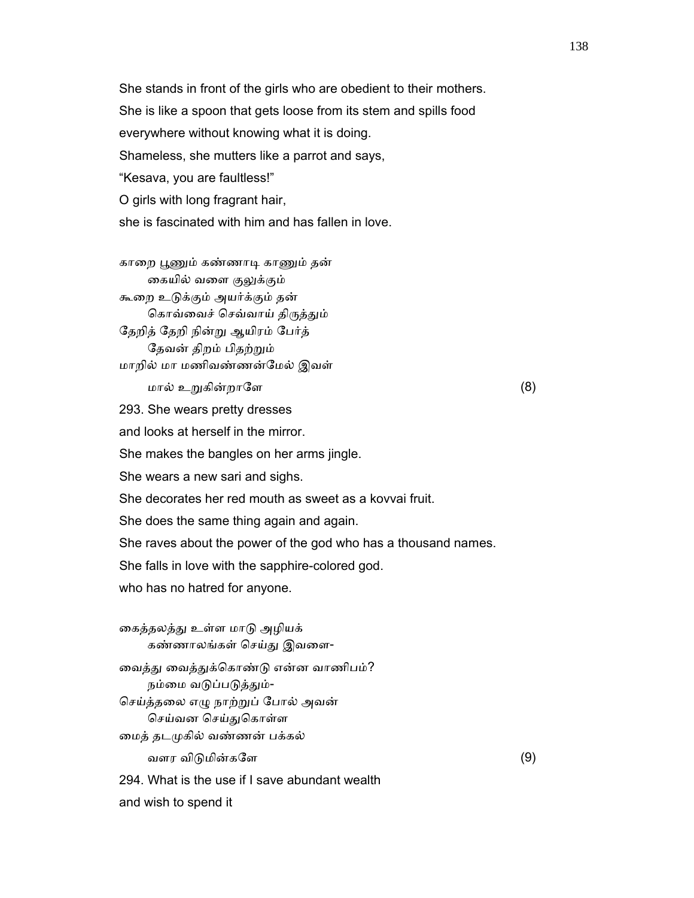She stands in front of the girls who are obedient to their mothers. She is like a spoon that gets loose from its stem and spills food everywhere without knowing what it is doing. Shameless, she mutters like a parrot and says, "Kesava, you are faultless!" O girls with long fragrant hair, she is fascinated with him and has fallen in love.

காறை பூணும் கண்ணாடி காணும் தன் கையில் வளை குலுக்கும் கூைற உᾌக்கும் அயர்க்கும் தன் கொவ்வைச் செவ்வாய் திருத்தும் ேதறித் ேதறி நின்ᾠ ஆயிரம் ேபர்த் ேதவன் திறம் பிதற்ᾠம் மாறில் மா மணிவண்ணன்ேமல் இவள்

 $\ln \omega$  உறுகின்றாளே பான்று மால் (8)

293. She wears pretty dresses

and looks at herself in the mirror.

She makes the bangles on her arms jingle.

She wears a new sari and sighs.

She decorates her red mouth as sweet as a kovvai fruit.

She does the same thing again and again.

She raves about the power of the god who has a thousand names.

She falls in love with the sapphire-colored god.

who has no hatred for anyone.

கைத்தலத்து உள்ள மாடு அழியக் கண்ணாலங்கள் ெசய்ᾐ இவைள- வைத்து வைத்துக்கொண்டு என்ன வாணிபம்? நம்மை வடுப்படுத்தும்- ெசய்த்தைல எᾨ நாற்ᾠப் ேபால் அவன் செய்வன செய்துகொள்ள ைமத் தடᾙகில் வண்ணன் பக்கல் வளர விடுமின்களே  $(9)$  294. What is the use if I save abundant wealth and wish to spend it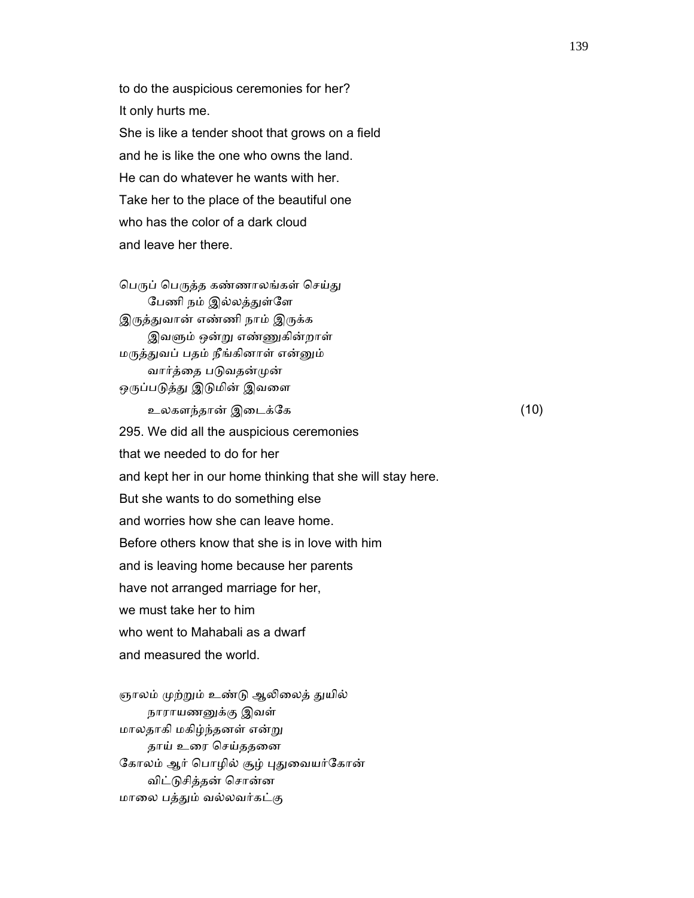to do the auspicious ceremonies for her? It only hurts me. She is like a tender shoot that grows on a field and he is like the one who owns the land. He can do whatever he wants with her. Take her to the place of the beautiful one who has the color of a dark cloud and leave her there.

பெருப் பெருத்த கண்ணாலங்கள் செய்து பேணி நம் இல்லத்துள்ளே இருத்துவான் எண்ணி நாம் இருக்க இவளும் ஒன்று எண்ணுகின்றாள் மᾞத்ᾐவப் பதம் நீங்கினாள் என்ᾔம் வார்த்தை படுவதன்முன் ஒருப்படுத்து இடுமின் இவளை

 உலகளந்தான் இைடக்ேக (10) 295. We did all the auspicious ceremonies that we needed to do for her and kept her in our home thinking that she will stay here. But she wants to do something else and worries how she can leave home. Before others know that she is in love with him and is leaving home because her parents have not arranged marriage for her, we must take her to him who went to Mahabali as a dwarf and measured the world.

ஞாலம் முற்றும் உண்டு ஆலிலைத் துயில் நாராயணᾔக்கு இவள் மாலதாகி மகிழ்ந்தனள் என்ᾠ தாய் உரை செய்ததனை கோலம் ஆர் பொழில் சூழ் புதுவையர்கோன் விட்ᾌசித்தன் ெசான்ன மாைல பத்ᾐம் வல்லவர்கட்கு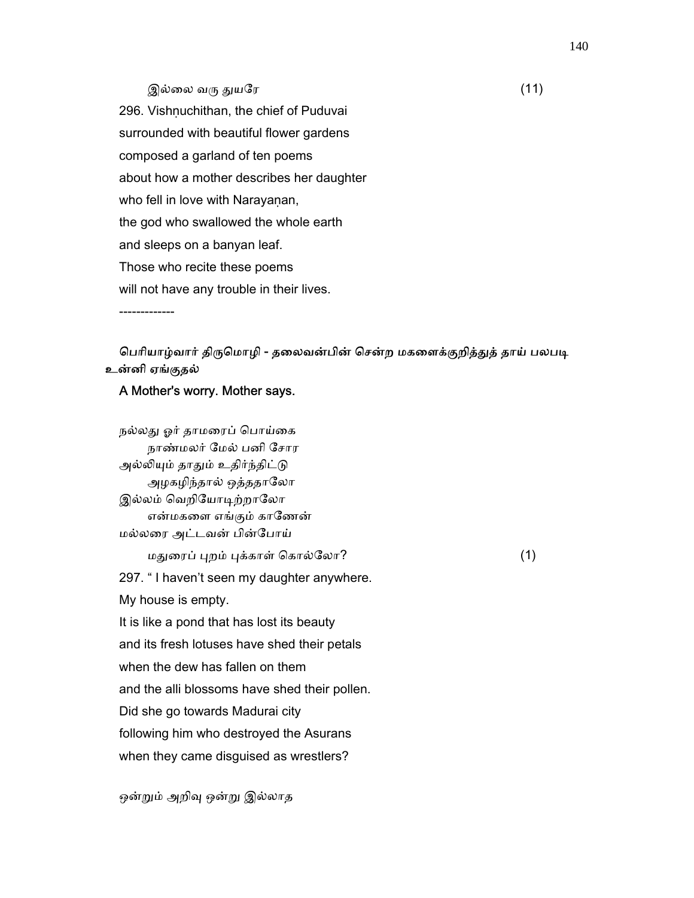## இல்லை வரு துயரே  $(11)$

296. Vishṇuchithan, the chief of Puduvai surrounded with beautiful flower gardens composed a garland of ten poems about how a mother describes her daughter who fell in love with Narayanan, the god who swallowed the whole earth and sleeps on a banyan leaf. Those who recite these poems will not have any trouble in their lives.

-------------

# பெரியாழ்வார் திருமொழி - தலைவன்பின் சென்ற மகளைக்குறித்துத் தாய் பலபடி உன்னி ஏங்குதல்

#### A Mother's worry. Mother says.

நல்லது ஓர் தாமரைப் பொய்கை நாண்மலர் ேமல் பனி ேசார அல்லியும் தாதும் உதிர்ந்திட்டு அழகழிந்தால் ஒத்ததாலோ இல்லம் வெறியோடிற்றாலோ என்மகைள எங்கும் காேணன் மல்லைர அட்டவன் பின்ேபாய்  $\omega$ துரைப் புறம் புக்காள் கொல்லோ? (1) 297. " I haven't seen my daughter anywhere. My house is empty. It is like a pond that has lost its beauty and its fresh lotuses have shed their petals when the dew has fallen on them and the alli blossoms have shed their pollen. Did she go towards Madurai city following him who destroyed the Asurans when they came disguised as wrestlers?

ஒன்றும் அறிவு ஒன்று இல்லாத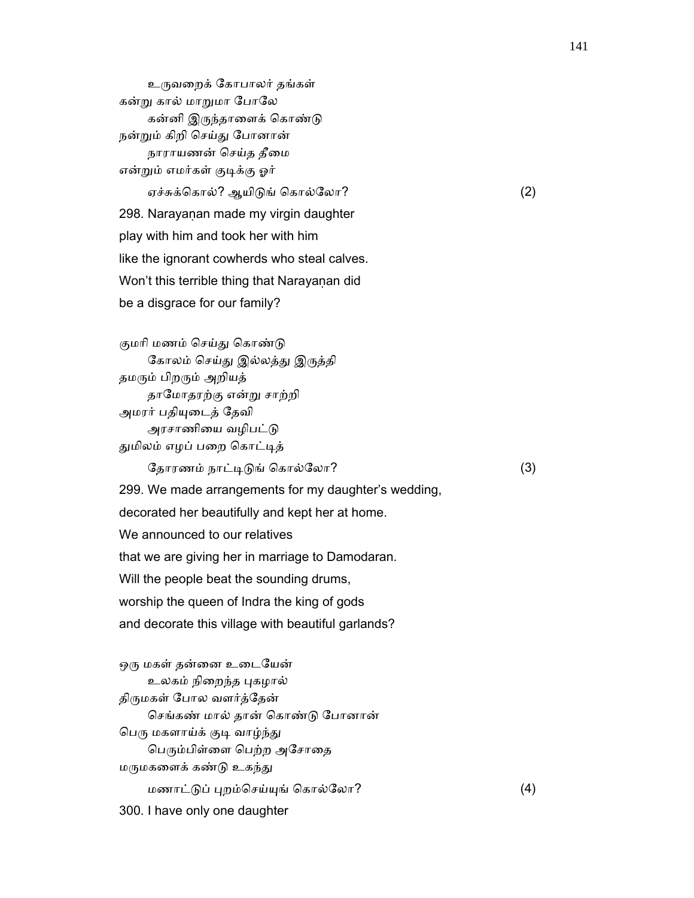உᾞவைறக் ேகாபாலர் தங்கள் கன்று கால் மாறுமா போலே கன்னி இருந்தாளைக் கொண்டு நன்ᾠம் கிறி ெசய்ᾐ ேபானான் நாராயணன் செய்த தீமை என்றும் எமர்கள் குடிக்கு ஓர் ஏச்சுக்கொல்? ஆயிடுங் கொல்லோ?  $(2)$ 298. Narayanan made my virgin daughter play with him and took her with him like the ignorant cowherds who steal calves. Won't this terrible thing that Narayanan did be a disgrace for our family?

குமரி மணம் செய்து கொண்டு கோலம் செய்து இல்லத்து இருத்தி தமரும் பிறரும் அறியத் தாேமாதரற்கு என்ᾠ சாற்றி அமரர் பதிᾜைடத் ேதவி அரசாணியை வழிபட்டு துமிலம் எழப் பறை கொட்டித்

ேதாரணம் நாட்டிடுங் கொல்லோ?  $(3)$ 

 299. We made arrangements for my daughter's wedding, decorated her beautifully and kept her at home. We announced to our relatives that we are giving her in marriage to Damodaran. Will the people beat the sounding drums, worship the queen of Indra the king of gods and decorate this village with beautiful garlands?

ஒரு மகள் தன்னை உடையேன் உலகம் நிறைந்த புகழால் திருமகள் போல வளர்த்தேன் ெசங்கண் மால் தான் ெகாண்ᾌ ேபானான் பெரு மகளாய்க் குடி வாழ்ந்து பெரும்பிள்ளை பெற்ற அசோதை மருமகளைக் கண்டு உகந்து மணாட்ᾌப் ᾗறம்ெசய்ᾜங் ெகால்ேலா? (4) 300. I have only one daughter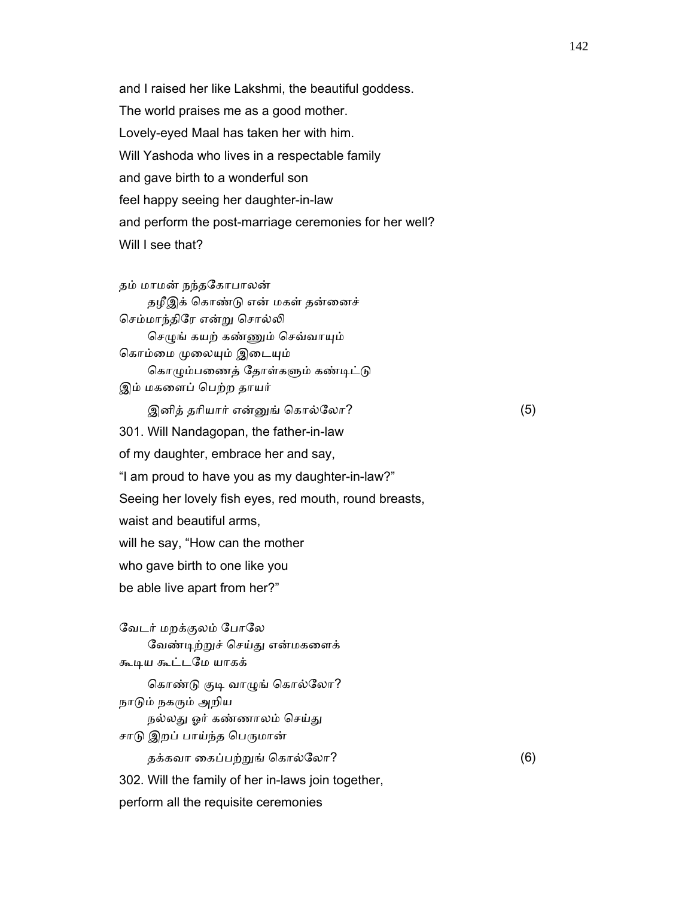and I raised her like Lakshmi, the beautiful goddess. The world praises me as a good mother. Lovely-eyed Maal has taken her with him. Will Yashoda who lives in a respectable family and gave birth to a wonderful son feel happy seeing her daughter-in-law and perform the post-marriage ceremonies for her well? Will I see that?

 தம் மாமன் நந்தேகாபாலன் தழீஇக் கொண்டு என் மகள் தன்னைச் செம்மாந்திரே என்று சொல்லி செழுங் கயற் கண்ணும் செவ்வாயும் கொம்மை முலையும் இடையும் கொழும்பணைத் தோள்களும் கண்டிட்டு இம் மகைளப் ெபற்ற தாயர்

இனித் தரியார் என்னுங் கொல்லோ? (5) 301. Will Nandagopan, the father-in-law of my daughter, embrace her and say, "I am proud to have you as my daughter-in-law?" Seeing her lovely fish eyes, red mouth, round breasts, waist and beautiful arms, will he say, "How can the mother who gave birth to one like you be able live apart from her?"

 ேவடர் மறக்குலம் ேபாேல வேண்டிற்றுச் செய்து என்மகளைக் கூᾊய கூட்டேம யாகக் கொண்டு குடி வாழுங் கொல்லோ? நாᾌம் நகᾞம் அறிய நல்லது ஓர் கண்ணாலம் செய்து சாடு இறப் பாய்ந்த பெருமான் தக்கவா கைப்பற்றுங் கொல்லோ?  $(6)$ 302. Will the family of her in-laws join together,

perform all the requisite ceremonies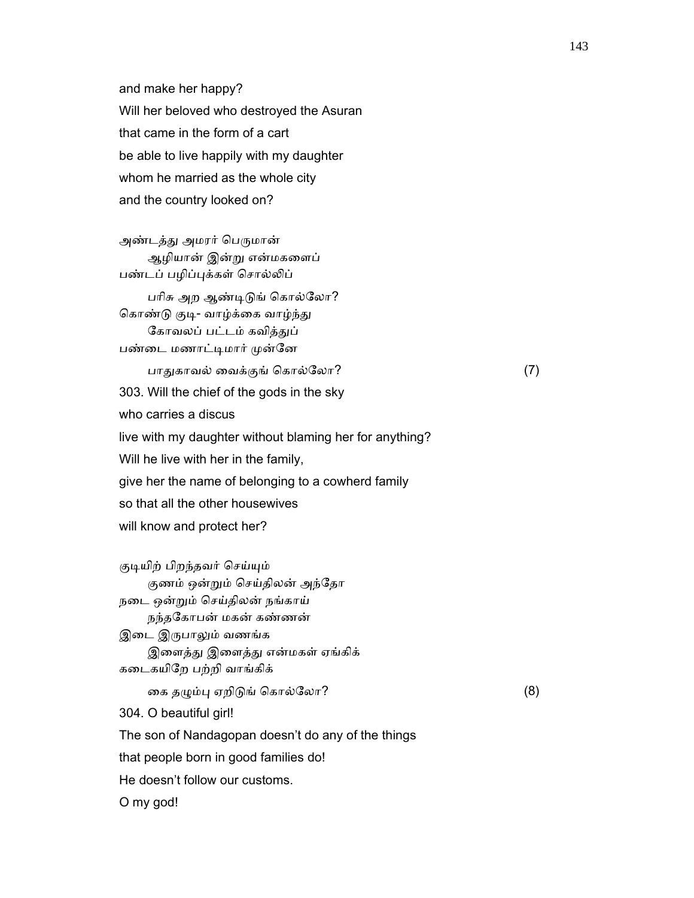and make her happy? Will her beloved who destroyed the Asuran that came in the form of a cart be able to live happily with my daughter whom he married as the whole city and the country looked on?

அண்டத்து அமரர் பெருமான் ஆழியான் இன்ᾠ என்மகைளப் பண்டப் பழிப்புக்கள் சொல்லிப்

பரிசு அற ஆண்டிடுங் கொல்லோ? கொண்டு குடி- வாழ்க்கை வாழ்ந்து கோவலப் பட்டம் கவித்துப் பண்டை மணாட்டிமார் முன்னே

பாதுகாவல் வைக்குங் கொல்லோ?  $(7)$ 

303. Will the chief of the gods in the sky

who carries a discus

live with my daughter without blaming her for anything?

Will he live with her in the family,

give her the name of belonging to a cowherd family

so that all the other housewives

will know and protect her?

குடியிற் பிறந்தவர் செய்யும் குணம் ஒன்றும் செய்திலன் அந்தோ நைட ஒன்ᾠம் ெசய்திலன் நங்காய் நந்தேகாபன் மகன் கண்ணன் இடை இருபாலும் வணங்க இளைத்து இளைத்து என்மகள் ஏங்கிக் கைடகயிேற பற்றி வாங்கிக் கை தழும்பு ஏறிடுங் கொல்லோ?  $(8)$  304. O beautiful girl! The son of Nandagopan doesn't do any of the things that people born in good families do! He doesn't follow our customs. O my god!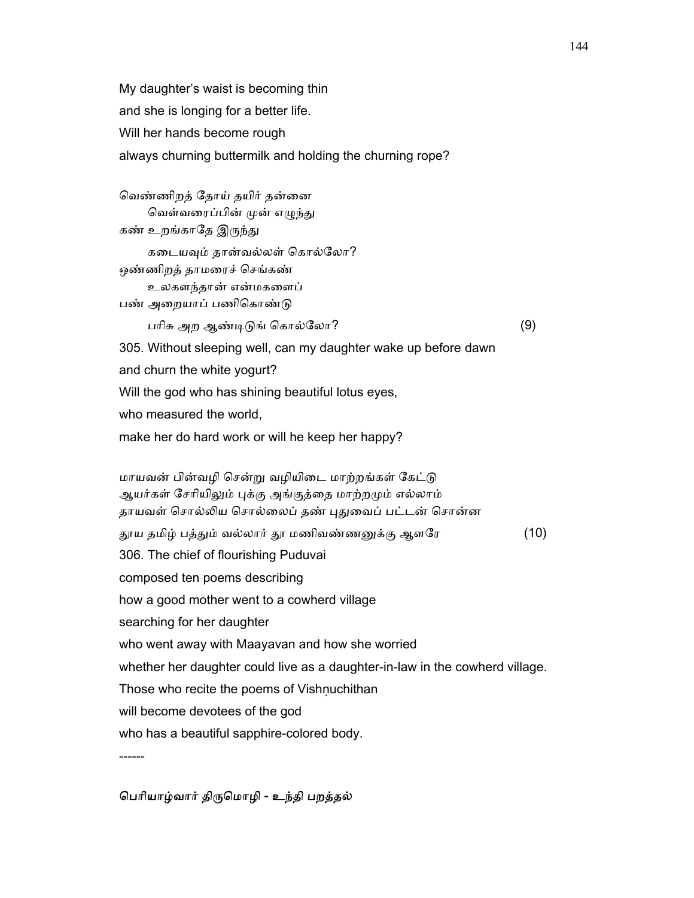My daughter's waist is becoming thin and she is longing for a better life. Will her hands become rough always churning buttermilk and holding the churning rope?

வெண்ணிறத் தோய் தயிர் தன்னை வெள்வரைப்பின் முன் எழுந்து கண் உறங்காதே இருந்து கடையவும் தான்வல்லள் கொல்லோ? ஒண்ணிறத் தாமைரச் ெசங்கண் உலகளந்தான் என்மகைளப் பண் அறையாப் பணிகொண்டு பாிசு அற ஆண்ᾊᾌங் ெகால்ேலா? (9) 305. Without sleeping well, can my daughter wake up before dawn and churn the white yogurt? Will the god who has shining beautiful lotus eyes, who measured the world, make her do hard work or will he keep her happy? மாயவன் பின்வழி சென்று வழியிடை மாற்றங்கள் கேட்டு ஆயர்கள் சேரியிலும் புக்கு அங்குத்தை மாற்றமும் எல்லாம் தாயவள் சொல்லிய சொல்லைப் தண் புதுவைப் பட்டன் சொன்ன ்தூய தமிழ் பத்தும் வல்லார் தூ மணிவண்ணனுக்கு ஆளரே (10) 306. The chief of flourishing Puduvai composed ten poems describing how a good mother went to a cowherd village searching for her daughter who went away with Maayavan and how she worried whether her daughter could live as a daughter-in-law in the cowherd village. Those who recite the poems of Vishnuchithan will become devotees of the god who has a beautiful sapphire-colored body. ------

### ெபாியாழ்வார் திᾞெமாழி - உந்தி பறத்தல்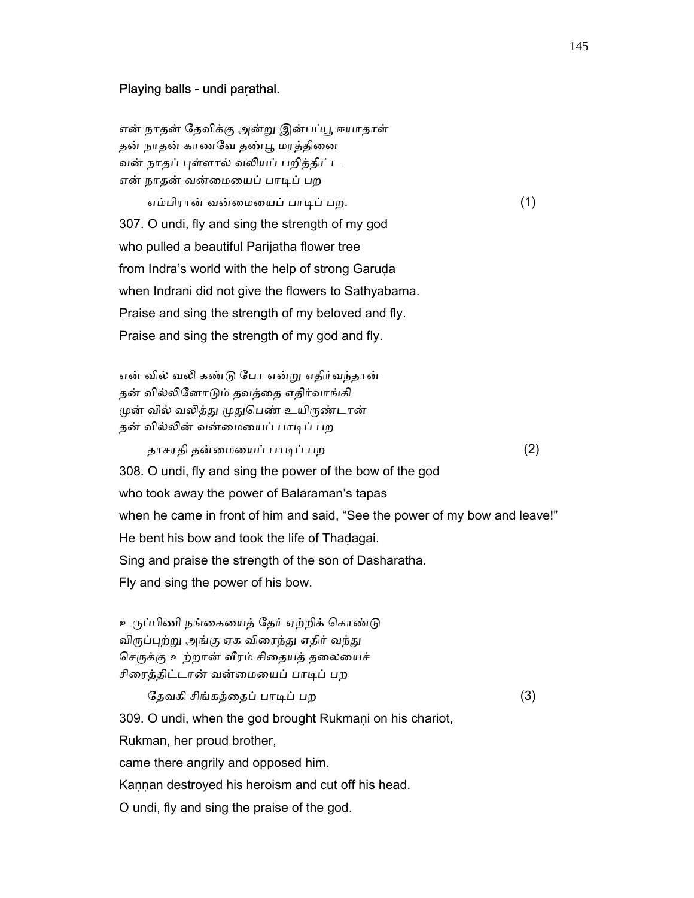#### Playing balls - undi paṛathal.

என் நாதன் தேவிக்கு அன்று இன்பப்பூ ஈயாதாள் தன் நாதன் காணவே தண்பூ மரத்தினை வன் நாதப் புள்ளால் வலியப் பறித்திட்ட என் நாதன் வன்மையைப் பாடிப் பற

 எம்பிரான் வன்ைமையப் பாᾊப் பற. (1) 307. O undi, fly and sing the strength of my god who pulled a beautiful Parijatha flower tree from Indra's world with the help of strong Garuda when Indrani did not give the flowers to Sathyabama. Praise and sing the strength of my beloved and fly. Praise and sing the strength of my god and fly.

 என் வில் வᾢ கண்ᾌ ேபா என்ᾠ எதிர்வந்தான் தன் வில்ᾢேனாᾌம் தவத்ைத எதிர்வாங்கி முன் வில் வலித்து முதுபெண் உயிருண்டான் தன் வில்லின் வன்மையைப் பாடிப் பற

தாசரதி தன்ைமையப் பாᾊப் பற (2)

 308. O undi, fly and sing the power of the bow of the god who took away the power of Balaraman's tapas when he came in front of him and said, "See the power of my bow and leave!" He bent his bow and took the life of Thadagai. Sing and praise the strength of the son of Dasharatha.

Fly and sing the power of his bow.

உருப்பிணி நங்கையைத் தேர் ஏற்றிக் கொண்டு விருப்புற்று அங்கு ஏக விரைந்து எதிர் வந்து செருக்கு உற்றான் வீரம் சிதையத் தலையைச் சிரைத்திட்டான் வன்மையைப் பாடிப் பற

ேதவகி சிங்கத்தைப் பாடிப் பற  $(3)$ 309. O undi, when the god brought Rukmani on his chariot, Rukman, her proud brother, came there angrily and opposed him. Kannan destroyed his heroism and cut off his head. O undi, fly and sing the praise of the god.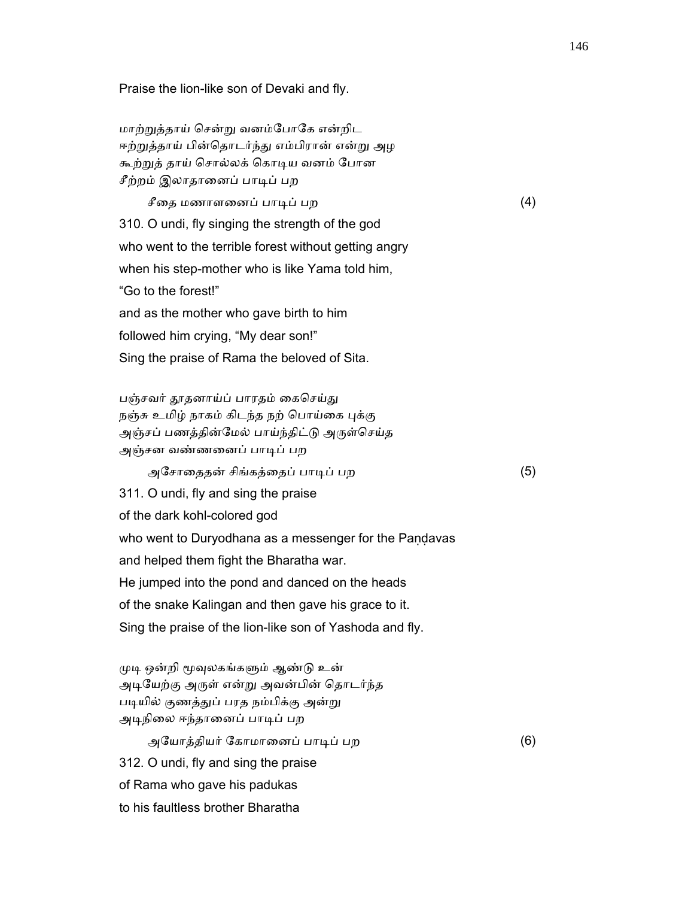Praise the lion-like son of Devaki and fly.

 மாற்ᾠத்தாய் ெசன்ᾠ வனம்ேபாேக என்றிட ஈற்றுத்தாய் பின்தொடர்ந்து எம்பிரான் என்று அழ கூற்ᾠத் தாய் ெசால்லக் ெகாᾊய வனம் ேபான சீற்றம் இலாதானைப் பாடிப் பற

 $\hat{\mathcal{F}}$ தை மணாளனைப் பாடிப் பற  $(4)$  310. O undi, fly singing the strength of the god who went to the terrible forest without getting angry when his step-mother who is like Yama told him, "Go to the forest!" and as the mother who gave birth to him followed him crying, "My dear son!" Sing the praise of Rama the beloved of Sita.

பஞ்சவர் தூதனாய்ப் பாரதம் கைசெய்து நஞ்சு உமிழ் நாகம் கிடந்த நற் பொய்கை புக்கு அஞ்சப் பணத்தின்மேல் பாய்ந்திட்டு அருள்செய்த அஞ்சன வண்ணைனப் பாᾊப் பற

அேசாைததன் சிங்கத்ைதப் பாᾊப் பற (5)

 311. O undi, fly and sing the praise of the dark kohl-colored god who went to Duryodhana as a messenger for the Pandavas and helped them fight the Bharatha war. He jumped into the pond and danced on the heads of the snake Kalingan and then gave his grace to it. Sing the praise of the lion-like son of Yashoda and fly.

முடி ஒன்றி மூவுலகங்களும் ஆண்டு உன் அடியேற்கு அருள் என்று அவன்பின் தொடர்ந்த படியில் குணத்துப் பரத நம்பிக்கு அன்று அடிநிலை ஈந்தானைப் பாடிப் பற

 அேயாத்தியர் ேகாமாைனப் பாᾊப் பற (6) 312. O undi, fly and sing the praise of Rama who gave his padukas to his faultless brother Bharatha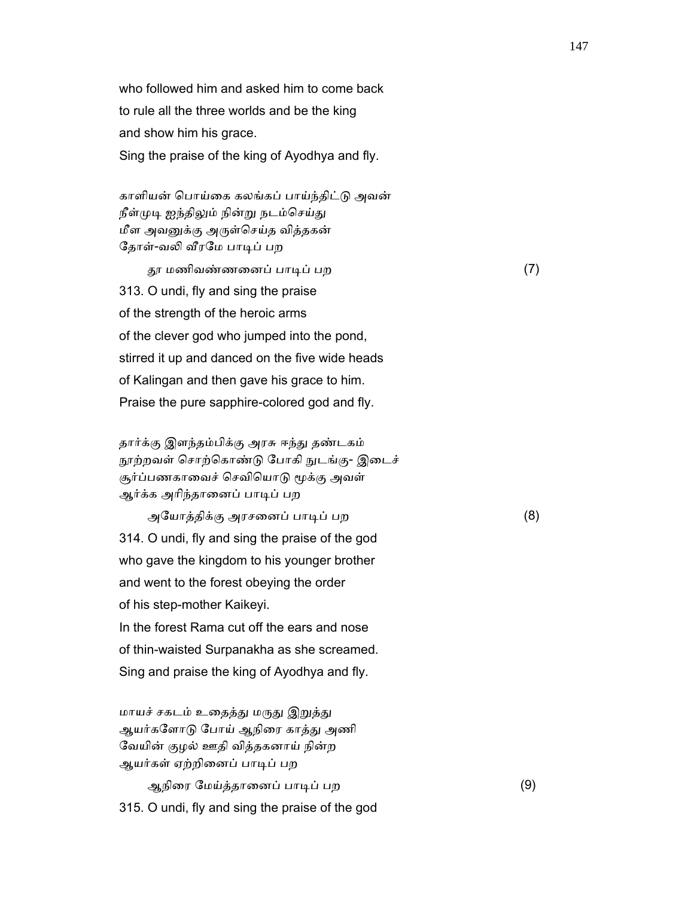who followed him and asked him to come back to rule all the three worlds and be the king and show him his grace. Sing the praise of the king of Ayodhya and fly.

 காளியன் ெபாய்ைக கலங்கப் பாய்ந்திட்ᾌ அவன் நீள்முடி ஐந்திலும் நின்று நடம்செய்து மீள அவᾔக்கு அᾞள்ெசய்த வித்தகன் தோள்-வலி வீரமே பாடிப் பற

 ᾑ மணிவண்ணைனப் பாᾊப் பற (7) 313. O undi, fly and sing the praise of the strength of the heroic arms of the clever god who jumped into the pond, stirred it up and danced on the five wide heads of Kalingan and then gave his grace to him. Praise the pure sapphire-colored god and fly.

 தார்க்கு இளந்தம்பிக்கு அரசு ஈந்ᾐ தண்டகம் நூற்றவள் சொற்கொண்டு போகி நுடங்கு- இடைச் சூர்ப்பணகாவைச் செவியொடு மூக்கு அவள் ஆர்க்க அரிந்தானைப் பாடிப் பற

 அேயாத்திக்கு அரசைனப் பாᾊப் பற (8) 314. O undi, fly and sing the praise of the god who gave the kingdom to his younger brother and went to the forest obeying the order of his step-mother Kaikeyi. In the forest Rama cut off the ears and nose of thin-waisted Surpanakha as she screamed.

Sing and praise the king of Ayodhya and fly.

மாயச் சகடம் உதைத்து மருது இறுத்து ஆயர்களோடு போய் ஆநிரை காத்து அணி ேவயின் குழல் ஊதி வித்தகனாய் நின்ற ஆயர்கள் ஏற்றினைப் பாடிப் பற

 ஆநிைர ேமய்த்தாைனப் பாᾊப் பற (9) 315. O undi, fly and sing the praise of the god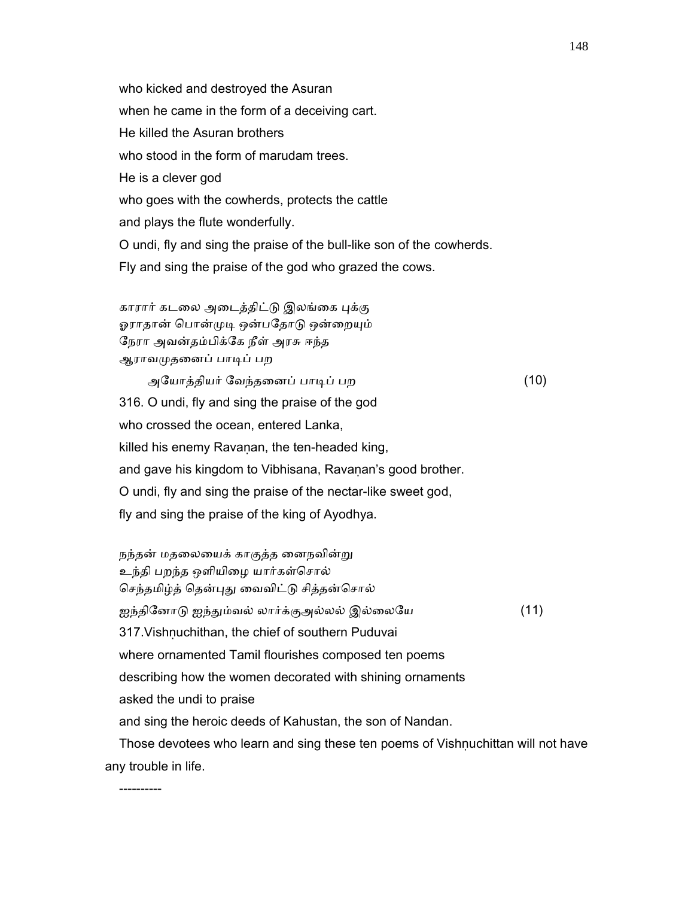who kicked and destroyed the Asuran when he came in the form of a deceiving cart. He killed the Asuran brothers who stood in the form of marudam trees. He is a clever god who goes with the cowherds, protects the cattle and plays the flute wonderfully. O undi, fly and sing the praise of the bull-like son of the cowherds. Fly and sing the praise of the god who grazed the cows.

காரார் கடலை அடைத்திட்டு இலங்கை புக்கு ஓராதான் பொன்முடி ஒன்பதோடு ஒன்றையும் ேநரா அவன்தம்பிக்ேக நீள் அரசு ஈந்த ஆராவᾙதைனப் பாᾊப் பற

----------

 அேயாத்தியர் ேவந்தைனப் பாᾊப் பற (10) 316. O undi, fly and sing the praise of the god who crossed the ocean, entered Lanka, killed his enemy Ravaṇan, the ten-headed king, and gave his kingdom to Vibhisana, Ravanan's good brother. O undi, fly and sing the praise of the nectar-like sweet god, fly and sing the praise of the king of Ayodhya.

நந்தன் மதலையைக் காகுத்த னைநவின்று உந்தி பறந்த ஒளியிைழ யார்கள்ெசால் செந்தமிழ்த் தென்புது வைவிட்டு சித்தன்சொல் ஐந்தினோடு ஐந்தும்வல் லார்க்குஅல்லல் இல்லையே (11) 317. Vishnuchithan, the chief of southern Puduvai where ornamented Tamil flourishes composed ten poems describing how the women decorated with shining ornaments asked the undi to praise and sing the heroic deeds of Kahustan, the son of Nandan. Those devotees who learn and sing these ten poems of Vishnuchittan will not have any trouble in life.

148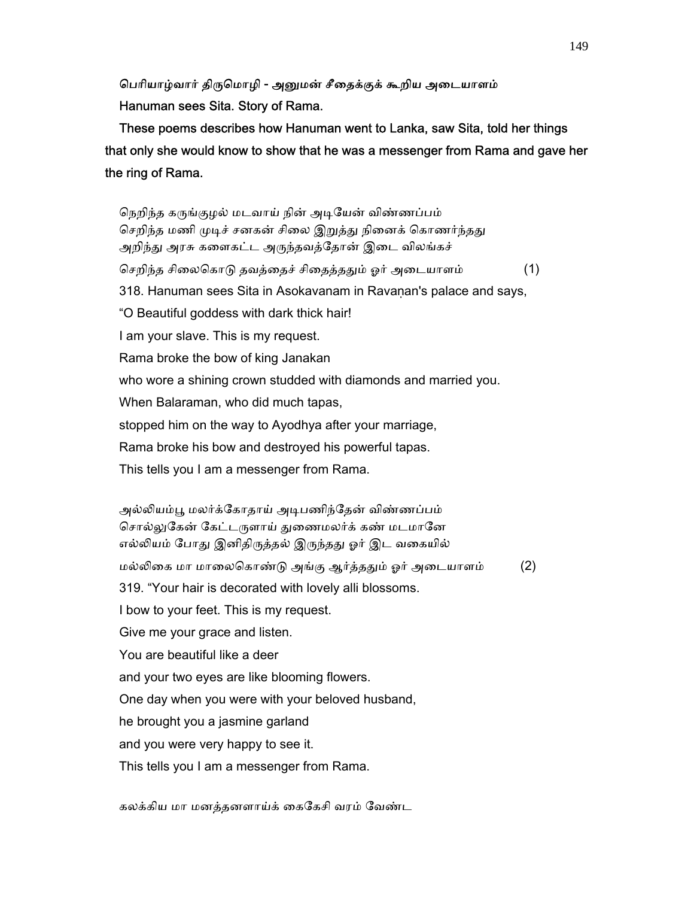### பெரியாழ்வார் திருமொழி - அனுமன் சீதைக்குக் கூறிய அடையாளம் Hanuman sees Sita. Story of Rama.

 These poems describes how Hanuman went to Lanka, saw Sita, told her things that only she would know to show that he was a messenger from Rama and gave her the ring of Rama.

நெறிந்த கருங்குழல் மடவாய் நின் அடியேன் விண்ணப்பம் செறிந்த மணி முடிச் சனகன் சிலை இறுத்து நினைக் கொணர்ந்தது அறிந்து அரசு களைகட்ட அருந்தவத்தோன் இடை விலங்கச் செறிந்த சிலைகொடு தவத்தைச் சிதைத்ததும் ஓர் அடையாளம் (1) 318. Hanuman sees Sita in Asokavanam in Ravaṇan's palace and says, "O Beautiful goddess with dark thick hair! I am your slave. This is my request. Rama broke the bow of king Janakan who wore a shining crown studded with diamonds and married you. When Balaraman, who did much tapas, stopped him on the way to Ayodhya after your marriage, Rama broke his bow and destroyed his powerful tapas. This tells you I am a messenger from Rama.

 அல்ᾢயம்ᾘ மலர்க்ேகாதாய் அᾊபணிந்ேதன் விண்ணப்பம் சொல்லுகேன் கேட்டருளாய் துணைமலர்க் கண் மடமானே எல்லியம் போது இனிதிருத்தல் இருந்தது ஓர் இட வகையில் மல்லிகை மா மாலைகொண்டு அங்கு ஆர்த்ததும் ஓர் அடையாளம் (2) 319. "Your hair is decorated with lovely alli blossoms. I bow to your feet. This is my request. Give me your grace and listen. You are beautiful like a deer and your two eyes are like blooming flowers. One day when you were with your beloved husband, he brought you a jasmine garland and you were very happy to see it. This tells you I am a messenger from Rama.

கலக்கிய மா மனத்தனளாய்க் ைகேகசி வரம் ேவண்ட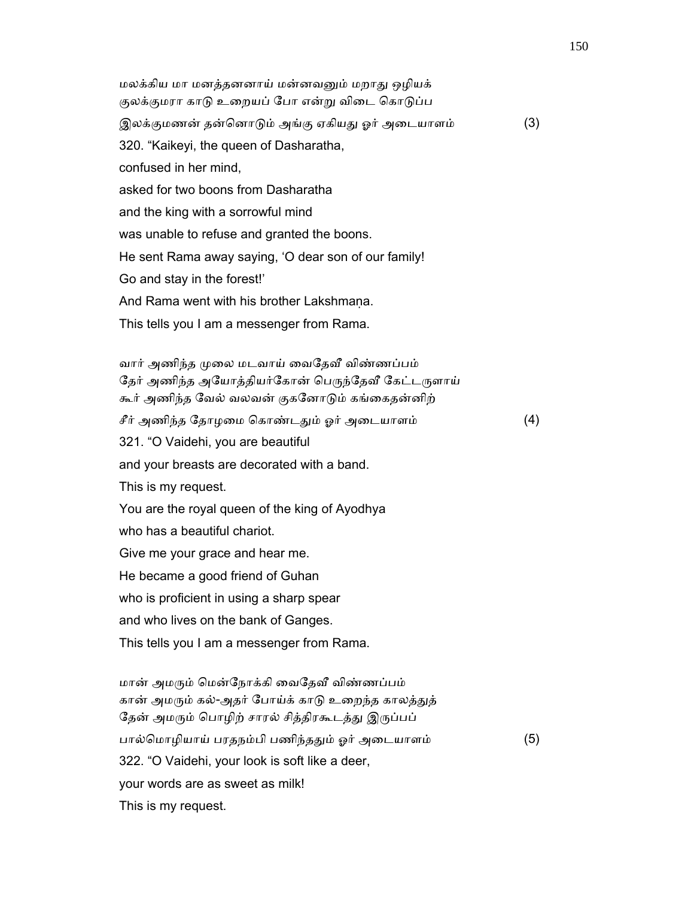மலக்கிய மா மனத்தனனாய் மன்னவᾔம் மறாᾐ ஒழியக் குலக்குமரா காடு உறையப் போ என்று விடை கொடுப்ப இலக்குமணன் தன்னொடும் அங்கு ஏகியது ஓர் அடையாளம் (3) 320. "Kaikeyi, the queen of Dasharatha, confused in her mind, asked for two boons from Dasharatha and the king with a sorrowful mind was unable to refuse and granted the boons. He sent Rama away saying, 'O dear son of our family! Go and stay in the forest!' And Rama went with his brother Lakshmana. This tells you I am a messenger from Rama. வார் அணிந்த முலை மடவாய் வைதேவீ விண்ணப்பம் தேர் அணிந்த அயோத்தியர்கோன் பெருந்தேவீ கேட்டருளாய் கூர் அணிந்த ேவல் வலவன் குகேனாᾌம் கங்ைகதன்னிற் சீர் அணிந்த தோழமை கொண்டதும் ஓர் அடையாளம்  $(4)$  321. "O Vaidehi, you are beautiful and your breasts are decorated with a band. This is my request. You are the royal queen of the king of Ayodhya who has a beautiful chariot.

Give me your grace and hear me.

He became a good friend of Guhan

who is proficient in using a sharp spear

and who lives on the bank of Ganges.

This tells you I am a messenger from Rama.

மான் அமரும் மென்நோக்கி வைதேவீ விண்ணப்பம் கான் அமரும் கல்-அதர் போய்க் காடு உறைந்த காலத்துத் தேன் அமரும் பொழிற் சாரல் சித்திரகூடத்து இருப்பப் பால்மொழியாய் பரதநம்பி பணிந்ததும் ஓர் அடையாளம் (5) 322. "O Vaidehi, your look is soft like a deer, your words are as sweet as milk! This is my request.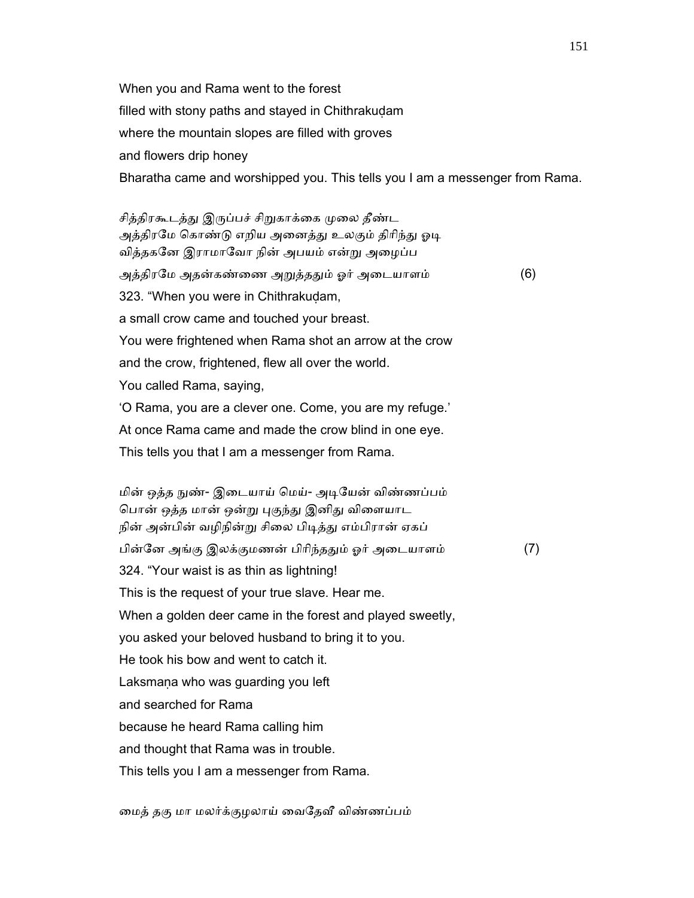When you and Rama went to the forest filled with stony paths and stayed in Chithrakuḍam where the mountain slopes are filled with groves and flowers drip honey Bharatha came and worshipped you. This tells you I am a messenger from Rama.

சித்திரகூடத்து இருப்பச் சிறுகாக்கை முலை தீண்ட அத்திரமே கொண்டு எறிய அனைத்து உலகும் திரிந்து ஓடி வித்தகேன இராமாேவா நின் அபயம் என்ᾠ அைழப்ப அத்திரமே அதன்கண்ணை அறுத்ததும் ஓர் அடையாளம் (6) 323. "When you were in Chithrakudam, a small crow came and touched your breast. You were frightened when Rama shot an arrow at the crow and the crow, frightened, flew all over the world. You called Rama, saying, 'O Rama, you are a clever one. Come, you are my refuge.' At once Rama came and made the crow blind in one eye. This tells you that I am a messenger from Rama.

மின் ஒத்த நுண்- இடையாய் மெய்- அடியேன் விண்ணப்பம் பொன் ஒத்த மான் ஒன்று புகுந்து இனிது விளையாட நின் அன்பின் வழிநின்று சிலை பிடித்து எம்பிரான் ஏகப் பின்னே அங்கு இலக்குமணன் பிரிந்ததும் ஓர் அடையாளம் (7) 324. "Your waist is as thin as lightning! This is the request of your true slave. Hear me. When a golden deer came in the forest and played sweetly, you asked your beloved husband to bring it to you. He took his bow and went to catch it. Laksmana who was quarding you left and searched for Rama because he heard Rama calling him and thought that Rama was in trouble. This tells you I am a messenger from Rama.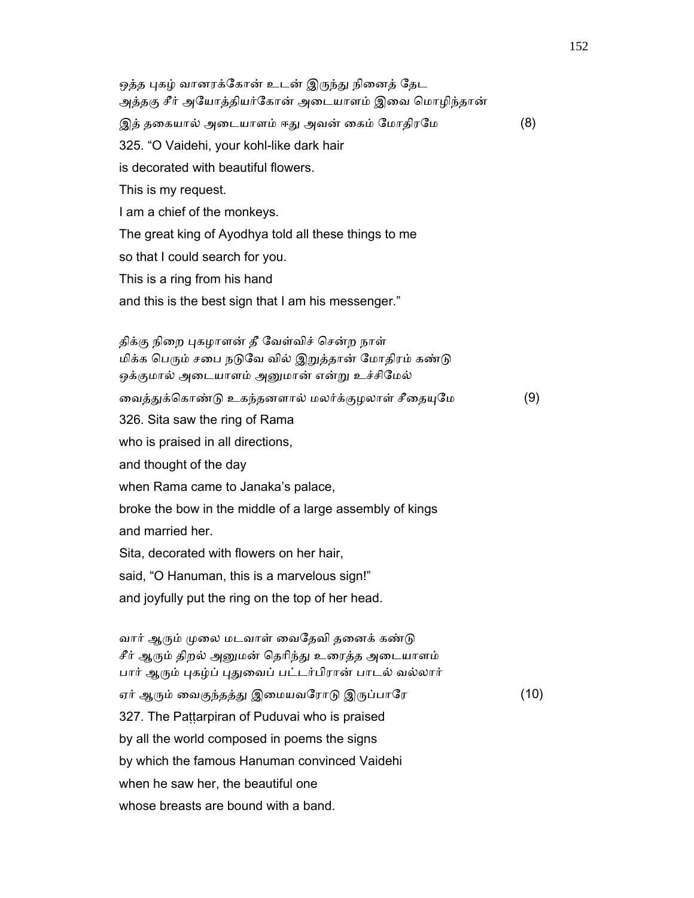ஒத்த புகழ் வானரக்கோன் உடன் இருந்து நினைத் தேட அத்தகு சீர் அயோத்தியர்கோன் அடையாளம் இவை மொழிந்தான் இத் தகையால் அடையாளம் ஈது அவன் கைம் மோதிரமே (8) 325. "O Vaidehi, your kohl-like dark hair is decorated with beautiful flowers. This is my request. I am a chief of the monkeys. The great king of Ayodhya told all these things to me so that I could search for you. This is a ring from his hand and this is the best sign that I am his messenger." திக்கு நிறை புகழாளன் தீ வேள்விச் சென்ற நாள் மிக்க பெரும் சபை நடுவே வில் இறுத்தான் மோதிரம் கண்டு ஒக்குமால் அடையாளம் அனுமான் என்று உச்சிமேல் வைத்துக்கொண்டு உகந்தனளால் மலர்க்குழலாள் சீதையுமே (9) 326. Sita saw the ring of Rama who is praised in all directions, and thought of the day when Rama came to Janaka's palace, broke the bow in the middle of a large assembly of kings and married her. Sita, decorated with flowers on her hair, said, "O Hanuman, this is a marvelous sign!" and joyfully put the ring on the top of her head. வார் ஆரும் முலை மடவாள் வைதேவி தனைக் கண்டு சீர் ஆரும் திறல் அனுமன் தெரிந்து உரைத்த அடையாளம் பார் ஆரும் புகழ்ப் புதுவைப் பட்டர்பிரான் பாடல் வல்லார் ஏர் ஆரும் வைகுந்தத்து இமையவரோடு இருப்பாரே (10) 327. The Paṭṭarpiran of Puduvai who is praised by all the world composed in poems the signs by which the famous Hanuman convinced Vaidehi

when he saw her, the beautiful one

whose breasts are bound with a band.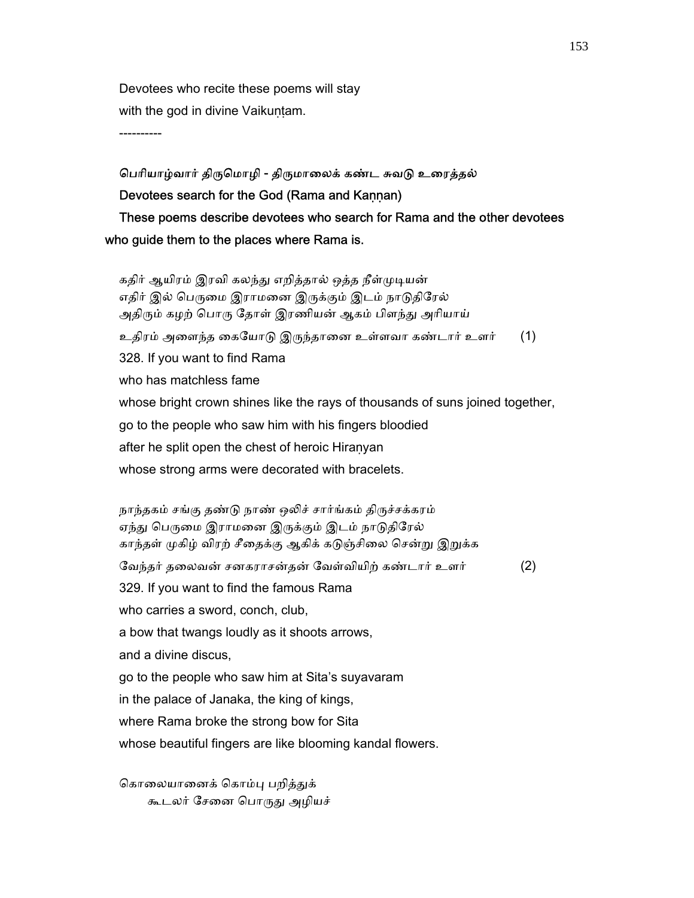Devotees who recite these poems will stay with the god in divine Vaikuṇṭam.

----------

# பெரியாழ்வார் திருமொழி - திருமாலைக் கண்ட சுவடு உரைத்தல் Devotees search for the God (Rama and Kannan) These poems describe devotees who search for Rama and the other devotees who guide them to the places where Rama is.

கதிர் ஆயிரம் இரவி கலந்து எறித்தால் ஒத்த நீள்முடியன் எதிர் இல் பெருமை இராமனை இருக்கும் இடம் நாடுதிரேல் அதிரும் கழற் பொரு தோள் இரணியன் ஆகம் பிளந்து அரியாய் உதிரம் அைளந்த ைகேயாᾌ இᾞந்தாைன உள்ளவா கண்டார் உளர் (1) 328. If you want to find Rama who has matchless fame whose bright crown shines like the rays of thousands of suns joined together, go to the people who saw him with his fingers bloodied after he split open the chest of heroic Hiraṇyan whose strong arms were decorated with bracelets.

நாந்தகம் சங்கு தண்டு நாண் ஒலிச் சார்ங்கம் திருச்சக்கரம் ஏந்து பெருமை இராமனை இருக்கும் இடம் நாடுதிரேல் காந்தள் முகிழ் விரற் சீதைக்கு ஆகிக் கடுஞ்சிலை சென்று இறுக்க ேவந்தர் தைலவன் சனகராசன்தன் ேவள்வியிற் கண்டார் உளர் (2) 329. If you want to find the famous Rama who carries a sword, conch, club, a bow that twangs loudly as it shoots arrows, and a divine discus, go to the people who saw him at Sita's suyavaram in the palace of Janaka, the king of kings, where Rama broke the strong bow for Sita whose beautiful fingers are like blooming kandal flowers.

கொலையானைக் கொம்பு பறித்துக் கூடலர் சேனை பொருது அழியச்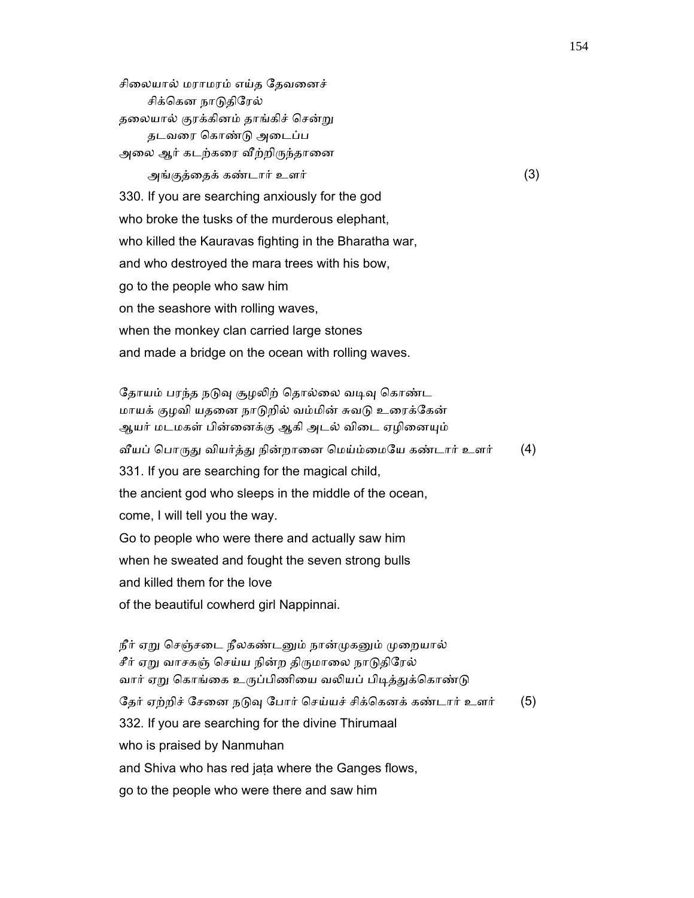சிைலயால் மராமரம் எய்த ேதவைனச் சிக்கென நாடுதிரேல் தலையால் குரக்கினம் தாங்கிச் சென்று தடவைர ெகாண்ᾌ அைடப்ப அலை ஆர் கடற்கரை வீற்றிருந்தானை அங்குத்ைதக் கண்டார் உளர் (3) 330. If you are searching anxiously for the god who broke the tusks of the murderous elephant, who killed the Kauravas fighting in the Bharatha war, and who destroyed the mara trees with his bow, go to the people who saw him on the seashore with rolling waves, when the monkey clan carried large stones and made a bridge on the ocean with rolling waves.

தோயம் பரந்த நடுவு சூழலிற் தொல்லை வடிவு கொண்ட மாயக் குழவி யதனை நாடுறில் வம்மின் சுவடு உரைக்கேன் ஆயர் மடமகள் பின்னைக்கு ஆகி அடல் விடை ஏழினையும் வீயப் பொருது வியர்த்து நின்றானை மெய்ம்மையே கண்டார் உளர் (4) 331. If you are searching for the magical child, the ancient god who sleeps in the middle of the ocean, come, I will tell you the way. Go to people who were there and actually saw him when he sweated and fought the seven strong bulls and killed them for the love of the beautiful cowherd girl Nappinnai.

நீர் ஏறு செஞ்சடை நீலகண்டனும் நான்முகனும் முறையால் சீர் ஏறு வாசகஞ் செய்ய நின்ற திருமாலை நாடுதிரேல் வார் ஏறு கொங்கை உருப்பிணியை வலியப் பிடித்துக்கொண்டு தேர் ஏற்றிச் சேனை நடுவு போர் செய்யச் சிக்கெனக் கண்டார் உளர் (5) 332. If you are searching for the divine Thirumaal who is praised by Nanmuhan and Shiva who has red jata where the Ganges flows, go to the people who were there and saw him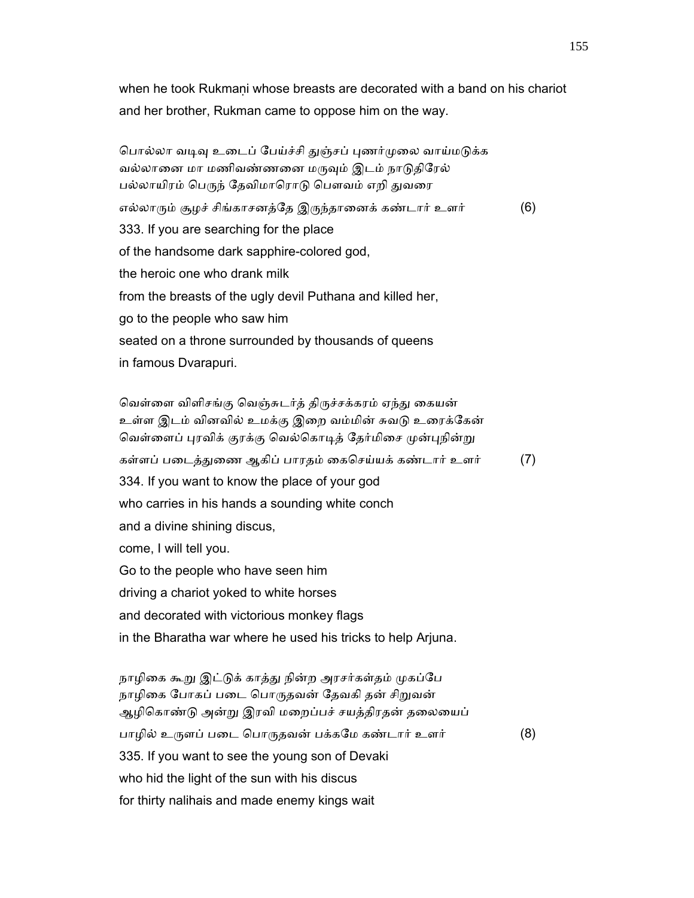when he took Rukmani whose breasts are decorated with a band on his chariot and her brother, Rukman came to oppose him on the way.

பொல்லா வடிவு உடைப் பேய்ச்சி துஞ்சப் புணர்முலை வாய்மடுக்க வல்லானை மா மணிவண்ணனை மருவும் இடம் நாடுதிரேல் பல்லாயிரம் பெருந் தேவிமாரொடு பௌவம் எறி துவரை எல்லாரும் சூழச் சிங்காசனத்தே இருந்தானைக் கண்டார் உளர் (6) 333. If you are searching for the place of the handsome dark sapphire-colored god, the heroic one who drank milk from the breasts of the ugly devil Puthana and killed her, go to the people who saw him seated on a throne surrounded by thousands of queens in famous Dvarapuri.

வெள்ளை விளிசங்கு வெஞ்சுடர்த் திருச்சக்கரம் ஏந்து கையன் உள்ள இடம் வினவில் உமக்கு இறை வம்மின் சுவடு உரைக்கேன் வெள்ளைப் புரவிக் குரக்கு வெல்கொடித் தேர்மிசை முன்புநின்று கள்ளப் படைத்துணை ஆகிப் பாரதம் கைசெய்யக் கண்டார் உளர் (7) 334. If you want to know the place of your god who carries in his hands a sounding white conch and a divine shining discus, come, I will tell you. Go to the people who have seen him driving a chariot yoked to white horses and decorated with victorious monkey flags in the Bharatha war where he used his tricks to help Arjuna.

நாழிகை கூறு இட்டுக் காத்து நின்ற அரசர்கள்தம் முகப்பே நாழிகை போகப் படை பொருதவன் தேவகி தன் சிறுவன் ஆழிகொண்டு அன்று இரவி மறைப்பச் சயத்திரதன் தலையைப் பாழில் உருளப் படை பொருதவன் பக்கமே கண்டார் உளர் (8) 335. If you want to see the young son of Devaki who hid the light of the sun with his discus for thirty nalihais and made enemy kings wait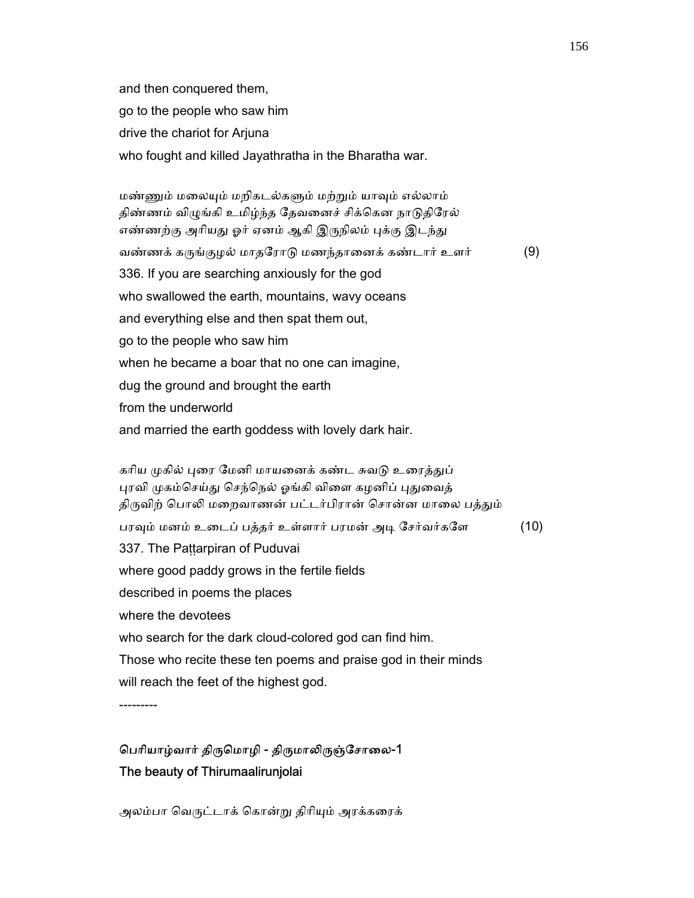and then conquered them, go to the people who saw him drive the chariot for Arjuna who fought and killed Jayathratha in the Bharatha war.

மண்ணும் மலையும் மறிகடல்களும் மற்றும் யாவும் எல்லாம் திண்ணம் விழுங்கி உமிழ்ந்த தேவனைச் சிக்கென நாடுதிரேல் எண்ணற்கு அரியது ஓர் ஏனம் ஆகி இருநிலம் புக்கு இடந்து வண்ணக் கருங்குழல் மாதரோடு மணந்தானைக் கண்டார் உளர்  $(9)$  336. If you are searching anxiously for the god who swallowed the earth, mountains, wavy oceans and everything else and then spat them out, go to the people who saw him when he became a boar that no one can imagine, dug the ground and brought the earth from the underworld and married the earth goddess with lovely dark hair.

கரிய முகில் புரை மேனி மாயனைக் கண்ட சுவடு உரைத்துப் புரவி முகம்செய்து செந்நெல் ஓங்கி விளை கழனிப் புதுவைத் திருவிற் பொலி மறைவாணன் பட்டர்பிரான் சொன்ன மாலை பத்தும் பரவும் மனம் உடைப் பத்தர் உள்ளார் பரமன் அடி சேர்வர்களே (10) 337. The Paṭṭarpiran of Puduvai where good paddy grows in the fertile fields described in poems the places where the devotees who search for the dark cloud-colored god can find him. Those who recite these ten poems and praise god in their minds will reach the feet of the highest god.

---------

# பெரியாழ்வார் திருமொழி - திருமாலிருஞ்சோலை-1 The beauty of Thirumaalirunjolai

அலம்பா வெருட்டாக் கொன்று திரியும் அரக்கரைக்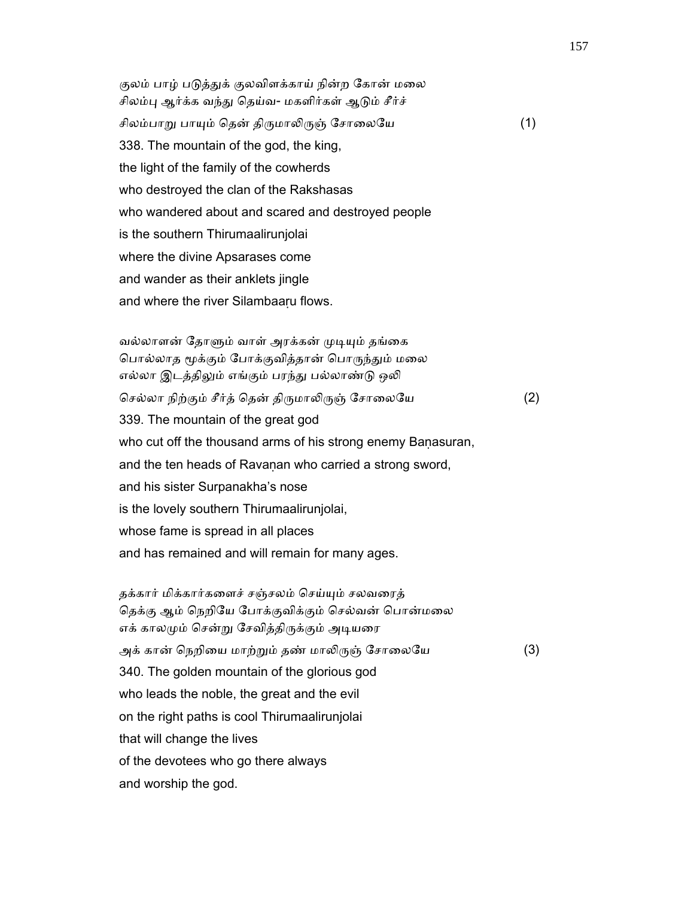குலம் பாழ் படுத்துக் குலவிளக்காய் நின்ற கோன் மலை சிலம்பு ஆர்க்க வந்து தெய்வ- மகளிர்கள் ஆடும் சீர்ச் சிலம்பாறு பாயும் தென் திருமாலிருஞ் சோலையே (1) 338. The mountain of the god, the king, the light of the family of the cowherds who destroyed the clan of the Rakshasas who wandered about and scared and destroyed people is the southern Thirumaalirunjolai where the divine Apsarases come and wander as their anklets jingle and where the river Silambaaru flows.

வல்லாளன் தோளும் வாள் அரக்கன் முடியும் தங்கை பொல்லாத மூக்கும் போக்குவித்தான் பொருந்தும் மலை எல்லா இடத்திலும் எங்கும் பரந்து பல்லாண்டு ஒலி செல்லா நிற்கும் சீர்த் தென் திருமாலிருஞ் சோலையே (2) 339. The mountain of the great god who cut off the thousand arms of his strong enemy Baṇasuran, and the ten heads of Ravanan who carried a strong sword, and his sister Surpanakha's nose is the lovely southern Thirumaalirunjolai, whose fame is spread in all places and has remained and will remain for many ages.

 தக்கார் மிக்கார்கைளச் சஞ்சலம் ெசய்ᾜம் சலவைரத் தெக்கு ஆம் நெறியே போக்குவிக்கும் செல்வன் பொன்மலை எக் காலமும் சென்று சேவித்திருக்கும் அடியரை அக் கான் நெறியை மாற்றும் தண் மாலிருஞ் சோலையே (3) 340. The golden mountain of the glorious god who leads the noble, the great and the evil on the right paths is cool Thirumaalirunjolai that will change the lives of the devotees who go there always and worship the god.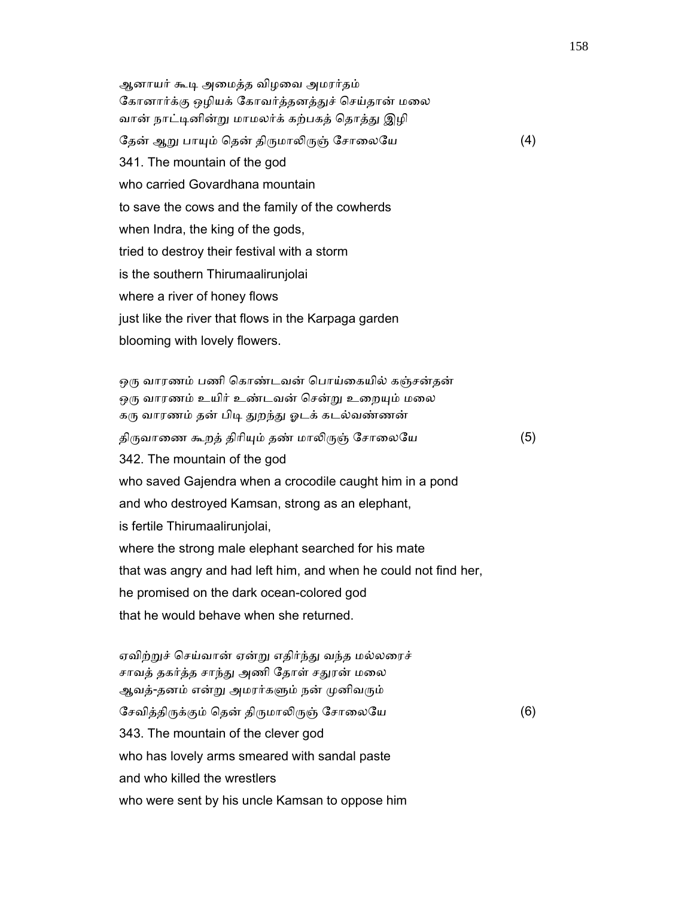ஆனாயர் கூᾊ அைமத்த விழைவ அமரர்தம் கோனார்க்கு ஒழியக் கோவர்த்தனத்துச் செய்தான் மலை வான் நாட்டினின்று மாமலர்க் கற்பகத் தொத்து இழி தேன் ஆறு பாயும் தென் திருமாலிருஞ் சோலையே (4) 341. The mountain of the god who carried Govardhana mountain to save the cows and the family of the cowherds when Indra, the king of the gods, tried to destroy their festival with a storm is the southern Thirumaalirunjolai where a river of honey flows just like the river that flows in the Karpaga garden blooming with lovely flowers.

ஒரு வாரணம் பணி கொண்டவன் பொய்கையில் கஞ்சன்தன் ஒரு வாரணம் உயிர் உண்டவன் சென்று உறையும் மலை கரு வாரணம் தன் பிடி துறந்து ஓடக் கடல்வண்ணன் திருவாணை கூறத் திரியும் தண் மாலிருஞ் சோலையே  $(5)$  342. The mountain of the god who saved Gajendra when a crocodile caught him in a pond and who destroyed Kamsan, strong as an elephant, is fertile Thirumaalirunjolai, where the strong male elephant searched for his mate that was angry and had left him, and when he could not find her, he promised on the dark ocean-colored god that he would behave when she returned.

 ஏவிற்ᾠச் ெசய்வான் ஏன்ᾠ எதிர்ந்ᾐ வந்த மல்லைரச் சாவத் தகர்த்த சாந்து அணி தோள் சதுரன் மலை ஆவத்-தனம் என்று அமரர்களும் நன் முனிவரும் சேவித்திருக்கும் தென் திருமாலிருஞ் சோலையே (6) 343. The mountain of the clever god who has lovely arms smeared with sandal paste and who killed the wrestlers who were sent by his uncle Kamsan to oppose him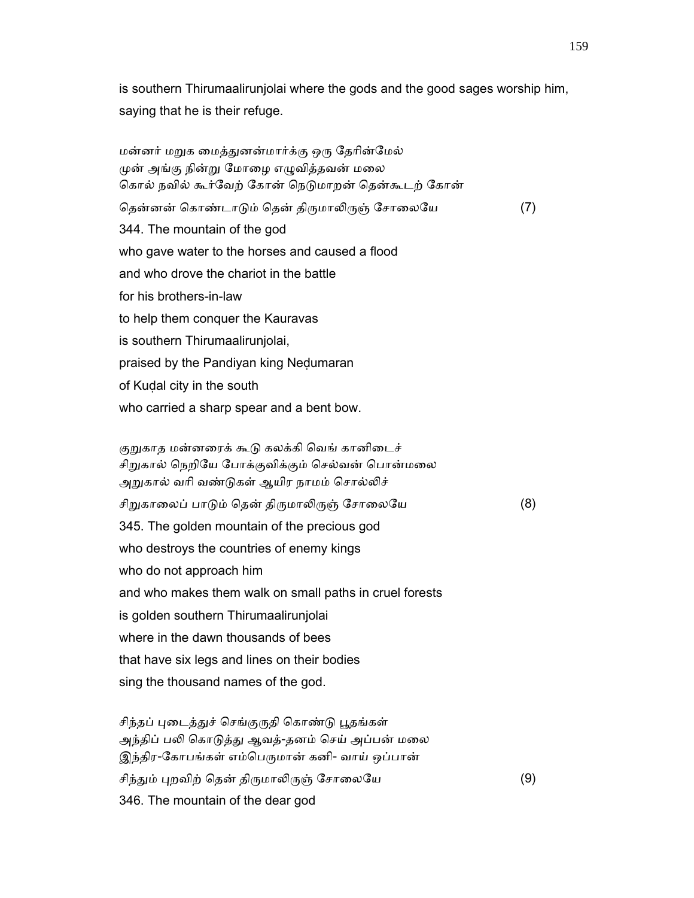is southern Thirumaalirunjolai where the gods and the good sages worship him, saying that he is their refuge.

மன்னர் மறுக மைத்துனன்மார்க்கு ஒரு தேரின்மேல் முன் அங்கு நின்று மோழை எழுவித்தவன் மலை கொல் நவில் கூர்வேற் கோன் நெடுமாறன் தென்கூடற் கோன் தென்னன் கொண்டாடும் தென் திருமாலிருஞ் சோலையே (7) 344. The mountain of the god who gave water to the horses and caused a flood and who drove the chariot in the battle for his brothers-in-law to help them conquer the Kauravas is southern Thirumaalirunjolai, praised by the Pandiyan king Neḍumaran of Kuḍal city in the south who carried a sharp spear and a bent bow. குறுகாத மன்னரைக் கூடு கலக்கி வெங் கானிடைச் சிறுகால் நெறியே போக்குவிக்கும் செல்வன் பொன்மலை அறுகால் வரி வண்டுகள் ஆயிர நாமம் சொல்லிச் சிறுகாலைப் பாடும் தென் திருமாலிருஞ் சோலையே (8) 345. The golden mountain of the precious god who destroys the countries of enemy kings who do not approach him and who makes them walk on small paths in cruel forests is golden southern Thirumaalirunjolai where in the dawn thousands of bees that have six legs and lines on their bodies

sing the thousand names of the god.

சிந்தப் புடைத்துச் செங்குருதி கொண்டு பூதங்கள் அந்திப் பலி கொடுத்து ஆவத்-தனம் செய் அப்பன் மலை இந்திர-கோபங்கள் எம்பெருமான் கனி- வாய் ஒப்பான் சிந்தும் புறவிற் தென் திருமாலிருஞ் சோலையே (9) 346. The mountain of the dear god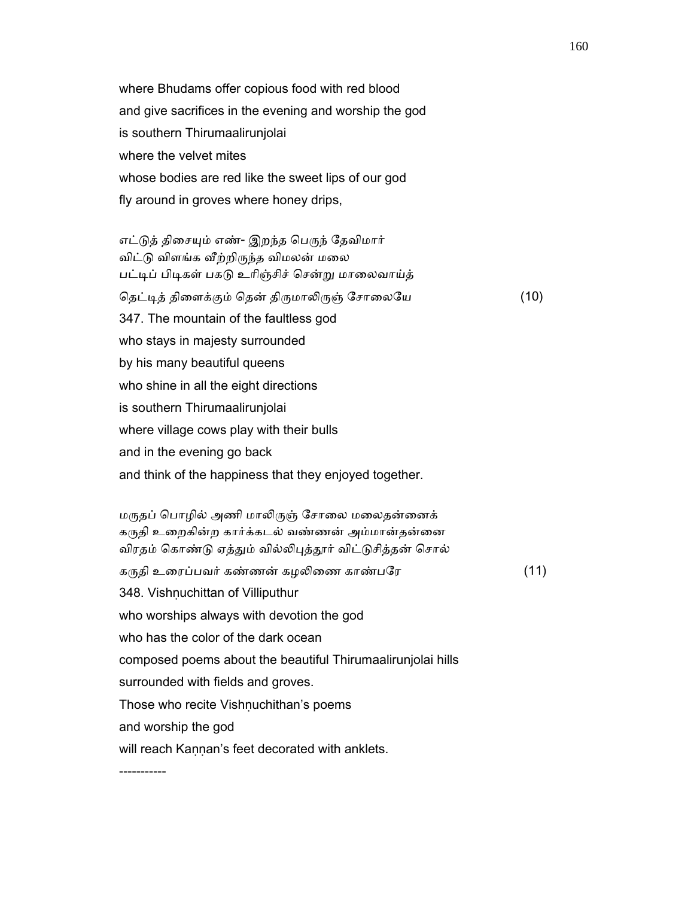where Bhudams offer copious food with red blood and give sacrifices in the evening and worship the god is southern Thirumaalirunjolai where the velvet mites whose bodies are red like the sweet lips of our god fly around in groves where honey drips,

எட்டுத் திசையும் எண்- இறந்த பெருந் தேவிமார் விட்டு விளங்க வீற்றிருந்த விமலன் மலை பட்டிப் பிடிகள் பகடு உரிஞ்சிச் சென்று மாலைவாய்த் தெட்டித் திளைக்கும் தென் திருமாலிருஞ் சோலையே (10) 347. The mountain of the faultless god who stays in majesty surrounded by his many beautiful queens who shine in all the eight directions is southern Thirumaalirunjolai where village cows play with their bulls and in the evening go back and think of the happiness that they enjoyed together.

மருதப் பொழில் அணி மாலிருஞ் சோலை மலைதன்னைக் கருதி உறைகின்ற கார்க்கடல் வண்ணன் அம்மான்தன்னை விரதம் கொண்டு ஏத்தும் வில்லிபுத்தூர் விட்டுசித்தன் சொல் கருதி உரைப்பவர் கண்ணன் கழலிணை காண்பரே $(11)$ 348. Vishnuchittan of Villiputhur who worships always with devotion the god who has the color of the dark ocean composed poems about the beautiful Thirumaalirunjolai hills surrounded with fields and groves. Those who recite Vishṇuchithan's poems and worship the god will reach Kannan's feet decorated with anklets.

-----------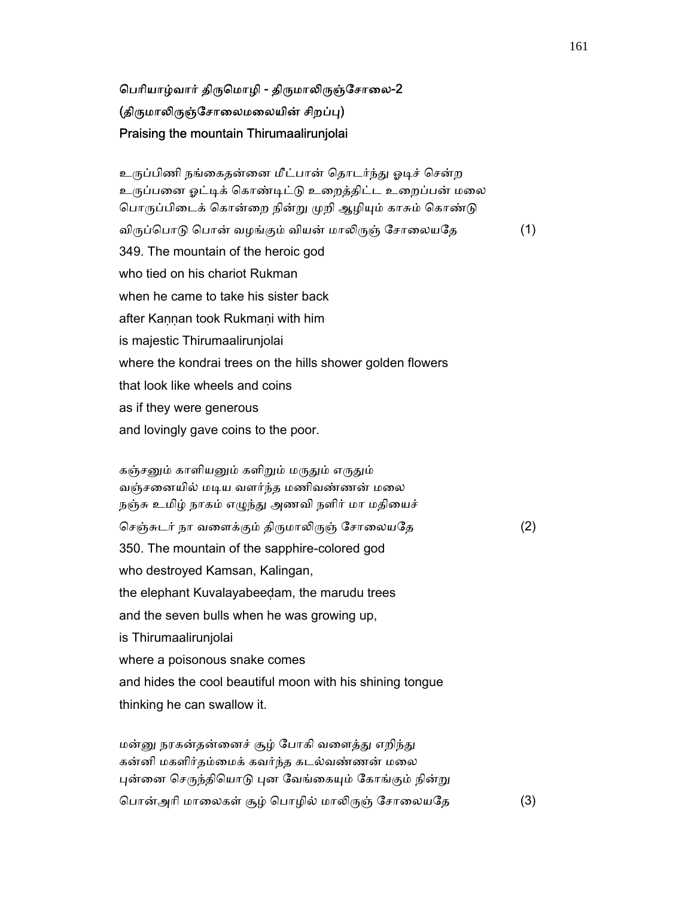# பெரியாழ்வார் திருமொழி - திருமாலிருஞ்சோலை-2 (திருமாலிருஞ்சோலைமலையின் சிறப்பு) Praising the mountain Thirumaalirunjolai

உருப்பிணி நங்கைதன்னை மீட்பான் தொடர்ந்து ஓடிச் சென்ற உருப்பனை ஓட்டிக் கொண்டிட்டு உறைத்திட்ட உறைப்பன் மலை பொருப்பிடைக் கொன்றை நின்று முறி ஆழியும் காசும் கொண்டு விருப்பொடு பொன் வழங்கும் வியன் மாலிருஞ் சோலையதே (1) 349. The mountain of the heroic god who tied on his chariot Rukman when he came to take his sister back after Kannan took Rukmani with him is majestic Thirumaalirunjolai where the kondrai trees on the hills shower golden flowers that look like wheels and coins as if they were generous and lovingly gave coins to the poor.

கஞ்சனும் காளியனும் களிறும் மருதும் எருதும் வஞ்சனையில் மடிய வளர்ந்த மணிவண்ணன் மலை நஞ்சு உமிழ் நாகம் எழுந்து அணவி நளிர் மா மதியைச் செஞ்சுடர் நா வளைக்கும் திருமாலிருஞ் சோலையதே  $(2)$  350. The mountain of the sapphire-colored god who destroyed Kamsan, Kalingan, the elephant Kuvalayabeeḍam, the marudu trees and the seven bulls when he was growing up, is Thirumaalirunjolai where a poisonous snake comes and hides the cool beautiful moon with his shining tongue thinking he can swallow it.

மன்னு நரகன்தன்னைச் சூழ் போகி வளைத்து எறிந்து கன்னி மகளிர்தம்ைமக் கவர்ந்த கடல்வண்ணன் மைல புன்னை செருந்தியொடு புன வேங்கையும் கோங்கும் நின்று பொன்அரி மாலைகள் சூழ் பொழில் மாலிருஞ் சோலையதே (3)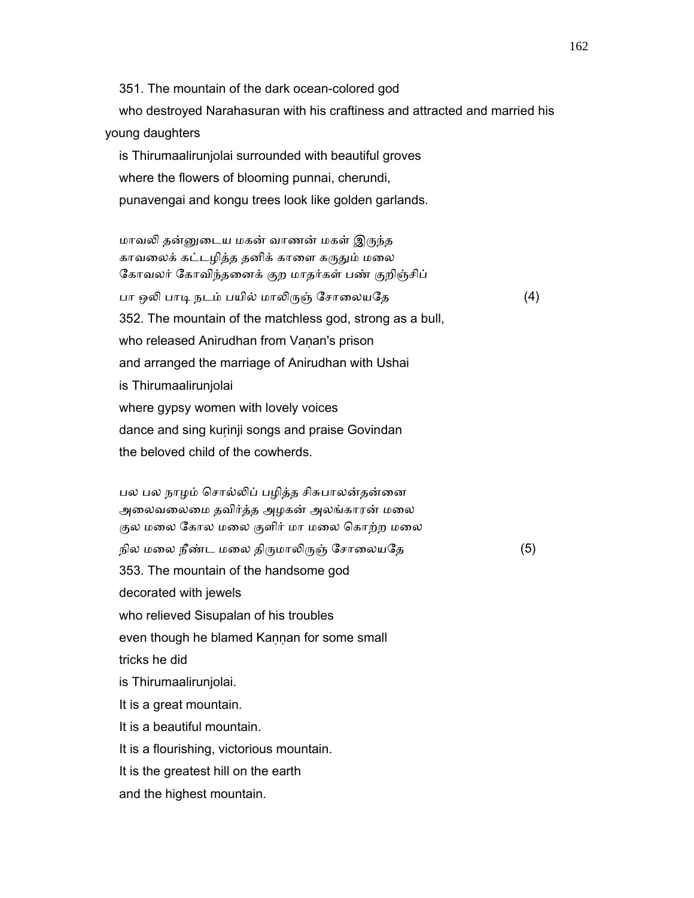351. The mountain of the dark ocean-colored god who destroyed Narahasuran with his craftiness and attracted and married his young daughters is Thirumaalirunjolai surrounded with beautiful groves

 where the flowers of blooming punnai, cherundi, punavengai and kongu trees look like golden garlands.

மாவலி தன்னுடைய மகன் வாணன் மகள் இருந்த காவலைக் கட்டழித்த தனிக் காளை கருதும் மலை ேகாவலர் ேகாவிந்தைனக் குற மாதர்கள் பண் குறிஞ்சிப் பா ஒலி பாடி நடம் பயில் மாலிருஞ் சோலையதே (4) 352. The mountain of the matchless god, strong as a bull, who released Anirudhan from Vanan's prison and arranged the marriage of Anirudhan with Ushai is Thirumaalirunjolai where gypsy women with lovely voices dance and sing kuṛinji songs and praise Govindan the beloved child of the cowherds.

பல பல நாழம் சொல்லிப் பழித்த சிசுபாலன்தன்னை அைலவைலைம தவிர்த்த அழகன் அலங்காரன் மைல குல மலை கோல மலை குளிர் மா மலை கொற்ற மலை நில மலை நீண்ட மலை திருமாலிருஞ் சோலையதே  $(5)$  353. The mountain of the handsome god decorated with jewels who relieved Sisupalan of his troubles even though he blamed Kannan for some small tricks he did is Thirumaalirunjolai. It is a great mountain. It is a beautiful mountain. It is a flourishing, victorious mountain. It is the greatest hill on the earth and the highest mountain.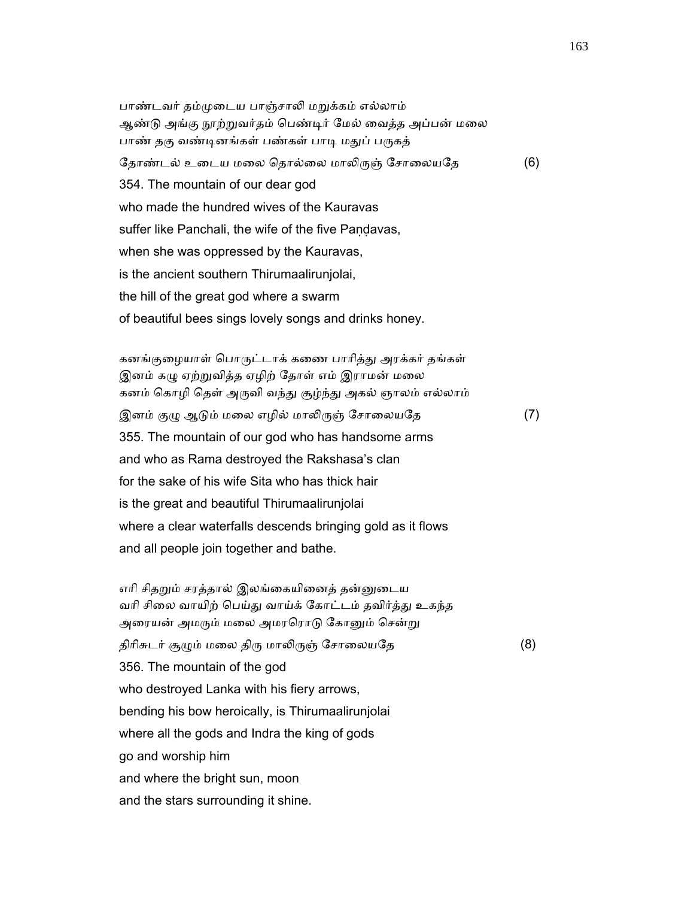பாண்டவர் தம்முடைய பாஞ்சாலி மறுக்கம் எல்லாம் ஆண்டு அங்கு நூற்றுவர்தம் பெண்டிர் மேல் வைத்த அப்பன் மலை பாண் தகு வண்டினங்கள் பண்கள் பாடி மதுப் பருகத் தோண்டல் உடைய மலை தொல்லை மாலிருஞ் சோலையதே (6) 354. The mountain of our dear god who made the hundred wives of the Kauravas suffer like Panchali, the wife of the five Pandavas, when she was oppressed by the Kauravas, is the ancient southern Thirumaalirunjolai, the hill of the great god where a swarm of beautiful bees sings lovely songs and drinks honey.

கனங்குழையாள் பொருட்டாக் கணை பாரித்து அரக்கர் தங்கள் இனம் கழு ஏற்றுவித்த ஏழிற் தோள் எம் இராமன் மலை கனம் கொழி தெள் அருவி வந்து சூழ்ந்து அகல் ஞாலம் எல்லாம் இனம் குழு ஆடும் மலை எழில் மாலிருஞ் சோலையதே (7) 355. The mountain of our god who has handsome arms and who as Rama destroyed the Rakshasa's clan for the sake of his wife Sita who has thick hair is the great and beautiful Thirumaalirunjolai where a clear waterfalls descends bringing gold as it flows and all people join together and bathe.

எரி சிதறும் சரத்தால் இலங்கையினைத் தன்னுடைய வரி சிலை வாயிற் பெய்து வாய்க் கோட்டம் தவிர்த்து உகந்த அரையன் அமரும் மலை அமரரொடு கோனும் சென்று திரிசுடர் சூழும் மலை திரு மாலிருஞ் சோலையதே (8) 356. The mountain of the god who destroyed Lanka with his fiery arrows, bending his bow heroically, is Thirumaalirunjolai where all the gods and Indra the king of gods go and worship him and where the bright sun, moon and the stars surrounding it shine.

163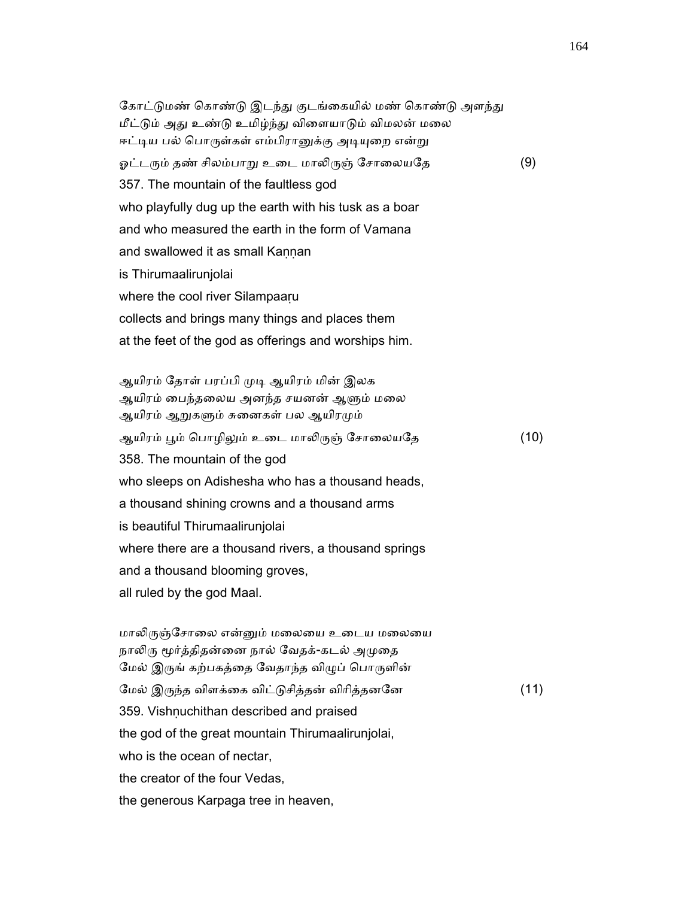கோட்டுமண் கொண்டு இடந்து குடங்கையில் மண் கொண்டு அளந்து மீட்டும் அது உண்டு உமிழ்ந்து விளையாடும் விமலன் மலை ஈட்டிய பல் பொருள்கள் எம்பிரானுக்கு அடியுறை என்று ஓட்டரும் தண் சிலம்பாறு உடை மாலிருஞ் சோலையதே (9) 357. The mountain of the faultless god who playfully dug up the earth with his tusk as a boar and who measured the earth in the form of Vamana and swallowed it as small Kannan is Thirumaalirunjolai where the cool river Silampaaru collects and brings many things and places them at the feet of the god as offerings and worships him.

ஆயிரம் தோள் பரப்பி முடி ஆயிரம் மின் இலக ஆயிரம் பைந்தலைய அனந்த சயனன் ஆளும் மலை ஆயிரம் ஆறுகளும் சுனைகள் பல ஆயிரமும் ஆயிரம் பூம் பொழிலும் உடை மாலிருஞ் சோலையதே (10) 358. The mountain of the god who sleeps on Adishesha who has a thousand heads, a thousand shining crowns and a thousand arms is beautiful Thirumaalirunjolai where there are a thousand rivers, a thousand springs and a thousand blooming groves, all ruled by the god Maal.

மாலிருஞ்சோலை என்னும் மலையை உடைய மலையை நாலிரு மூர்த்திதன்னை நால் வேதக்-கடல் அமுதை மேல் இருங் கற்பகத்தை வேதாந்த விழுப் பொருளின் ேமல் இᾞந்த விளக்ைக விட்ᾌசித்தன் விாித்தனேன (11) 359. Vishnuchithan described and praised the god of the great mountain Thirumaalirunjolai, who is the ocean of nectar, the creator of the four Vedas, the generous Karpaga tree in heaven,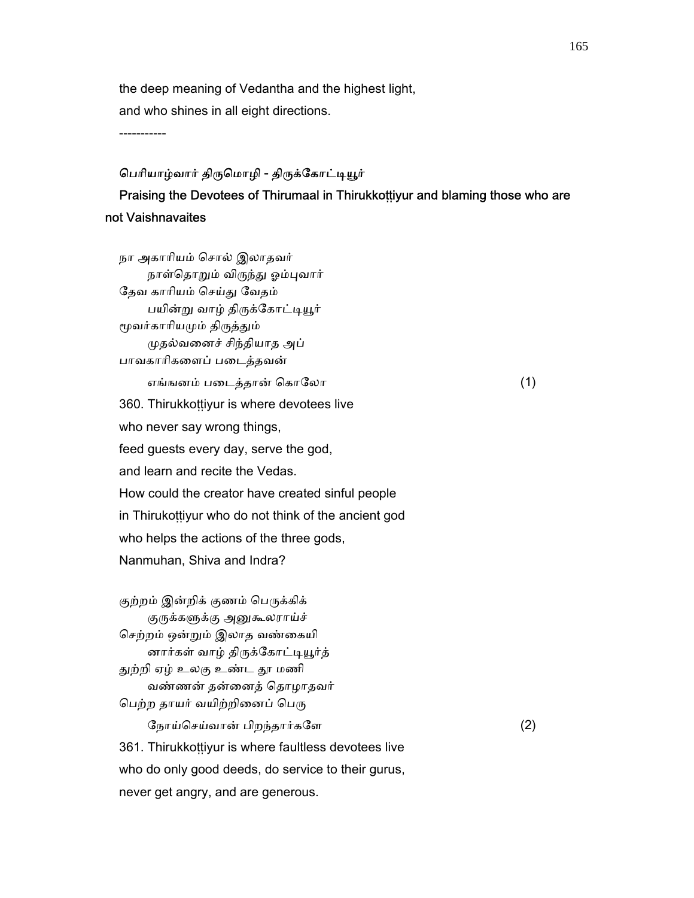the deep meaning of Vedantha and the highest light, and who shines in all eight directions.

-----------

### பெரியாழ்வார் திருமொழி - திருக்கோட்டியூர்

## Praising the Devotees of Thirumaal in Thirukkoṭṭiyur and blaming those who are not Vaishnavaites

 நா அகாாியம் ெசால் இலாதவர் நாள்தொறும் விருந்து ஓம்புவார் தேவ காரியம் செய்து வேதம் பயின்று வாழ் திருக்கோட்டியூர் மூவர்காரியமும் திருத்தும் ᾙதல்வைனச் சிந்தியாத அப் பாவகாாிகைளப் பைடத்தவன் எங்ஙனம் படைத்தான் கொலோ  $(1)$  360. Thirukkoṭṭiyur is where devotees live who never say wrong things, feed guests every day, serve the god, and learn and recite the Vedas. How could the creator have created sinful people in Thirukoṭṭiyur who do not think of the ancient god who helps the actions of the three gods, Nanmuhan, Shiva and Indra? குற்றம் இன்றிக் குணம் பெருக்கிக் குருக்களுக்கு அனுகூலராய்ச் ெசற்றம் ஒன்ᾠம் இலாத வண்ைகயி னார்கள் வாழ் திருக்கோட்டியூர்த் துற்றி ஏழ் உலகு உண்ட தூ மணி வண்ணன் தன்ைனத் ெதாழாதவர் பெற்ற தாயர் வயிற்றினைப் பெரு ேநாய்ெசய்வான் பிறந்தார்கேள (2) 361. Thirukkoṭṭiyur is where faultless devotees live who do only good deeds, do service to their gurus,

never get angry, and are generous.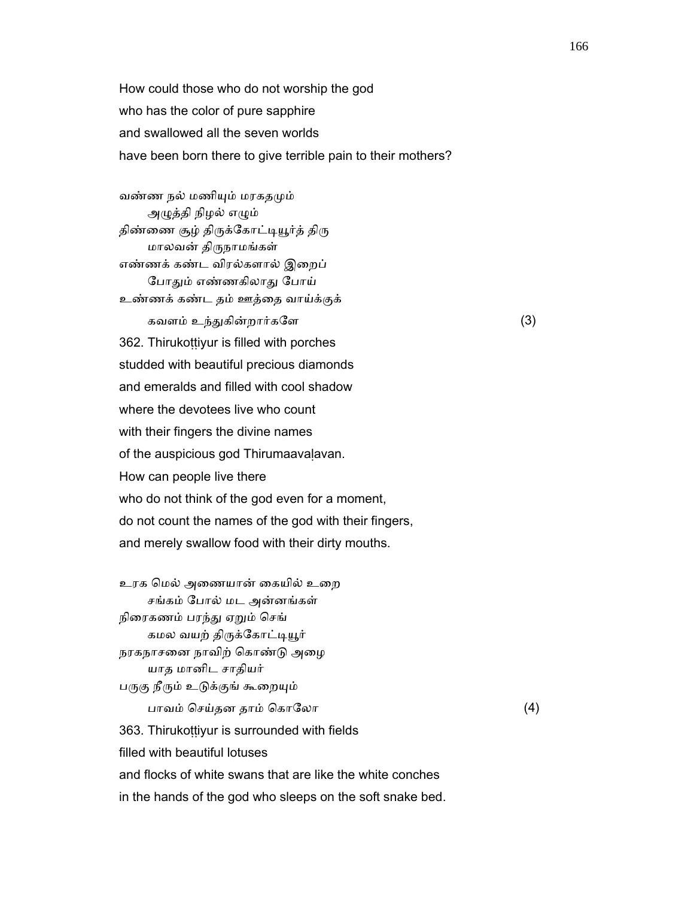How could those who do not worship the god who has the color of pure sapphire and swallowed all the seven worlds have been born there to give terrible pain to their mothers?

 வண்ண நல் மணிᾜம் மரகதᾙம் அழுத்தி நிழல் எழும் திண்ணை சூழ் திருக்கோட்டியூர்த் திரு மாலவன் திᾞநாமங்கள் எண்ணக் கண்ட விரல்களால் இைறப் போதும் எண்ணகிலாது போய் உண்ணக் கண்ட தம் ஊத்ைத வாய்க்குக் கவளம் உந்துகின்றார்களே  $(3)$  362. Thirukoṭṭiyur is filled with porches studded with beautiful precious diamonds and emeralds and filled with cool shadow where the devotees live who count with their fingers the divine names of the auspicious god Thirumaavaḷavan. How can people live there who do not think of the god even for a moment, do not count the names of the god with their fingers, and merely swallow food with their dirty mouths.

உரக மெல் அணையான் கையில் உறை சங்கம் ேபால் மட அன்னங்கள் நிரைகணம் பரந்து ஏறும் செங் கமல வயற் திருக்கோட்டியூர் நரகநாசைன நாவிற் ெகாண்ᾌ அைழ யாத மானிட சாதியர் பருகு நீரும் உடுக்குங் கூறையும் பாவம் ெசய்தன தாம் ெகாேலா (4) 363. Thirukoṭṭiyur is surrounded with fields filled with beautiful lotuses and flocks of white swans that are like the white conches in the hands of the god who sleeps on the soft snake bed.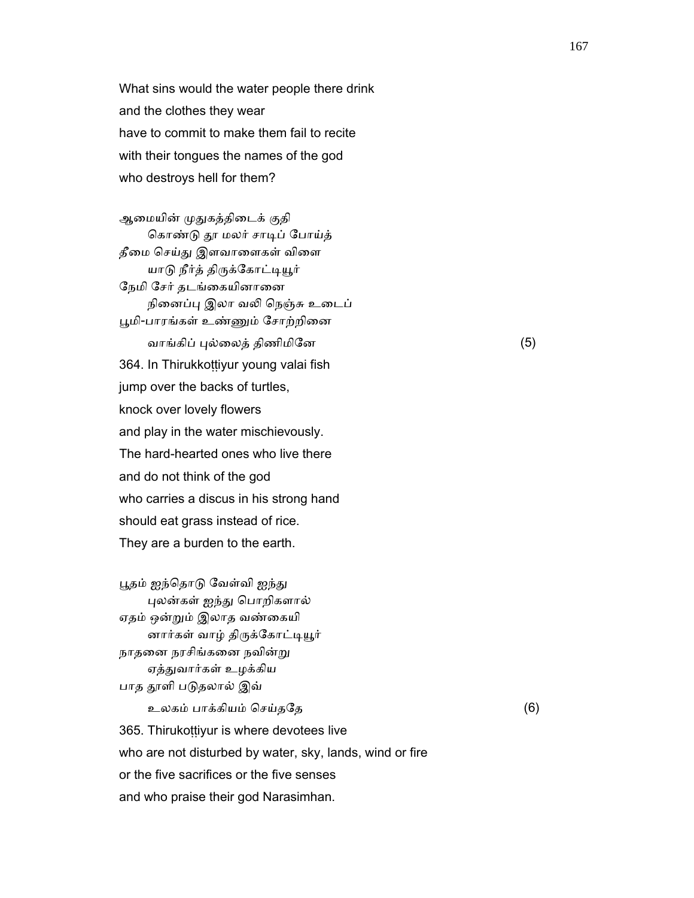What sins would the water people there drink and the clothes they wear have to commit to make them fail to recite with their tongues the names of the god who destroys hell for them?

ஆமையின் முதுகத்திடைக் குதி கொண்டு தூ மலர் சாடிப் போய்த் தீமை செய்து இளவாளைகள் விளை யாடு நீர்த் திருக்கோட்டியூர் ேநமி ேசர் தடங்ைகயினாைன நினைப்பு இலா வலி நெஞ்சு உடைப் பூமி-பாரங்கள் உண்ணும் சோற்றினை வாங்கிப் புல்லைத் திணிமினே (5) 364. In Thirukkoṭṭiyur young valai fish jump over the backs of turtles, knock over lovely flowers and play in the water mischievously. The hard-hearted ones who live there and do not think of the god who carries a discus in his strong hand should eat grass instead of rice. They are a burden to the earth.

பூதம் ஐந்தொடு வேள்வி ஐந்து ᾗலன்கள் ஐந்ᾐ ெபாறிகளால் ஏதம் ஒன்ᾠம் இலாத வண்ைகயி னார்கள் வாழ் திருக்கோட்டியூர் நாதனை நரசிங்கனை நவின்று ஏத்துவார்கள் உழக்கிய பாத தூளி படுதலால் இவ்

 உலகம் பாக்கியம் ெசய்தேத (6) 365. Thirukottiyur is where devotees live who are not disturbed by water, sky, lands, wind or fire or the five sacrifices or the five senses and who praise their god Narasimhan.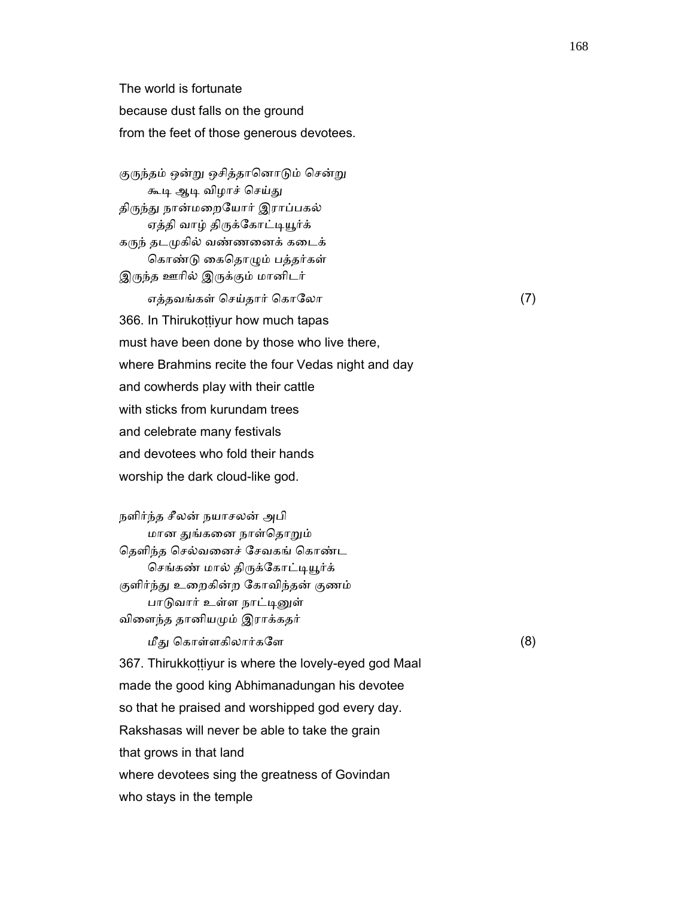The world is fortunate because dust falls on the ground from the feet of those generous devotees.

குருந்தம் ஒன்று ஒசித்தானொடும் சென்று கூடி ஆடி விழாச் செய்து திருந்து நான்மறையோர் இராப்பகல் ஏத்தி வாழ் திருக்கோட்டியூர்க் கᾞந் தடᾙகில் வண்ணைனக் கைடக் கொண்டு கைதொழும் பத்தர்கள் இருந்த ஊரில் இருக்கும் மானிடர் எத்தவங்கள் செய்தார் கொலோ  $(7)$  366. In Thirukoṭṭiyur how much tapas must have been done by those who live there, where Brahmins recite the four Vedas night and day and cowherds play with their cattle with sticks from kurundam trees and celebrate many festivals and devotees who fold their hands

worship the dark cloud-like god.

 நளிர்ந்த சீலன் நயாசலன் அபி மான துங்கனை நாள்தொறும் ெதளிந்த ெசல்வைனச் ேசவகங் ெகாண்ட செங்கண் மால் திருக்கோட்டியூர்க் குளிர்ந்து உறைகின்ற கோவிந்தன் குணம் பாடுவார் உள்ள நாட்டினுள் விைளந்த தானியᾙம் இராக்கதர்

மீது கொள்ளகிலார்களே $(8)$ 

 367. Thirukkoṭṭiyur is where the lovely-eyed god Maal made the good king Abhimanadungan his devotee so that he praised and worshipped god every day. Rakshasas will never be able to take the grain that grows in that land where devotees sing the greatness of Govindan who stays in the temple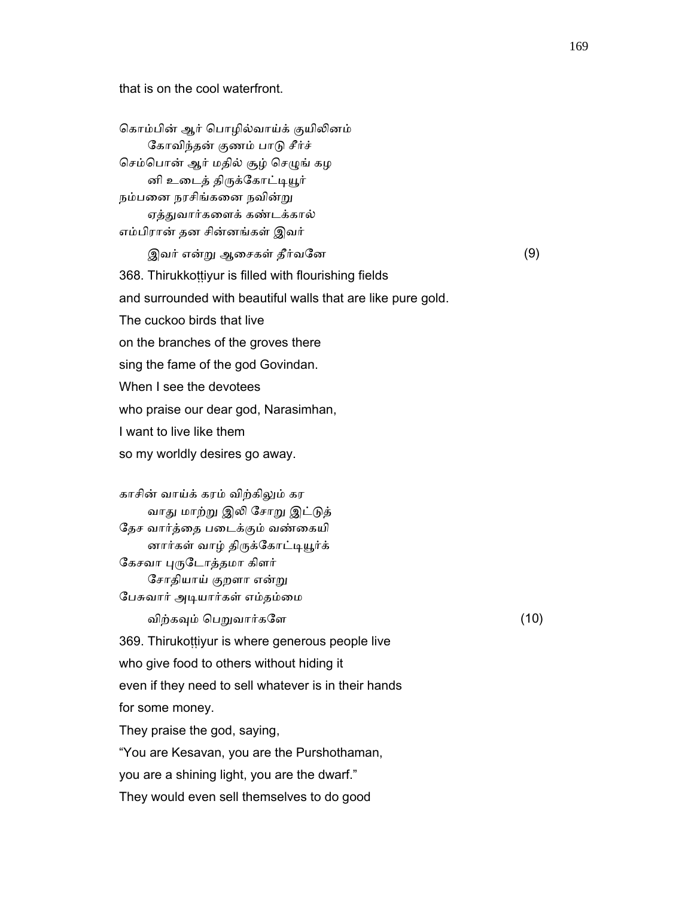that is on the cool waterfront.

கொம்பின் ஆர் பொழில்வாய்க் குயிலினம் ேகாவிந்தன் குணம் பாᾌ சீர்ச் செம்பொன் ஆர் மதில் சூழ் செழுங் கழ னி உடைத் திருக்கோட்டியூர் நம்பனை நரசிங்கனை நவின்று ஏத்துவார்களைக் கண்டக்கால் எம்பிரான் தன சின்னங்கள் இவர் இவர் என்ᾠ ஆைசகள் தீர்வேன (9) 368. Thirukkottiyur is filled with flourishing fields and surrounded with beautiful walls that are like pure gold. The cuckoo birds that live on the branches of the groves there sing the fame of the god Govindan. When I see the devotees who praise our dear god, Narasimhan, I want to live like them so my worldly desires go away. காசின் வாய்க் கரம் விற்கிᾤம் கர வாது மாற்று இலி சோறு இட்டுத் ேதச வார்த்ைத பைடக்கும் வண்ைகயி னார்கள் வாழ் திருக்கோட்டியூர்க் கேசவா புருடோத்தமா கிளர் ேசாதியாய் குறளா என்ᾠ பேசுவார் அடியார்கள் எம்தம்மை விற்கவும் பெறுவார்களே பாலை மாலை (10) 369. Thirukoṭṭiyur is where generous people live who give food to others without hiding it even if they need to sell whatever is in their hands

for some money.

They praise the god, saying,

"You are Kesavan, you are the Purshothaman,

you are a shining light, you are the dwarf."

They would even sell themselves to do good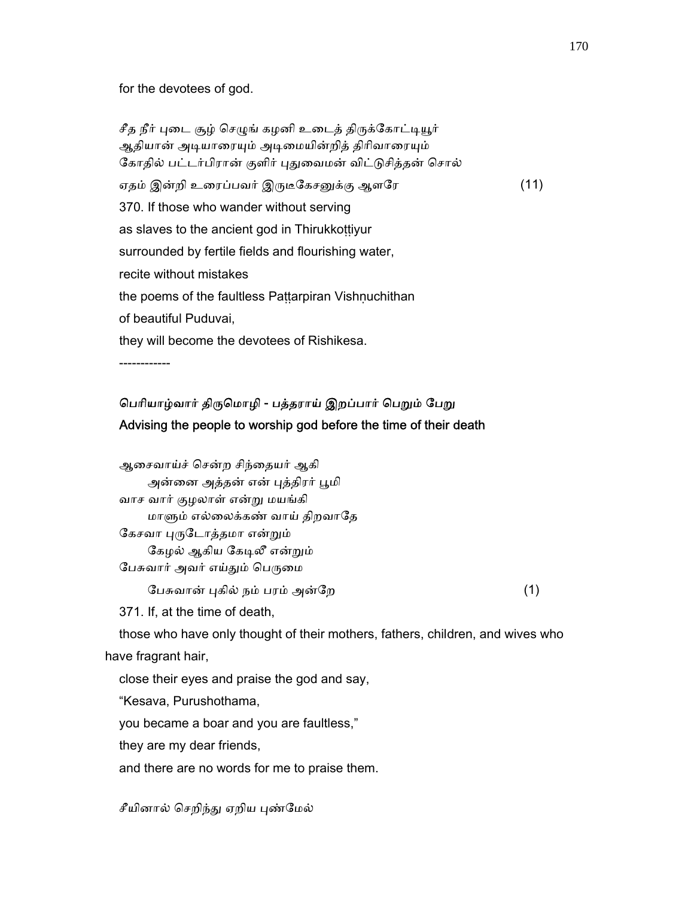for the devotees of god.

சீத நீர் புடை சூழ் செழுங் கழனி உடைத் திருக்கோட்டியூர் ஆதியான் அடியாரையும் அடிமையின்றித் திரிவாரையும் கோதில் பட்டர்பிரான் குளிர் புதுவைமன் விட்டுசித்தன் சொல் ஏதம் இன்றி உரைப்பவர் இருடீகேசனுக்கு ஆளரே (11) 370. If those who wander without serving as slaves to the ancient god in Thirukkoṭṭiyur surrounded by fertile fields and flourishing water, recite without mistakes the poems of the faultless Paṭṭarpiran Vishṇuchithan of beautiful Puduvai, they will become the devotees of Rishikesa. ------------

# பெரியாழ்வார் திருமொழி - பத்தராய் இறப்பார் பெறும் பேறு Advising the people to worship god before the time of their death

| ஆசைவாய்ச் சென்ற சிந்தையர் ஆகி   |  |
|---------------------------------|--|
| அன்னை அத்தன் என் புத்திரர் பூமி |  |
| வாச வார் குழலாள் என்று மயங்கி   |  |
| மாளும் எல்லைக்கண் வாய் திறவாதே  |  |
| கேசவா புருடோத்தமா என்றும்       |  |
| கேழல் ஆகிய கேடிலீ என்றும்       |  |
| பேசுவார் அவர் எய்தும் பெருமை    |  |
| பேசுவான் புகில் நம் பரம் அன்றே  |  |

371. If, at the time of death,

 those who have only thought of their mothers, fathers, children, and wives who have fragrant hair,

close their eyes and praise the god and say,

"Kesava, Purushothama,

you became a boar and you are faultless,"

they are my dear friends,

and there are no words for me to praise them.

சீயினால் செறிந்து ஏறிய புண்மேல்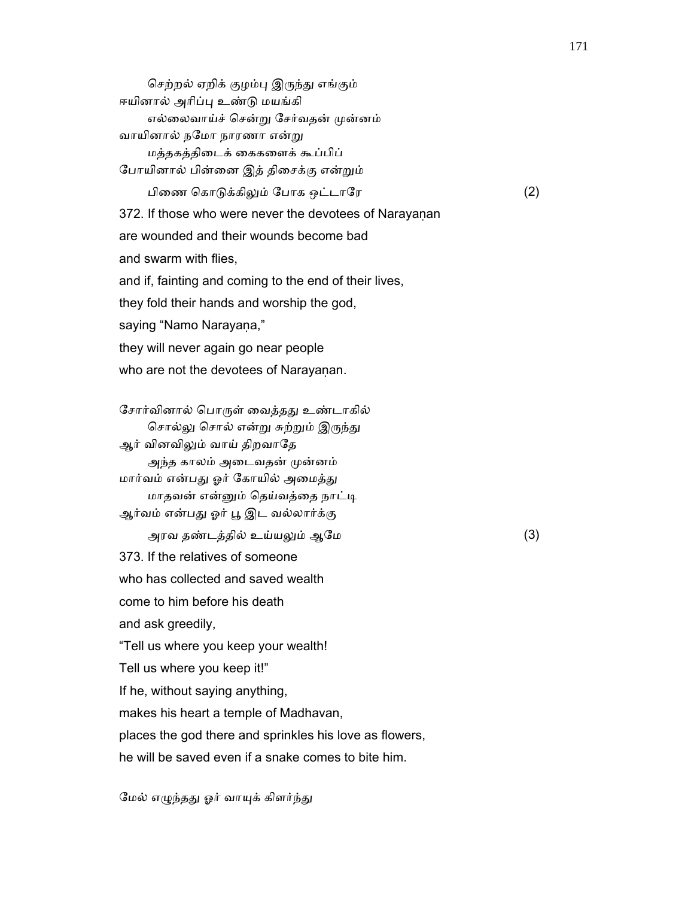செற்றல் ஏறிக் குழம்பு இருந்து எங்கும் ஈயினால் அரிப்பு உண்டு மயங்கி எல்லைவாய்ச் சென்று சேர்வதன் முன்னம் வாயினால் நேமா நாரணா என்ᾠ மத்தகத்திைடக் ைககைளக் கூப்பிப் ேபாயினால் பின்ைன இத் திைசக்கு என்ᾠம் பிைண ெகாᾌக்கிᾤம் ேபாக ஒட்டாேர (2) 372. If those who were never the devotees of Narayanan are wounded and their wounds become bad and swarm with flies, and if, fainting and coming to the end of their lives, they fold their hands and worship the god, saying "Namo Narayana," they will never again go near people who are not the devotees of Narayanan. சோர்வினால் பொருள் வைத்தது உண்டாகில் சொல்லு சொல் என்று சுற்றும் இருந்து ஆர் வினவிலும் வாய் திறவாதே அந்த காலம் அடைவதன் முன்னம் மார்வம் என்பது ஓர் கோயில் அமைத்து மாதவன் என்னும் தெய்வத்தை நாட்டி ஆர்வம் என்பது ஓர் பூ இட வல்லார்க்கு அரவ தண்டத்தில் உய்யᾤம் ஆேம (3) 373. If the relatives of someone who has collected and saved wealth come to him before his death and ask greedily, "Tell us where you keep your wealth! Tell us where you keep it!" If he, without saying anything, makes his heart a temple of Madhavan, places the god there and sprinkles his love as flowers, he will be saved even if a snake comes to bite him.

மேல் எழுந்தது ஓர் வாயுக் கிளர்ந்து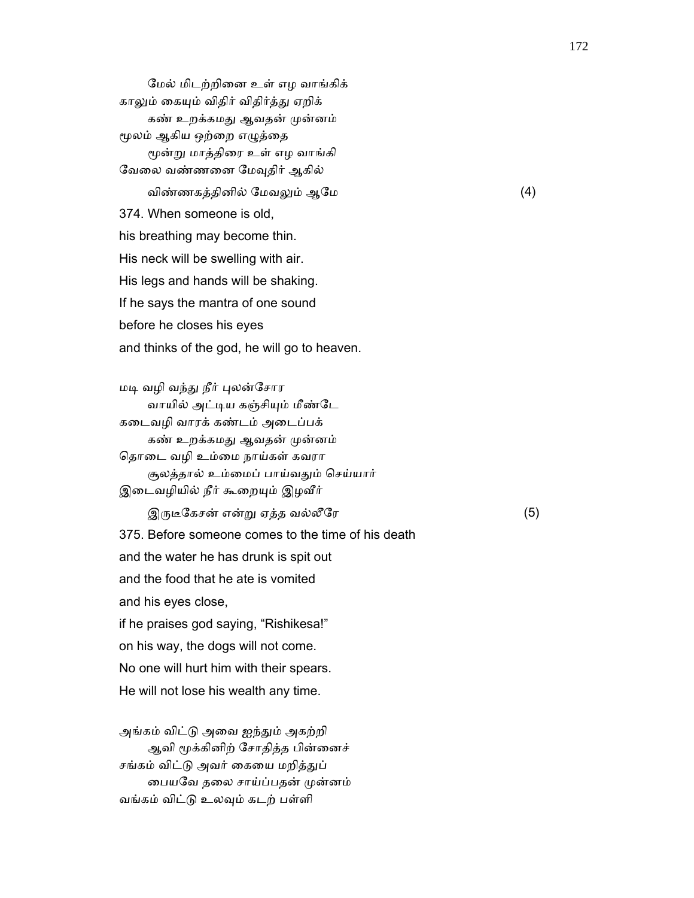ேமல் மிடற்றிைன உள் எழ வாங்கிக் காலும் கையும் விதிர் விதிர்த்து ஏறிக் கண் உறக்கமது ஆவதன் முன்னம் மூலம் ஆகிய ஒற்றை எழுத்தை ᾚன்ᾠ மாத்திைர உள் எழ வாங்கி வேலை வண்ணனை மேவுதிர் ஆகில் விண்ணகத்தினில் ேமவᾤம் ஆேம (4) 374. When someone is old, his breathing may become thin. His neck will be swelling with air. His legs and hands will be shaking. If he says the mantra of one sound before he closes his eyes and thinks of the god, he will go to heaven.

மடி வழி வந்து நீர் புலன்சோர வாயில் அட்டிய கஞ்சியும் மீண்டே கைடவழி வாரக் கண்டம் அைடப்பக் கண் உறக்கமது ஆவதன் முன்னம் ெதாைட வழி உம்ைம நாய்கள் கவரா சூலத்தால் உம்ைமப் பாய்வᾐம் ெசய்யார் இடைவழியில் நீர் கூறையும் இழவீர்  $\mathfrak{A}$ ருடீகேசன் என்று ஏத்த வல்லீரே  $(5)$ 

 375. Before someone comes to the time of his death and the water he has drunk is spit out and the food that he ate is vomited and his eyes close, if he praises god saying, "Rishikesa!" on his way, the dogs will not come. No one will hurt him with their spears.

He will not lose his wealth any time.

 அங்கம் விட்ᾌ அைவ ஐந்ᾐம் அகற்றி ஆவி மூக்கினிற் சோதித்த பின்னைச் சங்கம் விட்டு அவர் கையை மறித்துப் ைபயேவ தைல சாய்ப்பதன் ᾙன்னம் வங்கம் விட்ᾌ உலᾫம் கடற் பள்ளி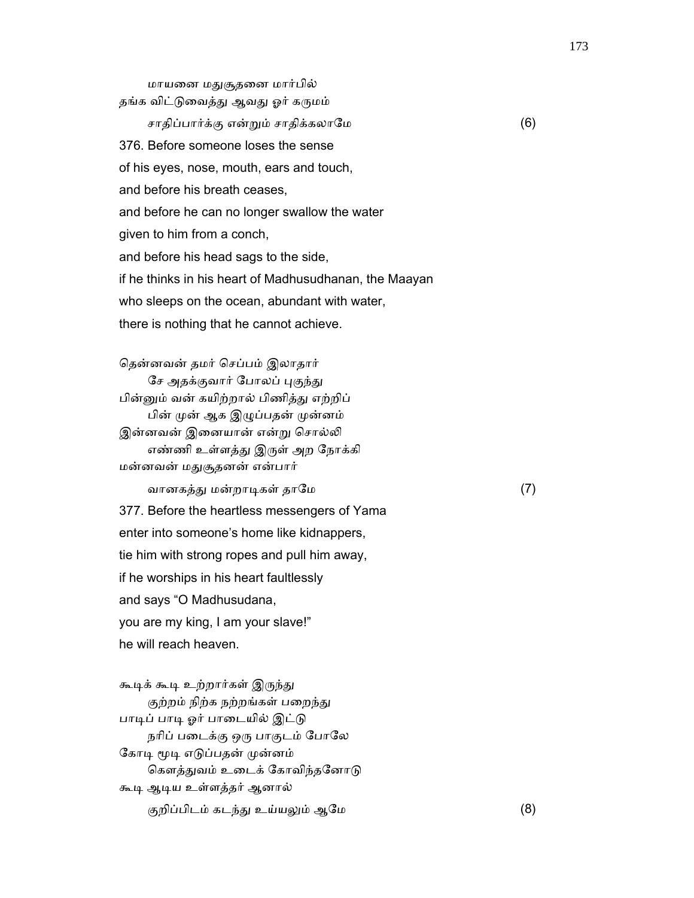மாயனை மதுசூதனை மார்பில் தங்க விட்டுவைத்து ஆவது ஓர் கருமம் சாதிப்பார்க்கு என்ᾠம் சாதிக்கலாேம (6) 376. Before someone loses the sense of his eyes, nose, mouth, ears and touch, and before his breath ceases, and before he can no longer swallow the water given to him from a conch, and before his head sags to the side, if he thinks in his heart of Madhusudhanan, the Maayan who sleeps on the ocean, abundant with water, there is nothing that he cannot achieve.

 ெதன்னவன் தமர் ெசப்பம் இலாதார் சே அதக்குவார் போலப் புகுந்து பின்னும் வன் கயிற்றால் பிணித்து எற்றிப் பின் முன் ஆக இழுப்பதன் முன்னம் இன்னவன் இனையான் என்று சொல்லி எண்ணி உள்ளத்து இருள் அற நோக்கி மன்னவன் மᾐசூதனன் என்பார் வானகத்ᾐ மன்றாᾊகள் தாேம (7) 377. Before the heartless messengers of Yama enter into someone's home like kidnappers, tie him with strong ropes and pull him away, if he worships in his heart faultlessly and says "O Madhusudana,

 you are my king, I am your slave!" he will reach heaven.

கூடிக் கூடி உற்றார்கள் இருந்து குற்றம் நிற்க நற்றங்கள் பறைந்து பாடிப் பாடி ஓர் பாடையில் இட்டு நரிப் படைக்கு ஒரு பாகுடம் போலே கோடி மூடி எடுப்பதன் முன்னம் கௌத்துவம் உடைக் கோவிந்தனோடு கூᾊ ஆᾊய உள்ளத்தர் ஆனால் குறிப்பிடம் கடந்து உய்யலும் ஆமே (8)

173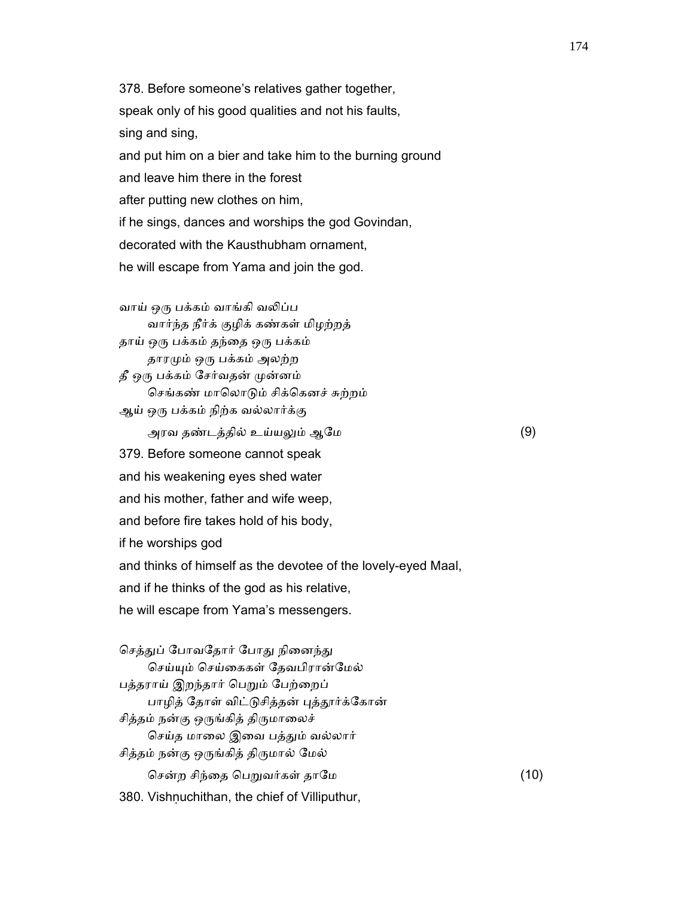378. Before someone's relatives gather together, speak only of his good qualities and not his faults, sing and sing, and put him on a bier and take him to the burning ground and leave him there in the forest after putting new clothes on him, if he sings, dances and worships the god Govindan, decorated with the Kausthubham ornament, he will escape from Yama and join the god.

 வாய் ஒᾞ பக்கம் வாங்கி வᾢப்ப வார்ந்த நீர்க் குழிக் கண்கள் மிழற்றத் தாய் ஒரு பக்கம் தந்தை ஒரு பக்கம் தாரᾙம் ஒᾞ பக்கம் அலற்ற தீ ஒᾞ பக்கம் ேசர்வதன் ᾙன்னம் செங்கண் மாலொடும் சிக்கெனச் சுற்றம் ஆய் ஒᾞ பக்கம் நிற்க வல்லார்க்கு அரவ தண்டத்தில் உய்யᾤம் ஆேம (9) 379. Before someone cannot speak and his weakening eyes shed water and his mother, father and wife weep, and before fire takes hold of his body, if he worships god and thinks of himself as the devotee of the lovely-eyed Maal, and if he thinks of the god as his relative, he will escape from Yama's messengers.

செத்துப் போவதோர் போது நினைந்து ெசய்ᾜம் ெசய்ைககள் ேதவபிரான்ேமல் பத்தராய் இறந்தார் பெறும் பேற்றைப் பாழித் தோள் விட்டுசித்தன் புத்தூர்க்கோன் சித்தம் நன்கு ஒருங்கித் திருமாலைச் செய்த மாலை இவை பத்தும் வல்லார் சித்தம் நன்கு ஒᾞங்கித் திᾞமால் ேமல் ெசன்ற சிந்ைத ெபᾠவர்கள் தாேம (10) 380. Vishṇuchithan, the chief of Villiputhur,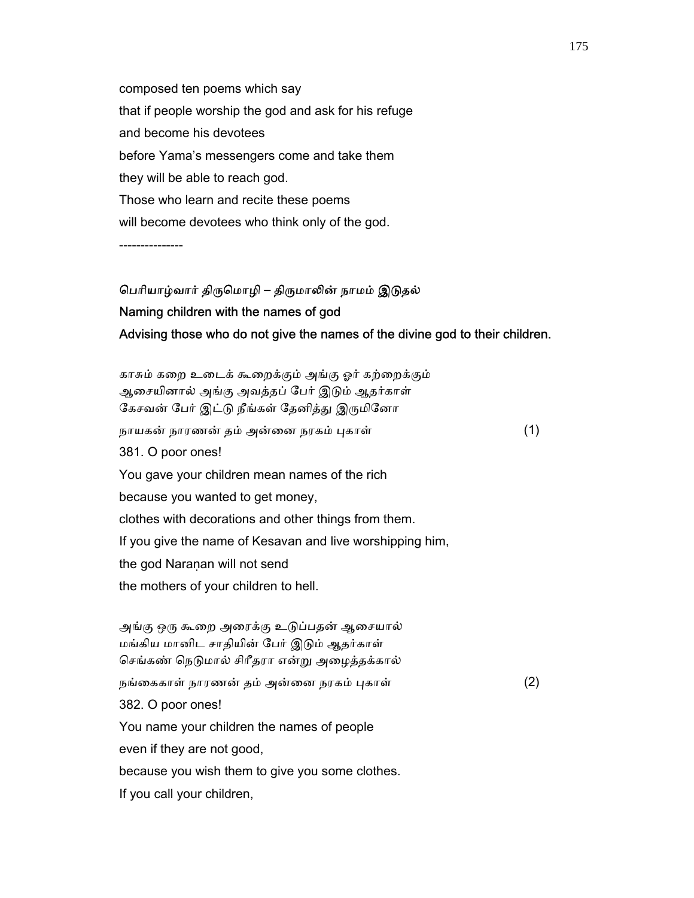composed ten poems which say that if people worship the god and ask for his refuge and become his devotees before Yama's messengers come and take them they will be able to reach god. Those who learn and recite these poems will become devotees who think only of the god.

---------------

# பெரியாழ்வார் திருமொழி – திருமாலின் நாமம் இடுதல் Naming children with the names of god Advising those who do not give the names of the divine god to their children.

 காசும் கைற உைடக் கூைறக்கும் அங்கு ஓர் கற்ைறக்கும் ஆைசயினால் அங்கு அவத்தப் ேபர் இᾌம் ஆதர்காள் கேசவன் பேர் இட்டு நீங்கள் தேனித்து இருமினோ நாயகன் நாரணன் தம் அன்னை நரகம் புகாள் (1) 381. O poor ones! You gave your children mean names of the rich because you wanted to get money, clothes with decorations and other things from them. If you give the name of Kesavan and live worshipping him, the god Naranan will not send the mothers of your children to hell. அங்கு ஒᾞ கூைற அைரக்கு உᾌப்பதன் ஆைசயால் மங்கிய மானிட சாதியின் ேபர் இᾌம் ஆதர்காள் செங்கண் நெடுமால் சிரீதரா என்று அழைத்தக்கால் நங்ைககாள் நாரணன் தம் அன்ைன நரகம் ᾗகாள் (2)

382. O poor ones!

You name your children the names of people

even if they are not good,

because you wish them to give you some clothes.

If you call your children,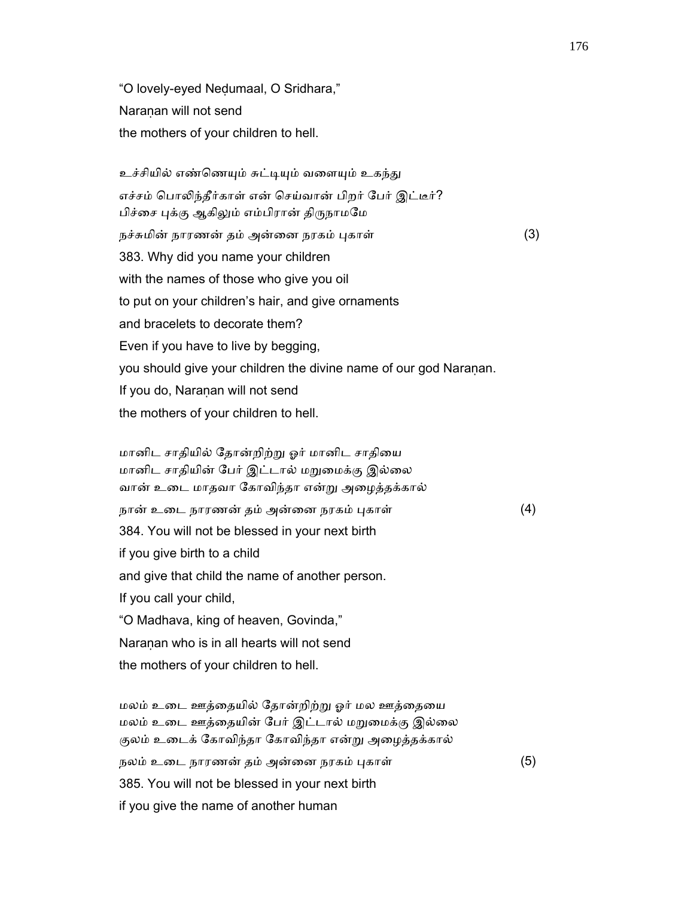"O lovely-eyed Neḍumaal, O Sridhara," Naranan will not send the mothers of your children to hell.

உச்சியில் எண்ணெயும் சுட்டியும் வளையும் உகந்து எச்சம் ெபாᾢந்தீர்காள் என் ெசய்வான் பிறர் ேபர் இட்டீர்? பிச்சை புக்கு ஆகிலும் எம்பிரான் திருநாமமே நச்சுமின் நாரணன் தம் அன்னை நரகம் புகாள் (3) 383. Why did you name your children with the names of those who give you oil to put on your children's hair, and give ornaments and bracelets to decorate them? Even if you have to live by begging, you should give your children the divine name of our god Naranan. If you do, Naranan will not send the mothers of your children to hell.

 மானிட சாதியில் ேதான்றிற்ᾠ ஓர் மானிட சாதிைய மானிட சாதியின் பேர் இட்டால் மறுமைக்கு இல்லை வான் உைட மாதவா ேகாவிந்தா என்ᾠ அைழத்தக்கால் நான் உடை நாரணன் தம் அன்னை நரகம் புகாள் (4) 384. You will not be blessed in your next birth if you give birth to a child and give that child the name of another person. If you call your child, "O Madhava, king of heaven, Govinda," Naranan who is in all hearts will not send the mothers of your children to hell.

மலம் உடை ஊத்தையில் தோன்றிற்று ஓர் மல ஊத்தையை மலம் உடை ஊத்தையின் பேர் இட்டால் மறுமைக்கு இல்லை குலம் உைடக் ேகாவிந்தா ேகாவிந்தா என்ᾠ அைழத்தக்கால் நலம் உடை நாரணன் தம் அன்னை நரகம் புகாள் (5) 385. You will not be blessed in your next birth if you give the name of another human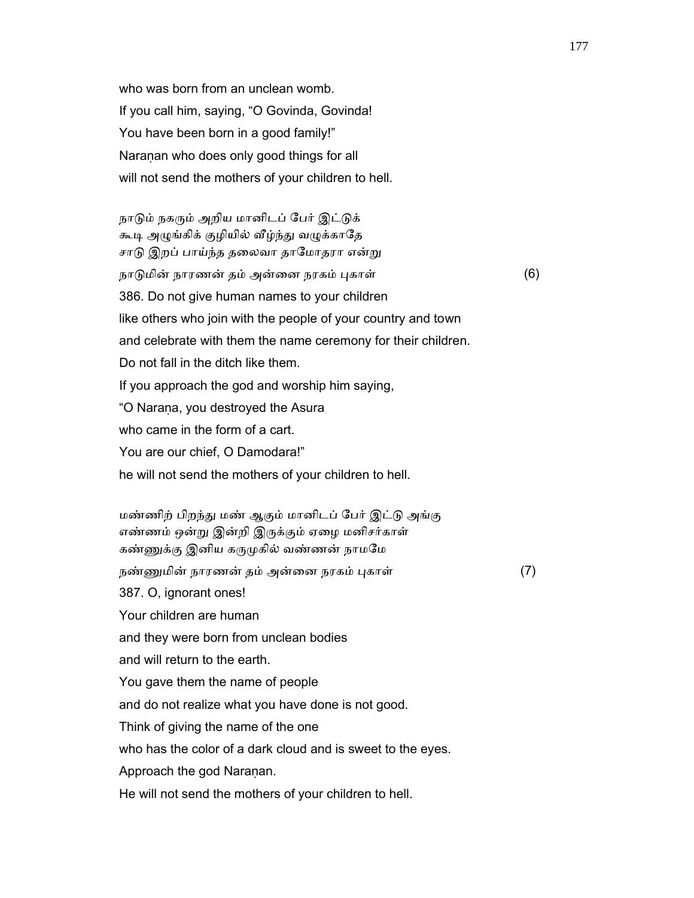who was born from an unclean womb. If you call him, saying, "O Govinda, Govinda! You have been born in a good family!" Naraṇan who does only good things for all will not send the mothers of your children to hell.

நாடும் நகரும் அறிய மானிடப் பேர் இட்டுக் கூடி அழுங்கிக் குழியில் வீழ்ந்து வழுக்காதே சாடு இறப் பாய்ந்த தலைவா தாமோதரா என்று நாடுமின் நாரணன் தம் அன்னை நரகம் புகாள் (6) 386. Do not give human names to your children like others who join with the people of your country and town and celebrate with them the name ceremony for their children. Do not fall in the ditch like them. If you approach the god and worship him saying, "O Naraṇa, you destroyed the Asura who came in the form of a cart. You are our chief, O Damodara!" he will not send the mothers of your children to hell.

 மண்ணிற் பிறந்ᾐ மண் ஆகும் மானிடப் ேபர் இட்ᾌ அங்கு எண்ணம் ஒன்று இன்றி இருக்கும் ஏழை மனிசர்காள் கண்ணுக்கு இனிய கருமுகில் வண்ணன் நாமமே நண்ᾎமின் நாரணன் தம் அன்ைன நரகம் ᾗகாள் (7) 387. O, ignorant ones! Your children are human and they were born from unclean bodies and will return to the earth. You gave them the name of people and do not realize what you have done is not good. Think of giving the name of the one who has the color of a dark cloud and is sweet to the eyes. Approach the god Naranan. He will not send the mothers of your children to hell.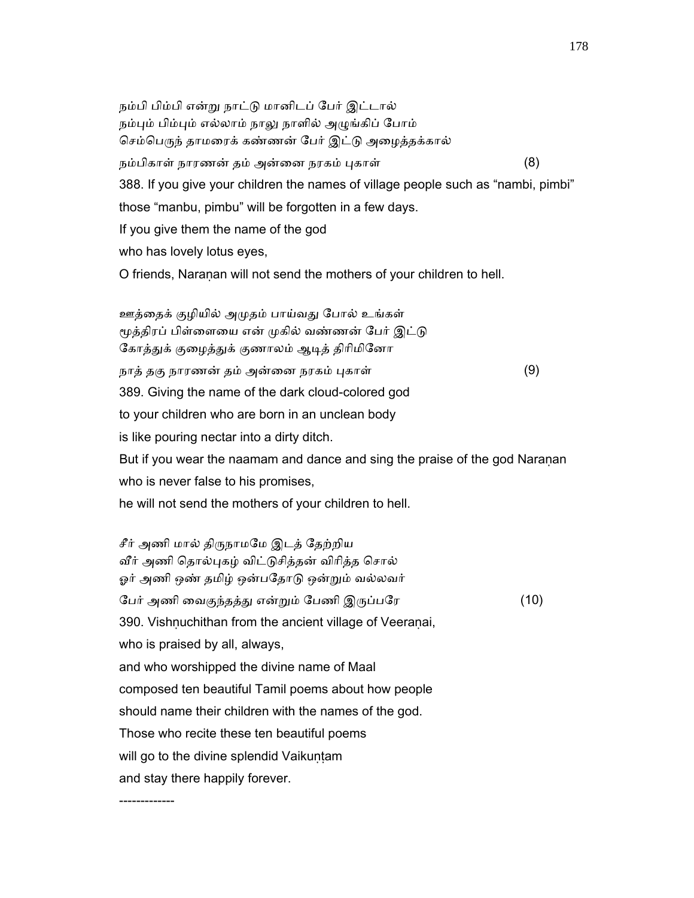நம்பி பிம்பி என்ᾠ நாட்ᾌ மானிடப் ேபர் இட்டால் நம்பும் பிம்பும் எல்லாம் நாலு நாளில் அழுங்கிப் போம் செம்பெருந் தாமரைக் கண்ணன் பேர் இட்டு அழைத்தக்கால் நம்பிகாள் நாரணன் தம் அன்னை நரகம் புகாள் (8) 388. If you give your children the names of village people such as "nambi, pimbi" those "manbu, pimbu" will be forgotten in a few days. If you give them the name of the god who has lovely lotus eyes, O friends, Naranan will not send the mothers of your children to hell.

ஊத்தைக் குழியில் அமுதம் பாய்வது போல் உங்கள் மூத்திரப் பிள்ளையை என் முகில் வண்ணன் பேர் இட்டு கோத்துக் குழைத்துக் குணாலம் ஆடித் திரிமினோ நாத் தகு நாரணன் தம் அன்னை நரகம் புகாள் (9) 389. Giving the name of the dark cloud-colored god to your children who are born in an unclean body is like pouring nectar into a dirty ditch. But if you wear the naamam and dance and sing the praise of the god Naraṇan who is never false to his promises,

he will not send the mothers of your children to hell.

-------------

சீர் அணி மால் திருநாமமே இடத் தேற்றிய வீர் அணி தொல்புகழ் விட்டுசித்தன் விரித்த சொல் ஓர் அணி ஒண் தமிழ் ஒன்பதோடு ஒன்றும் வல்லவர் ேபர் அணி ைவகுந்தத்ᾐ என்ᾠம் ேபணி இᾞப்பேர (10) 390. Vishnuchithan from the ancient village of Veeranai, who is praised by all, always, and who worshipped the divine name of Maal composed ten beautiful Tamil poems about how people should name their children with the names of the god. Those who recite these ten beautiful poems will go to the divine splendid Vaikuntam and stay there happily forever.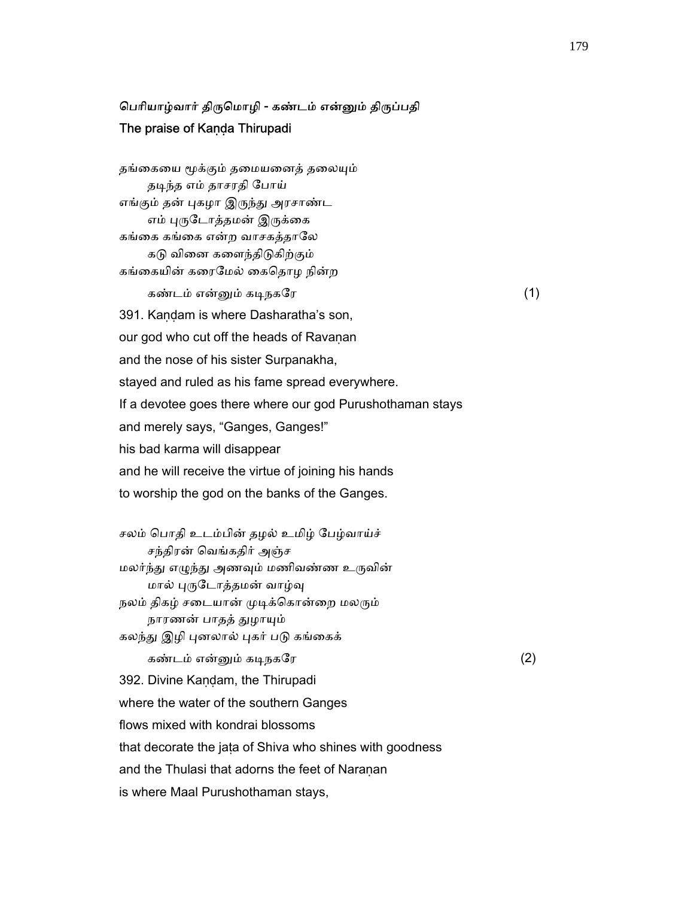### பெரியாழ்வார் திருமொழி - கண்டம் என்னும் திருப்பதி The praise of Kaṇḍa Thirupadi

தங்கையை மூக்கும் தமையனைத் தலையும் தடிந்த எம் தாசரதி போய் எங்கும் தன் புகழா இருந்து அரசாண்ட எம் புருடோத்தமன் இருக்கை கங்கை கங்கை என்ற வாசகத்தாலே கடு வினை களைந்திடுகிற்கும் கங்ைகயின் கைரேமல் ைகெதாழ நின்ற கண்டம் என்னும் கடிநகரே  $(1)$  391. Kaṇḍam is where Dasharatha's son, our god who cut off the heads of Ravanan and the nose of his sister Surpanakha, stayed and ruled as his fame spread everywhere. If a devotee goes there where our god Purushothaman stays and merely says, "Ganges, Ganges!" his bad karma will disappear and he will receive the virtue of joining his hands to worship the god on the banks of the Ganges.

 சலம் ெபாதி உடம்பின் தழல் உமிழ் ேபழ்வாய்ச் சந்திரன் ெவங்கதிர் அஞ்ச மலர்ந்து எழுந்து அணவும் மணிவண்ண உருவின் மால் புருடோத்தமன் வாழ்வு நலம் திகழ் சடையான் முடிக்கொன்றை மலரும் நாரணன் பாதத் துழாயும் கலந்து இழி புனலால் புகர் படு கங்கைக் கண்டம் என்ᾔம் கᾊநகேர (2) 392. Divine Kandam, the Thirupadi where the water of the southern Ganges flows mixed with kondrai blossoms that decorate the jaṭa of Shiva who shines with goodness and the Thulasi that adorns the feet of Naranan is where Maal Purushothaman stays,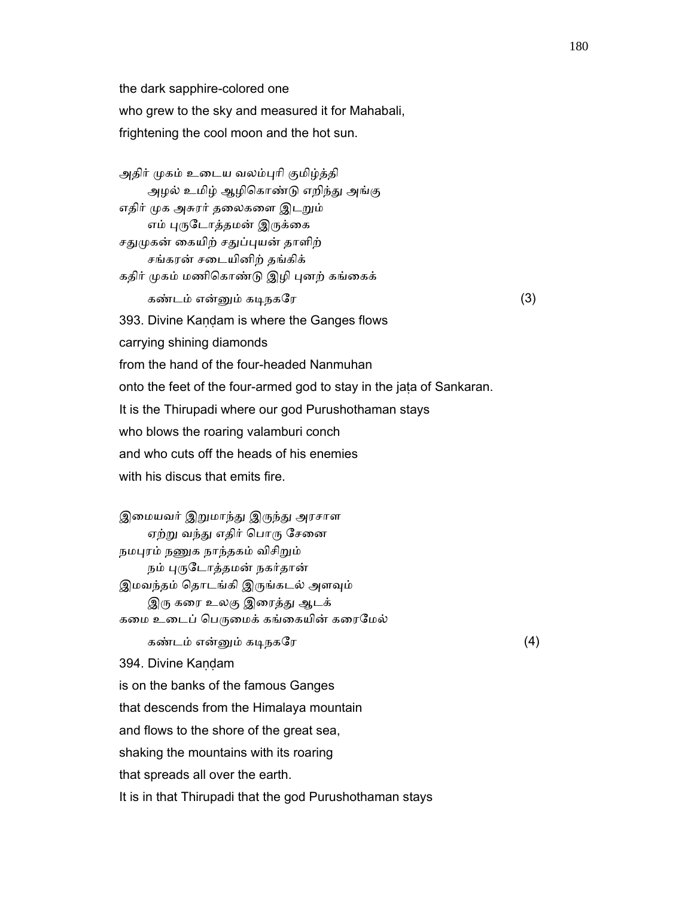the dark sapphire-colored one who grew to the sky and measured it for Mahabali, frightening the cool moon and the hot sun.

அதிர் முகம் உடைய வலம்புரி குமிழ்த்தி அழல் உமிழ் ஆழிகொண்டு எறிந்து அங்கு எதிர் முக அசுரர் தலைகளை இடறும் எம் புருடோத்தமன் இருக்கை சதுமுகன் கையிற் சதுப்புயன் தாளிற் சங்கரன் சைடயினிற் தங்கிக் கதிர் முகம் மணிகொண்டு இழி புனற் கங்கைக் கண்டம் என்னும் கடிநகரே  $(3)$  393. Divine Kaṇḍam is where the Ganges flows carrying shining diamonds from the hand of the four-headed Nanmuhan onto the feet of the four-armed god to stay in the jaṭa of Sankaran. It is the Thirupadi where our god Purushothaman stays who blows the roaring valamburi conch and who cuts off the heads of his enemies with his discus that emits fire.

இமையவர் இறுமாந்து இருந்து அரசாள ஏற்று வந்து எதிர் பொரு சேனை நமபுரம் நணுக நாந்தகம் விசிறும் நம் புருடோத்தமன் நகர்தான் இமவந்தம் தொடங்கி இருங்கடல் அளவும் இரு கரை உலகு இரைத்து ஆடக் கமை உடைப் பெருமைக் கங்கையின் கரைமேல் கண்டம் என்னும் கடிநகரே கூட மாவை (4) 394. Divine Kandam is on the banks of the famous Ganges that descends from the Himalaya mountain and flows to the shore of the great sea, shaking the mountains with its roaring that spreads all over the earth. It is in that Thirupadi that the god Purushothaman stays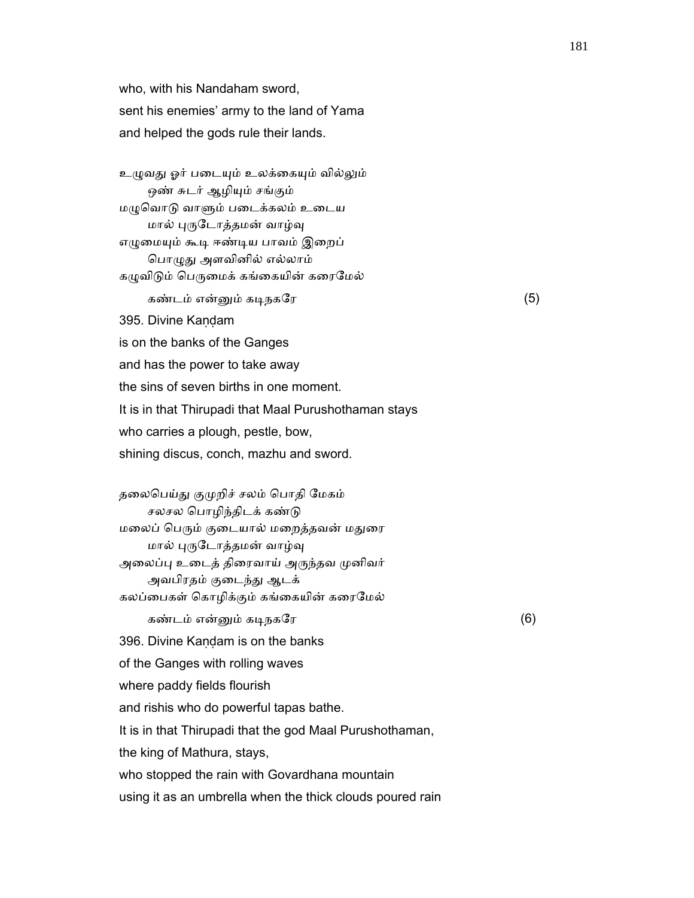who, with his Nandaham sword, sent his enemies' army to the land of Yama and helped the gods rule their lands.

உழுவது ஓர் படையும் உலக்கையும் வில்லும் ஒண் சுடர் ஆழியும் சங்கும் மᾨெவாᾌ வாᾦம் பைடக்கலம் உைடய மால் புருடோத்தமன் வாழ்வு எழுமையும் கூடி ஈண்டிய பாவம் இறைப் பொழுது அளவினில் எல்லாம் கழுவிடும் பெருமைக் கங்கையின் கரைமேல் கண்டம் என்னும் கடிநகரே கூட கண்டம் (5)

395. Divine Kandam

is on the banks of the Ganges

and has the power to take away

the sins of seven births in one moment.

It is in that Thirupadi that Maal Purushothaman stays

who carries a plough, pestle, bow,

shining discus, conch, mazhu and sword.

தலைபெய்து குமுறிச் சலம் பொதி மேகம் சலசல ெபாழிந்திடக் கண்ᾌ மலைப் பெரும் குடையால் மறைத்தவன் மதுரை மால் புருடோத்தமன் வாழ்வு அலைப்பு உடைத் திரைவாய் அருந்தவ முனிவர் அவபிரதம் குடைந்து ஆடக் கலப்பைகள் கொழிக்கும் கங்கையின் கரைமேல்

கண்டம் என்னும் கடிநகரே  $(6)$ 

396. Divine Kaṇḍam is on the banks

of the Ganges with rolling waves

where paddy fields flourish

and rishis who do powerful tapas bathe.

It is in that Thirupadi that the god Maal Purushothaman,

the king of Mathura, stays,

who stopped the rain with Govardhana mountain

using it as an umbrella when the thick clouds poured rain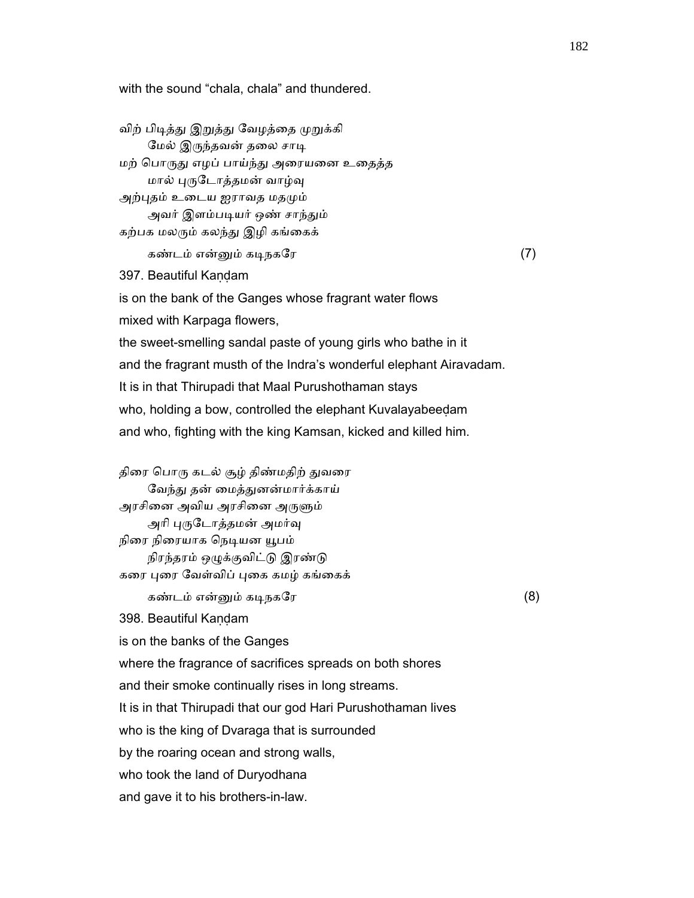with the sound "chala, chala" and thundered.

விற் பிடித்து இறுத்து வேழத்தை முறுக்கி மேல் இருந்தவன் தலை சாடி மற் பொருது எழப் பாய்ந்து அரையனை உதைத்த மால் புருடோத்தமன் வாழ்வு அற்புதம் உடைய ஐராவத மதமும் அவர் இளம்படியர் ஒண் சாந்தும் கற்பக மலரும் கலந்து இழி கங்கைக் கண்டம் என்ᾔம் கᾊநகேர (7) 397. Beautiful Kaṇḍam is on the bank of the Ganges whose fragrant water flows mixed with Karpaga flowers, the sweet-smelling sandal paste of young girls who bathe in it and the fragrant musth of the Indra's wonderful elephant Airavadam. It is in that Thirupadi that Maal Purushothaman stays who, holding a bow, controlled the elephant Kuvalayabeedam and who, fighting with the king Kamsan, kicked and killed him. திரை பொரு கடல் சூழ் திண்மதிற் துவரை வேந்து தன் மைத்துனன்மார்க்காய் அரசினை அவிய அரசினை அருளும் அரி புருடோத்தமன் அமர்வு நிரை நிரையாக நெடியன யூபம் நிரந்தரம் ஒழுக்குவிட்டு இரண்டு கரை புரை வேள்விப் புகை கமழ் கங்கைக் கண்டம் என்னும் கடிநகரே  $(8)$  398. Beautiful Kaṇḍam is on the banks of the Ganges where the fragrance of sacrifices spreads on both shores and their smoke continually rises in long streams. It is in that Thirupadi that our god Hari Purushothaman lives who is the king of Dvaraga that is surrounded by the roaring ocean and strong walls, who took the land of Duryodhana and gave it to his brothers-in-law.

182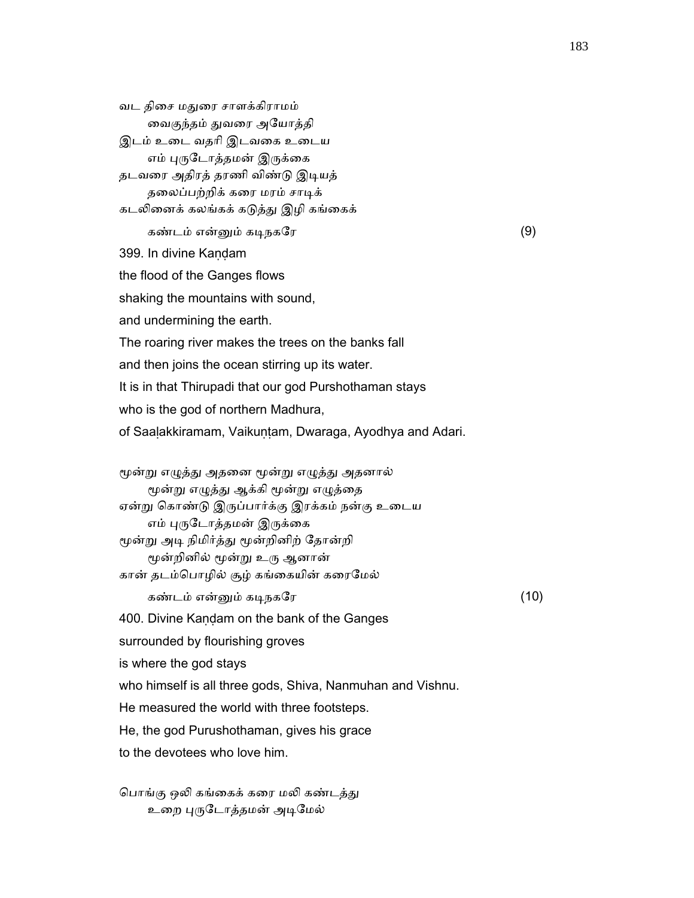வட திைச மᾐைர சாளக்கிராமம் ைவகுந்தம் ᾐவைர அேயாத்தி இடம் உைட வதாி இடவைக உைடய எம் புருடோத்தமன் இருக்கை தடவரை அதிரத் தரணி விண்டு இடியத் தலைப்பற்றிக் கரை மரம் சாடிக் கடலினைக் கலங்கக் கடுத்து இழி கங்கைக் கண்டம் என்ᾔம் கᾊநகேர (9) 399. In divine Kaṇḍam the flood of the Ganges flows shaking the mountains with sound, and undermining the earth. The roaring river makes the trees on the banks fall and then joins the ocean stirring up its water. It is in that Thirupadi that our god Purshothaman stays who is the god of northern Madhura, of Saalakkiramam, Vaikuntam, Dwaraga, Ayodhya and Adari. மூன்று எழுத்து அதனை மூன்று எழுத்து அதனால் மூன்று எழுத்து ஆக்கி மூன்று எழுத்தை ஏன்று கொண்டு இருப்பார்க்கு இரக்கம் நன்கு உடைய எம் புருடோத்தமன் இருக்கை மூன்று அடி நிமிர்த்து மூன்றினிற் தோன்றி மூன்றினில் மூன்று உரு ஆனான் கான் தடம்பொழில் சூழ் கங்கையின் கரைமேல் கண்டம் என்னும் கடிநகரே $(10)$  400. Divine Kaṇḍam on the bank of the Ganges surrounded by flourishing groves is where the god stays who himself is all three gods, Shiva, Nanmuhan and Vishnu. He measured the world with three footsteps. He, the god Purushothaman, gives his grace to the devotees who love him. பொங்கு ஒலி கங்கைக் கரை மலி கண்டத்து

உறை புருடோத்தமன் அடிமேல்

183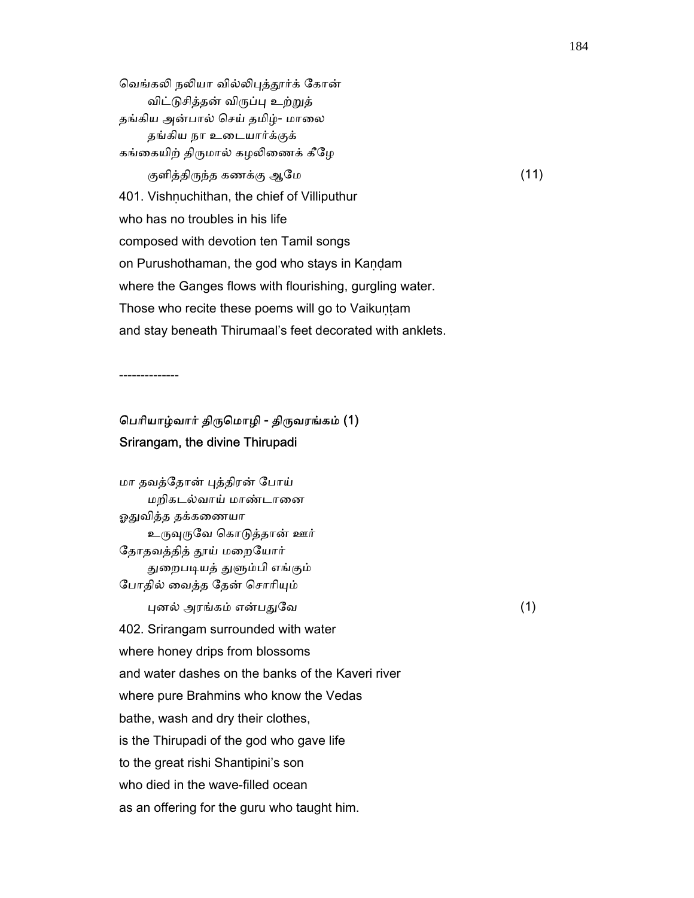வெங்கலி நலியா வில்லிபுத்தூர்க் கோன் விட்ᾌசித்தன் விᾞப்ᾗ உற்ᾠத் தங்கிய அன்பால் செய் தமிழ்- மாலை தங்கிய நா உைடயார்க்குக் கங்கையிற் திருமால் கழலிணைக் கீழே குளித்திருந்த கணக்கு ஆமே  $(11)$ 401. Vishnuchithan, the chief of Villiputhur who has no troubles in his life composed with devotion ten Tamil songs on Purushothaman, the god who stays in Kaṇḍam where the Ganges flows with flourishing, gurgling water. Those who recite these poems will go to Vaikuntam and stay beneath Thirumaal's feet decorated with anklets.

--------------

# ெபாியாழ்வார் திᾞெமாழி - திᾞவரங்கம் (1) Srirangam, the divine Thirupadi

 மா தவத்ேதான் ᾗத்திரன் ேபாய் மறிகடல்வாய் மாண்டானை ஓதுவித்த தக்கணையா உருவுருவே கொடுத்தான் ஊர் தோதவத்தித் தூய் மறையோர் துறைபடியத் துளும்பி எங்கும் ேபாதில் ைவத்த ேதன் ெசாாிᾜம்  $\Box$ புனல் அரங்கம் என்பதுவே  $\Box$  402. Srirangam surrounded with water where honey drips from blossoms and water dashes on the banks of the Kaveri river where pure Brahmins who know the Vedas bathe, wash and dry their clothes, is the Thirupadi of the god who gave life to the great rishi Shantipini's son who died in the wave-filled ocean as an offering for the guru who taught him.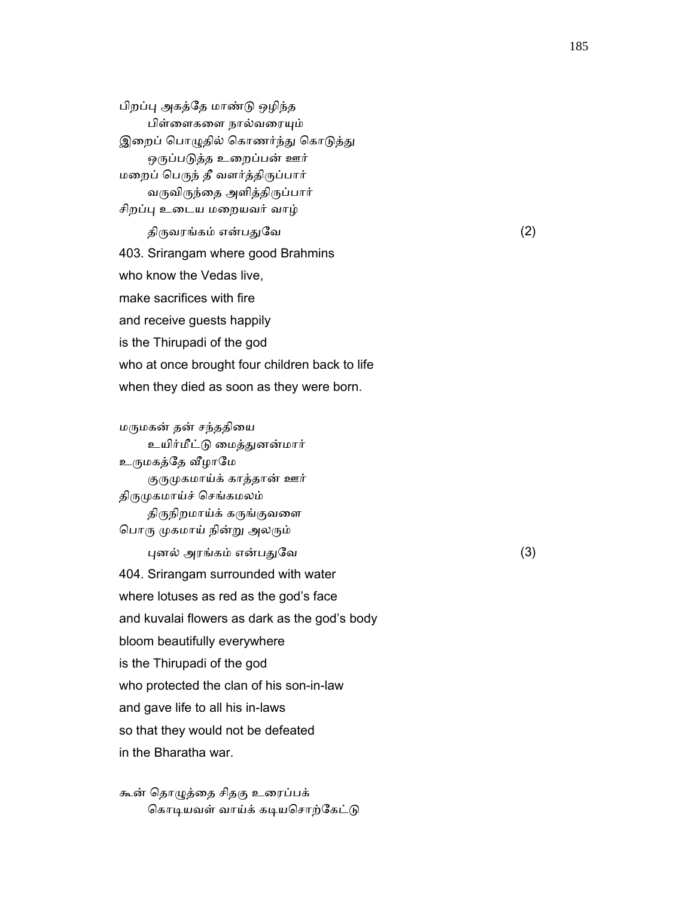பிறப்ᾗ அகத்ேத மாண்ᾌ ஒழிந்த பிள்ளைகளை நால்வரையும் இறைப் பொழுதில் கொணர்ந்து கொடுத்து ஒருப்படுத்த உறைப்பன் ஊர் மறைப் பெருந் தீ வளர்த்திருப்பார் வருவிருந்தை அளித்திருப்பார் சிறப்பு உடைய மறையவர் வாழ் திருவரங்கம் என்பதுவே $(2)$  403. Srirangam where good Brahmins who know the Vedas live, make sacrifices with fire and receive guests happily is the Thirupadi of the god who at once brought four children back to life when they died as soon as they were born.

 மᾞமகன் தன் சந்ததிைய உயிர்மீட்ᾌ ைமத்ᾐனன்மார் உருமகத்தே வீழாமே குருமுகமாய்க் காத்தான் ஊர் திருமுகமாய்ச் செங்கமலம் திருநிறமாய்க் கருங்குவளை பொரு முகமாய் நின்று அலரும்  $\Box$ புனல் அரங்கம் என்பதுவே பார்மை (3) 404. Srirangam surrounded with water where lotuses as red as the god's face and kuvalai flowers as dark as the god's body bloom beautifully everywhere is the Thirupadi of the god who protected the clan of his son-in-law and gave life to all his in-laws so that they would not be defeated in the Bharatha war.

 கூன் ெதாᾨத்ைத சிதகு உைரப்பக் கொடியவள் வாய்க் கடியசொற்கேட்டு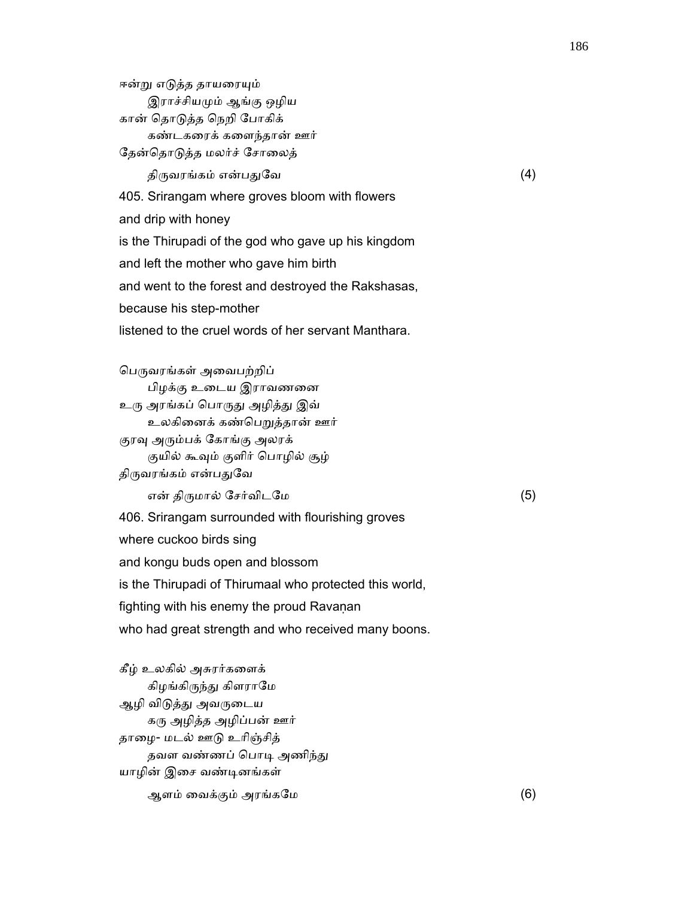ஈன்று எடுத்த தாயரையும் இராச்சியᾙம் ஆங்கு ஒழிய கான் ெதாᾌத்த ெநறி ேபாகிக் கண்டகைரக் கைளந்தான் ஊர் தேன்தொடுத்த மலர்ச் சோலைத்

திருவரங்கம் என்பதுவே $(4)$ 

405. Srirangam where groves bloom with flowers

and drip with honey

is the Thirupadi of the god who gave up his kingdom

and left the mother who gave him birth

and went to the forest and destroyed the Rakshasas,

because his step-mother

listened to the cruel words of her servant Manthara.

பெருவரங்கள் அவைபற்றிப் பிழக்கு உைடய இராவணைன உரு அரங்கப் பொருது அழித்து இவ் உலகினைக் கண்பெறுத்தான் ஊர் குரவு அரும்பக் கோங்கு அலரக் குயில் கூவும் குளிர் பொழில் சூழ் திருவரங்கம் என்பதுவே என் திᾞமால் ேசர்விடேம (5) 406. Srirangam surrounded with flourishing groves where cuckoo birds sing

and kongu buds open and blossom

is the Thirupadi of Thirumaal who protected this world,

fighting with his enemy the proud Ravanan

who had great strength and who received many boons.

 கீழ் உலகில் அசுரர்கைளக் கிழங்கிருந்து கிளராமே ஆழி விடுத்து அவருடைய கரு அழித்த அழிப்பன் ஊர் தாைழ- மடல் ஊᾌ உாிஞ்சித் தவள வண்ணப் பொடி அணிந்து யாழின் இசை வண்டினங்கள் ஆளம் ைவக்கும் அரங்கேம (6)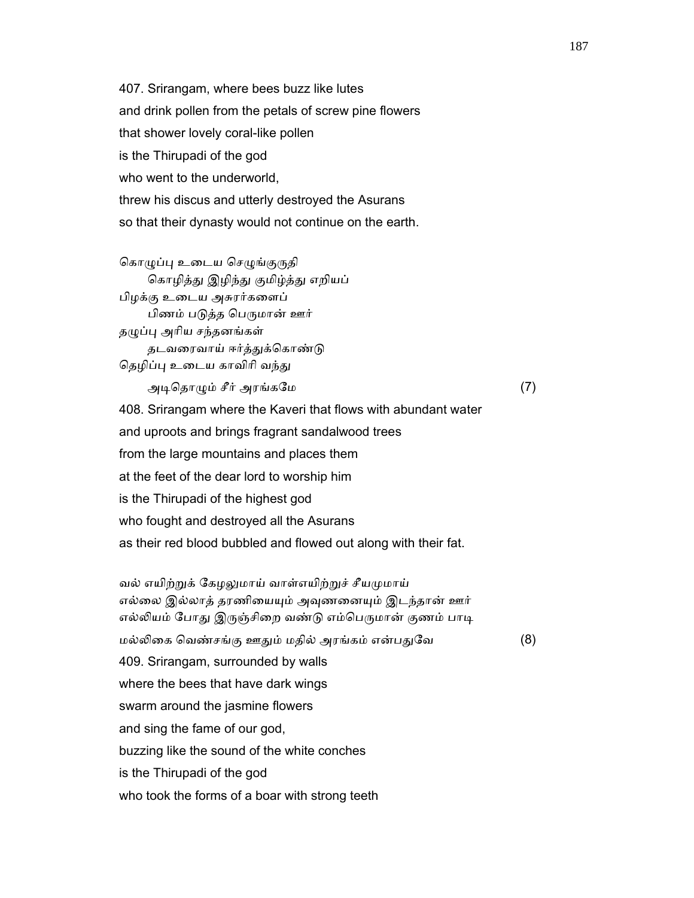407. Srirangam, where bees buzz like lutes and drink pollen from the petals of screw pine flowers that shower lovely coral-like pollen is the Thirupadi of the god who went to the underworld. threw his discus and utterly destroyed the Asurans so that their dynasty would not continue on the earth.

```
கொழுப்பு உடைய செழுங்குருதி
    கொழித்து இழிந்து குமிழ்த்து எறியப்
 பிழக்கு உைடய அசுரர்கைளப் 
    பிணம் படுத்த பெருமான் ஊர்
தழுப்பு அரிய சந்தனங்கள்
    தடவரைவாய் ஈர்த்துக்கொண்டு
தெழிப்பு உடைய காவிரி வந்து
```
அடிதொழும் சீர் அரங்கமே  $(7)$ 

 408. Srirangam where the Kaveri that flows with abundant water and uproots and brings fragrant sandalwood trees from the large mountains and places them at the feet of the dear lord to worship him is the Thirupadi of the highest god who fought and destroyed all the Asurans as their red blood bubbled and flowed out along with their fat.

வல் எயிற்றுக் கேழலுமாய் வாள்எயிற்றுச் சீயமுமாய் எல்லை இல்லாத் தரணியையும் அவுணனையும் இடந்தான் ஊர் எல்லியம் போது இருஞ்சிறை வண்டு எம்பெருமான் குணம் பாடி மல்லிகை வெண்சங்கு ஊதும் மதில் அரங்கம் என்பதுவே (8) 409. Srirangam, surrounded by walls where the bees that have dark wings swarm around the jasmine flowers and sing the fame of our god, buzzing like the sound of the white conches is the Thirupadi of the god who took the forms of a boar with strong teeth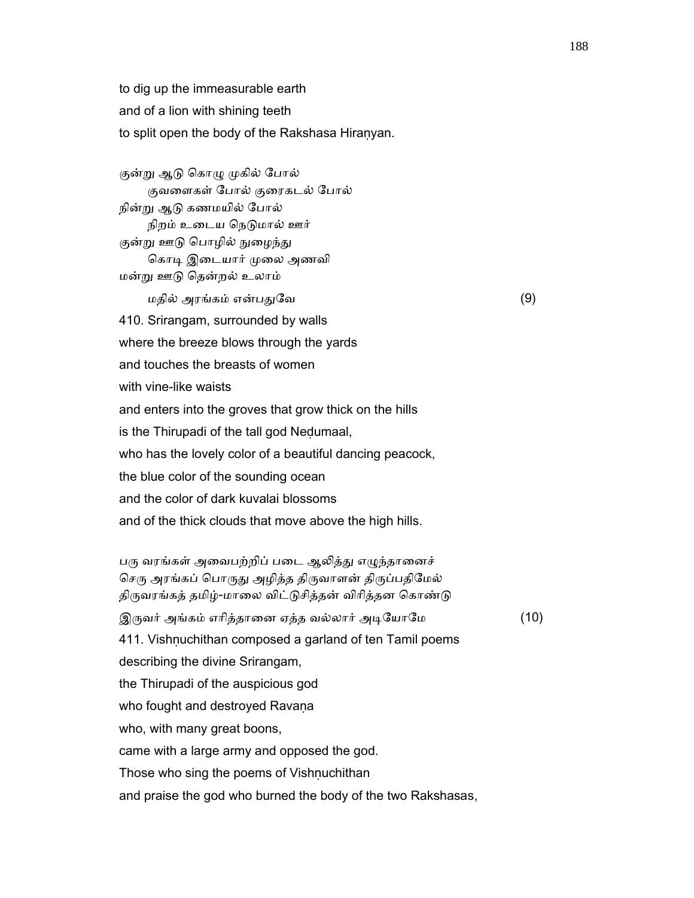to dig up the immeasurable earth and of a lion with shining teeth to split open the body of the Rakshasa Hiranyan.

குன்று ஆடு கொழு முகில் போல் குவைளகள் ேபால் குைரகடல் ேபால் நின்ᾠ ஆᾌ கணமயில் ேபால் நிறம் உடைய நெடுமால் ஊர் குன்று ஊடு பொழில் நுழைந்து கொடி இடையார் முலை அணவி மன்ᾠ ஊᾌ ெதன்றல் உலாம்

 $\Box$ மதில் அரங்கம் என்பதுவே  $(9)$ 

410. Srirangam, surrounded by walls

where the breeze blows through the yards

and touches the breasts of women

with vine-like waists

and enters into the groves that grow thick on the hills

is the Thirupadi of the tall god Neḍumaal,

who has the lovely color of a beautiful dancing peacock,

the blue color of the sounding ocean

and the color of dark kuvalai blossoms

and of the thick clouds that move above the high hills.

பரு வரங்கள் அவைபற்றிப் படை ஆலித்து எழுந்தானைச் செரு அரங்கப் பொருது அழித்த திருவாளன் திருப்பதிமேல் திருவரங்கத் தமிழ்-மாலை விட்டுசித்தன் விரித்தன கொண்டு

இருவர் அங்கம் எரித்தானை ஏத்த வல்லார் அடியோமே (10)

 411. Vishṇuchithan composed a garland of ten Tamil poems describing the divine Srirangam,

the Thirupadi of the auspicious god

who fought and destroyed Ravana

who, with many great boons,

came with a large army and opposed the god.

Those who sing the poems of Vishnuchithan

and praise the god who burned the body of the two Rakshasas,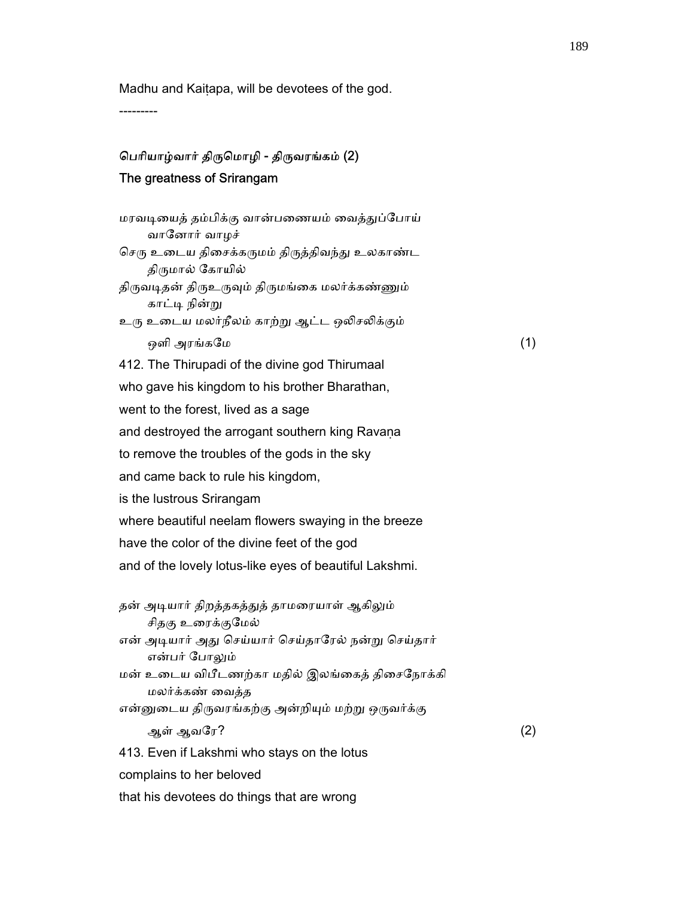Madhu and Kaiṭapa, will be devotees of the god.

---------

## ெபாியாழ்வார் திᾞெமாழி - திᾞவரங்கம் (2) The greatness of Srirangam

மரவடியைத் தம்பிக்கு வான்பணையம் வைத்துப்போய் வாேனார் வாழச் செரு உடைய திசைக்கருமம் திருத்திவந்து உலகாண்ட திருமால் கோயில் திருவடிதன் திருஉருவும் திருமங்கை மலர்க்கண்ணும் காட்டி நின்று உரு உடைய மலர்நீலம் காற்று ஆட்ட ஒலிசலிக்கும் ஒளி அரங்கமே  $(1)$  412. The Thirupadi of the divine god Thirumaal who gave his kingdom to his brother Bharathan, went to the forest, lived as a sage and destroyed the arrogant southern king Ravana to remove the troubles of the gods in the sky and came back to rule his kingdom, is the lustrous Srirangam where beautiful neelam flowers swaying in the breeze have the color of the divine feet of the god and of the lovely lotus-like eyes of beautiful Lakshmi. தன் அடியார் திறத்தகத்துத் தாமரையாள் ஆகிலும் சிதகு உரைக்குமேல் என் அடியார் அது செய்யார் செய்தாரேல் நன்று செய்தார் என்பர் போலும் மன் உைடய விபீடணற்கா மதில் இலங்ைகத் திைசேநாக்கி மலர்க்கண் ைவத்த என்னுடைய திருவரங்கற்கு அன்றியும் மற்று ஒருவர்க்கு ஆள் ஆவேர? (2) 413. Even if Lakshmi who stays on the lotus complains to her beloved that his devotees do things that are wrong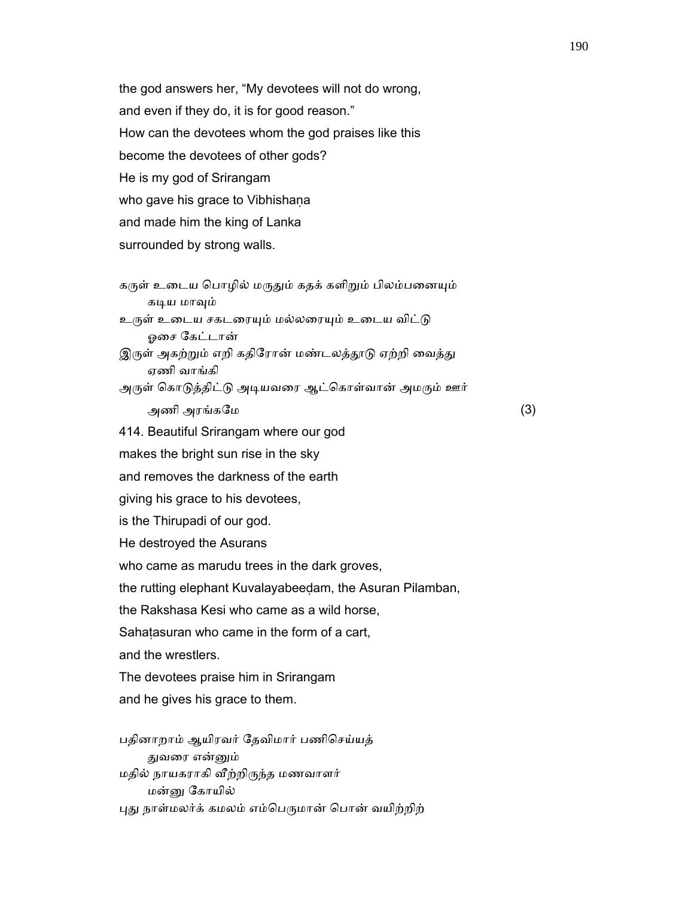the god answers her, "My devotees will not do wrong, and even if they do, it is for good reason." How can the devotees whom the god praises like this become the devotees of other gods? He is my god of Srirangam who gave his grace to Vibhishana and made him the king of Lanka surrounded by strong walls.

கருள் உடைய பொழில் மருதும் கதக் களிறும் பிலம்பனையும் கடிய மாவும்

உருள் உடைய சகடரையும் மல்லரையும் உடைய விட்டு ஓைச ேகட்டான்

இருள் அகற்றும் எறி கதிரோன் மண்டலத்தூடு ஏற்றி வைத்து ஏணி வாங்கி

அருள் கொடுத்திட்டு அடியவரை ஆட்கொள்வான் அமரும் ஊர்

அணி அரங்கேம (3)

414. Beautiful Srirangam where our god

makes the bright sun rise in the sky

and removes the darkness of the earth

giving his grace to his devotees,

is the Thirupadi of our god.

He destroyed the Asurans

who came as marudu trees in the dark groves,

the rutting elephant Kuvalayabeeḍam, the Asuran Pilamban,

the Rakshasa Kesi who came as a wild horse,

Sahatasuran who came in the form of a cart.

and the wrestlers.

The devotees praise him in Srirangam

and he gives his grace to them.

 பதினாறாம் ஆயிரவர் ேதவிமார் பணிெசய்யத் துவரை என்னும் மதில் நாயகராகி ᾪற்றிᾞந்த மணவாளர் மன்ᾔ ேகாயில் புது நாள்மலர்க் கமலம் எம்பெருமான் பொன் வயிற்றிற்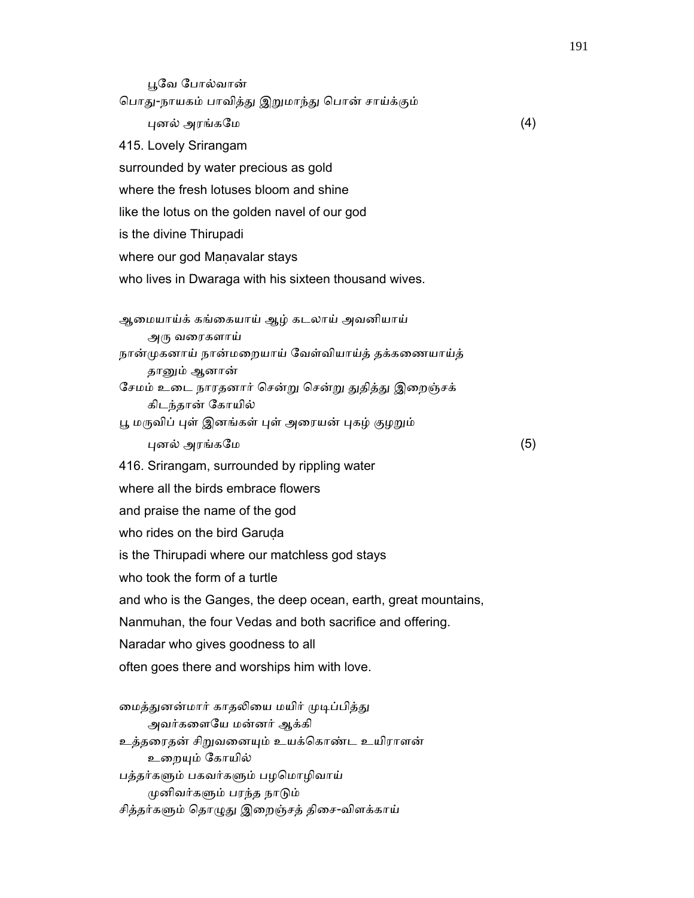ᾘேவ ேபால்வான் பொது-நாயகம் பாவித்து இறுமாந்து பொன் சாய்க்கும்  $\Box$ புனல் அரங்கமே (4) 415. Lovely Srirangam surrounded by water precious as gold where the fresh lotuses bloom and shine like the lotus on the golden navel of our god is the divine Thirupadi where our god Manavalar stays who lives in Dwaraga with his sixteen thousand wives. ஆைமயாய்க் கங்ைகயாய் ஆழ் கடலாய் அவனியாய் அரு வரைகளாய் நான்ᾙகனாய் நான்மைறயாய் ேவள்வியாய்த் தக்கைணயாய்த் தானும் ஆனான் சேமம் உடை நாரதனார் சென்று சென்று துதித்து இறைஞ்சக் கிடந்தான் ேகாயில் பூ மருவிப் புள் இனங்கள் புள் அரையன் புகழ் குழறும் ᾗனல் அரங்கேம (5) 416. Srirangam, surrounded by rippling water where all the birds embrace flowers and praise the name of the god who rides on the bird Garuda is the Thirupadi where our matchless god stays who took the form of a turtle and who is the Ganges, the deep ocean, earth, great mountains, Nanmuhan, the four Vedas and both sacrifice and offering. Naradar who gives goodness to all often goes there and worships him with love. மைத்துனன்மார் காதலியை மயிர் முடிப்பித்து

 அவர்கைளேய மன்னர் ஆக்கி உத்தைரதன் சிᾠவைனᾜம் உயக்ெகாண்ட உயிராளன் உறையும் கோயில் பத்தர்களும் பகவர்களும் பழமொழிவாய் ᾙனிவர்கᾦம் பரந்த நாᾌம் சித்தர்களும் தொழுது இறைஞ்சத் திசை-விளக்காய்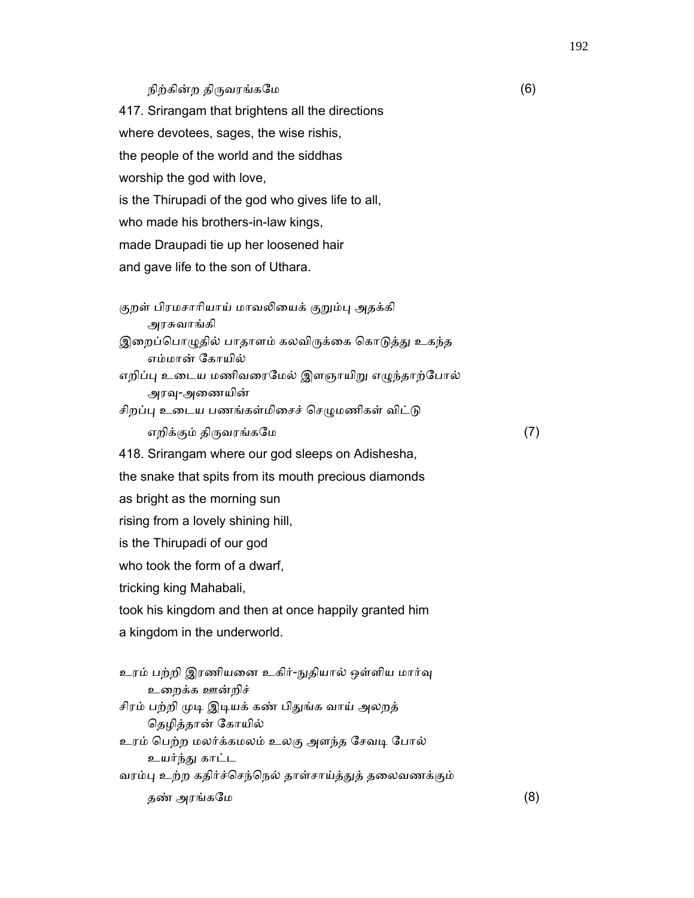### நிற்கின்ற திருவரங்கமே  $(6)$

 417. Srirangam that brightens all the directions where devotees, sages, the wise rishis, the people of the world and the siddhas worship the god with love, is the Thirupadi of the god who gives life to all, who made his brothers-in-law kings, made Draupadi tie up her loosened hair and gave life to the son of Uthara.

குறள் பிரமசாரியாய் மாவலியைக் குறும்பு அதக்கி அரசுவாங்கி இறைப்பொழுதில் பாதாளம் கலவிருக்கை கொடுத்து உகந்த எம்மான் ேகாயில் எறிப்பு உடைய மணிவரைமேல் இளஞாயிறு எழுந்தாற்போல் அரவு-அணையின் சிறப்பு உடைய பணங்கள்மிசைச் செழுமணிகள் விட்டு எறிக்கும் திருவரங்கமே  $(7)$  418. Srirangam where our god sleeps on Adishesha, the snake that spits from its mouth precious diamonds as bright as the morning sun rising from a lovely shining hill, is the Thirupadi of our god who took the form of a dwarf, tricking king Mahabali, took his kingdom and then at once happily granted him a kingdom in the underworld. உரம் பற்றி இரணியனை உகிர்-நுதியால் ஒள்ளிய மார்வு உைறக்க ஊன்றிச் சிரம் பற்றி முடி இடியக் கண் பிதுங்க வாய் அலறத் ெதழித்தான் ேகாயில் உரம் பெற்ற மலர்க்கமலம் உலகு அளந்த சேவடி போல் உயர்ந்ᾐ காட்ட

வரம்பு உற்ற கதிர்ச்செந்நெல் தாள்சாய்த்துத் தலைவணக்கும்

தண் அரங்கமே  $(8)$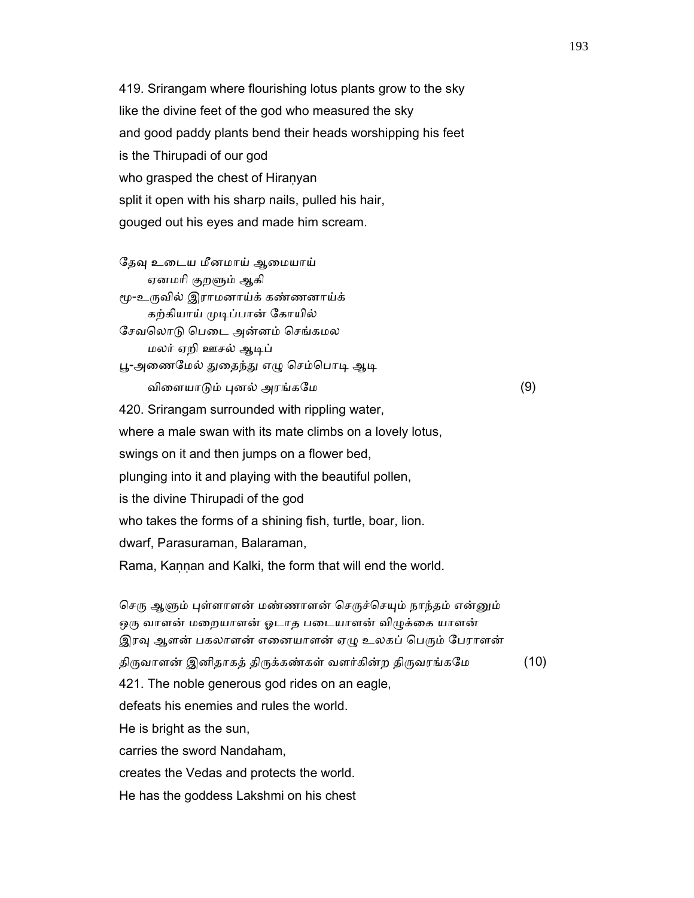419. Srirangam where flourishing lotus plants grow to the sky like the divine feet of the god who measured the sky and good paddy plants bend their heads worshipping his feet is the Thirupadi of our god who grasped the chest of Hiranyan split it open with his sharp nails, pulled his hair, gouged out his eyes and made him scream.

தேவு உடைய மீனமாய் ஆமையாய் ஏனமரி குறளும் ஆகி ᾚ-உᾞவில் இராமனாய்க் கண்ணனாய்க் கற்கியாய் முடிப்பான் கோயில் ேசவெலாᾌ ெபைட அன்னம் ெசங்கமல மலர் ஏறி ஊசல் ஆᾊப் பூ-அணைமேல் துதைந்து எழு செம்பொடி ஆடி  $\omega$ விளையாடும் புனல் அரங்கமே  $(9)$  420. Srirangam surrounded with rippling water, where a male swan with its mate climbs on a lovely lotus, swings on it and then jumps on a flower bed, plunging into it and playing with the beautiful pollen, is the divine Thirupadi of the god who takes the forms of a shining fish, turtle, boar, lion. dwarf, Parasuraman, Balaraman, Rama, Kaṇṇan and Kalki, the form that will end the world.

செரு ஆளும் புள்ளாளன் மண்ணாளன் செருச்செயும் நாந்தம் என்னும் ஒரு வாளன் மறையாளன் ஓடாத படையாளன் விழுக்கை யாளன் இரவு ஆளன் பகலாளன் எனையாளன் ஏழு உலகப் பெரும் பேராளன் திருவாளன் இனிதாகத் திருக்கண்கள் வளர்கின்ற திருவரங்கமே  $(10)$  421. The noble generous god rides on an eagle, defeats his enemies and rules the world. He is bright as the sun, carries the sword Nandaham, creates the Vedas and protects the world. He has the goddess Lakshmi on his chest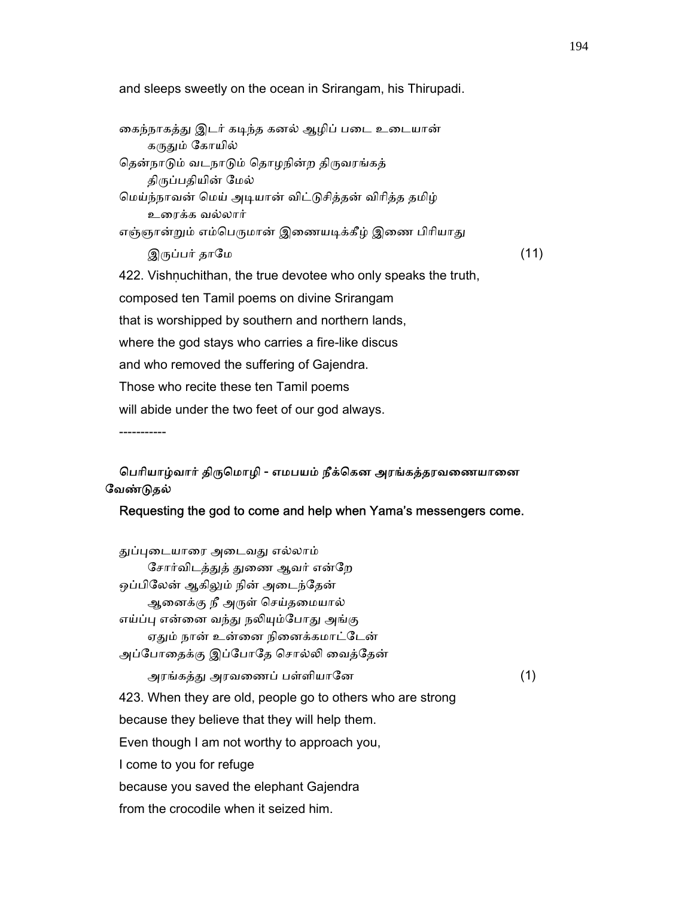and sleeps sweetly on the ocean in Srirangam, his Thirupadi.

கைந்நாகத்து இடர் கடிந்த கனல் ஆழிப் படை உடையான் கருதும் கோயில் தென்நாடும் வடநாடும் தொழநின்ற திருவரங்கத் திருப்பதியின் மேல் ெமய்ந்நாவன் ெமய் அᾊயான் விட்ᾌசித்தன் விாித்த தமிழ் உைரக்க வல்லார் எஞ்ஞான்றும் எம்பெருமான் இணையடிக்கீழ் இணை பிரியாது  $\mathfrak{A}$ ருப்பர் தாமே (11) 422. Vishnuchithan, the true devotee who only speaks the truth, composed ten Tamil poems on divine Srirangam that is worshipped by southern and northern lands, where the god stays who carries a fire-like discus and who removed the suffering of Gajendra. Those who recite these ten Tamil poems will abide under the two feet of our god always. -----------

## பெரியாழ்வார் திருமொழி - எமபயம் நீக்கென அரங்கத்தரவணையானை ேவண்ᾌதல்

### Requesting the god to come and help when Yama's messengers come.

துப்புடையாரை அடைவது எல்லாம் சோர்விடத்துத் துணை ஆவர் என்றே ஒப்பிலேன் ஆகிலும் நின் அடைந்தேன் ஆனைக்கு நீ அருள் செய்தமையால் எய்ப்பு என்னை வந்து நலியும்போது அங்கு ஏதும் நான் உன்னை நினைக்கமாட்டேன் அப்ேபாைதக்கு இப்ேபாேத ெசால்ᾢ ைவத்ேதன் அரங்கத்ᾐ அரவைணப் பள்ளியாேன (1) 423. When they are old, people go to others who are strong because they believe that they will help them. Even though I am not worthy to approach you, I come to you for refuge because you saved the elephant Gajendra from the crocodile when it seized him.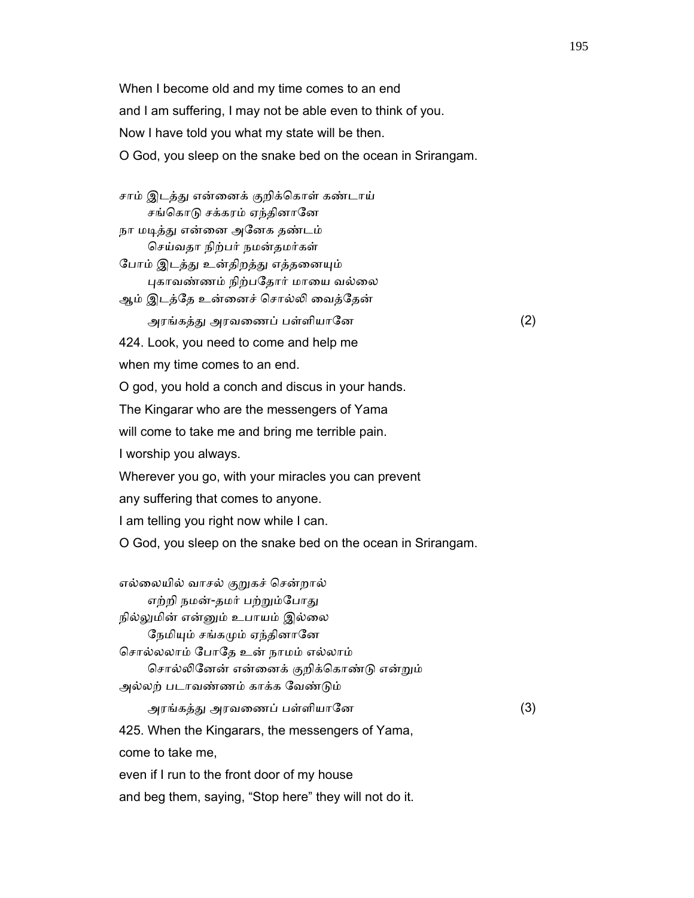When I become old and my time comes to an end and I am suffering, I may not be able even to think of you. Now I have told you what my state will be then. O God, you sleep on the snake bed on the ocean in Srirangam.

சாம் இடத்து என்னைக் குறிக்கொள் கண்டாய் சங்கொடு சக்கரம் ஏந்தினானே நா மடித்து என்னை அனேக தண்டம்

ெசய்வதா நிற்பர் நமன்தமர்கள்

போம் இடத்து உன்திறத்து எத்தனையும் புகாவண்ணம் நிற்பதோர் மாயை வல்லை

ஆம் இடத்ேத உன்ைனச் ெசால்ᾢ ைவத்ேதன்

அரங்கத்ᾐ அரவைணப் பள்ளியாேன (2)

424. Look, you need to come and help me

when my time comes to an end.

O god, you hold a conch and discus in your hands.

The Kingarar who are the messengers of Yama

will come to take me and bring me terrible pain.

I worship you always.

Wherever you go, with your miracles you can prevent

any suffering that comes to anyone.

I am telling you right now while I can.

O God, you sleep on the snake bed on the ocean in Srirangam.

எல்லையில் வாசல் குறுகச் சென்றால் எற்றி நமன்-தமர் பற்றும்போது நில்லுமின் என்னும் உபாயம் இல்லை நேமியும் சங்கமும் ஏந்தினானே ெசால்லலாம் ேபாேத உன் நாமம் எல்லாம் ெசால்ᾢேனன் என்ைனக் குறிக்ெகாண்ᾌ என்ᾠம் அல்லற் படாவண்ணம் காக்க ேவண்ᾌம் அரங்கத்ᾐ அரவைணப் பள்ளியாேன (3) 425. When the Kingarars, the messengers of Yama, come to take me,

even if I run to the front door of my house

and beg them, saying, "Stop here" they will not do it.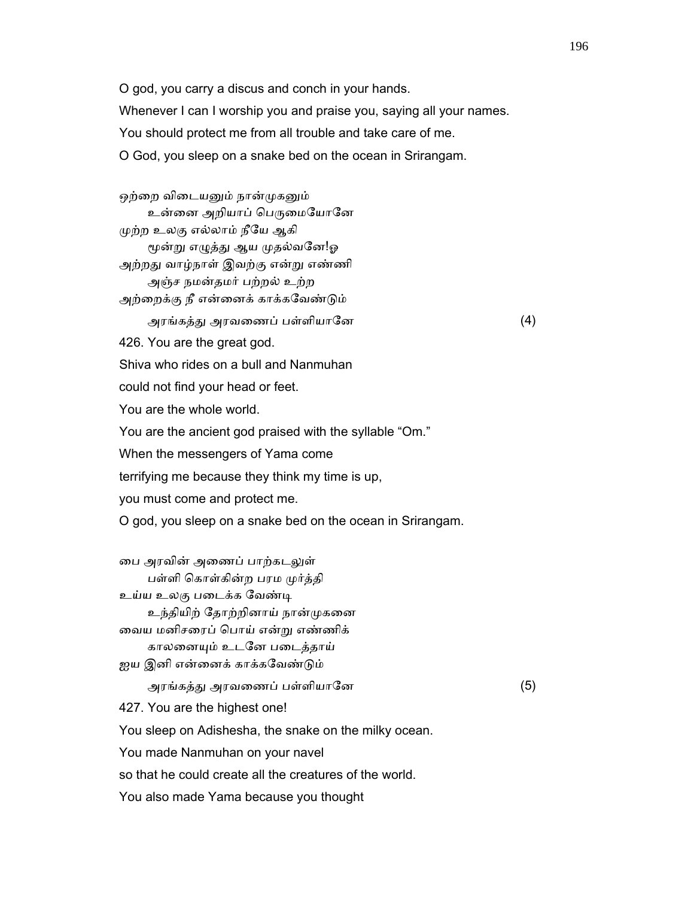O god, you carry a discus and conch in your hands. Whenever I can I worship you and praise you, saying all your names. You should protect me from all trouble and take care of me. O God, you sleep on a snake bed on the ocean in Srirangam.

ஒற்றை விடையனும் நான்முகனும் உன்னை அறியாப் பெருமையோனே ᾙற்ற உலகு எல்லாம் நீேய ஆகி மூன்று எழுத்து ஆய முதல்வனே!ஓ அற்றது வாழ்நாள் இவற்கு என்று எண்ணி அஞ்ச நமன்தமர் பற்றல் உற்ற அற்ைறக்கு நீ என்ைனக் காக்கேவண்ᾌம் அரங்கத்ᾐ அரவைணப் பள்ளியாேன (4) 426. You are the great god. Shiva who rides on a bull and Nanmuhan could not find your head or feet. You are the whole world. You are the ancient god praised with the syllable "Om." When the messengers of Yama come terrifying me because they think my time is up, you must come and protect me. O god, you sleep on a snake bed on the ocean in Srirangam. டை அரவின் அணைப் பாற்கடலுள் பள்ளி ெகாள்கின்ற பரம ᾙர்த்தி உய்ய உலகு படைக்க வேண்டி உந்தியிற் தோற்றினாய் நான்முகனை ைவய மனிசைரப் ெபாய் என்ᾠ எண்ணிக் காலைனᾜம் உடேன பைடத்தாய் ஐய இனி என்னைக் காக்கவேண்டும் அரங்கத்ᾐ அரவைணப் பள்ளியாேன (5) 427. You are the highest one! You sleep on Adishesha, the snake on the milky ocean. You made Nanmuhan on your navel so that he could create all the creatures of the world. You also made Yama because you thought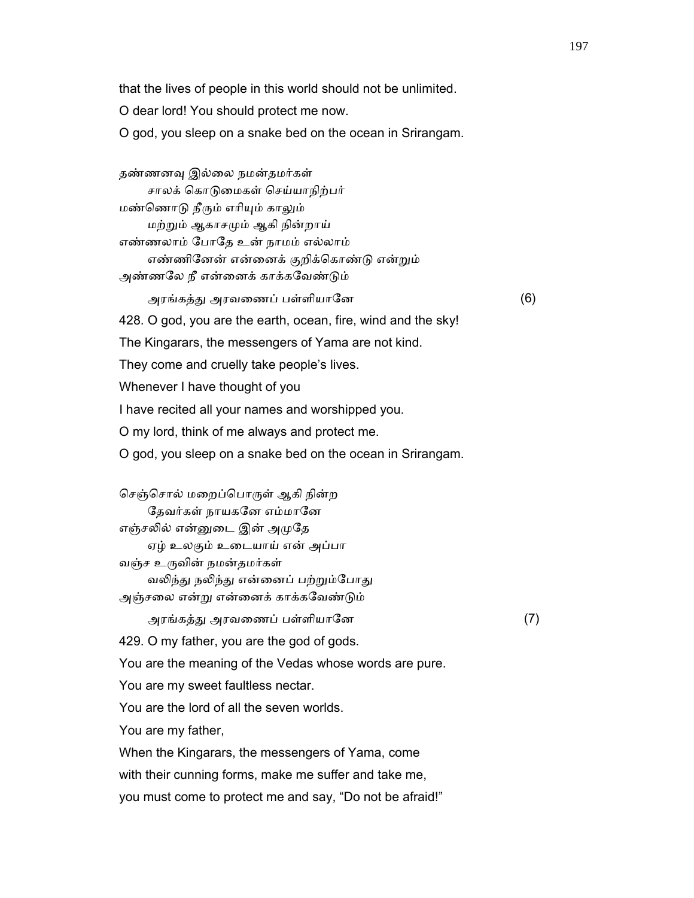that the lives of people in this world should not be unlimited.

O dear lord! You should protect me now.

O god, you sleep on a snake bed on the ocean in Srirangam.

 தண்ணனᾫ இல்ைல நமன்தமர்கள் சாலக் ெகாᾌைமகள் ெசய்யாநிற்பர் மண்ெணாᾌ நீᾞம் எாிᾜம் காᾤம் மற்ᾠம் ஆகாசᾙம் ஆகி நின்றாய் எண்ணலாம் ேபாேத உன் நாமம் எல்லாம் எண்ணிேனன் என்ைனக் குறிக்ெகாண்ᾌ என்ᾠம் அண்ணலே நீ என்னைக் காக்கவேண்டும் அரங்கத்ᾐ அரவைணப் பள்ளியாேன (6) 428. O god, you are the earth, ocean, fire, wind and the sky! The Kingarars, the messengers of Yama are not kind. They come and cruelly take people's lives. Whenever I have thought of you I have recited all your names and worshipped you. O my lord, think of me always and protect me. O god, you sleep on a snake bed on the ocean in Srirangam. செஞ்சொல் மறைப்பொருள் ஆகி நின்ற தேவர்கள் நாயகனே எம்மானே

எஞ்சலில் என்னுடை இன் அமுதே

ஏழ் உலகும் உைடயாய் என் அப்பா

வஞ்ச உருவின் நமன்தமர்கள்

வலிந்து நலிந்து என்னைப் பற்றும்போது அஞ்சைல என்ᾠ என்ைனக் காக்கேவண்ᾌம்

அரங்கத்ᾐ அரவைணப் பள்ளியாேன (7)

429. O my father, you are the god of gods.

You are the meaning of the Vedas whose words are pure.

You are my sweet faultless nectar.

You are the lord of all the seven worlds.

You are my father,

When the Kingarars, the messengers of Yama, come

with their cunning forms, make me suffer and take me,

you must come to protect me and say, "Do not be afraid!"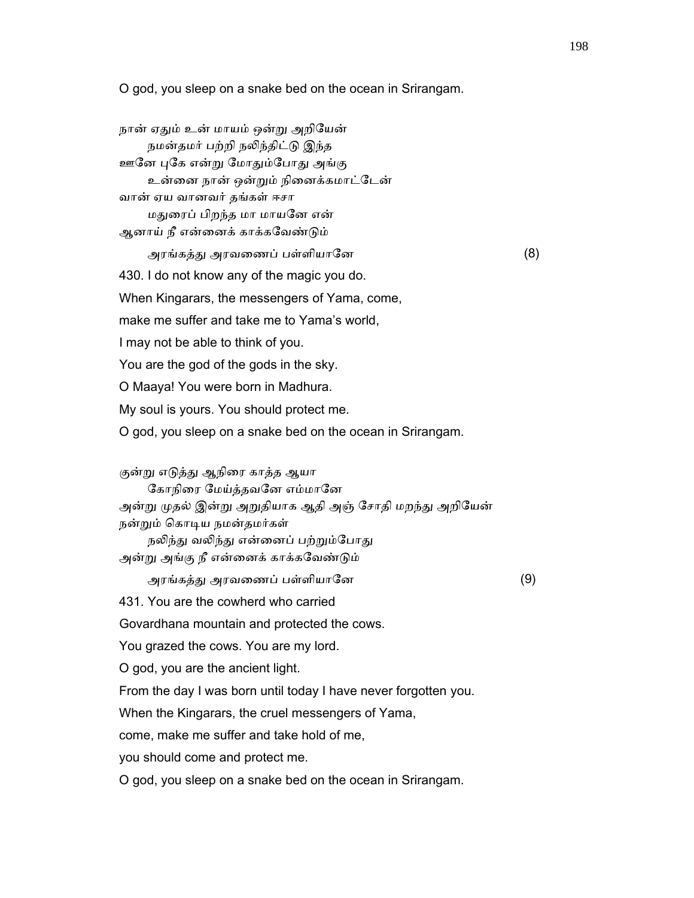O god, you sleep on a snake bed on the ocean in Srirangam.

| நான் ஏதும் உன் மாயம் ஒன்று அறியேன்<br>நமன்தமர் பற்றி நலிந்திட்டு இந்த               |     |
|-------------------------------------------------------------------------------------|-----|
| ஊனே புகே என்று மோதும்போது அங்கு                                                     |     |
| உன்னை நான் ஒன்றும் நினைக்கமாட்டேன்                                                  |     |
| வான் ஏய வானவர் தங்கள் ஈசா                                                           |     |
| மதுரைப் பிறந்த மா மாயனே என்                                                         |     |
| ஆனாய் நீ என்னைக் காக்கவேண்டும்                                                      |     |
| அரங்கத்து அரவணைப் பள்ளியானே                                                         | (8) |
| 430. I do not know any of the magic you do.                                         |     |
| When Kingarars, the messengers of Yama, come,                                       |     |
| make me suffer and take me to Yama's world,                                         |     |
| I may not be able to think of you.                                                  |     |
| You are the god of the gods in the sky.                                             |     |
| O Maaya! You were born in Madhura.                                                  |     |
| My soul is yours. You should protect me.                                            |     |
| O god, you sleep on a snake bed on the ocean in Srirangam.                          |     |
|                                                                                     |     |
| குன்று எடுத்து ஆநிரை காத்த ஆயா                                                      |     |
| கோநிரை மேய்த்தவனே எம்மானே                                                           |     |
| அன்று முதல் இன்று அறுதியாக ஆதி அஞ் சோதி மறந்து அறியேன்<br>நன்றும் கொடிய நமன்தமர்கள் |     |
| நலிந்து வலிந்து என்னைப் பற்றும்போது                                                 |     |
| அன்று அங்கு நீ என்னைக் காக்கவேண்டும்                                                |     |
| அரங்கத்து அரவணைப் பள்ளியானே                                                         | (9) |
| 431. You are the cowherd who carried                                                |     |
| Govardhana mountain and protected the cows                                          |     |
| You grazed the cows. You are my lord.                                               |     |
| O god, you are the ancient light.                                                   |     |
| From the day I was born until today I have never forgotten you.                     |     |
| When the Kingarars, the cruel messengers of Yama,                                   |     |
| come, make me suffer and take hold of me,                                           |     |
| you should come and protect me.                                                     |     |
| O god, you sleep on a snake bed on the ocean in Srirangam.                          |     |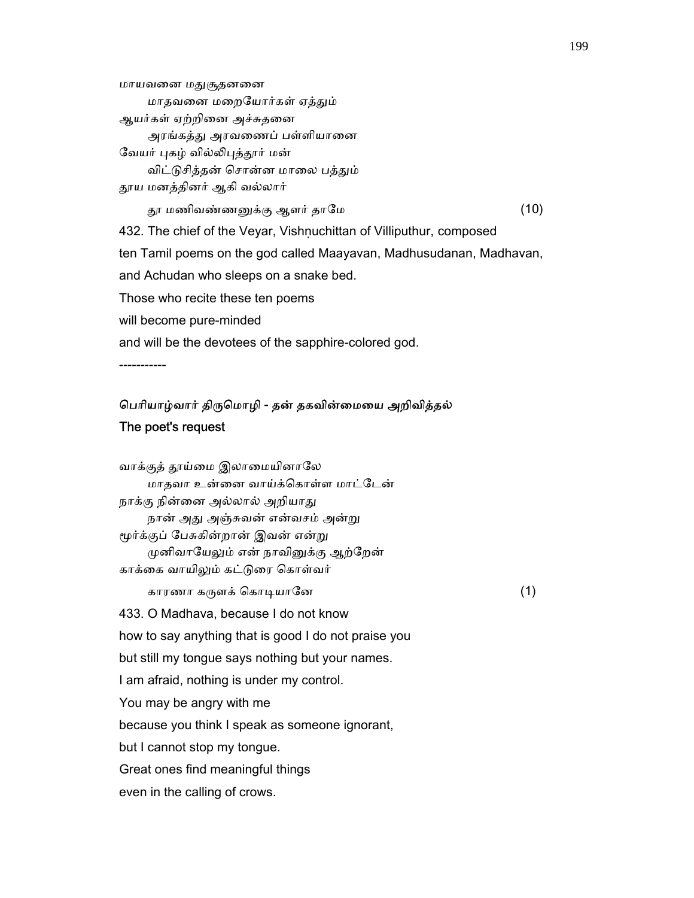அரங்கத்து அரவணைப் பள்ளியானை வேயர் புகழ் வில்லிபுத்தூர் மன் விட்டுசித்தன் சொன்ன மாலை பத்தும் ᾑய மனத்தினர் ஆகி வல்லார் ᾑ மணிவண்ணᾔக்கு ஆளர் தாேம (10) 432. The chief of the Veyar, Vishnuchittan of Villiputhur, composed ten Tamil poems on the god called Maayavan, Madhusudanan, Madhavan, and Achudan who sleeps on a snake bed. Those who recite these ten poems will become pure-minded and will be the devotees of the sapphire-colored god.

-----------

மாயவனை மதுசூதனனை

ஆயர்கள் ஏற்றினை அச்சுதனை

மாதவைன மைறேயார்கள் ஏத்ᾐம்

## ெபாியாழ்வார் திᾞெமாழி - தன் தகவின்ைமைய அறிவித்தல் The poet's request

வாக்குத் தூய்மை இலாமையினாலே மாதவா உன்ைன வாய்க்ெகாள்ள மாட்ேடன் நாக்கு நின்னை அல்லால் அறியாது நான் அது அஞ்சுவன் என்வசம் அன்று மூர்க்குப் பேசுகின்றான் இவன் என்று முனிவாயேலும் என் நாவினுக்கு ஆற்றேன் காக்கை வாயிலும் கட்டுரை கொள்வர் காரணா கᾞளக் ெகாᾊயாேன (1) 433. O Madhava, because I do not know how to say anything that is good I do not praise you but still my tongue says nothing but your names. I am afraid, nothing is under my control. You may be angry with me because you think I speak as someone ignorant, but I cannot stop my tongue. Great ones find meaningful things even in the calling of crows.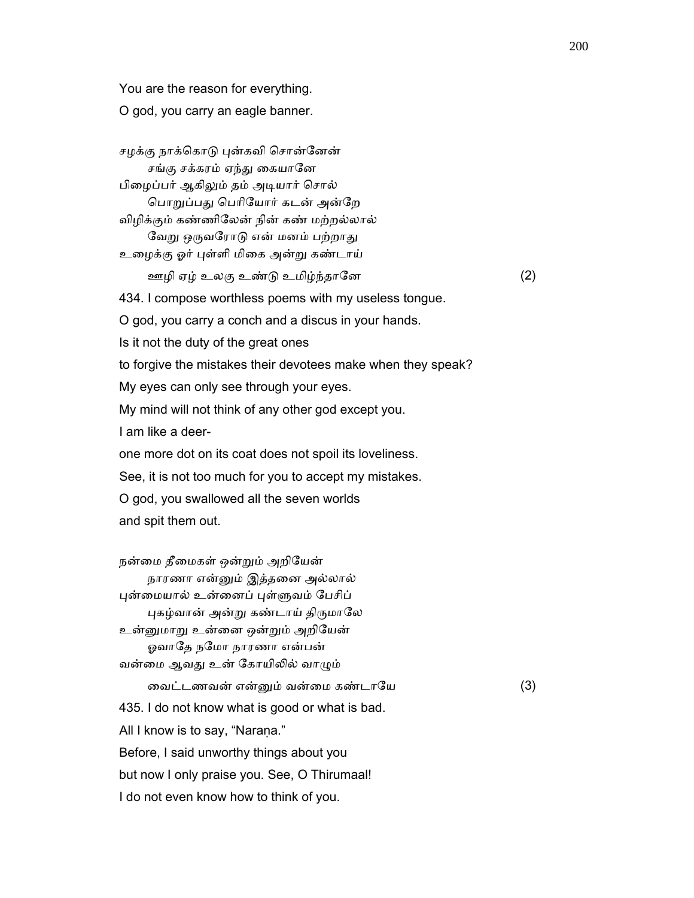You are the reason for everything.

O god, you carry an eagle banner.

சழக்கு நாக்கொடு புன்கவி சொன்னேன் சங்கு சக்கரம் ஏந்து கையானே பிைழப்பர் ஆகிᾤம் தம் அᾊயார் ெசால் பொறுப்பது பெரியோர் கடன் அன்றே விழிக்கும் கண்ணிேலன் நின் கண் மற்றல்லால் வேறு ஒருவரோடு என் மனம் பற்றாது உைழக்கு ஓர் ᾗள்ளி மிைக அன்ᾠ கண்டாய் ஊழி ஏழ் உலகு உண்ᾌ உமிழ்ந்தாேன (2) 434. I compose worthless poems with my useless tongue. O god, you carry a conch and a discus in your hands. Is it not the duty of the great ones to forgive the mistakes their devotees make when they speak? My eyes can only see through your eyes. My mind will not think of any other god except you. I am like a deer one more dot on its coat does not spoil its loveliness. See, it is not too much for you to accept my mistakes. O god, you swallowed all the seven worlds and spit them out. நன்ைம தீைமகள் ஒன்ᾠம் அறிேயன் நாரணா என்ᾔம் இத்தைன அல்லால் புன்மையால் உன்னைப் புள்ளுவம் பேசிப் புகழ்வான் அன்று கண்டாய் திருமாலே உன்ᾔமாᾠ உன்ைன ஒன்ᾠம் அறிேயன் ஓவாதே நமோ நாரணா என்பன் வன்மை ஆவது உன் கோயிலில் வாழும் ைவட்டணவன் என்ᾔம் வன்ைம கண்டாேய (3) 435. I do not know what is good or what is bad. All I know is to say, "Narana." Before, I said unworthy things about you but now I only praise you. See, O Thirumaal! I do not even know how to think of you.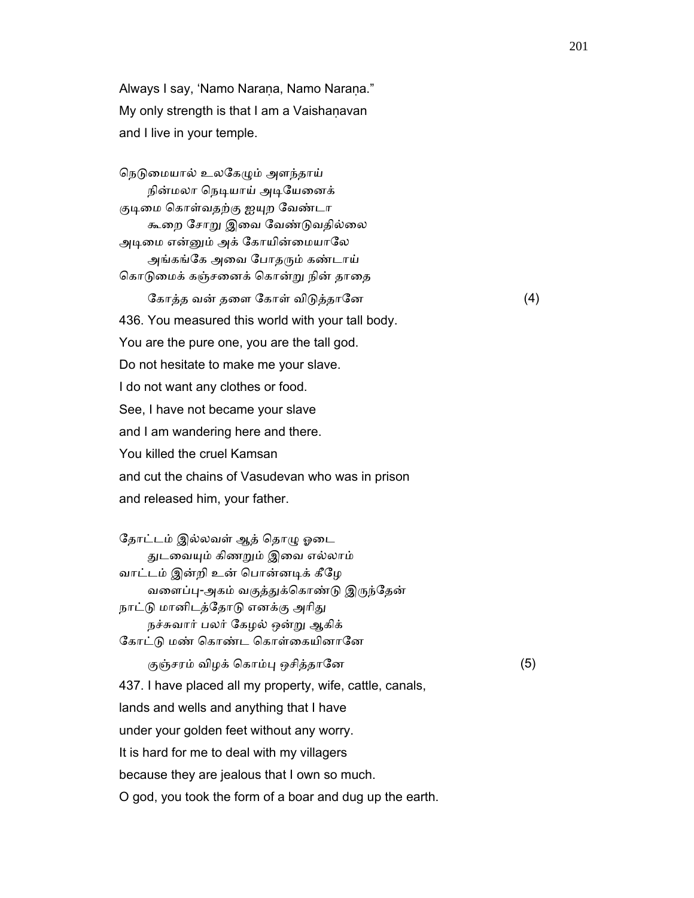Always I say, 'Namo Naraṇa, Namo Naraṇa." My only strength is that I am a Vaishaṇavan and I live in your temple.

நெடுமையால் உலகேழும் அளந்தாய் நின்மலா நெடியாய் அடியேனைக் குடிமை கொள்வதற்கு ஐயுற வேண்டா கூறை சோறு இவை வேண்டுவதில்லை அடிமை என்னும் அக் கோயின்மையாலே அங்கங்கே அவை போதரும் கண்டாய் கொடுமைக் கஞ்சனைக் கொன்று நின் தாதை ேகாத்த வன் தைள ேகாள் விᾌத்தாேன (4) 436. You measured this world with your tall body. You are the pure one, you are the tall god. Do not hesitate to make me your slave. I do not want any clothes or food. See, I have not became your slave and I am wandering here and there. You killed the cruel Kamsan and cut the chains of Vasudevan who was in prison and released him, your father.

 ேதாட்டம் இல்லவள் ஆத் ெதாᾨ ஓைட ᾐடைவᾜம் கிணᾠம் இைவ எல்லாம் வாட்டம் இன்றி உன் ெபான்னᾊக் கீேழ வளைப்பு-அகம் வகுத்துக்கொண்டு இருந்தேன் நாட்டு மானிடத்தோடு எனக்கு அரிது நச்சுவார் பலர் ேகழல் ஒன்ᾠ ஆகிக் கோட்டு மண் கொண்ட கொள்கையினானே குஞ்சரம் விழக் ெகாம்ᾗ ஒசித்தாேன (5) 437. I have placed all my property, wife, cattle, canals, lands and wells and anything that I have under your golden feet without any worry. It is hard for me to deal with my villagers because they are jealous that I own so much. O god, you took the form of a boar and dug up the earth.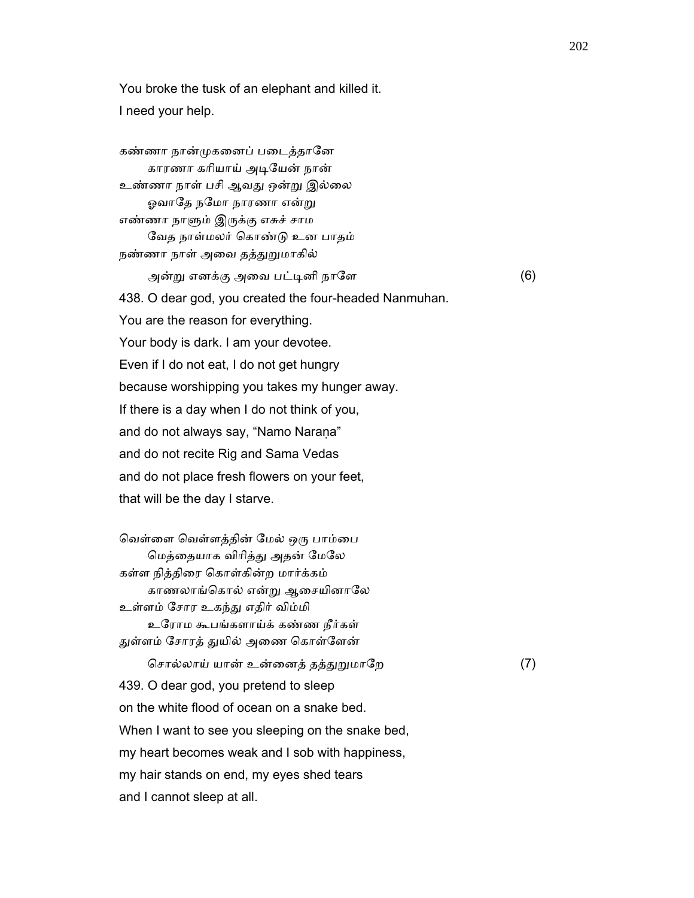You broke the tusk of an elephant and killed it. I need your help.

கண்ணா நான்முகனைப் படைத்தானே காரணா காியாய் அᾊேயன் நான் உண்ணா நாள் பசி ஆவᾐ ஒன்ᾠ இல்ைல ஓவாதே நமோ நாரணா என்று எண்ணா நாᾦம் இᾞக்கு எசுச் சாம ேவத நாள்மலர் ெகாண்ᾌ உன பாதம் நண்ணா நாள் அவை தத்துறுமாகில் அன்ᾠ எனக்கு அைவ பட்ᾊனி நாேள (6) 438. O dear god, you created the four-headed Nanmuhan. You are the reason for everything. Your body is dark. I am your devotee. Even if I do not eat, I do not get hungry because worshipping you takes my hunger away. If there is a day when I do not think of you, and do not always say, "Namo Naraṇa" and do not recite Rig and Sama Vedas and do not place fresh flowers on your feet, that will be the day I starve. வெள்ளை வெள்ளத்தின் மேல் ஒரு பாம்பை ெமத்ைதயாக விாித்ᾐ அதன் ேமேல கள்ள நித்திைர ெகாள்கின்ற மார்க்கம் காணலாங்ெகால் என்ᾠ ஆைசயினாேல உள்ளம் ேசார உகந்ᾐ எதிர் விம்மி உேராம கூபங்களாய்க் கண்ண நீர்கள் துள்ளம் சோரத் துயில் அணை கொள்ளேன் ெசால்லாய் யான் உன்ைனத் தத்ᾐᾠமாேற (7) 439. O dear god, you pretend to sleep on the white flood of ocean on a snake bed. When I want to see you sleeping on the snake bed, my heart becomes weak and I sob with happiness, my hair stands on end, my eyes shed tears and I cannot sleep at all.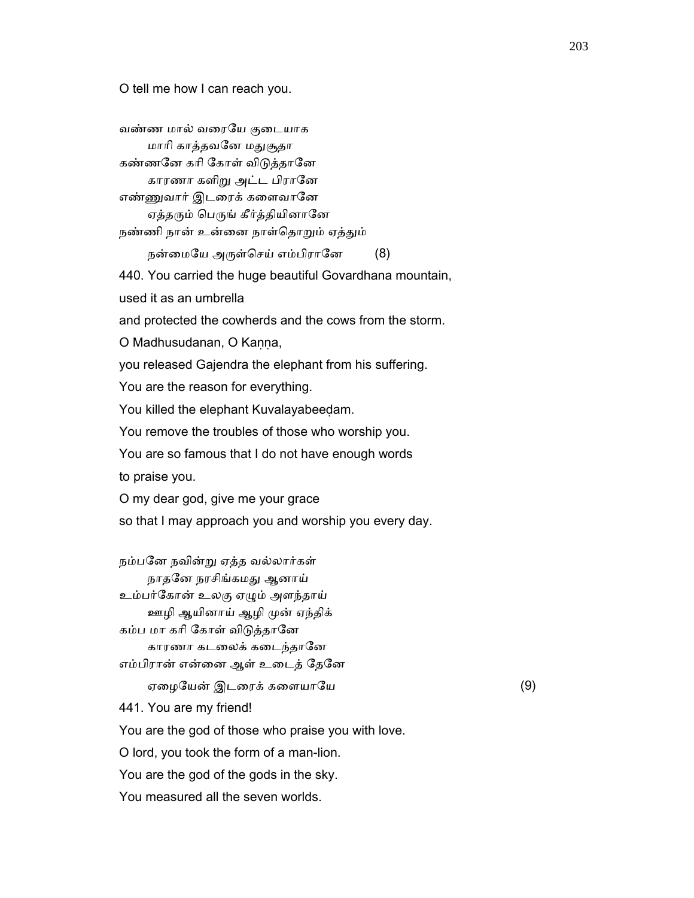O tell me how I can reach you.

 வண்ண மால் வைரேய குைடயாக மாரி காத்தவனே மதுசூதா கண்ணனே கரி கோள் விடுத்தானே காரணா களிᾠ அட்ட பிராேன எண்ᾎவார் இடைரக் கைளவாேன ஏத்தரும் பெருங் கீர்த்தியினானே நண்ணி நான் உன்னை நாள்தொறும் ஏத்தும் நன்மையே அருள்செய் எம்பிரானே (8) 440. You carried the huge beautiful Govardhana mountain, used it as an umbrella and protected the cowherds and the cows from the storm. O Madhusudanan, O Kaṇṇa, you released Gajendra the elephant from his suffering. You are the reason for everything. You killed the elephant Kuvalayabeeḍam. You remove the troubles of those who worship you. You are so famous that I do not have enough words to praise you. O my dear god, give me your grace so that I may approach you and worship you every day. நம்பேன நவின்ᾠ ஏத்த வல்லார்கள் நாதேன நரசிங்கமᾐ ஆனாய் உம்பர்ேகான் உலகு ஏᾨம் அளந்தாய் ஊழி ஆயினாய் ஆழி முன் ஏந்திக் கம்ப மா கரி கோள் விடுத்தானே காரணா கடலைக் கடைந்தானே எம்பிரான் என்னை ஆள் உடைத் தேனே ஏைழேயன் இடைரக் கைளயாேய (9) 441. You are my friend! You are the god of those who praise you with love. O lord, you took the form of a man-lion. You are the god of the gods in the sky. You measured all the seven worlds.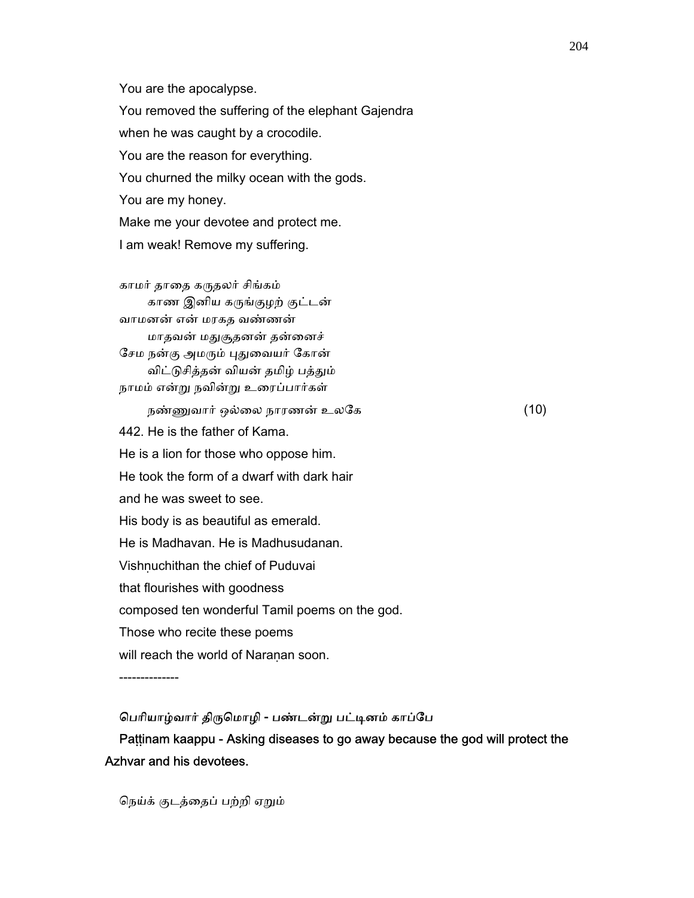You are the apocalypse. You removed the suffering of the elephant Gajendra when he was caught by a crocodile. You are the reason for everything. You churned the milky ocean with the gods. You are my honey. Make me your devotee and protect me. I am weak! Remove my suffering.

 காமர் தாைத கᾞதலர் சிங்கம் காண இனிய கருங்குழற் குட்டன் வாமனன் என் மரகத வண்ணன் மாதவன் மதுசூதனன் தன்னைச் சேம நன்கு அமரும் புதுவையர் கோன் விட்டுசித்தன் வியன் தமிழ் பத்தும் நாமம் என்ᾠ நவின்ᾠ உைரப்பார்கள்

நண்ணுவார் ஒல்லை நாரணன் உலகே $(10)$  442. He is the father of Kama. He is a lion for those who oppose him. He took the form of a dwarf with dark hair and he was sweet to see. His body is as beautiful as emerald. He is Madhavan. He is Madhusudanan. Vishnuchithan the chief of Puduvai that flourishes with goodness composed ten wonderful Tamil poems on the god. Those who recite these poems will reach the world of Naraṇan soon.

--------------

பெரியாழ்வார் திருமொழி - பண்டன்று பட்டினம் காப்பே Paṭṭinam kaappu - Asking diseases to go away because the god will protect the Azhvar and his devotees.

ெநய்க் குடத்ைதப் பற்றி ஏᾠம்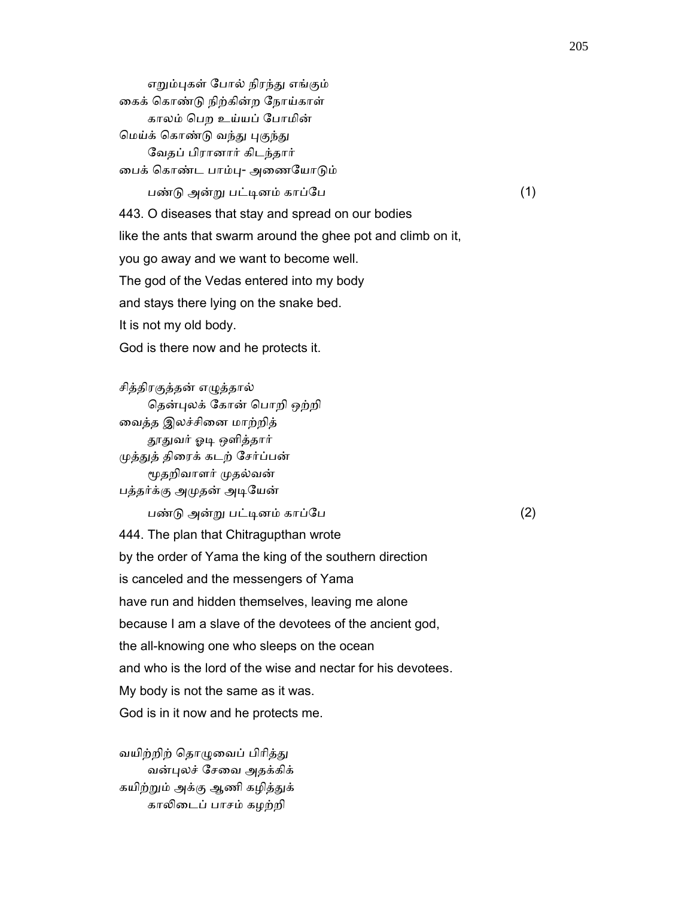எறும்புகள் போல் நிரந்து எங்கும் ைகக் ெகாண்ᾌ நிற்கின்ற ேநாய்காள் காலம் ெபற உய்யப் ேபாமின் மெய்க் கொண்டு வந்து புகுந்து ேவதப் பிரானார் கிடந்தார் ைபக் ெகாண்ட பாம்ᾗ- அைணேயாᾌம் பண்ᾌ அன்ᾠ பட்ᾊனம் காப்ேப (1) 443. O diseases that stay and spread on our bodies like the ants that swarm around the ghee pot and climb on it, you go away and we want to become well. The god of the Vedas entered into my body and stays there lying on the snake bed. It is not my old body. God is there now and he protects it.

 சித்திரகுத்தன் எᾨத்தால் தென்புலக் கோன் பொறி ஒற்றி வைத்த இலச்சினை மாற்றித் தூதுவர் ஓடி ஒளித்தார் ᾙத்ᾐத் திைரக் கடற் ேசர்ப்பன் ᾚதறிவாளர் ᾙதல்வன் பத்தர்க்கு அᾙதன் அᾊேயன்

பண்ᾌ அன்ᾠ பட்ᾊனம் காப்ேப (2)

 444. The plan that Chitragupthan wrote by the order of Yama the king of the southern direction is canceled and the messengers of Yama have run and hidden themselves, leaving me alone because I am a slave of the devotees of the ancient god, the all-knowing one who sleeps on the ocean and who is the lord of the wise and nectar for his devotees. My body is not the same as it was. God is in it now and he protects me.

வயிற்றிற் தொழுவைப் பிரித்து வன்ᾗலச் ேசைவ அதக்கிக் கயிற்றும் அக்கு ஆணி கழித்துக் காலிடைப் பாசம் கழற்றி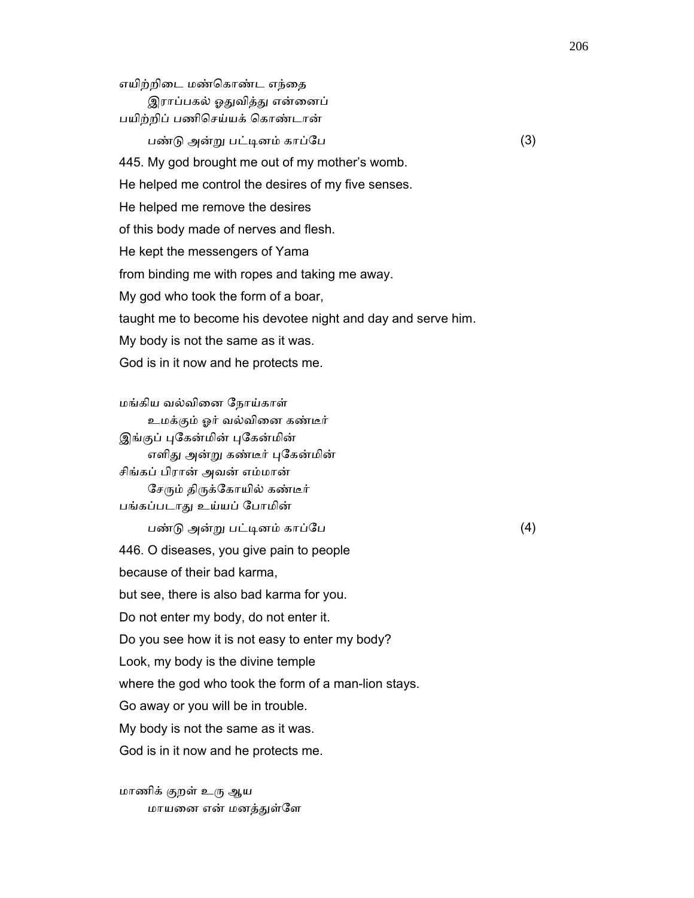எயிற்றிடை மண்கொண்ட எந்தை இராப்பகல் ஓதுவித்து என்னைப் பயிற்றிப் பணிெசய்யக் ெகாண்டான்  $\Box$ ண்டு அன்று பட்டினம் காப்பே $(3)$  445. My god brought me out of my mother's womb. He helped me control the desires of my five senses. He helped me remove the desires of this body made of nerves and flesh. He kept the messengers of Yama from binding me with ropes and taking me away. My god who took the form of a boar, taught me to become his devotee night and day and serve him. My body is not the same as it was. God is in it now and he protects me.

 மங்கிய வல்விைன ேநாய்காள் உமக்கும் ஓர் வல்விைன கண்டீர் இங்குப் புகேன்மின் புகேன்மின் எளிது அன்று கண்டீர் புகேன்மின் சிங்கப் பிரான் அவன் எம்மான் சேரும் திருக்கோயில் கண்டீர் பங்கப்படாᾐ உய்யப் ேபாமின் பண்ᾌ அன்ᾠ பட்ᾊனம் காப்ேப (4) 446. O diseases, you give pain to people because of their bad karma, but see, there is also bad karma for you. Do not enter my body, do not enter it. Do you see how it is not easy to enter my body? Look, my body is the divine temple where the god who took the form of a man-lion stays. Go away or you will be in trouble. My body is not the same as it was. God is in it now and he protects me.

மாணிக் குறள் உரு ஆய மாயனை என் மனத்துள்ளே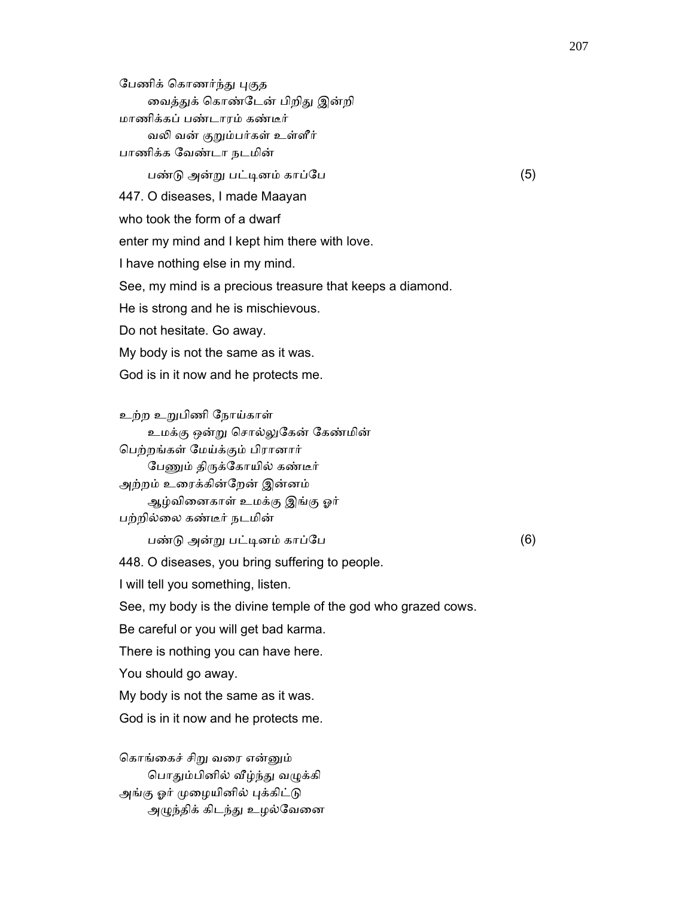பேணிக் கொணர்ந்து புகுத வைத்துக் கொண்டேன் பிறிது இன்றி மாணிக்கப் பண்டாரம் கண்டீர் வலி வன் குறும்பர்கள் உள்ளீர் பாணிக்க ேவண்டா நடமின் பண்ᾌ அன்ᾠ பட்ᾊனம் காப்ேப (5) 447. O diseases, I made Maayan who took the form of a dwarf enter my mind and I kept him there with love. I have nothing else in my mind. See, my mind is a precious treasure that keeps a diamond. He is strong and he is mischievous. Do not hesitate. Go away. My body is not the same as it was. God is in it now and he protects me.

 உற்ற உᾠபிணி ேநாய்காள் உமக்கு ஒன்ᾠ ெசால்ᾤேகன் ேகண்மின் ெபற்றங்கள் ேமய்க்கும் பிரானார் பேணும் திருக்கோயில் கண்டீர் அற்றம் உரைக்கின்றேன் இன்னம் ஆழ்விைனகாள் உமக்கு இங்கு ஓர் பற்றில்ைல கண்டீர் நடமின் பண்ᾌ அன்ᾠ பட்ᾊனம் காப்ேப (6) 448. O diseases, you bring suffering to people. I will tell you something, listen. See, my body is the divine temple of the god who grazed cows. Be careful or you will get bad karma. There is nothing you can have here. You should go away. My body is not the same as it was. God is in it now and he protects me.

 ெகாங்ைகச் சிᾠ வைர என்ᾔம் பொதும்பினில் வீழ்ந்து வழுக்கி அங்கு ஓர் முழையினில் புக்கிட்டு அழுந்திக் கிடந்து உழல்வேனை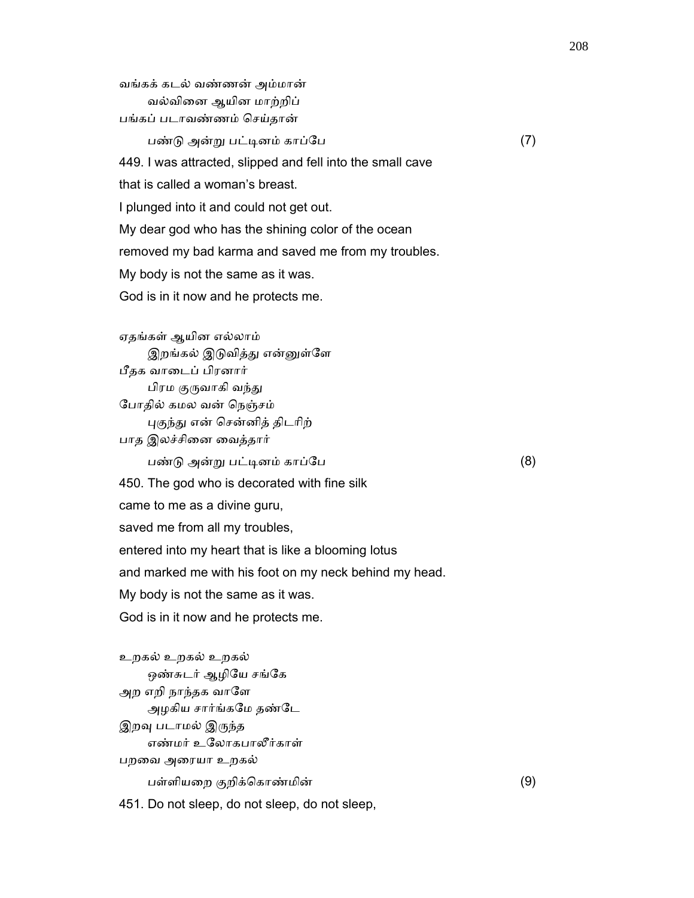வங்கக் கடல் வண்ணன் அம்மான் வல்விைன ஆயின மாற்றிப் பங்கப் படாவண்ணம் ெசய்தான்  $\Box$ ண்டு அன்று பட்டினம் காப்பே  $(7)$  449. I was attracted, slipped and fell into the small cave that is called a woman's breast. I plunged into it and could not get out. My dear god who has the shining color of the ocean removed my bad karma and saved me from my troubles. My body is not the same as it was. God is in it now and he protects me.

 ஏதங்கள் ஆயின எல்லாம் இறங்கல் இடுவித்து என்னுள்ளே பீதக வாைடப் பிரனார் பிரம குருவாகி வந்து ேபாதில் கமல வன் ெநஞ்சம் புகுந்து என் சென்னித் திடரிற் பாத இலச்சினை வைத்தார் பண்ᾌ அன்ᾠ பட்ᾊனம் காப்ேப (8) 450. The god who is decorated with fine silk came to me as a divine guru, saved me from all my troubles, entered into my heart that is like a blooming lotus and marked me with his foot on my neck behind my head. My body is not the same as it was. God is in it now and he protects me.

 உறகல் உறகல் உறகல் ஒண்சுடர் ஆழியே சங்கே அற எறி நாந்தக வாளே அழகிய சார்ங்கேம தண்ேட இறவு படாமல் இருந்த எண்மர் உேலாகபாலீர்காள் பறைவ அைரயா உறகல் பள்ளியைற குறிக்ெகாண்மின் (9)

451. Do not sleep, do not sleep, do not sleep,

208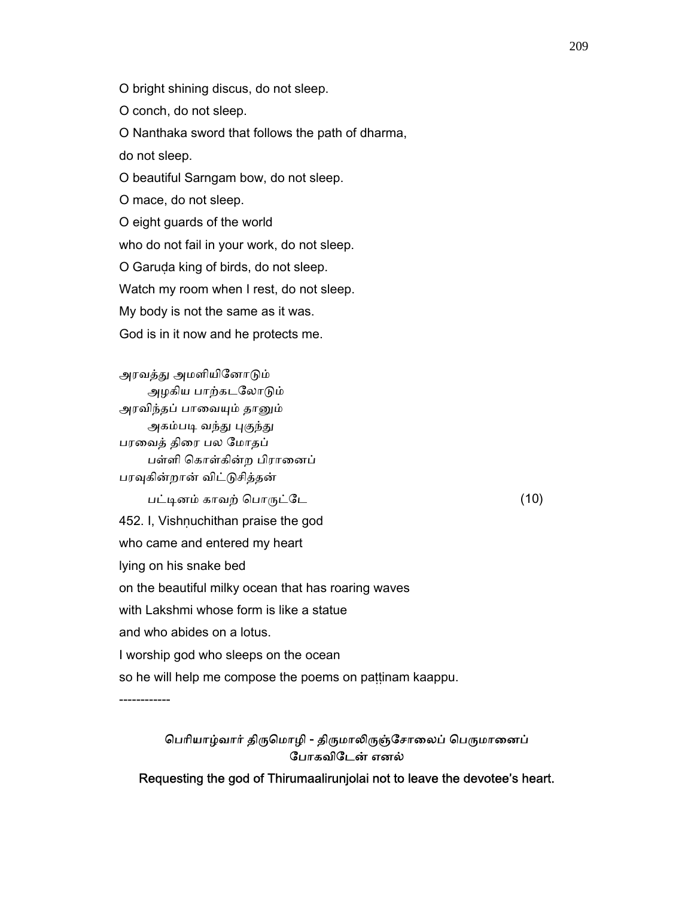O bright shining discus, do not sleep.

O conch, do not sleep.

O Nanthaka sword that follows the path of dharma,

do not sleep.

O beautiful Sarngam bow, do not sleep.

O mace, do not sleep.

O eight guards of the world

who do not fail in your work, do not sleep.

O Garuḍa king of birds, do not sleep.

Watch my room when I rest, do not sleep.

My body is not the same as it was.

God is in it now and he protects me.

அரவத்து அமளியினோடும் அழகிய பாற்கடலோடும் அரவிந்தப் பாவையும் தானும் அகம்படி வந்து புகுந்து பரைவத் திைர பல ேமாதப் பள்ளி கொள்கின்ற பிரானைப் பரவுகின்றான் விட்டுசித்தன்  $\overline{u}$ ட்டினம் காவற் பொருட்டே  $(10)$ 452. I, Vishnuchithan praise the god who came and entered my heart lying on his snake bed on the beautiful milky ocean that has roaring waves

with Lakshmi whose form is like a statue

and who abides on a lotus.

I worship god who sleeps on the ocean

so he will help me compose the poems on pattinam kaappu.

------------

பெரியாழ்வார் திருமொழி - திருமாலிருஞ்சோலைப் பெருமானைப் ேபாகவிேடன் எனல்

Requesting the god of Thirumaalirunjolai not to leave the devotee's heart.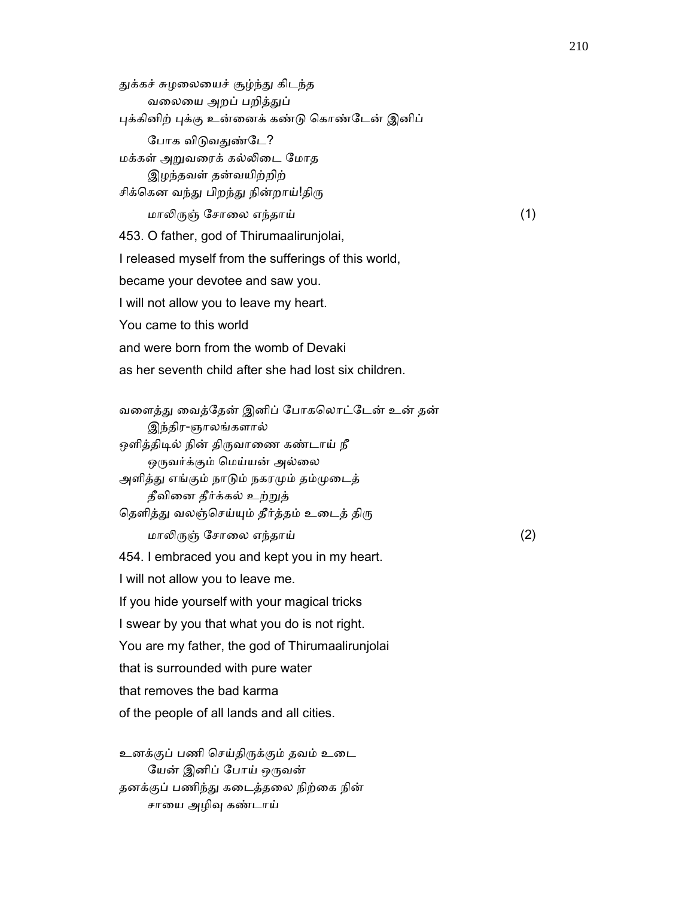துக்கச் சுழலையைச் சூழ்ந்து கிடந்த வலையை அறப் பறித்துப் புக்கினிற் புக்கு உன்னைக் கண்டு கொண்டேன் இனிப் போக விடுவதுண்டே? மக்கள் அᾠவைரக் கல்ᾢைட ேமாத இழந்தவள் தன்வயிற்றிற் சிக்கென வந்து பிறந்து நின்றாய்!திரு மாலிருஞ் சோலை எந்தாய்  $(1)$  453. O father, god of Thirumaalirunjolai, I released myself from the sufferings of this world, became your devotee and saw you. I will not allow you to leave my heart. You came to this world and were born from the womb of Devaki as her seventh child after she had lost six children.

 வைளத்ᾐ ைவத்ேதன் இனிப் ேபாகெலாட்ேடன் உன் தன் இந்திர-ஞாலங்களால் ஒளித்திடில் நின் திருவாணை கண்டாய் நீ ஒருவர்க்கும் மெய்யன் அல்லை அளித்து எங்கும் நாடும் நகரமும் தம்முடைத் தீவிைன தீர்க்கல் உற்ᾠத் தெளித்து வலஞ்செய்யும் தீர்த்தம் உடைத் திரு மாலிருஞ் சோலை எந்தாய்  $(2)$  454. I embraced you and kept you in my heart. I will not allow you to leave me. If you hide yourself with your magical tricks I swear by you that what you do is not right.

You are my father, the god of Thirumaalirunjolai

that is surrounded with pure water

that removes the bad karma

of the people of all lands and all cities.

 உனக்குப் பணி ெசய்திᾞக்கும் தவம் உைட யேன் இனிப் போய் ஒருவன் தனக்குப் பணிந்ᾐ கைடத்தைல நிற்ைக நின் சாைய அழிᾫ கண்டாய்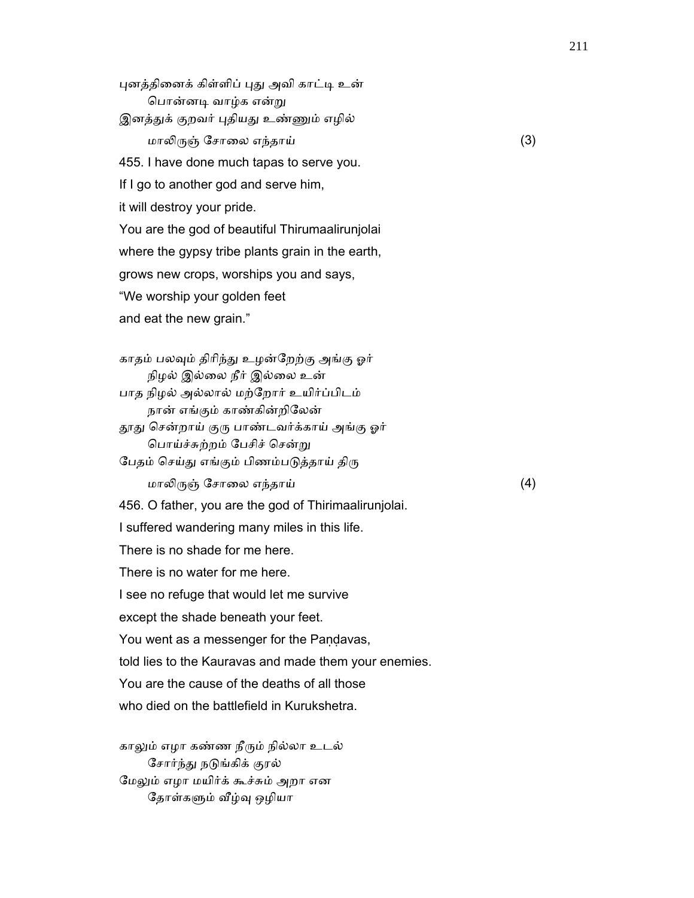புனத்தினைக் கிள்ளிப் புது அவி காட்டி உன் பொன்னடி வாழ்க என்று இனத்துக் குறவர் புதியது உண்ணும் எழில் மாலிருஞ் சோலை எந்தாய்  $(3)$  455. I have done much tapas to serve you. If I go to another god and serve him, it will destroy your pride. You are the god of beautiful Thirumaalirunjolai where the gypsy tribe plants grain in the earth, grows new crops, worships you and says, "We worship your golden feet and eat the new grain."

காதம் பலவும் திரிந்து உழன்றேற்கு அங்கு ஓர் நிழல் இல்ைல நீர் இல்ைல உன் பாத நிழல் அல்லால் மற்ேறார் உயிர்ப்பிடம் நான் எங்கும் காண்கின்றிேலன் தூது சென்றாய் குரு பாண்டவர்க்காய் அங்கு ஓர் ெபாய்ச்சுற்றம் ேபசிச் ெசன்ᾠ

பேதம் செய்து எங்கும் பிணம்படுத்தாய் திரு மாலிருஞ் சோலை எந்தாய்  $(4)$ 

456. O father, you are the god of Thirimaalirunjolai.

I suffered wandering many miles in this life.

There is no shade for me here.

There is no water for me here.

I see no refuge that would let me survive

except the shade beneath your feet.

You went as a messenger for the Paṇḍavas,

told lies to the Kauravas and made them your enemies.

You are the cause of the deaths of all those

who died on the battlefield in Kurukshetra.

காலும் எழா கண்ண நீரும் நில்லா உடல் சோர்ந்து நடுங்கிக் குரல் மேலும் எழா மயிர்க் கூச்சும் அறா என தோள்களும் வீழ்வு ஒழியா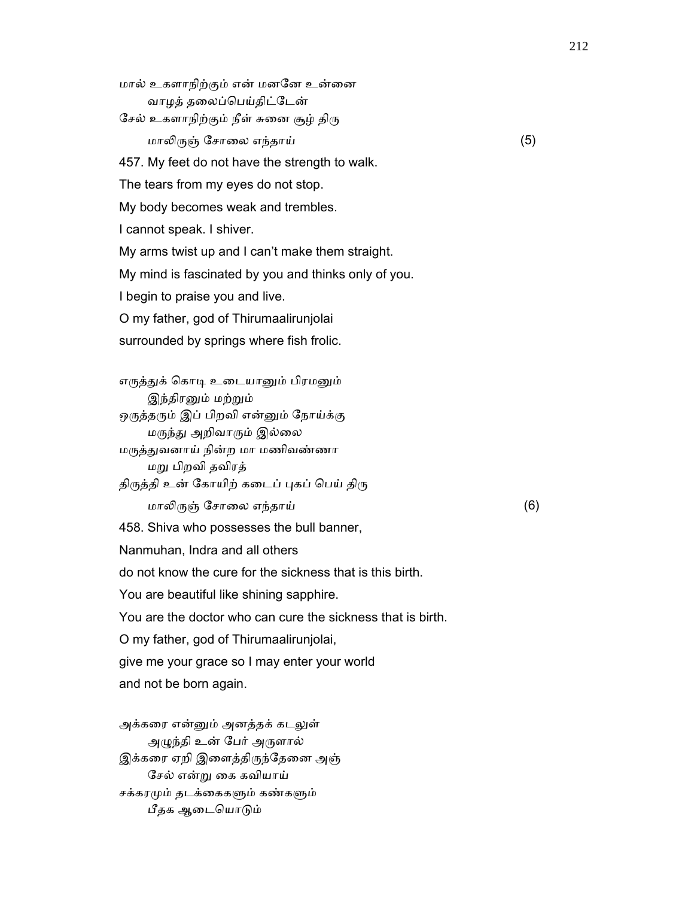மால் உகளாநிற்கும் என் மனேன உன்ைன வாழத் தலைப்பெய்திட்டேன் சேல் உகளாநிற்கும் நீள் சுனை சூழ் திரு மாலிருஞ் சோலை எந்தாய்  $(5)$  457. My feet do not have the strength to walk. The tears from my eyes do not stop. My body becomes weak and trembles. I cannot speak. I shiver. My arms twist up and I can't make them straight. My mind is fascinated by you and thinks only of you. I begin to praise you and live. O my father, god of Thirumaalirunjolai surrounded by springs where fish frolic.

எருத்துக் கொடி உடையானும் பிரமனும் இந்திரனும் மற்றும் ஒருத்தரும் இப் பிறவி என்னும் நோய்க்கு மருந்து அறிவாரும் இல்லை மᾞத்ᾐவனாய் நின்ற மா மணிவண்ணா மᾠ பிறவி தவிரத் திருத்தி உன் கோயிற் கடைப் புகப் பெய் திரு மாலிருஞ் சோலை எந்தாய்  $(6)$  458. Shiva who possesses the bull banner, Nanmuhan, Indra and all others do not know the cure for the sickness that is this birth. You are beautiful like shining sapphire. You are the doctor who can cure the sickness that is birth. O my father, god of Thirumaalirunjolai, give me your grace so I may enter your world and not be born again.

அக்கரை என்னும் அனத்தக் கடலுள் அᾨந்தி உன் ேபர் அᾞளால் இக்கரை ஏறி இளைத்திருந்தேனை அஞ் ேசல் என்ᾠ ைக கவியாய் சக்கரமும் தடக்கைகளும் கண்களும் பீதக ஆடையொடும்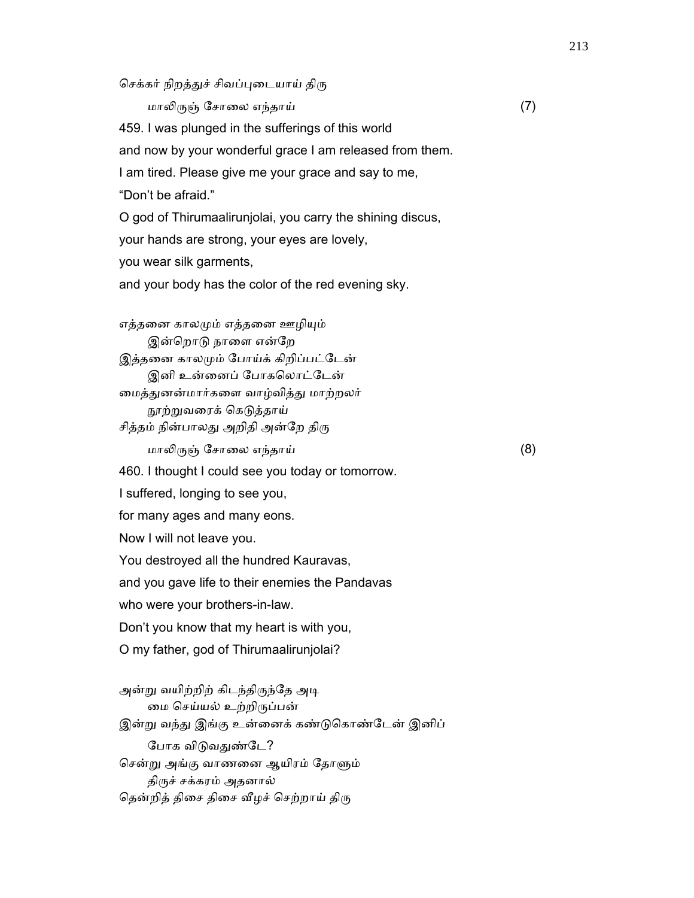செக்கர் நிறத்துச் சிவப்புடையாய் திரு மாலிருஞ் சோலை எந்தாய்  $(7)$  459. I was plunged in the sufferings of this world and now by your wonderful grace I am released from them. I am tired. Please give me your grace and say to me, "Don't be afraid." O god of Thirumaalirunjolai, you carry the shining discus, your hands are strong, your eyes are lovely, you wear silk garments, and your body has the color of the red evening sky. எத்தனை காலமும் எத்தனை ஊழியும் இன்றொடு நாளை என்றே இத்தனை காலமும் போய்க் கிறிப்பட்டேன் இனி உன்னைப் போகலொட்டேன் மைத்துனன்மார்களை வாழ்வித்து மாற்றலர் நூற்றுவரைக் கெடுத்தாய் சித்தம் நின்பாலது அறிதி அன்றே திரு மாலிருஞ் சோலை எந்தாய்  $(8)$  460. I thought I could see you today or tomorrow. I suffered, longing to see you, for many ages and many eons. Now I will not leave you. You destroyed all the hundred Kauravas, and you gave life to their enemies the Pandavas who were your brothers-in-law. Don't you know that my heart is with you, O my father, god of Thirumaalirunjolai? அன்று வயிற்றிற் கிடந்திருந்தே அடி

 ைம ெசய்யல் உற்றிᾞப்பன் இன்று வந்து இங்கு உன்னைக் கண்டுகொண்டேன் இனிப் போக விடுவதுண்டே? சென்று அங்கு வாணனை ஆயிரம் தோளும் திருச் சக்கரம் அதனால் தென்றித் திசை திசை வீழச் செற்றாய் திரு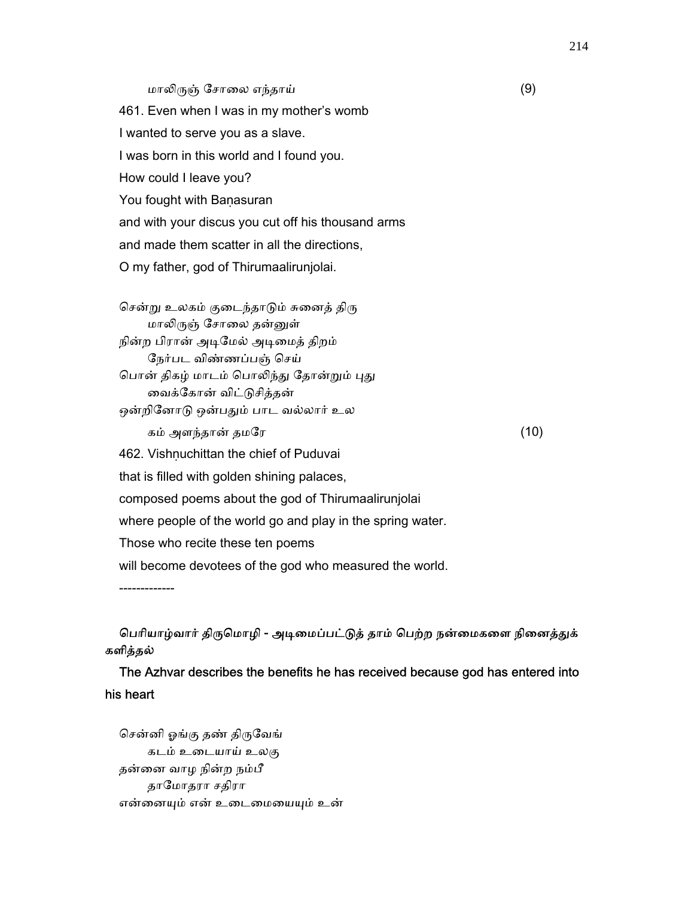### மாலிருஞ் சோலை எந்தாய்  $(9)$

 461. Even when I was in my mother's womb I wanted to serve you as a slave. I was born in this world and I found you. How could I leave you? You fought with Banasuran and with your discus you cut off his thousand arms and made them scatter in all the directions, O my father, god of Thirumaalirunjolai.

சென்று உலகம் குடைந்தாடும் சுனைத் திரு மாலிருஞ் சோலை தன்னுள் நின்ற பிரான் அடிமேல் அடிமைத் திறம் ேநர்பட விண்ணப்பஞ் ெசய் பொன் திகழ் மாடம் பொலிந்து தோன்றும் புது ைவக்ேகான் விட்ᾌசித்தன் ஒன்றினோடு ஒன்பதும் பாட வல்லார் உல கம் அளந்தான் தமரே $(10)$ 462. Vishnuchittan the chief of Puduvai that is filled with golden shining palaces, composed poems about the god of Thirumaalirunjolai where people of the world go and play in the spring water. Those who recite these ten poems will become devotees of the god who measured the world.

பெரியாழ்வார் திருமொழி - அடிமைப்பட்டுத் தாம் பெற்ற நன்மைகளை நினைத்துக் களித்தல்

 The Azhvar describes the benefits he has received because god has entered into his heart

சென்னி ஓங்கு தண் திருவேங் கடம் உைடயாய் உலகு தன்ைன வாழ நின்ற நம்பீ தாேமாதரா சதிரா என்ைனᾜம் என் உைடைமையᾜம் உன்

-------------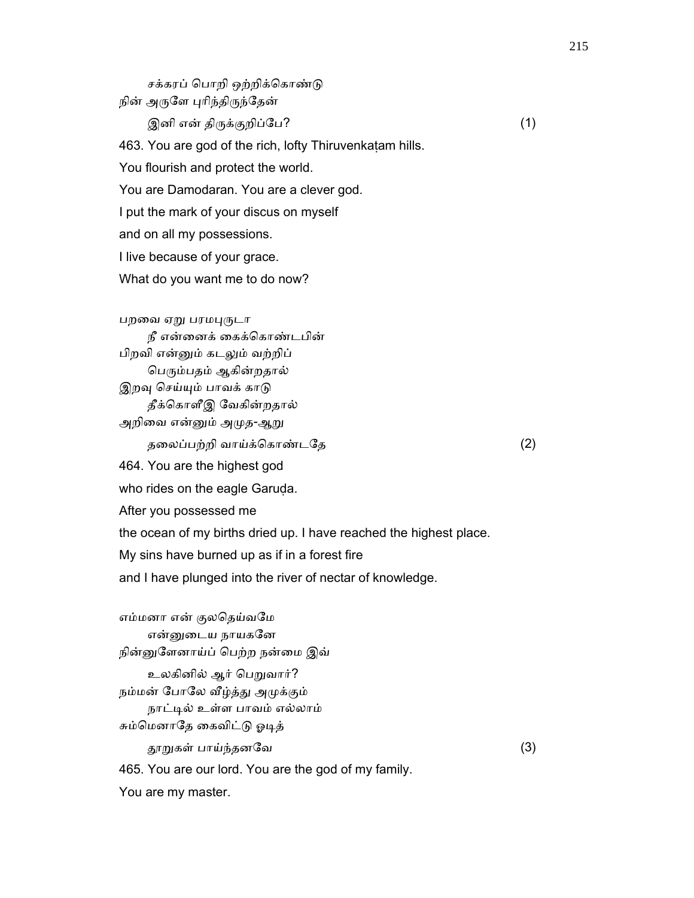சக்கரப் பொறி ஒற்றிக்கொண்டு நின் அருளே புரிந்திருந்தேன்  $\textcircled{a}$ னி என் திருக்குறிப்பே? (1) 463. You are god of the rich, lofty Thiruvenkaṭam hills. You flourish and protect the world. You are Damodaran. You are a clever god. I put the mark of your discus on myself and on all my possessions. I live because of your grace. What do you want me to do now? பறவை ஏறு பரமபுருடா நீ என்ைனக் ைகக்ெகாண்டபின் பிறவி என்ᾔம் கடᾤம் வற்றிப் பெரும்பதம் ஆகின்றதால் இறவு செய்யும் பாவக் காடு தீக்ெகாளீஇ ேவகின்றதால்

அறிவை என்னும் அமுத-ஆறு

தைலப்பற்றி வாய்க்ெகாண்டேத (2)

464. You are the highest god

who rides on the eagle Garuda.

After you possessed me

the ocean of my births dried up. I have reached the highest place.

My sins have burned up as if in a forest fire

and I have plunged into the river of nectar of knowledge.

எம்மனா என் குலதெய்வமே என்னுடைய நாயகனே நின்னுளேனாய்ப் பெற்ற நன்மை இவ் உலகினில் ஆர் பெறுவார்? நம்மன் போலே வீழ்த்து அமுக்கும் நாட்ᾊல் உள்ள பாவம் எல்லாம் சும்மெனாதே கைவிட்டு ஓடித் ᾑᾠகள் பாய்ந்தனேவ (3) 465. You are our lord. You are the god of my family. You are my master.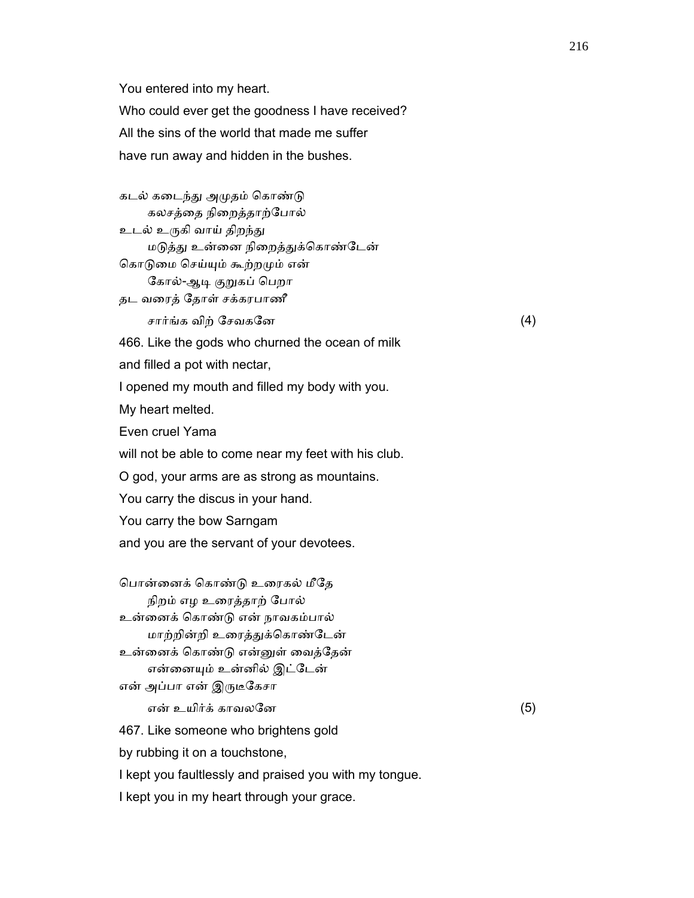You entered into my heart.

Who could ever get the goodness I have received?

All the sins of the world that made me suffer

have run away and hidden in the bushes.

கடல் கடைந்து அமுதம் கொண்டு கலசத்தை நிறைத்தாற்போல் உடல் உருகி வாய் திறந்து மடுத்து உன்னை நிறைத்துக்கொண்டேன் கொடுமை செய்யும் கூற்றமும் என் கோல்-ஆடி குறுகப் பெறா தட வைரத் ேதாள் சக்கரபாணீ சார்ங்க விற் சேவகனே  $(4)$  466. Like the gods who churned the ocean of milk and filled a pot with nectar, I opened my mouth and filled my body with you. My heart melted. Even cruel Yama will not be able to come near my feet with his club. O god, your arms are as strong as mountains. You carry the discus in your hand.

You carry the bow Sarngam

and you are the servant of your devotees.

 ெபான்ைனக் ெகாண்ᾌ உைரகல் மீேத நிறம் எழ உைரத்தாற் ேபால் உன்ைனக் ெகாண்ᾌ என் நாவகம்பால் மாற்றின்றி உரைத்துக்கொண்டேன் உன்ைனக் ெகாண்ᾌ என்ᾔள் ைவத்ேதன் என்ைனᾜம் உன்னில் இட்ேடன் என் அப்பா என் இருடீகேசா

என் உயிர்க் காவலனே $(5)$ 

467. Like someone who brightens gold

by rubbing it on a touchstone,

I kept you faultlessly and praised you with my tongue.

I kept you in my heart through your grace.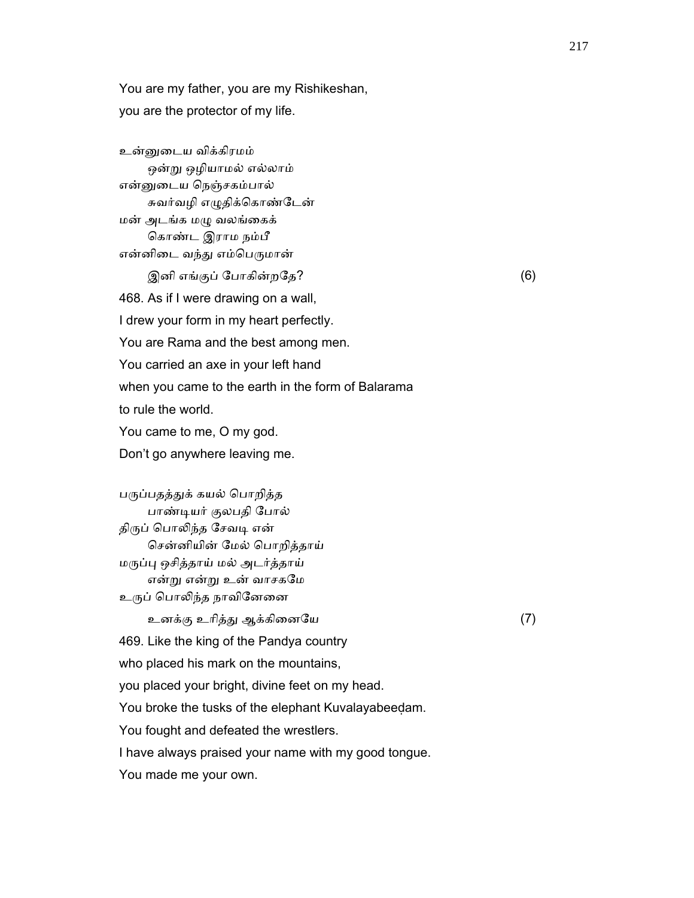You are my father, you are my Rishikeshan, you are the protector of my life.

 உன்ᾔைடய விக்கிரமம் ஒன்ᾠ ஒழியாமல் எல்லாம் என்ᾔைடய ெநஞ்சகம்பால் சுவர்வழி எழுதிக்கொண்டேன் மன் அடங்க மᾨ வலங்ைகக் ெகாண்ட இராம நம்பீ என்னிடை வந்து எம்பெருமான்  $\mathfrak{A}$ னி எங்குப் போகின்றதே? (6) 468. As if I were drawing on a wall, I drew your form in my heart perfectly. You are Rama and the best among men. You carried an axe in your left hand when you came to the earth in the form of Balarama to rule the world. You came to me, O my god. Don't go anywhere leaving me.

பருப்பதத்துக் கயல் பொறித்த பாண்ᾊயர் குலபதி ேபால் திருப் பொலிந்த சேவடி என் ெசன்னியின் ேமல் ெபாறித்தாய் மᾞப்ᾗ ஒசித்தாய் மல் அடர்த்தாய் என்ᾠ என்ᾠ உன் வாசகேம உருப் பொலிந்த நாவினேனை

உனக்கு உாித்ᾐ ஆக்கிைனேய (7)

469. Like the king of the Pandya country

who placed his mark on the mountains,

you placed your bright, divine feet on my head.

You broke the tusks of the elephant Kuvalayabeedam.

You fought and defeated the wrestlers.

I have always praised your name with my good tongue.

You made me your own.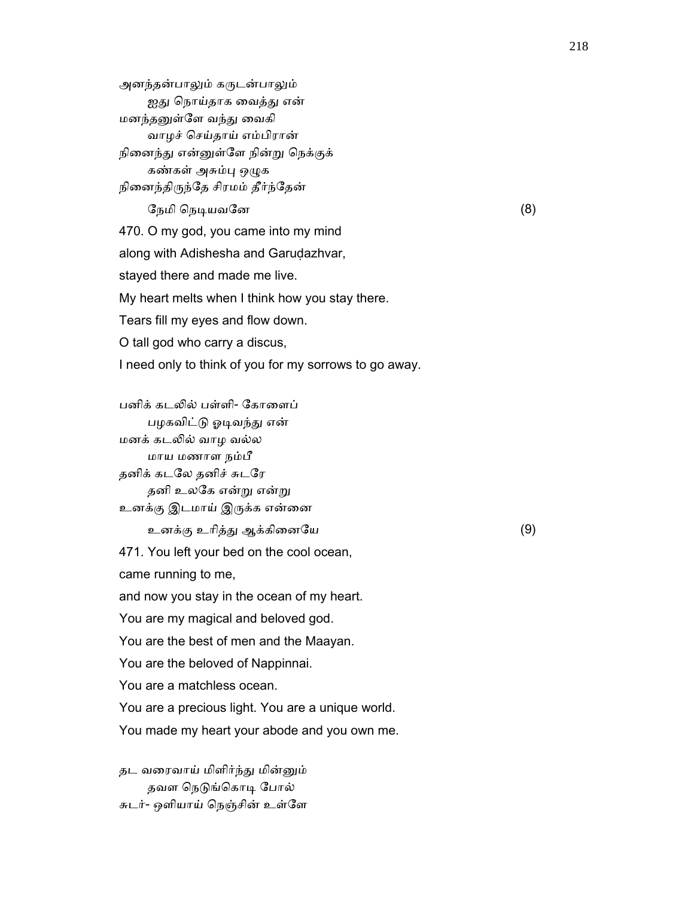அனந்தன்பாலும் கருடன்பாலும் ஐது நொய்தாக வைத்து என் மனந்தனுள்ளே வந்து வைகி வாழச் ெசய்தாய் எம்பிரான் நினைந்து என்னுள்ளே நின்று நெக்குக் கண்கள் அசும்பு ஒழுக நினைந்திருந்தே சிரமம் தீர்ந்தேன்

ேநமி நெடியவனே  $(8)$  470. O my god, you came into my mind along with Adishesha and Garudazhvar, stayed there and made me live. My heart melts when I think how you stay there. Tears fill my eyes and flow down. O tall god who carry a discus, I need only to think of you for my sorrows to go away.

 பனிக் கடᾢல் பள்ளி- ேகாைளப் பழகவிட்டு ஓடிவந்து என் மனக் கடᾢல் வாழ வல்ல மாய மணாள நம்பீ தனிக் கடேல தனிச் சுடேர தனி உலகே என்று என்று உனக்கு இடமாய் இருக்க என்னை உனக்கு உாித்ᾐ ஆக்கிைனேய (9)

471. You left your bed on the cool ocean,

came running to me,

and now you stay in the ocean of my heart.

You are my magical and beloved god.

You are the best of men and the Maayan.

You are the beloved of Nappinnai.

You are a matchless ocean.

You are a precious light. You are a unique world.

You made my heart your abode and you own me.

 தட வைரவாய் மிளிர்ந்ᾐ மின்ᾔம் தவள நெடுங்கொடி போல் சுடர்- ஒளியாய் ெநஞ்சின் உள்ேள